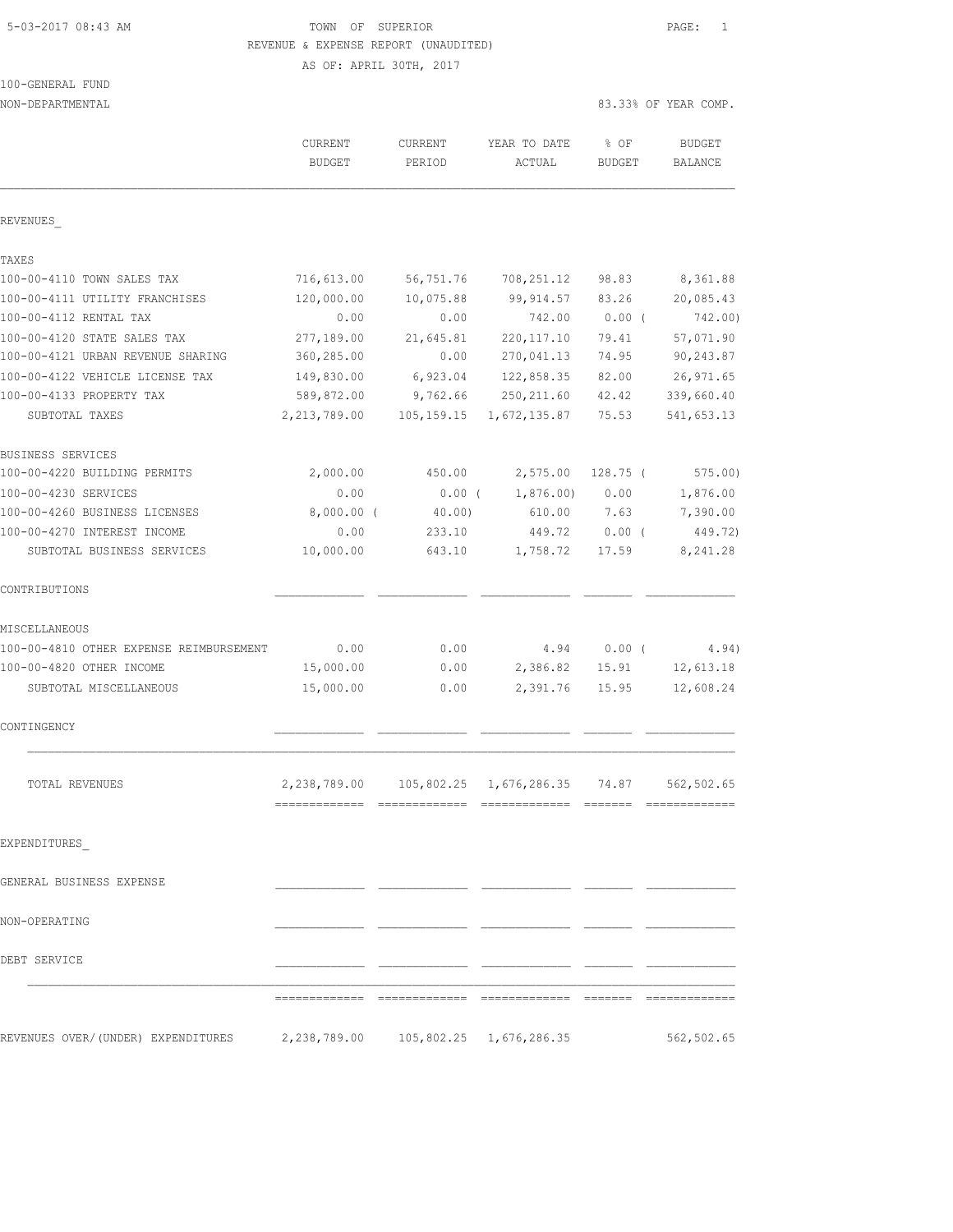## 5-03-2017 08:43 AM TOWN OF SUPERIOR PAGE: 1 REVENUE & EXPENSE REPORT (UNAUDITED)

| 100-GENERAL FUND |  |
|------------------|--|
|                  |  |

| NON-DEPARTMENTAL                                                                   |                          |                   |                         |                       | 83.33% OF YEAR COMP.     |
|------------------------------------------------------------------------------------|--------------------------|-------------------|-------------------------|-----------------------|--------------------------|
|                                                                                    | CURRENT<br><b>BUDGET</b> | CURRENT<br>PERIOD | YEAR TO DATE<br>ACTUAL  | % OF<br><b>BUDGET</b> | <b>BUDGET</b><br>BALANCE |
| REVENUES                                                                           |                          |                   |                         |                       |                          |
| TAXES                                                                              |                          |                   |                         |                       |                          |
| 100-00-4110 TOWN SALES TAX                                                         | 716,613.00               | 56,751.76         | 708,251.12              | 98.83                 | 8,361.88                 |
| 100-00-4111 UTILITY FRANCHISES                                                     | 120,000.00               | 10,075.88         | 99,914.57               | 83.26                 | 20,085.43                |
| 100-00-4112 RENTAL TAX                                                             | 0.00                     | 0.00              | 742.00                  | $0.00$ (              | 742.00)                  |
| 100-00-4120 STATE SALES TAX                                                        | 277,189.00               | 21,645.81         | 220, 117.10             | 79.41                 | 57,071.90                |
| 100-00-4121 URBAN REVENUE SHARING                                                  | 360,285.00               | 0.00              | 270,041.13              | 74.95                 | 90, 243.87               |
| 100-00-4122 VEHICLE LICENSE TAX                                                    | 149,830.00               | 6,923.04          | 122,858.35              | 82.00                 | 26, 971.65               |
| 100-00-4133 PROPERTY TAX                                                           | 589,872.00               | 9,762.66          | 250, 211.60             | 42.42                 | 339,660.40               |
| SUBTOTAL TAXES                                                                     | 2, 213, 789.00           | 105,159.15        | 1,672,135.87            | 75.53                 | 541,653.13               |
| BUSINESS SERVICES                                                                  |                          |                   |                         |                       |                          |
| 100-00-4220 BUILDING PERMITS                                                       | 2,000.00                 | 450.00            | 2,575.00                | $128.75$ (            | $575.00$ )               |
| 100-00-4230 SERVICES                                                               | 0.00                     | $0.00$ (          | 1,876.00                | 0.00                  | 1,876.00                 |
| 100-00-4260 BUSINESS LICENSES                                                      | 8,000.00 (               | 40.00)            | 610.00                  | 7.63                  | 7,390.00                 |
| 100-00-4270 INTEREST INCOME                                                        | 0.00                     | 233.10            | 449.72                  | 0.00(                 | 449.72)                  |
| SUBTOTAL BUSINESS SERVICES                                                         | 10,000.00                | 643.10            | 1,758.72                | 17.59                 | 8,241.28                 |
| CONTRIBUTIONS                                                                      |                          |                   |                         |                       |                          |
| MISCELLANEOUS                                                                      |                          |                   |                         |                       |                          |
| 100-00-4810 OTHER EXPENSE REIMBURSEMENT                                            | 0.00                     | 0.00              | 4.94                    | $0.00$ (              | 4.94)                    |
| 100-00-4820 OTHER INCOME                                                           | 15,000.00                | 0.00              | 2,386.82                | 15.91                 | 12,613.18                |
| SUBTOTAL MISCELLANEOUS                                                             | 15,000.00                | 0.00              | 2,391.76                | 15.95                 | 12,608.24                |
| CONTINGENCY                                                                        |                          |                   |                         |                       |                          |
| TOTAL REVENUES                                                                     | 2,238,789.00             |                   | 105,802.25 1,676,286.35 | 74.87                 | 562,502.65               |
| EXPENDITURES                                                                       |                          |                   |                         |                       |                          |
| GENERAL BUSINESS EXPENSE                                                           |                          |                   |                         |                       |                          |
| NON-OPERATING                                                                      |                          |                   |                         |                       |                          |
|                                                                                    |                          |                   |                         |                       |                          |
| DEBT SERVICE                                                                       |                          |                   |                         |                       |                          |
|                                                                                    |                          |                   |                         |                       |                          |
| REVENUES OVER/(UNDER) EXPENDITURES 2,238,789.00 105,802.25 1,676,286.35 562,502.65 |                          |                   |                         |                       |                          |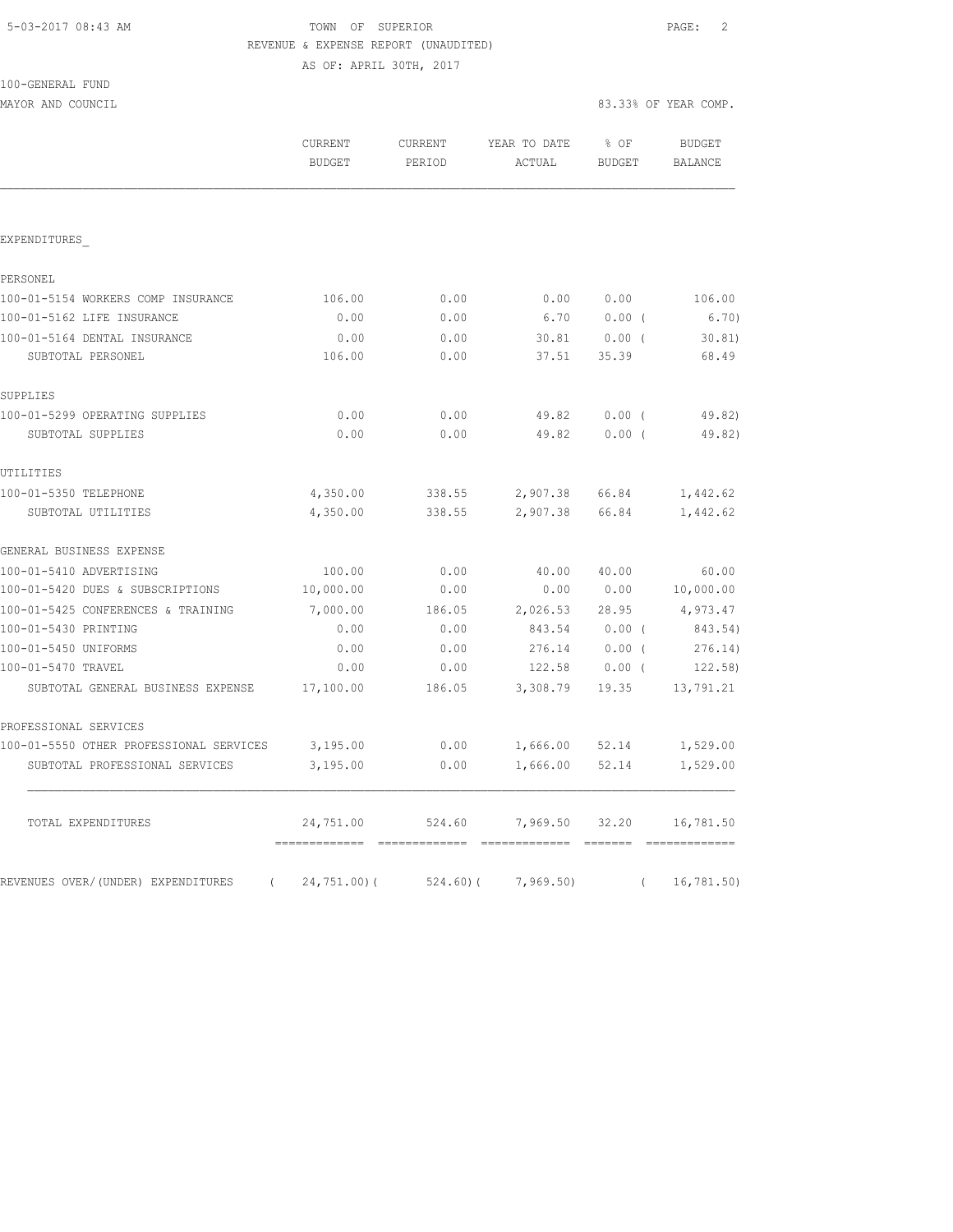| 5-03-2017 08:43 AM |  |
|--------------------|--|
|                    |  |

# TOWN OF SUPERIOR **Example 2** PAGE: 2 REVENUE & EXPENSE REPORT (UNAUDITED)

AS OF: APRIL 30TH, 2017

| 100-GENERAL | FUND |  |
|-------------|------|--|
|             |      |  |

MAYOR AND COUNCIL 83.33% OF YEAR COMP.

|                                                  | <b>CURRENT</b><br><b>BUDGET</b>             | <b>CURRENT</b><br>PERIOD | YEAR TO DATE<br>ACTUAL | $8$ OF<br>BUDGET | <b>BUDGET</b><br><b>BALANCE</b> |
|--------------------------------------------------|---------------------------------------------|--------------------------|------------------------|------------------|---------------------------------|
|                                                  |                                             |                          |                        |                  |                                 |
| EXPENDITURES                                     |                                             |                          |                        |                  |                                 |
| PERSONEL                                         |                                             |                          |                        |                  |                                 |
| 100-01-5154 WORKERS COMP INSURANCE               | 106.00                                      | 0.00                     | 0.00                   | 0.00             | 106.00                          |
| 100-01-5162 LIFE INSURANCE                       | 0.00                                        | 0.00                     | 6.70                   | $0.00$ (         | 6.70)                           |
| 100-01-5164 DENTAL INSURANCE                     | 0.00                                        | 0.00                     | 30.81                  | $0.00$ (         | 30.81                           |
| SUBTOTAL PERSONEL                                | 106.00                                      | 0.00                     | 37.51                  | 35.39            | 68.49                           |
| SUPPLIES                                         |                                             |                          |                        |                  |                                 |
| 100-01-5299 OPERATING SUPPLIES                   | 0.00                                        | 0.00                     | 49.82                  | 0.00(            | 49.82)                          |
| SUBTOTAL SUPPLIES                                | 0.00                                        | 0.00                     | 49.82                  | $0.00$ (         | 49.82)                          |
| UTILITIES                                        |                                             |                          |                        |                  |                                 |
| 100-01-5350 TELEPHONE                            | 4,350.00                                    | 338.55                   | 2,907.38 66.84         |                  | 1,442.62                        |
| SUBTOTAL UTILITIES                               | 4,350.00                                    | 338.55                   | 2,907.38               | 66.84            | 1,442.62                        |
| GENERAL BUSINESS EXPENSE                         |                                             |                          |                        |                  |                                 |
| 100-01-5410 ADVERTISING                          | 100.00                                      | 0.00                     | 40.00                  | 40.00            | 60.00                           |
| 100-01-5420 DUES & SUBSCRIPTIONS                 | 10,000.00                                   | 0.00                     | 0.00                   | 0.00             | 10,000.00                       |
| 100-01-5425 CONFERENCES & TRAINING               | 7,000.00                                    | 186.05                   | 2,026.53 28.95         |                  | 4,973.47                        |
| 100-01-5430 PRINTING                             | 0.00                                        | 0.00                     | 843.54                 | $0.00$ (         | 843.54)                         |
| 100-01-5450 UNIFORMS                             | 0.00                                        | 0.00                     | 276.14                 | $0.00$ (         | 276.14)                         |
| 100-01-5470 TRAVEL                               | 0.00                                        | 0.00                     | 122.58                 | $0.00$ (         | 122.58                          |
| SUBTOTAL GENERAL BUSINESS EXPENSE                | 17,100.00                                   | 186.05                   | 3,308.79               | 19.35            | 13,791.21                       |
| PROFESSIONAL SERVICES                            |                                             |                          |                        |                  |                                 |
| 100-01-5550 OTHER PROFESSIONAL SERVICES          | 3,195.00                                    | 0.00                     |                        | 1,666.00 52.14   | 1,529.00                        |
| SUBTOTAL PROFESSIONAL SERVICES                   | 3,195.00                                    | 0.00                     | 1,666.00               | 52.14            | 1,529.00                        |
| TOTAL EXPENDITURES                               | 24,751.00<br>============================== | 524.60                   | 7,969.50               | 32.20            | 16,781.50                       |
| REVENUES OVER/(UNDER) EXPENDITURES<br>$\sqrt{2}$ | $24,751.00$ (                               | 524.60)(                 | 7,969.50               | $\sqrt{2}$       | 16, 781.50)                     |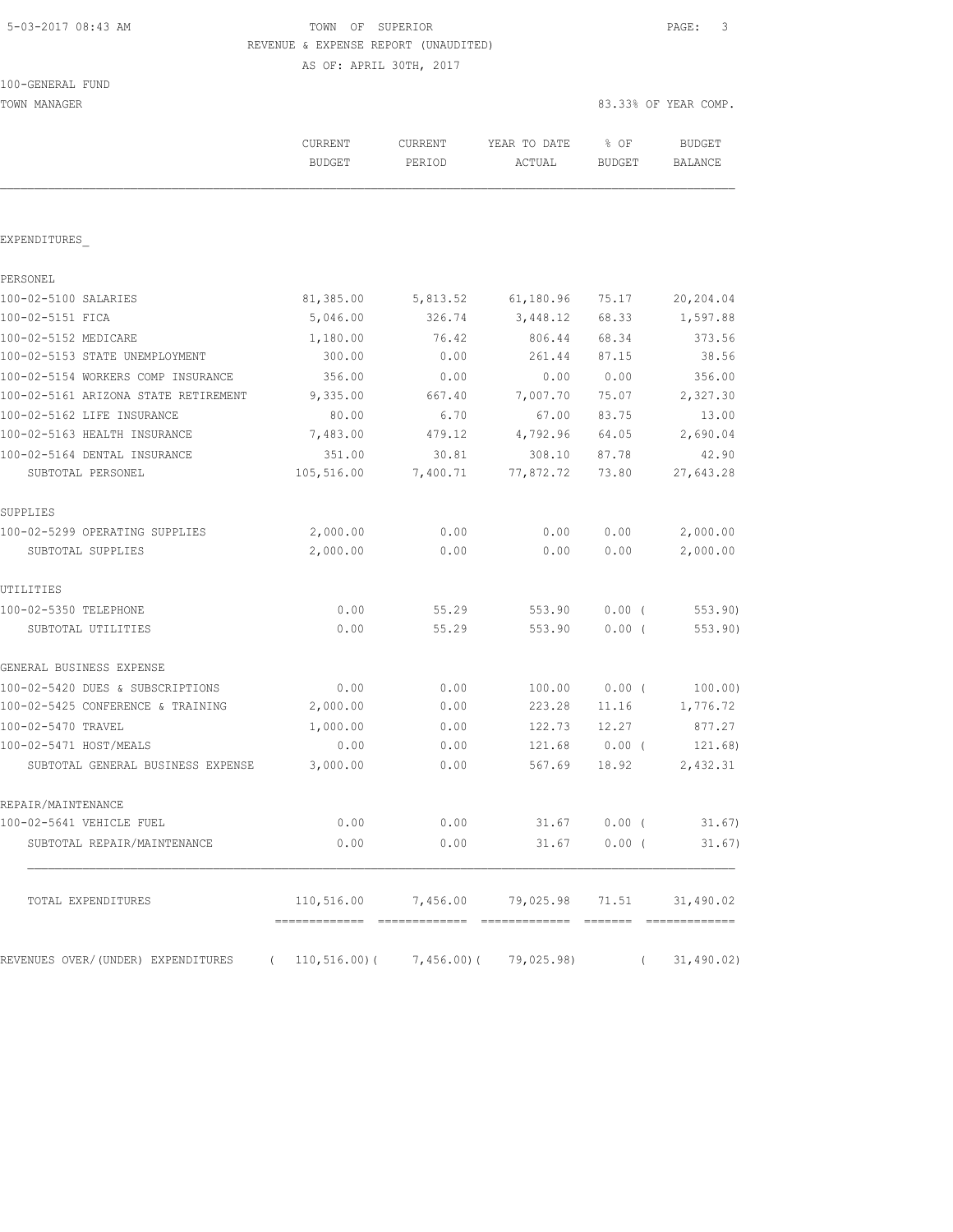# 5-03-2017 08:43 AM TOWN OF SUPERIOR PAGE: 3 REVENUE & EXPENSE REPORT (UNAUDITED)

| TOWN MANAGER                                                         |                          |                   |                                                 | 83.33% OF YEAR COMP.  |                          |  |
|----------------------------------------------------------------------|--------------------------|-------------------|-------------------------------------------------|-----------------------|--------------------------|--|
|                                                                      | CURRENT<br><b>BUDGET</b> | CURRENT<br>PERIOD | YEAR TO DATE<br>ACTUAL                          | % OF<br><b>BUDGET</b> | <b>BUDGET</b><br>BALANCE |  |
|                                                                      |                          |                   |                                                 |                       |                          |  |
| EXPENDITURES                                                         |                          |                   |                                                 |                       |                          |  |
| PERSONEL                                                             |                          |                   |                                                 |                       |                          |  |
| 100-02-5100 SALARIES                                                 | 81,385.00                | 5,813.52          | 61,180.96                                       | 75.17                 | 20,204.04                |  |
| 100-02-5151 FICA                                                     | 5,046.00                 | 326.74            | 3,448.12                                        | 68.33                 | 1,597.88                 |  |
| 100-02-5152 MEDICARE                                                 | 1,180.00                 | 76.42             | 806.44                                          | 68.34                 | 373.56                   |  |
| 100-02-5153 STATE UNEMPLOYMENT                                       | 300.00                   | 0.00              | 261.44                                          | 87.15                 | 38.56                    |  |
| 100-02-5154 WORKERS COMP INSURANCE                                   | 356.00                   | 0.00              | 0.00                                            | 0.00                  | 356.00                   |  |
| 100-02-5161 ARIZONA STATE RETIREMENT                                 | 9,335.00                 | 667.40            | 7,007.70                                        | 75.07                 | 2,327.30                 |  |
| 100-02-5162 LIFE INSURANCE                                           | 80.00                    | 6.70              | 67.00                                           | 83.75                 | 13.00                    |  |
| 100-02-5163 HEALTH INSURANCE                                         | 7,483.00                 | 479.12            | 4,792.96                                        | 64.05                 | 2,690.04                 |  |
| 100-02-5164 DENTAL INSURANCE                                         | 351.00                   | 30.81             | 308.10                                          | 87.78                 | 42.90                    |  |
| SUBTOTAL PERSONEL                                                    | 105,516.00               | 7,400.71          | 77,872.72                                       | 73.80                 | 27,643.28                |  |
| SUPPLIES                                                             |                          |                   |                                                 |                       |                          |  |
| 100-02-5299 OPERATING SUPPLIES                                       | 2,000.00                 | 0.00              | 0.00                                            | 0.00                  | 2,000.00                 |  |
| SUBTOTAL SUPPLIES                                                    | 2,000.00                 | 0.00              | 0.00                                            | 0.00                  | 2,000.00                 |  |
| UTILITIES                                                            |                          |                   |                                                 |                       |                          |  |
| 100-02-5350 TELEPHONE                                                | 0.00                     | 55.29             | 553.90                                          | $0.00$ (              | 553.90                   |  |
| SUBTOTAL UTILITIES                                                   | 0.00                     | 55.29             | 553.90                                          | $0.00$ (              | 553.90)                  |  |
| GENERAL BUSINESS EXPENSE                                             |                          |                   |                                                 |                       |                          |  |
| 100-02-5420 DUES & SUBSCRIPTIONS                                     | 0.00                     | 0.00              | 100.00                                          | $0.00$ (              | 100.00)                  |  |
| 100-02-5425 CONFERENCE & TRAINING                                    | 2,000.00                 | 0.00              | 223.28                                          | 11.16                 | 1,776.72                 |  |
| 100-02-5470 TRAVEL                                                   | 1,000.00                 | 0.00              | 122.73                                          | 12.27                 | 877.27                   |  |
| 100-02-5471 HOST/MEALS                                               | 0.00                     | 0.00              | 121.68                                          | $0.00$ (              | 121.68)                  |  |
| SUBTOTAL GENERAL BUSINESS EXPENSE                                    | 3,000.00                 | 0.00              | 567.69                                          | 18.92                 | 2,432.31                 |  |
| REPAIR/MAINTENANCE                                                   |                          |                   |                                                 |                       |                          |  |
| 100-02-5641 VEHICLE FUEL                                             | 0.00                     | 0.00              |                                                 | 31.67 0.00 (          | 31.67)                   |  |
| SUBTOTAL REPAIR/MAINTENANCE                                          | 0.00                     | 0.00              |                                                 | $31.67$ 0.00 (        | 31.67)                   |  |
| TOTAL EXPENDITURES                                                   |                          |                   | $110,516.00$ 7,456.00 79,025.98 71.51 31,490.02 |                       |                          |  |
| REVENUES OVER/(UNDER) EXPENDITURES (110,516.00)(7,456.00)(79,025.98) |                          |                   |                                                 |                       | (31, 490.02)             |  |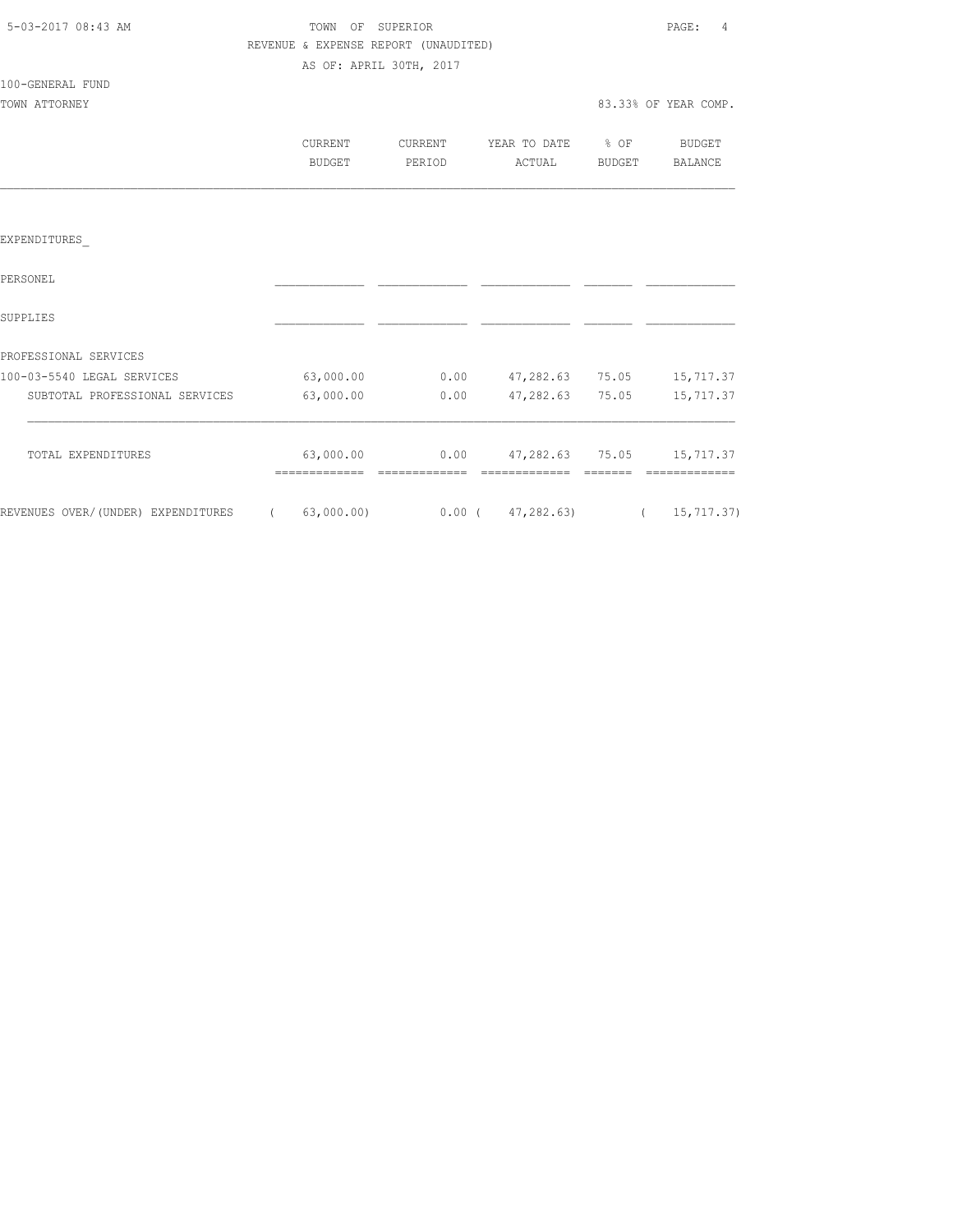| 5-03-2017 08:43 AM |  |
|--------------------|--|
|                    |  |

100-GENERAL FUND

## TOWN OF SUPERIOR **Example 2018** PAGE: 4 REVENUE & EXPENSE REPORT (UNAUDITED) AS OF: APRIL 30TH, 2017

| TOWN ATTORNEY |         |         |                   |        | 83.33% OF YEAR COMP. |
|---------------|---------|---------|-------------------|--------|----------------------|
|               | CURRENT | CURRENT | YEAR TO DATE % OF |        | BUDGET               |
|               | BUDGET  | PERIOD  | ACTUAL            | BUDGET | BALANCE              |
|               |         |         |                   |        |                      |

### EXPENDITURES\_

| PERSONEL                           |            |          |            |       |              |
|------------------------------------|------------|----------|------------|-------|--------------|
| SUPPLIES                           |            |          |            |       |              |
| PROFESSIONAL SERVICES              |            |          |            |       |              |
| 100-03-5540 LEGAL SERVICES         | 63,000.00  | 0.00     | 47,282.63  | 75.05 | 15,717.37    |
| SUBTOTAL PROFESSIONAL SERVICES     | 63,000.00  | 0.00     | 47,282.63  | 75.05 | 15,717.37    |
| TOTAL EXPENDITURES                 | 63,000.00  | 0.00     | 47,282.63  | 75.05 | 15,717.37    |
| REVENUES OVER/(UNDER) EXPENDITURES | 63,000.00) | $0.00$ ( | 47,282.63) |       | 15, 717, 37) |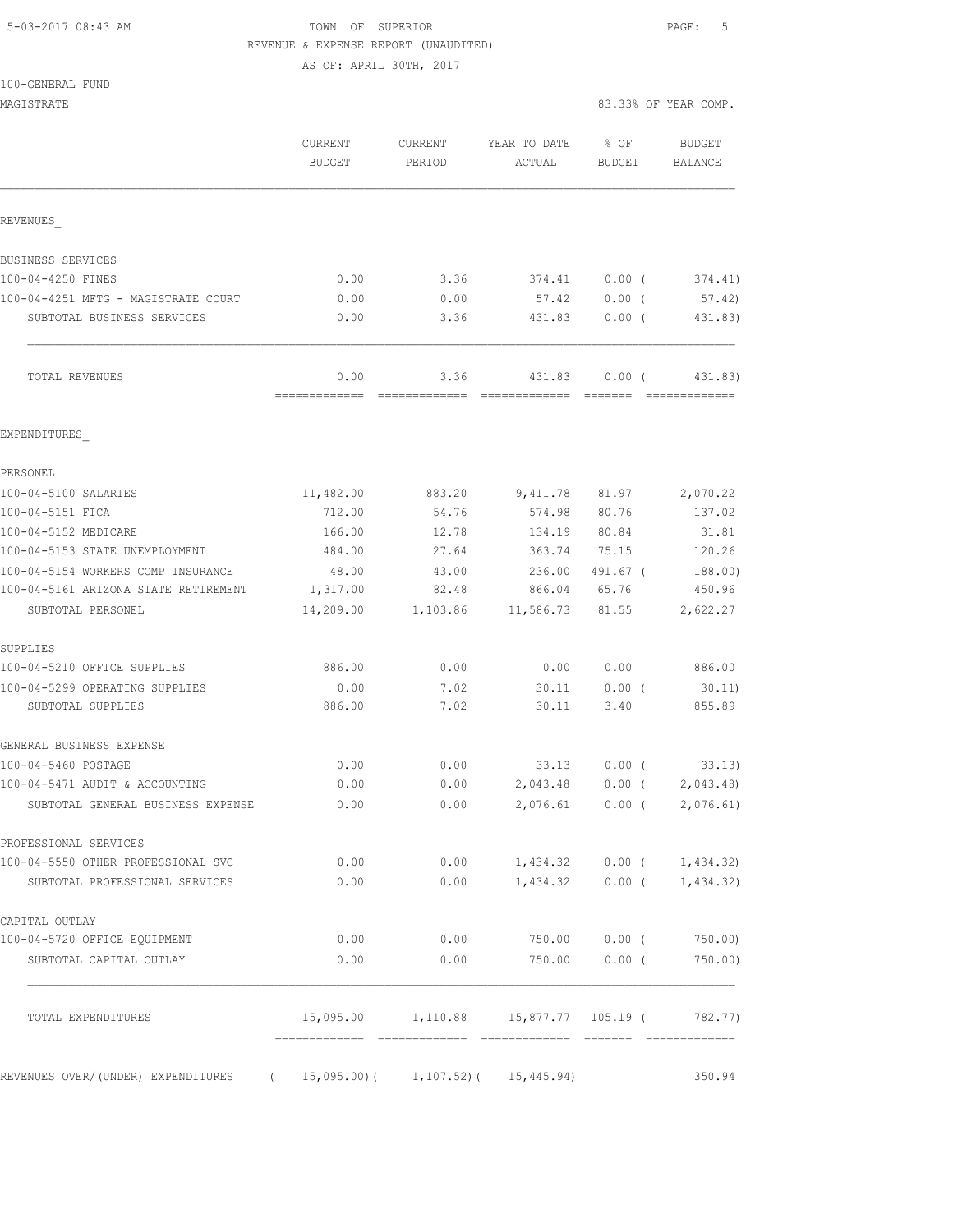## 5-03-2017 08:43 AM TOWN OF SUPERIOR PAGE: 5 REVENUE & EXPENSE REPORT (UNAUDITED)

AS OF: APRIL 30TH, 2017

|  | 100-GENERAL FUND |  |
|--|------------------|--|
|  |                  |  |

MAGISTRATE 83.33% OF YEAR COMP.

|                                                                       | CURRENT<br><b>BUDGET</b> | CURRENT<br>PERIOD     | YEAR TO DATE<br>ACTUAL                                | % OF<br><b>BUDGET</b> | <b>BUDGET</b><br>BALANCE                                                                                                                                                                                                                                                                                                                                                                                                                                                                          |
|-----------------------------------------------------------------------|--------------------------|-----------------------|-------------------------------------------------------|-----------------------|---------------------------------------------------------------------------------------------------------------------------------------------------------------------------------------------------------------------------------------------------------------------------------------------------------------------------------------------------------------------------------------------------------------------------------------------------------------------------------------------------|
|                                                                       |                          |                       |                                                       |                       |                                                                                                                                                                                                                                                                                                                                                                                                                                                                                                   |
| REVENUES                                                              |                          |                       |                                                       |                       |                                                                                                                                                                                                                                                                                                                                                                                                                                                                                                   |
| BUSINESS SERVICES                                                     |                          |                       |                                                       |                       |                                                                                                                                                                                                                                                                                                                                                                                                                                                                                                   |
| 100-04-4250 FINES                                                     | 0.00                     | 3.36                  | 374.41                                                | 0.00(                 | 374.41)                                                                                                                                                                                                                                                                                                                                                                                                                                                                                           |
| 100-04-4251 MFTG - MAGISTRATE COURT                                   | 0.00                     | 0.00                  | 57.42                                                 | 0.00(                 | 57.42)                                                                                                                                                                                                                                                                                                                                                                                                                                                                                            |
| SUBTOTAL BUSINESS SERVICES                                            | 0.00                     | 3.36                  | 431.83                                                | $0.00$ (              | 431.83)                                                                                                                                                                                                                                                                                                                                                                                                                                                                                           |
| TOTAL REVENUES                                                        | 0.00<br>-------------    | 3.36<br>============= | 431.83<br>--------------                              | 0.00(<br>--------     | 431.83)<br>$\begin{array}{cccccccccccccc} \multicolumn{2}{c}{} & \multicolumn{2}{c}{} & \multicolumn{2}{c}{} & \multicolumn{2}{c}{} & \multicolumn{2}{c}{} & \multicolumn{2}{c}{} & \multicolumn{2}{c}{} & \multicolumn{2}{c}{} & \multicolumn{2}{c}{} & \multicolumn{2}{c}{} & \multicolumn{2}{c}{} & \multicolumn{2}{c}{} & \multicolumn{2}{c}{} & \multicolumn{2}{c}{} & \multicolumn{2}{c}{} & \multicolumn{2}{c}{} & \multicolumn{2}{c}{} & \multicolumn{2}{c}{} & \multicolumn{2}{c}{} & \$ |
| EXPENDITURES                                                          |                          |                       |                                                       |                       |                                                                                                                                                                                                                                                                                                                                                                                                                                                                                                   |
| PERSONEL                                                              |                          |                       |                                                       |                       |                                                                                                                                                                                                                                                                                                                                                                                                                                                                                                   |
| 100-04-5100 SALARIES                                                  | 11,482.00                | 883.20                | 9,411.78                                              | 81.97                 | 2,070.22                                                                                                                                                                                                                                                                                                                                                                                                                                                                                          |
| 100-04-5151 FICA                                                      | 712.00                   | 54.76                 | 574.98                                                | 80.76                 | 137.02                                                                                                                                                                                                                                                                                                                                                                                                                                                                                            |
| 100-04-5152 MEDICARE                                                  | 166.00                   | 12.78                 | 134.19                                                | 80.84                 | 31.81                                                                                                                                                                                                                                                                                                                                                                                                                                                                                             |
| 100-04-5153 STATE UNEMPLOYMENT                                        | 484.00                   | 27.64                 | 363.74                                                | 75.15                 | 120.26                                                                                                                                                                                                                                                                                                                                                                                                                                                                                            |
| 100-04-5154 WORKERS COMP INSURANCE                                    | 48.00                    | 43.00                 | 236.00                                                | 491.67 (              | 188.00)                                                                                                                                                                                                                                                                                                                                                                                                                                                                                           |
| 100-04-5161 ARIZONA STATE RETIREMENT                                  | 1,317.00                 | 82.48                 | 866.04                                                | 65.76                 | 450.96                                                                                                                                                                                                                                                                                                                                                                                                                                                                                            |
| SUBTOTAL PERSONEL                                                     | 14,209.00                | 1,103.86              | 11,586.73                                             | 81.55                 | 2,622.27                                                                                                                                                                                                                                                                                                                                                                                                                                                                                          |
| SUPPLIES                                                              |                          |                       |                                                       |                       |                                                                                                                                                                                                                                                                                                                                                                                                                                                                                                   |
| 100-04-5210 OFFICE SUPPLIES                                           | 886.00                   | 0.00                  | 0.00                                                  | 0.00                  | 886.00                                                                                                                                                                                                                                                                                                                                                                                                                                                                                            |
| 100-04-5299 OPERATING SUPPLIES                                        | 0.00                     | 7.02                  | 30.11                                                 | $0.00$ (              | 30.11)                                                                                                                                                                                                                                                                                                                                                                                                                                                                                            |
| SUBTOTAL SUPPLIES                                                     | 886.00                   | 7.02                  | 30.11                                                 | 3.40                  | 855.89                                                                                                                                                                                                                                                                                                                                                                                                                                                                                            |
| GENERAL BUSINESS EXPENSE                                              |                          |                       |                                                       |                       |                                                                                                                                                                                                                                                                                                                                                                                                                                                                                                   |
| 100-04-5460 POSTAGE                                                   | 0.00                     | 0.00                  | 33.13                                                 | $0.00$ (              | 33.13)                                                                                                                                                                                                                                                                                                                                                                                                                                                                                            |
| 100-04-5471 AUDIT & ACCOUNTING                                        | 0.00                     | 0.00                  | 2,043.48                                              | $0.00$ (              | 2,043.48)                                                                                                                                                                                                                                                                                                                                                                                                                                                                                         |
| SUBTOTAL GENERAL BUSINESS EXPENSE                                     | 0.00                     | 0.00                  | 2,076.61                                              | $0.00$ (              | 2,076.61)                                                                                                                                                                                                                                                                                                                                                                                                                                                                                         |
| PROFESSIONAL SERVICES                                                 |                          |                       |                                                       |                       |                                                                                                                                                                                                                                                                                                                                                                                                                                                                                                   |
| 100-04-5550 OTHER PROFESSIONAL SVC                                    | 0.00                     |                       | $0.00$ 1, 434.32 0.00 ( 1, 434.32)                    |                       |                                                                                                                                                                                                                                                                                                                                                                                                                                                                                                   |
| SUBTOTAL PROFESSIONAL SERVICES                                        | 0.00                     |                       | $0.00$ 1,434.32 0.00 ( 1,434.32)                      |                       |                                                                                                                                                                                                                                                                                                                                                                                                                                                                                                   |
| CAPITAL OUTLAY                                                        |                          |                       |                                                       |                       |                                                                                                                                                                                                                                                                                                                                                                                                                                                                                                   |
| 100-04-5720 OFFICE EQUIPMENT                                          | 0.00                     |                       | $0.00$ 750.00 0.00 (                                  |                       | 750.00)                                                                                                                                                                                                                                                                                                                                                                                                                                                                                           |
| SUBTOTAL CAPITAL OUTLAY                                               | 0.00                     | 0.00                  |                                                       | 750.00 0.00 (         | 750.00)                                                                                                                                                                                                                                                                                                                                                                                                                                                                                           |
| TOTAL EXPENDITURES                                                    |                          |                       | $15,095.00$ $1,110.88$ $15,877.77$ $105.19$ ( 782.77) |                       |                                                                                                                                                                                                                                                                                                                                                                                                                                                                                                   |
| REVENUES OVER/(UNDER) EXPENDITURES (15,095.00) (1,107.52) (15,445.94) |                          |                       |                                                       |                       | 350.94                                                                                                                                                                                                                                                                                                                                                                                                                                                                                            |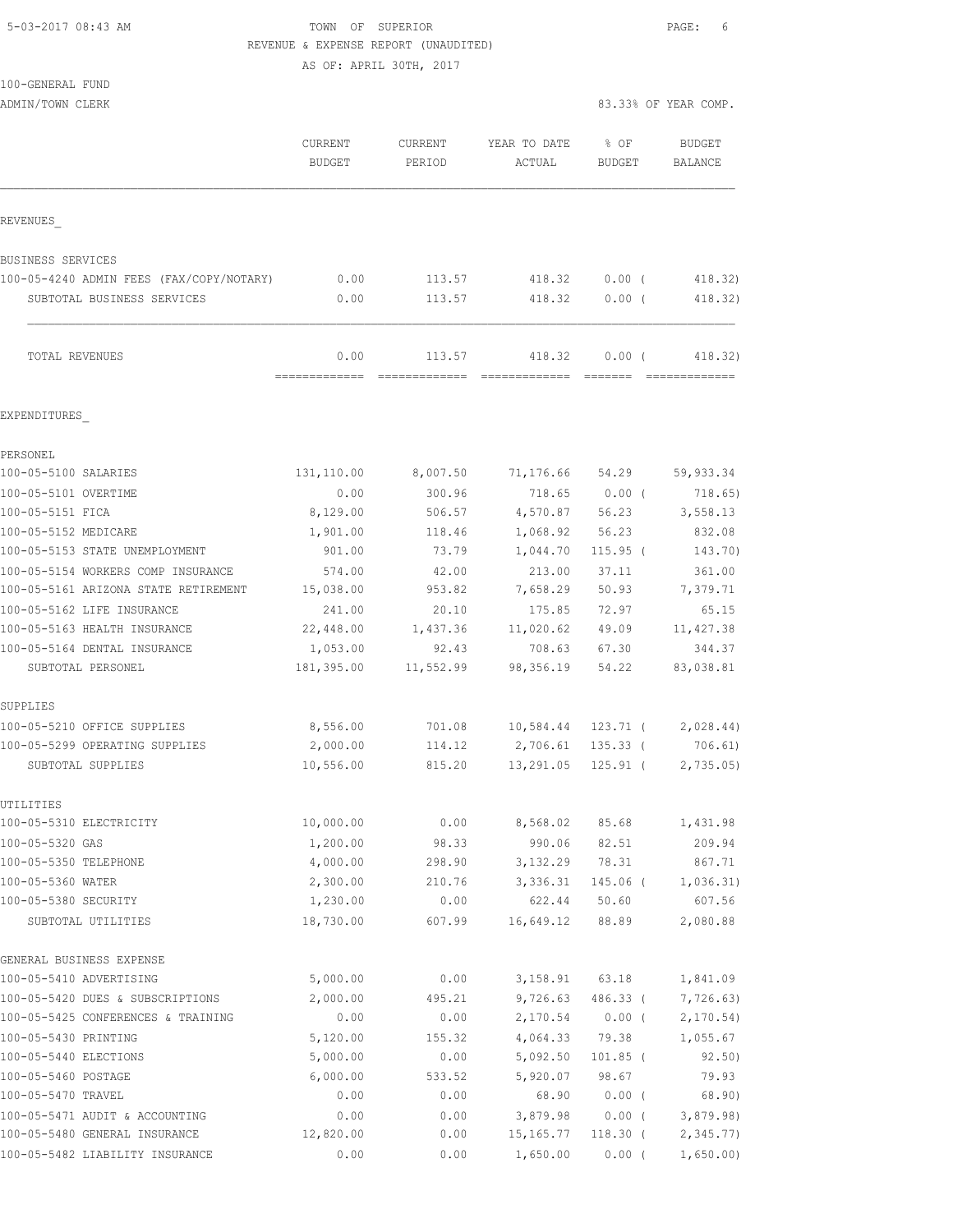5-03-2017 08:43 AM TOWN OF SUPERIOR PAGE: 6 REVENUE & EXPENSE REPORT (UNAUDITED)

|                                                   |                        | AS OF: APRIL 30TH, 2017 |                              |                |                      |
|---------------------------------------------------|------------------------|-------------------------|------------------------------|----------------|----------------------|
| 100-GENERAL FUND                                  |                        |                         |                              |                |                      |
| ADMIN/TOWN CLERK                                  |                        |                         |                              |                | 83.33% OF YEAR COMP. |
|                                                   | CURRENT                | CURRENT                 | YEAR TO DATE                 | % OF           | <b>BUDGET</b>        |
|                                                   | <b>BUDGET</b>          | PERIOD                  | ACTUAL                       | BUDGET         | BALANCE              |
| REVENUES                                          |                        |                         |                              |                |                      |
| BUSINESS SERVICES                                 |                        |                         |                              |                |                      |
| 100-05-4240 ADMIN FEES (FAX/COPY/NOTARY)          | 0.00                   | 113.57                  | 418.32 0.00 (                |                | 418.32)              |
| SUBTOTAL BUSINESS SERVICES                        | 0.00                   | 113.57                  | 418.32                       | $0.00$ (       | 418.32)              |
| TOTAL REVENUES                                    | 0.00                   | 113.57                  | 418.32                       | 0.00(          | 418.32)              |
| EXPENDITURES                                      |                        |                         |                              |                |                      |
| PERSONEL                                          |                        |                         |                              |                |                      |
| 100-05-5100 SALARIES                              | 131,110.00             | 8,007.50                | 71,176.66 54.29 59,933.34    |                |                      |
| 100-05-5101 OVERTIME                              | 0.00                   | 300.96                  | 718.65                       | $0.00$ (       | 718.65)              |
| 100-05-5151 FICA                                  | 8,129.00               | 506.57                  | 4,570.87                     |                | 56.23 3,558.13       |
| 100-05-5152 MEDICARE                              | 1,901.00               | 118.46                  | 1,068.92                     | 56.23          | 832.08               |
| 100-05-5153 STATE UNEMPLOYMENT                    | 901.00                 | 73.79                   | 1,044.70                     | $115.95$ (     | 143.70)              |
| 100-05-5154 WORKERS COMP INSURANCE                | 574.00                 | 42.00                   | 213.00                       | 37.11          | 361.00               |
| 100-05-5161 ARIZONA STATE RETIREMENT              | 15,038.00              | 953.82                  | 7,658.29                     | 50.93          | 7,379.71             |
| 100-05-5162 LIFE INSURANCE                        | 241.00                 | 20.10                   | 175.85                       | 72.97          | 65.15                |
| 100-05-5163 HEALTH INSURANCE                      | 22,448.00              | 1,437.36                | 11,020.62                    | 49.09          | 11, 427.38           |
| 100-05-5164 DENTAL INSURANCE<br>SUBTOTAL PERSONEL | 1,053.00<br>181,395.00 | 92.43<br>11,552.99      | 708.63<br>98,356.19          | 67.30<br>54.22 | 344.37<br>83,038.81  |
| SUPPLIES                                          |                        |                         |                              |                |                      |
| 100-05-5210 OFFICE SUPPLIES                       | 8,556.00               | 701.08                  | 10,584.44 123.71 ( 2,028.44) |                |                      |
| 100-05-5299 OPERATING SUPPLIES                    | 2,000.00               | 114.12                  | 2,706.61 135.33 (            |                | 706.61)              |
| SUBTOTAL SUPPLIES                                 | 10,556.00              | 815.20                  | 13,291.05                    | 125.91 (       | 2,735.05             |
| UTILITIES                                         |                        |                         |                              |                |                      |
| 100-05-5310 ELECTRICITY<br>100-05-5320 GAS        | 10,000.00              | 0.00                    | 8,568.02                     | 85.68          | 1,431.98             |
| 100-05-5350 TELEPHONE                             | 1,200.00<br>4,000.00   | 98.33<br>298.90         | 990.06<br>3,132.29           | 82.51<br>78.31 | 209.94<br>867.71     |
| 100-05-5360 WATER                                 | 2,300.00               | 210.76                  | 3,336.31                     | $145.06$ (     | 1,036.31)            |
| 100-05-5380 SECURITY                              | 1,230.00               | 0.00                    | 622.44                       | 50.60          | 607.56               |
| SUBTOTAL UTILITIES                                | 18,730.00              | 607.99                  | 16,649.12                    | 88.89          | 2,080.88             |
| GENERAL BUSINESS EXPENSE                          |                        |                         |                              |                |                      |
| 100-05-5410 ADVERTISING                           | 5,000.00               | 0.00                    | 3,158.91                     | 63.18          | 1,841.09             |
| 100-05-5420 DUES & SUBSCRIPTIONS                  | 2,000.00               | 495.21                  | 9,726.63                     | 486.33 (       | 7,726.63)            |
| 100-05-5425 CONFERENCES & TRAINING                | 0.00                   | 0.00                    | 2,170.54                     | $0.00$ (       | 2,170.54)            |
| 100-05-5430 PRINTING                              | 5,120.00               | 155.32                  | 4,064.33                     | 79.38          | 1,055.67             |
| 100-05-5440 ELECTIONS                             | 5,000.00               | 0.00                    | 5,092.50                     | $101.85$ (     | 92.50)               |
| 100-05-5460 POSTAGE                               | 6,000.00               | 533.52                  | 5,920.07                     | 98.67          | 79.93                |
| 100-05-5470 TRAVEL                                | 0.00                   | 0.00                    | 68.90                        | $0.00$ (       | 68.90)               |

100-05-5471 AUDIT & ACCOUNTING 0.00 0.00 3,879.98 0.00 ( 3,879.98) 100-05-5480 GENERAL INSURANCE 12,820.00 0.00 15,165.77 118.30 ( 2,345.77) 100-05-5482 LIABILITY INSURANCE 0.00 0.00 1,650.00 0.00 ( 1,650.00)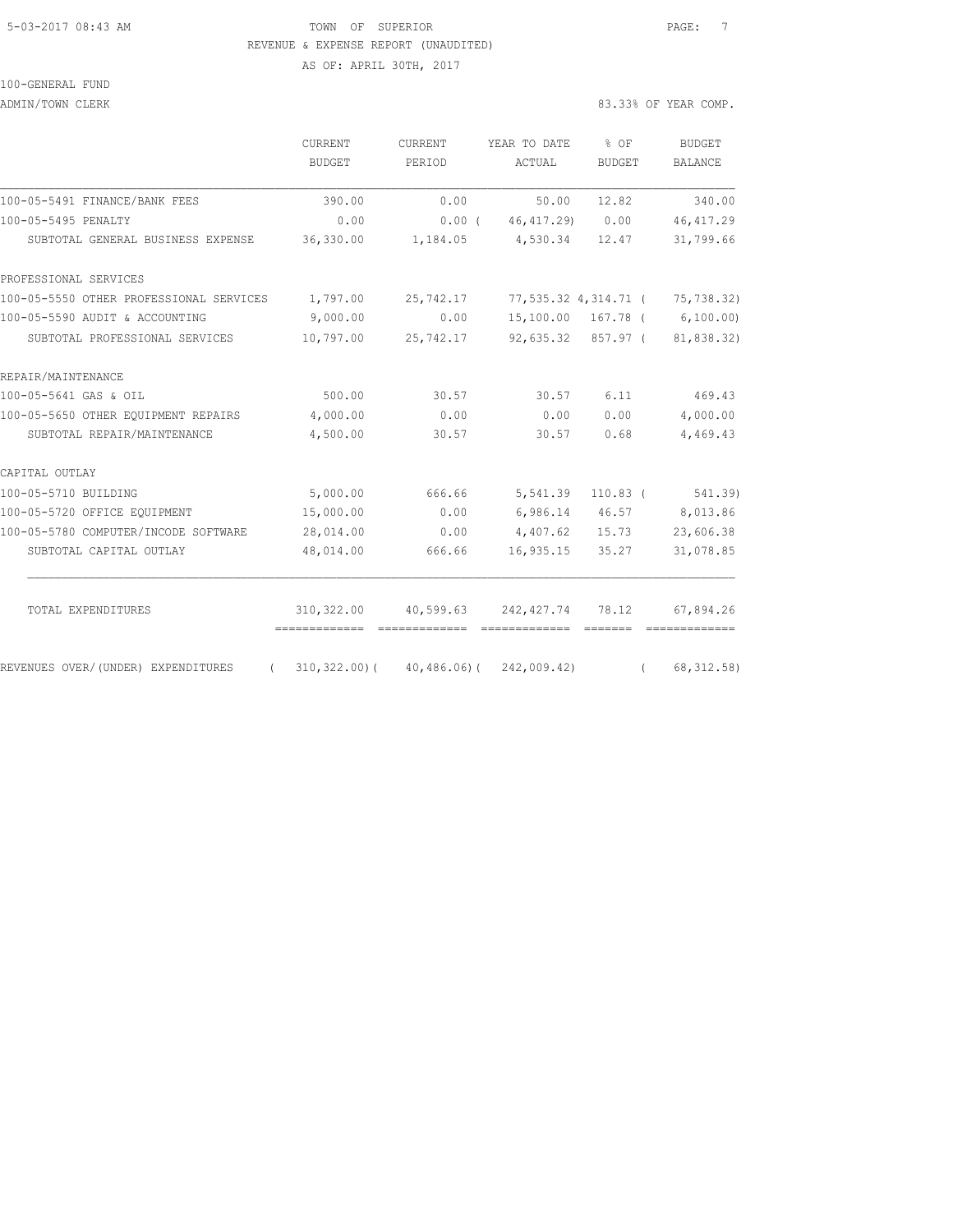## 5-03-2017 08:43 AM TOWN OF SUPERIOR PAGE: 7 REVENUE & EXPENSE REPORT (UNAUDITED)

AS OF: APRIL 30TH, 2017

## 100-GENERAL FUND

ADMIN/TOWN CLERK 83.33% OF YEAR COMP.

|                                         | CURRENT<br><b>BUDGET</b>                   | CURRENT<br>PERIOD    | YEAR TO DATE<br>ACTUAL | $8$ OF<br><b>BUDGET</b> | <b>BUDGET</b><br><b>BALANCE</b> |
|-----------------------------------------|--------------------------------------------|----------------------|------------------------|-------------------------|---------------------------------|
| 100-05-5491 FINANCE/BANK FEES           | 390.00                                     | 0.00                 | 50.00                  | 12.82                   | 340.00                          |
| 100-05-5495 PENALTY                     | 0.00                                       | 0.00(                | 46, 417.29)            | 0.00                    | 46, 417.29                      |
| SUBTOTAL GENERAL BUSINESS EXPENSE       | 36,330.00                                  | 1,184.05 4,530.34    |                        | 12.47                   | 31,799.66                       |
| PROFESSIONAL SERVICES                   |                                            |                      |                        |                         |                                 |
| 100-05-5550 OTHER PROFESSIONAL SERVICES | 1,797.00                                   | 25,742.17            |                        | 77,535.32 4,314.71 (    | 75,738.32)                      |
| 100-05-5590 AUDIT & ACCOUNTING          | 9,000.00                                   | 0.00                 |                        | 15,100.00 167.78 (      | 6,100.00)                       |
| SUBTOTAL PROFESSIONAL SERVICES          | 10,797.00                                  | 25,742.17            | 92,635.32 857.97 (     |                         | 81,838.32)                      |
| REPAIR/MAINTENANCE                      |                                            |                      |                        |                         |                                 |
| 100-05-5641 GAS & OIL                   | 500.00                                     | 30.57                | 30.57                  | 6.11                    | 469.43                          |
| 100-05-5650 OTHER EQUIPMENT REPAIRS     | 4,000.00                                   | 0.00                 | 0.00                   | 0.00                    | 4,000.00                        |
| SUBTOTAL REPAIR/MAINTENANCE             | 4,500.00                                   | 30.57                | 30.57                  | 0.68                    | 4,469.43                        |
| CAPITAL OUTLAY                          |                                            |                      |                        |                         |                                 |
| 100-05-5710 BUILDING                    | 5,000.00                                   | 666.66               | 5,541.39               | $110.83$ (              | 541.39)                         |
| 100-05-5720 OFFICE EQUIPMENT            | 15,000.00                                  | 0.00                 | 6,986.14 46.57         |                         | 8,013.86                        |
| 100-05-5780 COMPUTER/INCODE SOFTWARE    | 28,014.00                                  | 0.00                 | 4,407.62               | 15.73                   | 23,606.38                       |
| SUBTOTAL CAPITAL OUTLAY                 | 48,014.00                                  | 666.66               | 16,935.15              | 35.27                   | 31,078.85                       |
| TOTAL EXPENDITURES                      | 310, 322.00<br>-------------               | 40,599.63 242,427.74 |                        | 78.12                   | 67,894.26                       |
| REVENUES OVER/(UNDER) EXPENDITURES      | $(310, 322.00) (40, 486.06) (242, 009.42)$ |                      |                        | $\sqrt{2}$              | 68, 312.58)                     |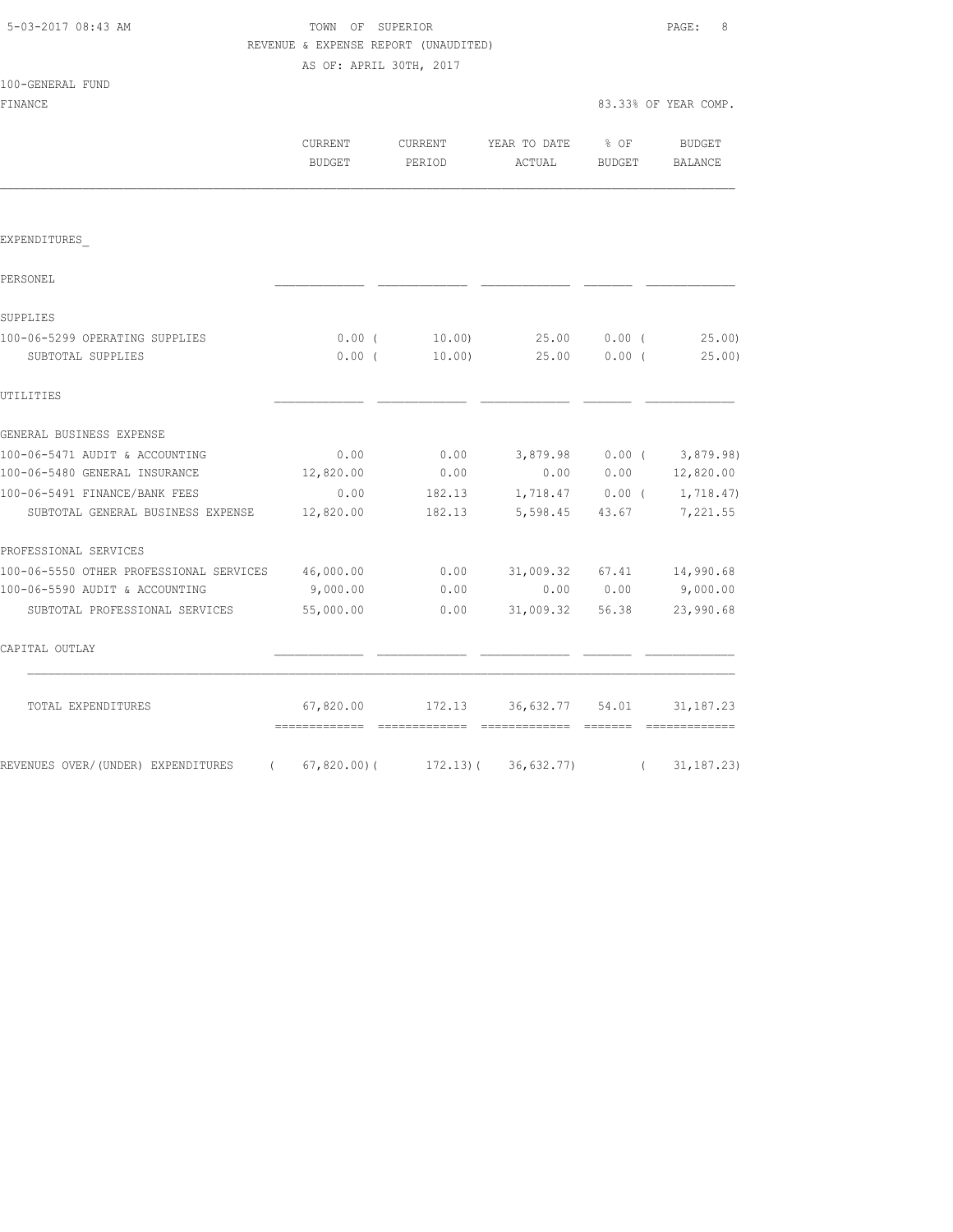| 5-03-2017 08:43 AM |  |
|--------------------|--|
|                    |  |

100-GENERAL FUND

TOWN OF SUPERIOR **Example 2018** PAGE: 8 REVENUE & EXPENSE REPORT (UNAUDITED) AS OF: APRIL 30TH, 2017

FINANCE 83.33% OF YEAR COMP.

|                                                                   | <b>CURRENT</b><br><b>BUDGET</b>               | <b>CURRENT</b><br>PERIOD | YEAR TO DATE % OF<br>ACTUAL     | <b>BUDGET</b>     | <b>BUDGET</b><br><b>BALANCE</b> |
|-------------------------------------------------------------------|-----------------------------------------------|--------------------------|---------------------------------|-------------------|---------------------------------|
|                                                                   |                                               |                          |                                 |                   |                                 |
| EXPENDITURES                                                      |                                               |                          |                                 |                   |                                 |
| PERSONEL                                                          |                                               |                          |                                 |                   |                                 |
| SUPPLIES                                                          |                                               |                          |                                 |                   |                                 |
| 100-06-5299 OPERATING SUPPLIES                                    | $0.00$ (                                      | 10.00)                   | 25.00                           | $0.00$ (          | 25.00)                          |
| SUBTOTAL SUPPLIES                                                 | $0.00$ (                                      | 10.00)                   | 25.00                           | $0.00$ (          | $25.00$ )                       |
| UTILITIES                                                         |                                               |                          |                                 |                   |                                 |
| GENERAL BUSINESS EXPENSE                                          |                                               |                          |                                 |                   |                                 |
| 100-06-5471 AUDIT & ACCOUNTING                                    | 0.00                                          | 0.00                     |                                 |                   | $3,879.98$ 0.00 ( 3,879.98)     |
| 100-06-5480 GENERAL INSURANCE                                     | 12,820.00                                     | 0.00                     |                                 | 0.00 0.00         | 12,820.00                       |
| 100-06-5491 FINANCE/BANK FEES                                     | 0.00                                          | 182.13                   |                                 | $1,718.47$ 0.00 ( | 1,718.47)                       |
| SUBTOTAL GENERAL BUSINESS EXPENSE                                 | 12,820.00                                     | 182.13                   | 5,598.45                        | 43.67             | 7,221.55                        |
| PROFESSIONAL SERVICES                                             |                                               |                          |                                 |                   |                                 |
| 100-06-5550 OTHER PROFESSIONAL SERVICES 46,000.00                 |                                               | 0.00                     | $31,009.32$ $67.41$ $14,990.68$ |                   |                                 |
| 100-06-5590 AUDIT & ACCOUNTING                                    | 9,000.00                                      | 0.00                     |                                 | 0.00 0.00         | 9,000.00                        |
| SUBTOTAL PROFESSIONAL SERVICES                                    | 55,000.00                                     | 0.00                     | 31,009.32                       | 56.38             | 23,990.68                       |
| CAPITAL OUTLAY                                                    |                                               |                          |                                 |                   |                                 |
| TOTAL EXPENDITURES                                                | 67,820.00<br>================================ |                          | 172.13 36,632.77 54.01          | $---------$       | 31, 187. 23                     |
| REVENUES OVER/(UNDER) EXPENDITURES (67,820.00)(172.13)(36,632.77) |                                               |                          |                                 | $\sqrt{2}$        | 31, 187.23                      |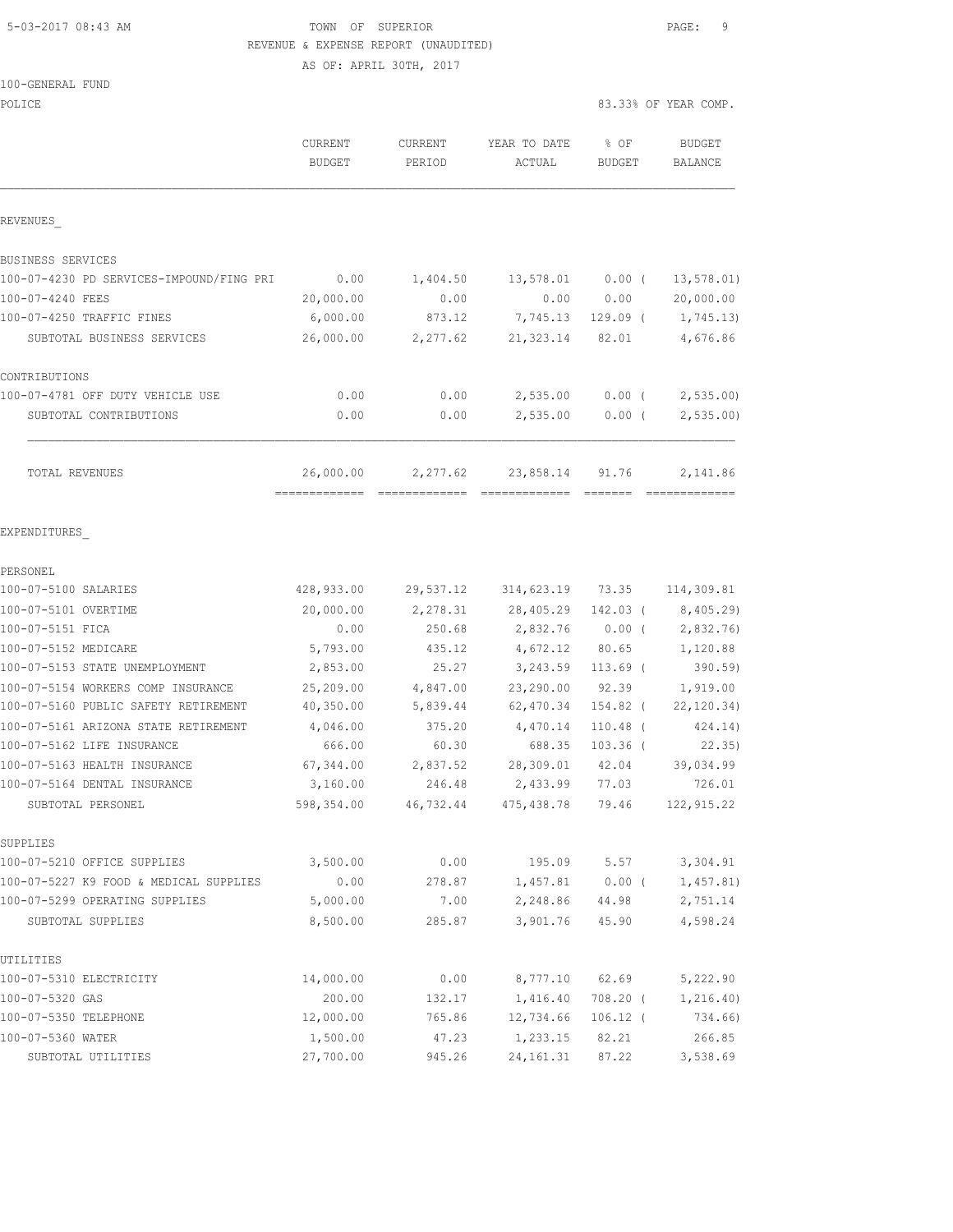## 5-03-2017 08:43 AM TOWN OF SUPERIOR PAGE: 9 REVENUE & EXPENSE REPORT (UNAUDITED)

| 100-GENERAL FUND |  |
|------------------|--|
| POLICE           |  |

| POLICE                                            |                                           |                    |                                        |                          | 83.33% OF YEAR COMP.                                                                                                                                                                                                                                                                                                                                                                                                                                                                               |
|---------------------------------------------------|-------------------------------------------|--------------------|----------------------------------------|--------------------------|----------------------------------------------------------------------------------------------------------------------------------------------------------------------------------------------------------------------------------------------------------------------------------------------------------------------------------------------------------------------------------------------------------------------------------------------------------------------------------------------------|
|                                                   | CURRENT<br><b>BUDGET</b>                  | CURRENT<br>PERIOD  | YEAR TO DATE<br>ACTUAL                 | % OF<br><b>BUDGET</b>    | <b>BUDGET</b><br>BALANCE                                                                                                                                                                                                                                                                                                                                                                                                                                                                           |
| REVENUES                                          |                                           |                    |                                        |                          |                                                                                                                                                                                                                                                                                                                                                                                                                                                                                                    |
| BUSINESS SERVICES                                 |                                           |                    |                                        |                          |                                                                                                                                                                                                                                                                                                                                                                                                                                                                                                    |
| 100-07-4230 PD SERVICES-IMPOUND/FING PRI          | 0.00                                      | 1,404.50           | 13,578.01                              | $0.00$ (                 | 13, 578.01)                                                                                                                                                                                                                                                                                                                                                                                                                                                                                        |
| 100-07-4240 FEES                                  | 20,000.00                                 | 0.00               | 0.00                                   | 0.00                     | 20,000.00                                                                                                                                                                                                                                                                                                                                                                                                                                                                                          |
| 100-07-4250 TRAFFIC FINES                         | 6,000.00                                  | 873.12             | 7,745.13                               | $129.09$ (               | 1,745.13)                                                                                                                                                                                                                                                                                                                                                                                                                                                                                          |
| SUBTOTAL BUSINESS SERVICES                        | 26,000.00                                 | 2,277.62           | 21, 323.14                             | 82.01                    | 4,676.86                                                                                                                                                                                                                                                                                                                                                                                                                                                                                           |
| CONTRIBUTIONS                                     |                                           |                    |                                        |                          |                                                                                                                                                                                                                                                                                                                                                                                                                                                                                                    |
| 100-07-4781 OFF DUTY VEHICLE USE                  | 0.00                                      | 0.00               | 2,535.00                               | $0.00$ (                 | 2,535.00                                                                                                                                                                                                                                                                                                                                                                                                                                                                                           |
| SUBTOTAL CONTRIBUTIONS                            | 0.00                                      | 0.00               | 2,535.00                               | $0.00$ (                 | 2,535.00                                                                                                                                                                                                                                                                                                                                                                                                                                                                                           |
| TOTAL REVENUES                                    | 26,000.00<br>-------------- ------------- | 2,277.62           | 23,858.14<br>=============             | 91.76<br><b>CONSIDER</b> | 2,141.86<br>$\begin{array}{cccccccccc} \multicolumn{2}{c}{} & \multicolumn{2}{c}{} & \multicolumn{2}{c}{} & \multicolumn{2}{c}{} & \multicolumn{2}{c}{} & \multicolumn{2}{c}{} & \multicolumn{2}{c}{} & \multicolumn{2}{c}{} & \multicolumn{2}{c}{} & \multicolumn{2}{c}{} & \multicolumn{2}{c}{} & \multicolumn{2}{c}{} & \multicolumn{2}{c}{} & \multicolumn{2}{c}{} & \multicolumn{2}{c}{} & \multicolumn{2}{c}{} & \multicolumn{2}{c}{} & \multicolumn{2}{c}{} & \multicolumn{2}{c}{} & \mult$ |
| EXPENDITURES                                      |                                           |                    |                                        |                          |                                                                                                                                                                                                                                                                                                                                                                                                                                                                                                    |
| PERSONEL                                          |                                           |                    |                                        |                          |                                                                                                                                                                                                                                                                                                                                                                                                                                                                                                    |
| 100-07-5100 SALARIES                              | 428,933.00                                | 29,537.12          | 314,623.19 73.35                       |                          | 114,309.81                                                                                                                                                                                                                                                                                                                                                                                                                                                                                         |
| 100-07-5101 OVERTIME                              | 20,000.00                                 | 2,278.31           | 28,405.29                              | 142.03 (                 | 8,405.29)                                                                                                                                                                                                                                                                                                                                                                                                                                                                                          |
| 100-07-5151 FICA                                  | 0.00                                      | 250.68             | 2,832.76                               | $0.00$ (                 | 2,832.76)                                                                                                                                                                                                                                                                                                                                                                                                                                                                                          |
| 100-07-5152 MEDICARE                              | 5,793.00                                  | 435.12             | 4,672.12                               | 80.65                    | 1,120.88                                                                                                                                                                                                                                                                                                                                                                                                                                                                                           |
| 100-07-5153 STATE UNEMPLOYMENT                    | 2,853.00                                  | 25.27              | 3,243.59                               | $113.69$ (               | 390.59                                                                                                                                                                                                                                                                                                                                                                                                                                                                                             |
| 100-07-5154 WORKERS COMP INSURANCE                | 25,209.00                                 | 4,847.00           | 23,290.00                              | 92.39                    | 1,919.00                                                                                                                                                                                                                                                                                                                                                                                                                                                                                           |
| 100-07-5160 PUBLIC SAFETY RETIREMENT              | 40,350.00                                 | 5,839.44           | 62,470.34                              | 154.82 (                 | 22, 120.34)                                                                                                                                                                                                                                                                                                                                                                                                                                                                                        |
| 100-07-5161 ARIZONA STATE RETIREMENT              | 4,046.00                                  | 375.20             | 4,470.14                               | $110.48$ (               | 424.14)                                                                                                                                                                                                                                                                                                                                                                                                                                                                                            |
| 100-07-5162 LIFE INSURANCE                        | 666.00                                    | 60.30              | 688.35                                 | $103.36$ (               | 22.35)                                                                                                                                                                                                                                                                                                                                                                                                                                                                                             |
| 100-07-5163 HEALTH INSURANCE                      | 67,344.00                                 | 2,837.52<br>246.48 | 28,309.01                              | 42.04                    | 39,034.99                                                                                                                                                                                                                                                                                                                                                                                                                                                                                          |
| 100-07-5164 DENTAL INSURANCE<br>SUBTOTAL PERSONEL | 3,160.00<br>598,354.00                    |                    | 2,433.99<br>46,732.44 475,438.78 79.46 | 77.03                    | 726.01<br>122, 915.22                                                                                                                                                                                                                                                                                                                                                                                                                                                                              |
| SUPPLIES                                          |                                           |                    |                                        |                          |                                                                                                                                                                                                                                                                                                                                                                                                                                                                                                    |
| 100-07-5210 OFFICE SUPPLIES                       | 3,500.00                                  | 0.00               | 195.09                                 | 5.57                     | 3,304.91                                                                                                                                                                                                                                                                                                                                                                                                                                                                                           |
| 100-07-5227 K9 FOOD & MEDICAL SUPPLIES            | 0.00                                      | 278.87             | 1,457.81                               | $0.00$ (                 | 1,457.81)                                                                                                                                                                                                                                                                                                                                                                                                                                                                                          |
| 100-07-5299 OPERATING SUPPLIES                    | 5,000.00                                  | 7.00               | 2,248.86                               | 44.98                    | 2,751.14                                                                                                                                                                                                                                                                                                                                                                                                                                                                                           |
| SUBTOTAL SUPPLIES                                 | 8,500.00                                  | 285.87             | 3,901.76                               | 45.90                    | 4,598.24                                                                                                                                                                                                                                                                                                                                                                                                                                                                                           |
| UTILITIES                                         |                                           |                    |                                        |                          |                                                                                                                                                                                                                                                                                                                                                                                                                                                                                                    |
| 100-07-5310 ELECTRICITY                           | 14,000.00                                 | 0.00               | 8,777.10                               | 62.69                    | 5,222.90                                                                                                                                                                                                                                                                                                                                                                                                                                                                                           |
| 100-07-5320 GAS                                   | 200.00                                    | 132.17             | 1,416.40                               | $708.20$ (               | 1,216.40)                                                                                                                                                                                                                                                                                                                                                                                                                                                                                          |
| 100-07-5350 TELEPHONE                             | 12,000.00                                 | 765.86             | 12,734.66                              | $106.12$ (               | 734.66)                                                                                                                                                                                                                                                                                                                                                                                                                                                                                            |
| 100-07-5360 WATER                                 | 1,500.00                                  | 47.23              | 1,233.15                               | 82.21                    | 266.85                                                                                                                                                                                                                                                                                                                                                                                                                                                                                             |
| SUBTOTAL UTILITIES                                | 27,700.00                                 | 945.26             | 24, 161.31                             | 87.22                    | 3,538.69                                                                                                                                                                                                                                                                                                                                                                                                                                                                                           |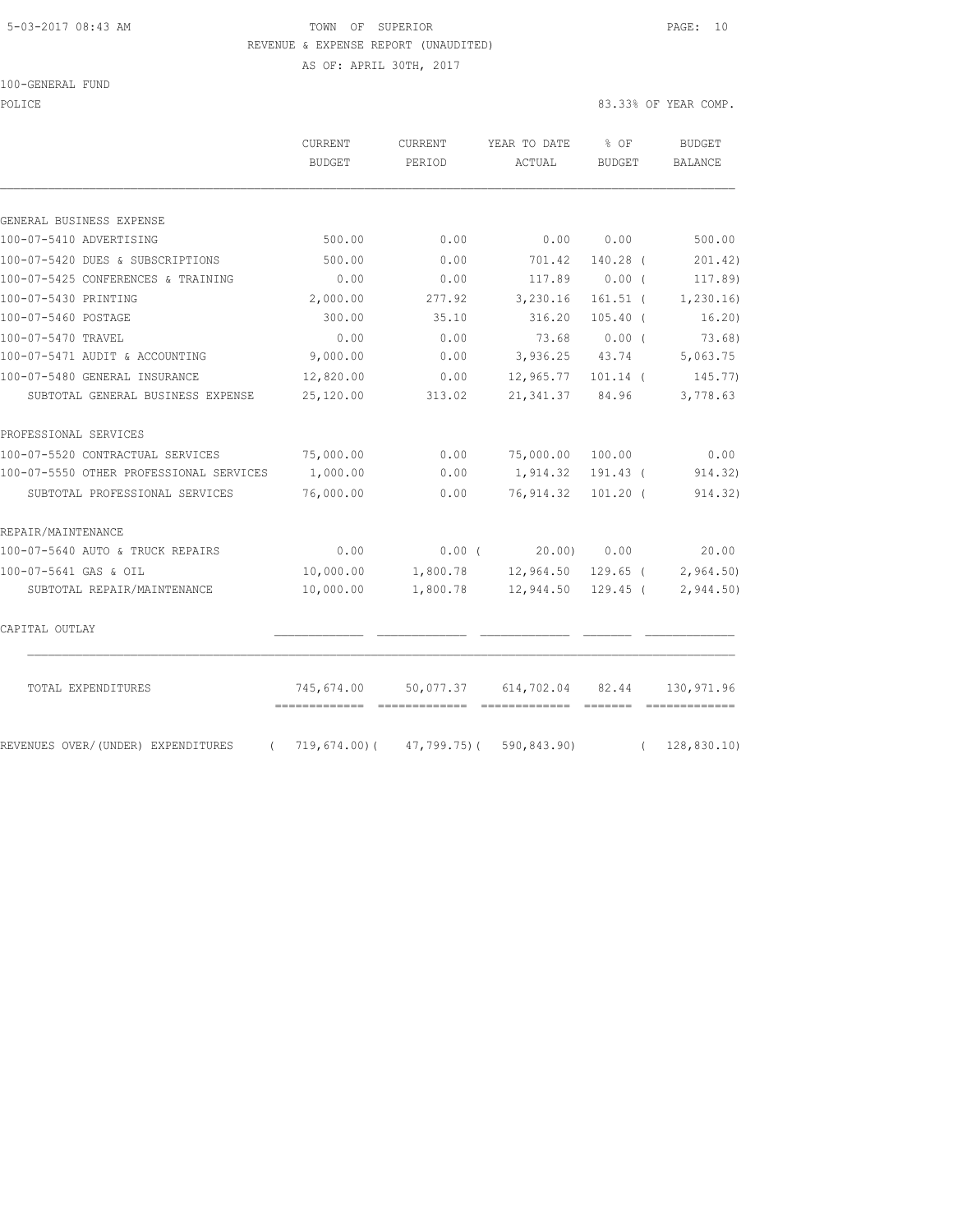### 5-03-2017 08:43 AM TOWN OF SUPERIOR PAGE: 10 REVENUE & EXPENSE REPORT (UNAUDITED)

AS OF: APRIL 30TH, 2017

POLICE 83.33% OF YEAR COMP.

|                                                  | CURRENT<br><b>BUDGET</b>                      | CURRENT<br>PERIOD              | YEAR TO DATE<br>ACTUAL | % OF<br><b>BUDGET</b> |            | <b>BUDGET</b><br><b>BALANCE</b> |
|--------------------------------------------------|-----------------------------------------------|--------------------------------|------------------------|-----------------------|------------|---------------------------------|
| GENERAL BUSINESS EXPENSE                         |                                               |                                |                        |                       |            |                                 |
| 100-07-5410 ADVERTISING                          | 500.00                                        | 0.00                           | 0.00                   | 0.00                  |            | 500.00                          |
| 100-07-5420 DUES & SUBSCRIPTIONS                 | 500.00                                        | 0.00                           | 701.42                 | 140.28 (              |            | 201.42)                         |
| 100-07-5425 CONFERENCES & TRAINING               | 0.00                                          | 0.00                           | 117.89                 | $0.00$ (              |            | 117.89)                         |
| 100-07-5430 PRINTING                             | 2,000.00                                      | 277.92                         | 3,230.16               | $161.51$ (            |            | 1,230.16                        |
| 100-07-5460 POSTAGE                              | 300.00                                        | 35.10                          | 316.20                 | $105.40$ (            |            | 16.20)                          |
| 100-07-5470 TRAVEL                               | 0.00                                          | 0.00                           | 73.68                  | $0.00$ (              |            | 73.68)                          |
| 100-07-5471 AUDIT & ACCOUNTING                   | 9,000.00                                      | 0.00                           | 3,936.25               | 43.74                 |            | 5,063.75                        |
| 100-07-5480 GENERAL INSURANCE                    | 12,820.00                                     | 0.00                           | 12,965.77              | $101.14$ (            |            | 145.77)                         |
| SUBTOTAL GENERAL BUSINESS EXPENSE                | 25,120.00                                     | 313.02                         | 21, 341.37             | 84.96                 |            | 3,778.63                        |
| PROFESSIONAL SERVICES                            |                                               |                                |                        |                       |            |                                 |
| 100-07-5520 CONTRACTUAL SERVICES                 | 75,000.00                                     | 0.00                           | 75,000.00              | 100.00                |            | 0.00                            |
| 100-07-5550 OTHER PROFESSIONAL SERVICES          | 1,000.00                                      | 0.00                           | 1,914.32               | $191.43$ (            |            | 914.32)                         |
| SUBTOTAL PROFESSIONAL SERVICES                   | 76,000.00                                     | 0.00                           | 76,914.32              | $101.20$ (            |            | 914.32)                         |
| REPAIR/MAINTENANCE                               |                                               |                                |                        |                       |            |                                 |
| 100-07-5640 AUTO & TRUCK REPAIRS                 | 0.00                                          | 0.00(                          | 20.00                  | 0.00                  |            | 20.00                           |
| 100-07-5641 GAS & OIL                            | 10,000.00                                     | 1,800.78                       | 12,964.50              | 129.65 (              |            | 2,964.50)                       |
| SUBTOTAL REPAIR/MAINTENANCE                      | 10,000.00                                     | 1,800.78                       | 12,944.50              | $129.45$ (            |            | 2,944.50                        |
| CAPITAL OUTLAY                                   |                                               |                                |                        |                       |            |                                 |
| TOTAL EXPENDITURES                               | 745,674.00<br>=============================== | 50,077.37                      | 614,702.04             | 82.44                 |            | 130,971.96                      |
| REVENUES OVER/(UNDER) EXPENDITURES<br>$\sqrt{2}$ |                                               | $719,674.00$ ( $47,799.75$ ) ( | 590,843.90)            |                       | $\sqrt{2}$ | 128,830.10                      |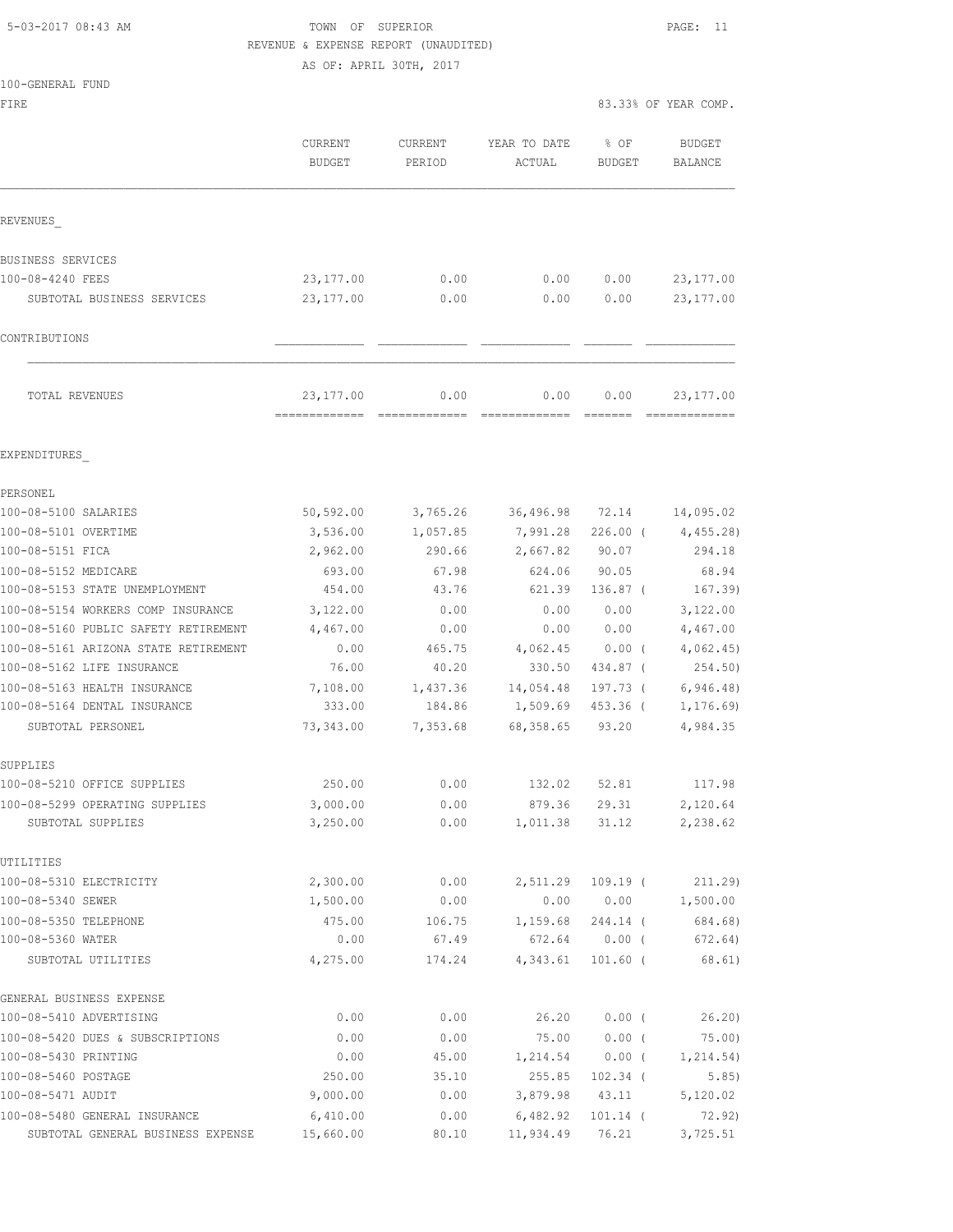## 5-03-2017 08:43 AM TOWN OF SUPERIOR PAGE: 11 REVENUE & EXPENSE REPORT (UNAUDITED)

AS OF: APRIL 30TH, 2017

| 100-GENERAL FUND |  |
|------------------|--|

FIRE SERVICES IN THE SERVICE OF STRUCK AND STRUCK AND STRUCK AND STRUCK AND STRUCK AND STRUCK AND STRUCK AND STRUCK AND STRUCK AND STRUCK AND STRUCK AND STRUCK AND STRUCK AND STRUCK AND STRUCK AND STRUCK AND STRUCK AND STR

|                                      | <b>CURRENT</b><br><b>BUDGET</b>             | <b>CURRENT</b><br>PERIOD | YEAR TO DATE<br>ACTUAL                                                                                                                                                                                                                                                                                                                                                                                                                                                                         | % OF<br><b>BUDGET</b> | <b>BUDGET</b><br><b>BALANCE</b> |
|--------------------------------------|---------------------------------------------|--------------------------|------------------------------------------------------------------------------------------------------------------------------------------------------------------------------------------------------------------------------------------------------------------------------------------------------------------------------------------------------------------------------------------------------------------------------------------------------------------------------------------------|-----------------------|---------------------------------|
| REVENUES                             |                                             |                          |                                                                                                                                                                                                                                                                                                                                                                                                                                                                                                |                       |                                 |
| BUSINESS SERVICES                    |                                             |                          |                                                                                                                                                                                                                                                                                                                                                                                                                                                                                                |                       |                                 |
| 100-08-4240 FEES                     | 23, 177.00                                  | 0.00                     | 0.00                                                                                                                                                                                                                                                                                                                                                                                                                                                                                           | 0.00                  | 23, 177.00                      |
| SUBTOTAL BUSINESS SERVICES           | 23,177.00                                   | 0.00                     | 0.00                                                                                                                                                                                                                                                                                                                                                                                                                                                                                           | 0.00                  | 23, 177.00                      |
| CONTRIBUTIONS                        |                                             |                          |                                                                                                                                                                                                                                                                                                                                                                                                                                                                                                |                       |                                 |
|                                      |                                             |                          |                                                                                                                                                                                                                                                                                                                                                                                                                                                                                                |                       |                                 |
| TOTAL REVENUES                       | 23,177.00<br>============================== | 0.00                     | 0.00<br>$\begin{array}{cccccccccccccc} \multicolumn{2}{c}{} & \multicolumn{2}{c}{} & \multicolumn{2}{c}{} & \multicolumn{2}{c}{} & \multicolumn{2}{c}{} & \multicolumn{2}{c}{} & \multicolumn{2}{c}{} & \multicolumn{2}{c}{} & \multicolumn{2}{c}{} & \multicolumn{2}{c}{} & \multicolumn{2}{c}{} & \multicolumn{2}{c}{} & \multicolumn{2}{c}{} & \multicolumn{2}{c}{} & \multicolumn{2}{c}{} & \multicolumn{2}{c}{} & \multicolumn{2}{c}{} & \multicolumn{2}{c}{} & \multicolumn{2}{c}{} & \$ | 0.00                  | 23, 177.00<br>=============     |
| EXPENDITURES                         |                                             |                          |                                                                                                                                                                                                                                                                                                                                                                                                                                                                                                |                       |                                 |
| PERSONEL                             |                                             |                          |                                                                                                                                                                                                                                                                                                                                                                                                                                                                                                |                       |                                 |
| 100-08-5100 SALARIES                 | 50, 592.00                                  | 3,765.26                 | 36,496.98                                                                                                                                                                                                                                                                                                                                                                                                                                                                                      | 72.14                 | 14,095.02                       |
| 100-08-5101 OVERTIME                 | 3,536.00                                    | 1,057.85                 | 7,991.28                                                                                                                                                                                                                                                                                                                                                                                                                                                                                       | $226.00$ (            | 4,455.28)                       |
| 100-08-5151 FICA                     | 2,962.00                                    | 290.66                   | 2,667.82                                                                                                                                                                                                                                                                                                                                                                                                                                                                                       | 90.07                 | 294.18                          |
| 100-08-5152 MEDICARE                 | 693.00                                      | 67.98                    | 624.06                                                                                                                                                                                                                                                                                                                                                                                                                                                                                         | 90.05                 | 68.94                           |
| 100-08-5153 STATE UNEMPLOYMENT       | 454.00                                      | 43.76                    | 621.39                                                                                                                                                                                                                                                                                                                                                                                                                                                                                         | $136.87$ (            | 167.39)                         |
| 100-08-5154 WORKERS COMP INSURANCE   | 3,122.00                                    | 0.00                     | 0.00                                                                                                                                                                                                                                                                                                                                                                                                                                                                                           | 0.00                  | 3,122.00                        |
| 100-08-5160 PUBLIC SAFETY RETIREMENT | 4,467.00                                    | 0.00                     | 0.00                                                                                                                                                                                                                                                                                                                                                                                                                                                                                           | 0.00                  | 4,467.00                        |
| 100-08-5161 ARIZONA STATE RETIREMENT | 0.00                                        | 465.75                   | 4,062.45                                                                                                                                                                                                                                                                                                                                                                                                                                                                                       | $0.00$ (              | 4,062.45                        |
| 100-08-5162 LIFE INSURANCE           | 76.00                                       | 40.20                    | 330.50                                                                                                                                                                                                                                                                                                                                                                                                                                                                                         | 434.87 (              | 254.50)                         |
| 100-08-5163 HEALTH INSURANCE         | 7,108.00                                    | 1,437.36                 | 14,054.48                                                                                                                                                                                                                                                                                                                                                                                                                                                                                      | 197.73 (              | 6, 946.48)                      |
| 100-08-5164 DENTAL INSURANCE         | 333.00                                      | 184.86                   | 1,509.69                                                                                                                                                                                                                                                                                                                                                                                                                                                                                       | 453.36 (              | 1, 176.69                       |
| SUBTOTAL PERSONEL                    | 73,343.00                                   | 7,353.68                 | 68, 358.65                                                                                                                                                                                                                                                                                                                                                                                                                                                                                     | 93.20                 | 4,984.35                        |
| SUPPLIES                             |                                             |                          |                                                                                                                                                                                                                                                                                                                                                                                                                                                                                                |                       |                                 |
| 100-08-5210 OFFICE SUPPLIES          | 250.00                                      | 0.00                     | 132.02                                                                                                                                                                                                                                                                                                                                                                                                                                                                                         | 52.81                 | 117.98                          |
| 100-08-5299 OPERATING SUPPLIES       | 3,000.00                                    | 0.00                     | 879.36                                                                                                                                                                                                                                                                                                                                                                                                                                                                                         | 29.31                 | 2,120.64                        |
| SUBTOTAL SUPPLIES                    | 3,250.00                                    | 0.00                     | 1,011.38                                                                                                                                                                                                                                                                                                                                                                                                                                                                                       | 31.12                 | 2,238.62                        |
| UTILITIES                            |                                             |                          |                                                                                                                                                                                                                                                                                                                                                                                                                                                                                                |                       |                                 |
| 100-08-5310 ELECTRICITY              | 2,300.00                                    | 0.00                     | 2,511.29                                                                                                                                                                                                                                                                                                                                                                                                                                                                                       | 109.19 (              | 211.29                          |
| 100-08-5340 SEWER                    | 1,500.00                                    | 0.00                     | 0.00                                                                                                                                                                                                                                                                                                                                                                                                                                                                                           |                       | $0.00$ 1,500.00                 |
| 100-08-5350 TELEPHONE                | 475.00                                      | 106.75                   | 1,159.68                                                                                                                                                                                                                                                                                                                                                                                                                                                                                       | 244.14 (              | 684.68)                         |
| 100-08-5360 WATER                    | 0.00                                        | 67.49                    |                                                                                                                                                                                                                                                                                                                                                                                                                                                                                                | 672.64 0.00 (         | 672.64)                         |
| SUBTOTAL UTILITIES                   | 4,275.00                                    | 174.24                   | 4,343.61                                                                                                                                                                                                                                                                                                                                                                                                                                                                                       | $101.60$ (            | 68.61)                          |
| GENERAL BUSINESS EXPENSE             |                                             |                          |                                                                                                                                                                                                                                                                                                                                                                                                                                                                                                |                       |                                 |
| 100-08-5410 ADVERTISING              | 0.00                                        | 0.00                     | 26.20                                                                                                                                                                                                                                                                                                                                                                                                                                                                                          | $0.00$ (              | 26.20                           |
| 100-08-5420 DUES & SUBSCRIPTIONS     | 0.00                                        | 0.00                     | 75.00                                                                                                                                                                                                                                                                                                                                                                                                                                                                                          | $0.00$ (              | 75.00)                          |
| 100-08-5430 PRINTING                 | 0.00                                        | 45.00                    | 1,214.54                                                                                                                                                                                                                                                                                                                                                                                                                                                                                       | $0.00$ (              | 1, 214.54)                      |
| 100-08-5460 POSTAGE                  | 250.00                                      | 35.10                    | 255.85                                                                                                                                                                                                                                                                                                                                                                                                                                                                                         | $102.34$ (            | 5.85)                           |
| 100-08-5471 AUDIT                    | 9,000.00                                    | 0.00                     | 3,879.98                                                                                                                                                                                                                                                                                                                                                                                                                                                                                       | 43.11                 | 5,120.02                        |

100-08-5480 GENERAL INSURANCE 6,410.00 0.00 6,482.92 101.14 ( 72.92) SUBTOTAL GENERAL BUSINESS EXPENSE 15,660.00 80.10 11,934.49 76.21 3,725.51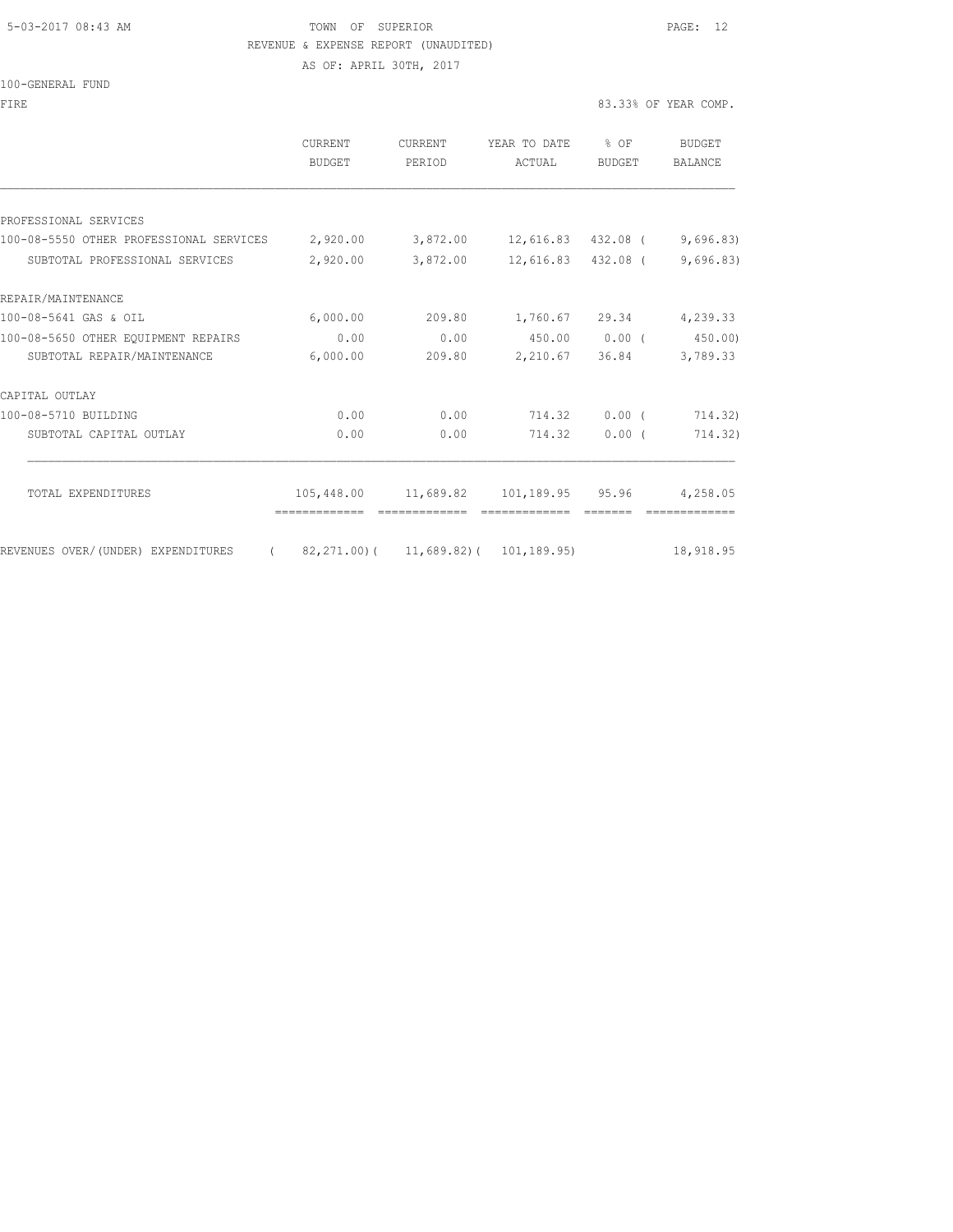#### 5-03-2017 08:43 AM TOWN OF SUPERIOR PAGE: 12 REVENUE & EXPENSE REPORT (UNAUDITED)

| 100-GENERAL FUND                                                                      |                                               |                   |                                                    |        |                      |
|---------------------------------------------------------------------------------------|-----------------------------------------------|-------------------|----------------------------------------------------|--------|----------------------|
| FIRE                                                                                  |                                               |                   |                                                    |        | 83.33% OF YEAR COMP. |
|                                                                                       | CURRENT<br>BUDGET                             | CURRENT<br>PERIOD | YEAR TO DATE % OF<br>ACTUAL                        | BUDGET | BUDGET<br>BALANCE    |
|                                                                                       |                                               |                   |                                                    |        |                      |
| PROFESSIONAL SERVICES                                                                 |                                               |                   |                                                    |        |                      |
| 100-08-5550 OTHER PROFESSIONAL SERVICES 2,920.00 3,872.00 12,616.83 432.08 (9,696.83) |                                               |                   |                                                    |        |                      |
| SUBTOTAL PROFESSIONAL SERVICES                                                        | 2,920.00 3,872.00 12,616.83 432.08 (9,696.83) |                   |                                                    |        |                      |
| REPAIR/MAINTENANCE                                                                    |                                               |                   |                                                    |        |                      |
| 100-08-5641 GAS & OIL                                                                 | 6,000.00                                      |                   | 209.80 1,760.67 29.34 4,239.33                     |        |                      |
| 100-08-5650 OTHER EOUIPMENT REPAIRS                                                   | 0.00                                          |                   | $0.00$ 450.00 0.00 (450.00)                        |        |                      |
| SUBTOTAL REPAIR/MAINTENANCE                                                           | 6,000.00                                      |                   | 209.80 2,210.67 36.84 3,789.33                     |        |                      |
| CAPITAL OUTLAY                                                                        |                                               |                   |                                                    |        |                      |
| 100-08-5710 BUILDING                                                                  | 0.00                                          |                   | $0.00$ 714.32 0.00 (                               |        | 714.32)              |
| SUBTOTAL CAPITAL OUTLAY                                                               | 0.00                                          | 0.00              | 714.32                                             | 0.00(  | 714.32)              |
|                                                                                       |                                               |                   |                                                    |        |                      |
| TOTAL EXPENDITURES                                                                    |                                               |                   | 105,448.00  11,689.82  101,189.95  95.96  4,258.05 |        |                      |
| REVENUES OVER/(UNDER) EXPENDITURES (82,271.00)(11,689.82)(101,189.95) 18,918.95       |                                               |                   |                                                    |        |                      |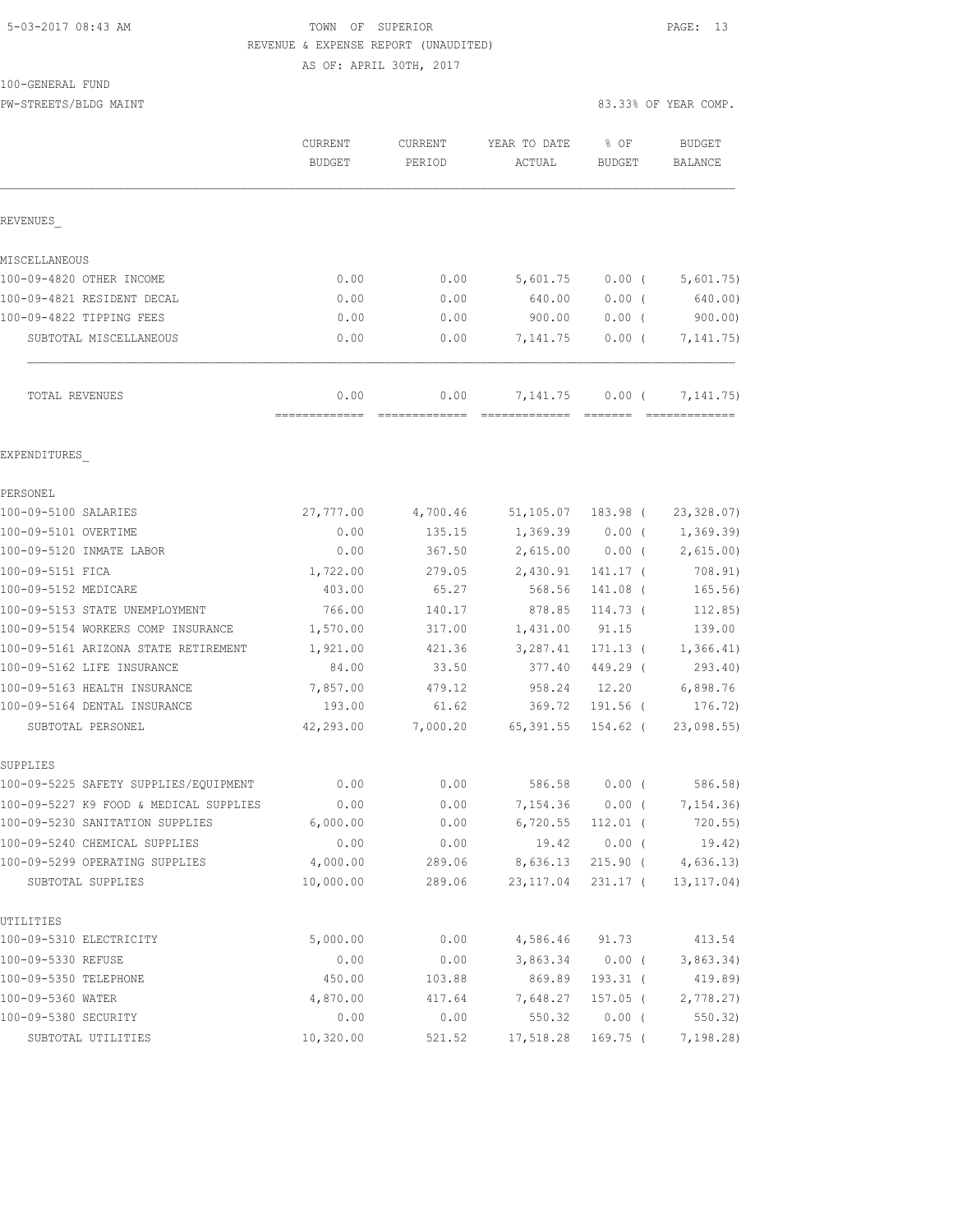## 5-03-2017 08:43 AM TOWN OF SUPERIOR PAGE: 13 REVENUE & EXPENSE REPORT (UNAUDITED)

AS OF: APRIL 30TH, 2017

PW-STREETS/BLDG MAINT 83.33% OF YEAR COMP.

|                                                                    | CURRENT<br><b>BUDGET</b> | CURRENT<br>PERIOD | YEAR TO DATE<br>ACTUAL | % OF<br><b>BUDGET</b>  | <b>BUDGET</b><br><b>BALANCE</b> |
|--------------------------------------------------------------------|--------------------------|-------------------|------------------------|------------------------|---------------------------------|
| REVENUES                                                           |                          |                   |                        |                        |                                 |
| MISCELLANEOUS                                                      |                          |                   |                        |                        |                                 |
| 100-09-4820 OTHER INCOME                                           | 0.00                     | 0.00              | 5,601.75               | $0.00$ (               | 5,601.75)                       |
| 100-09-4821 RESIDENT DECAL                                         | 0.00                     | 0.00              | 640.00                 | 0.00(                  | 640.00)                         |
| 100-09-4822 TIPPING FEES                                           | 0.00                     | 0.00              | 900.00                 | $0.00$ (               | 900.00                          |
| SUBTOTAL MISCELLANEOUS                                             | 0.00                     | 0.00              | 7,141.75               | 0.00(                  | 7, 141.75)                      |
| TOTAL REVENUES                                                     | 0.00                     | 0.00              | 7,141.75               | $0.00$ (               | 7, 141. 75)                     |
| EXPENDITURES                                                       |                          |                   |                        |                        |                                 |
| PERSONEL                                                           |                          |                   |                        |                        |                                 |
| 100-09-5100 SALARIES                                               | 27,777.00                | 4,700.46          | 51,105.07              | 183.98 (               | 23, 328.07                      |
| 100-09-5101 OVERTIME                                               | 0.00                     | 135.15            | 1,369.39               | $0.00$ (               | 1,369.39)                       |
| 100-09-5120 INMATE LABOR                                           | 0.00                     | 367.50            | 2,615.00               | $0.00$ (               | 2,615.00)                       |
| 100-09-5151 FICA                                                   | 1,722.00                 | 279.05            | 2,430.91               | 141.17 (               | 708.91)                         |
| 100-09-5152 MEDICARE                                               | 403.00                   | 65.27             | 568.56                 | 141.08 (               | 165.56)                         |
| 100-09-5153 STATE UNEMPLOYMENT                                     | 766.00                   | 140.17            | 878.85                 | 114.73 (               | 112.85)                         |
| 100-09-5154 WORKERS COMP INSURANCE                                 | 1,570.00                 | 317.00            | 1,431.00               | 91.15                  | 139.00                          |
| 100-09-5161 ARIZONA STATE RETIREMENT<br>100-09-5162 LIFE INSURANCE | 1,921.00<br>84.00        | 421.36<br>33.50   | 3,287.41<br>377.40     | $171.13$ (             | 1,366.41)                       |
|                                                                    |                          | 479.12            | 958.24                 | 449.29 (<br>12.20      | 293.40)<br>6,898.76             |
| 100-09-5163 HEALTH INSURANCE<br>100-09-5164 DENTAL INSURANCE       | 7,857.00<br>193.00       | 61.62             | 369.72                 | 191.56 (               | 176.72)                         |
| SUBTOTAL PERSONEL                                                  | 42,293.00                | 7,000.20          | 65,391.55              | 154.62 (               | 23,098.55                       |
| SUPPLIES                                                           |                          |                   |                        |                        |                                 |
| 100-09-5225 SAFETY SUPPLIES/EQUIPMENT                              | 0.00                     | 0.00              | 586.58                 | $0.00$ (               | 586.58)                         |
| 100-09-5227 K9 FOOD & MEDICAL SUPPLIES                             | 0.00                     | 0.00              | 7,154.36               | $0.00$ (               | 7,154.36)                       |
| 100-09-5230 SANITATION SUPPLIES                                    | 6,000.00                 | 0.00              |                        | 6,720.55 112.01 (      | 720.55)                         |
| 100-09-5240 CHEMICAL SUPPLIES                                      | 0.00                     | 0.00              | 19.42                  | $0.00$ (               | 19.42)                          |
| 100-09-5299 OPERATING SUPPLIES                                     | 4,000.00                 | 289.06            | 8,636.13               | 215.90 (               | 4,636.13)                       |
| SUBTOTAL SUPPLIES                                                  | 10,000.00                | 289.06            | 23, 117.04             | 231.17 (               | 13, 117.04)                     |
| UTILITIES                                                          |                          |                   |                        |                        |                                 |
| 100-09-5310 ELECTRICITY                                            | 5,000.00                 | 0.00              | 4,586.46               | 91.73                  | 413.54                          |
| 100-09-5330 REFUSE<br>100-09-5350 TELEPHONE                        | 0.00                     | 0.00              | 3,863.34<br>869.89     | $0.00$ (<br>$193.31$ ( | 3,863.34)                       |
| 100-09-5360 WATER                                                  | 450.00<br>4,870.00       | 103.88<br>417.64  | 7,648.27               | 157.05 (               | 419.89)<br>2,778.27             |
| 100-09-5380 SECURITY                                               | 0.00                     | 0.00              | 550.32                 | $0.00$ (               | 550.32                          |
| SUBTOTAL UTILITIES                                                 | 10,320.00                | 521.52            | 17,518.28              | 169.75 (               | 7,198.28)                       |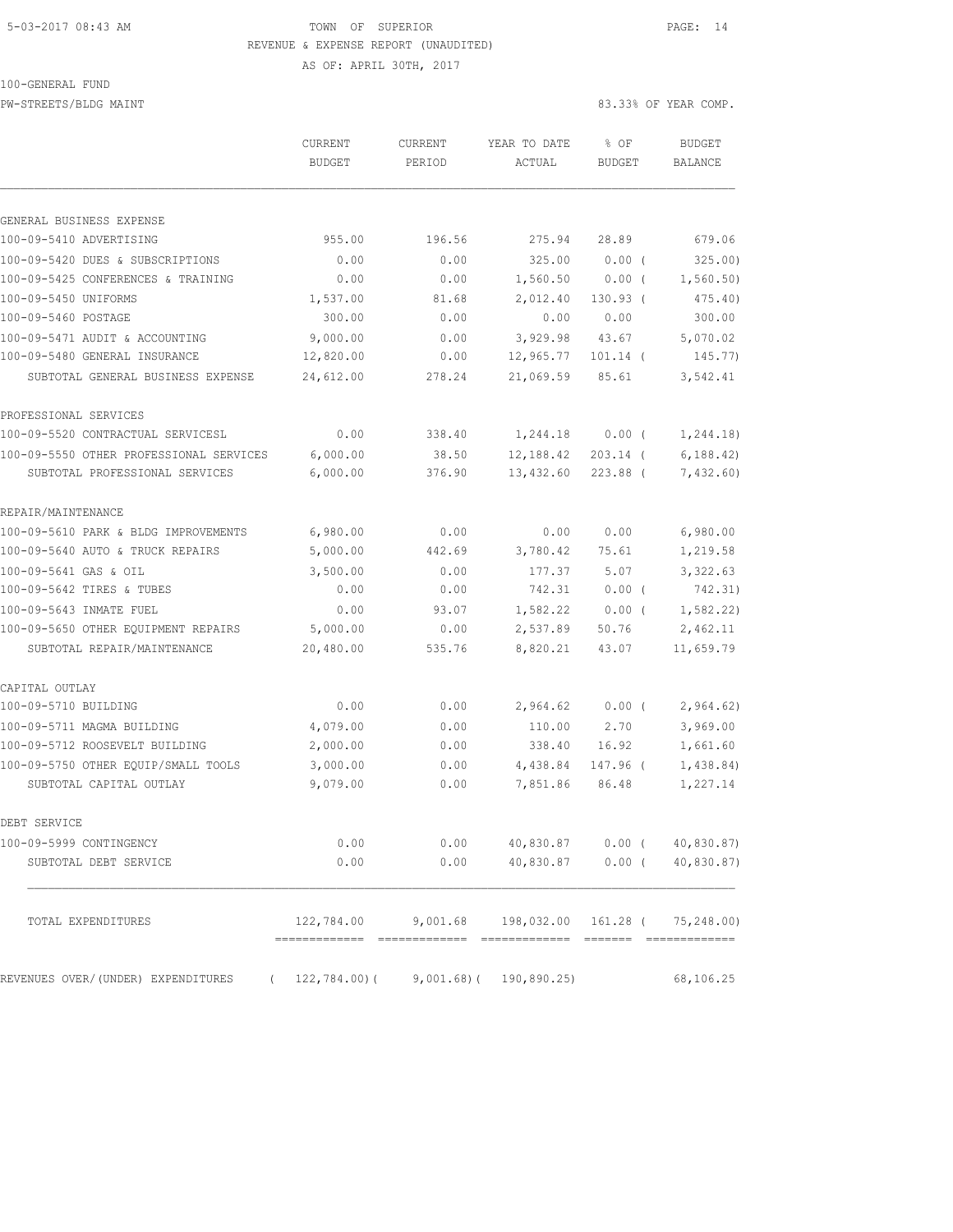### 5-03-2017 08:43 AM TOWN OF SUPERIOR PAGE: 14 REVENUE & EXPENSE REPORT (UNAUDITED) AS OF: APRIL 30TH, 2017

100-GENERAL FUND

| IUU-GENEKAL FUND                        |           |         |              |               |                      |
|-----------------------------------------|-----------|---------|--------------|---------------|----------------------|
| PW-STREETS/BLDG MAINT                   |           |         |              |               | 83.33% OF YEAR COMP. |
|                                         | CURRENT   | CURRENT | YEAR TO DATE | $8$ OF        | <b>BUDGET</b>        |
|                                         | BUDGET    | PERIOD  | ACTUAL       | <b>BUDGET</b> | <b>BALANCE</b>       |
|                                         |           |         |              |               |                      |
| GENERAL BUSINESS EXPENSE                |           |         |              |               |                      |
| 100-09-5410 ADVERTISING                 | 955.00    | 196.56  | 275.94       | 28.89         | 679.06               |
| 100-09-5420 DUES & SUBSCRIPTIONS        | 0.00      | 0.00    | 325.00       | 0.00(         | 325.00               |
| 100-09-5425 CONFERENCES & TRAINING      | 0.00      | 0.00    | 1,560.50     | $0.00$ (      | 1,560.50)            |
| 100-09-5450 UNIFORMS                    | 1,537.00  | 81.68   | 2,012.40     | $130.93$ (    | 475.40               |
| 100-09-5460 POSTAGE                     | 300.00    | 0.00    | 0.00         | 0.00          | 300.00               |
| 100-09-5471 AUDIT & ACCOUNTING          | 9,000.00  | 0.00    | 3,929.98     | 43.67         | 5,070.02             |
| 100-09-5480 GENERAL INSURANCE           | 12,820.00 | 0.00    | 12,965.77    | $101.14$ (    | 145.77)              |
| SUBTOTAL GENERAL BUSINESS EXPENSE       | 24,612.00 | 278.24  | 21,069.59    | 85.61         | 3,542.41             |
| PROFESSIONAL SERVICES                   |           |         |              |               |                      |
| 100-09-5520 CONTRACTUAL SERVICESL       | 0.00      | 338.40  | 1,244.18     | $0.00$ (      | 1,244.18)            |
| 100-09-5550 OTHER PROFESSIONAL SERVICES | 6,000.00  | 38.50   | 12,188.42    | $203.14$ (    | 6, 188.42            |
| SUBTOTAL PROFESSIONAL SERVICES          | 6,000.00  | 376.90  | 13,432.60    | 223.88 (      | 7,432.60             |

| REPAIR/MAINTENANCE                   |                                           |          |                     |                  |             |
|--------------------------------------|-------------------------------------------|----------|---------------------|------------------|-------------|
| 100-09-5610 PARK & BLDG IMPROVEMENTS | 6,980.00                                  | 0.00     | 0.00                | 0.00             | 6,980.00    |
| 100-09-5640 AUTO & TRUCK REPAIRS     | 5,000.00                                  | 442.69   | 3,780.42            | 75.61            | 1,219.58    |
| 100-09-5641 GAS & OIL                | 3,500.00                                  | 0.00     | 177.37              | 5.07             | 3,322.63    |
| 100-09-5642 TIRES & TUBES            | 0.00                                      | 0.00     | 742.31              | 0.00(            | 742.31)     |
| 100-09-5643 INMATE FUEL              | 0.00                                      | 93.07    | 1,582.22            | 0.00(            | 1, 582, 22) |
| 100-09-5650 OTHER EQUIPMENT REPAIRS  | 5,000.00                                  | 0.00     | 2,537.89            | 50.76            | 2,462.11    |
| SUBTOTAL REPAIR/MAINTENANCE          | 20,480.00                                 | 535.76   | 8,820.21            | 43.07            | 11,659.79   |
| CAPITAL OUTLAY                       |                                           |          |                     |                  |             |
| 100-09-5710 BUILDING                 | 0.00                                      | 0.00     | 2,964.62            | $0.00$ (         | 2,964.62)   |
| 100-09-5711 MAGMA BUILDING           | 4,079.00                                  | 0.00     |                     | 110.00 2.70      | 3,969.00    |
| 100-09-5712 ROOSEVELT BUILDING       | 2,000.00                                  | 0.00     | 338.40              | 16.92            | 1,661.60    |
| 100-09-5750 OTHER EOUIP/SMALL TOOLS  | 3,000.00                                  | 0.00     | 4,438.84            | 147.96 (         | 1,438.84)   |
| SUBTOTAL CAPITAL OUTLAY              | 9,079.00                                  | 0.00     | 7,851.86            | 86.48            | 1,227.14    |
| DEBT SERVICE                         |                                           |          |                     |                  |             |
| 100-09-5999 CONTINGENCY              | 0.00                                      | 0.00     |                     | 40,830.87 0.00 ( | 40,830.87)  |
| SUBTOTAL DEBT SERVICE                | 0.00                                      | 0.00     | 40,830.87           | $0.00$ (         | 40,830.87)  |
|                                      |                                           |          |                     |                  |             |
| TOTAL EXPENDITURES                   | 122,784.00                                | 9,001.68 | 198,032.00 161.28 ( |                  | 75,248.00)  |
| REVENUES OVER/(UNDER) EXPENDITURES   | $(122, 784.00) (9, 001.68) (190, 890.25)$ |          |                     |                  | 68,106.25   |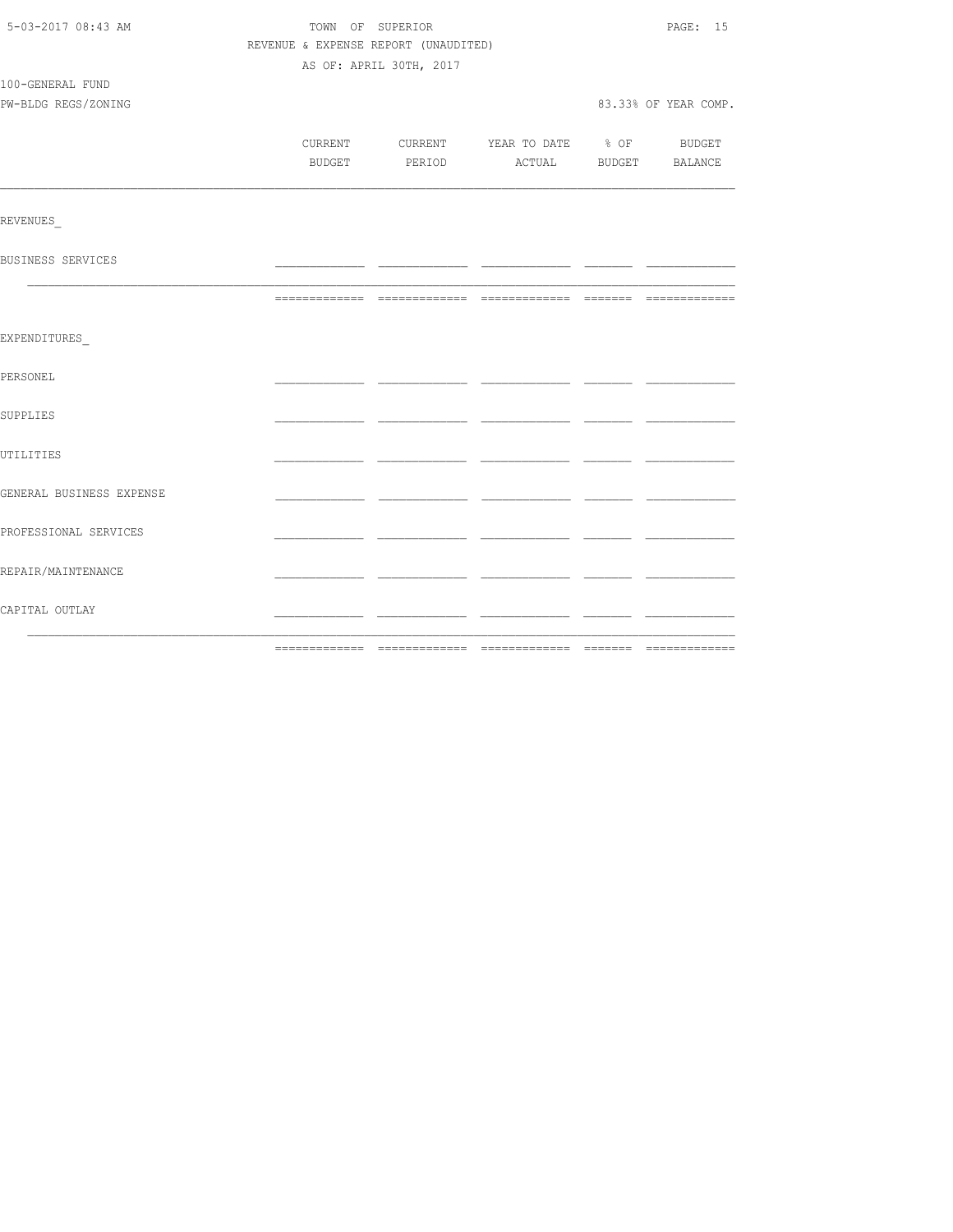| 5-03-2017 08:43 AM       |                                      | TOWN OF SUPERIOR        |                                          | PAGE: 15             |
|--------------------------|--------------------------------------|-------------------------|------------------------------------------|----------------------|
|                          | REVENUE & EXPENSE REPORT (UNAUDITED) |                         |                                          |                      |
|                          |                                      | AS OF: APRIL 30TH, 2017 |                                          |                      |
| 100-GENERAL FUND         |                                      |                         |                                          |                      |
| PW-BLDG REGS/ZONING      |                                      |                         |                                          | 83.33% OF YEAR COMP. |
|                          |                                      |                         |                                          |                      |
|                          |                                      |                         | CURRENT CURRENT YEAR TO DATE % OF BUDGET |                      |
|                          |                                      |                         | BUDGET PERIOD ACTUAL BUDGET BALANCE      |                      |
|                          |                                      |                         |                                          |                      |
| REVENUES                 |                                      |                         |                                          |                      |
| BUSINESS SERVICES        |                                      |                         |                                          |                      |
|                          |                                      |                         |                                          |                      |
| EXPENDITURES             |                                      |                         |                                          |                      |
| PERSONEL                 |                                      |                         |                                          |                      |
| SUPPLIES                 |                                      |                         |                                          |                      |
| UTILITIES                |                                      |                         |                                          |                      |
| GENERAL BUSINESS EXPENSE |                                      |                         |                                          |                      |
| PROFESSIONAL SERVICES    |                                      |                         |                                          |                      |
| REPAIR/MAINTENANCE       |                                      |                         |                                          |                      |
| CAPITAL OUTLAY           |                                      |                         |                                          |                      |
|                          |                                      |                         |                                          |                      |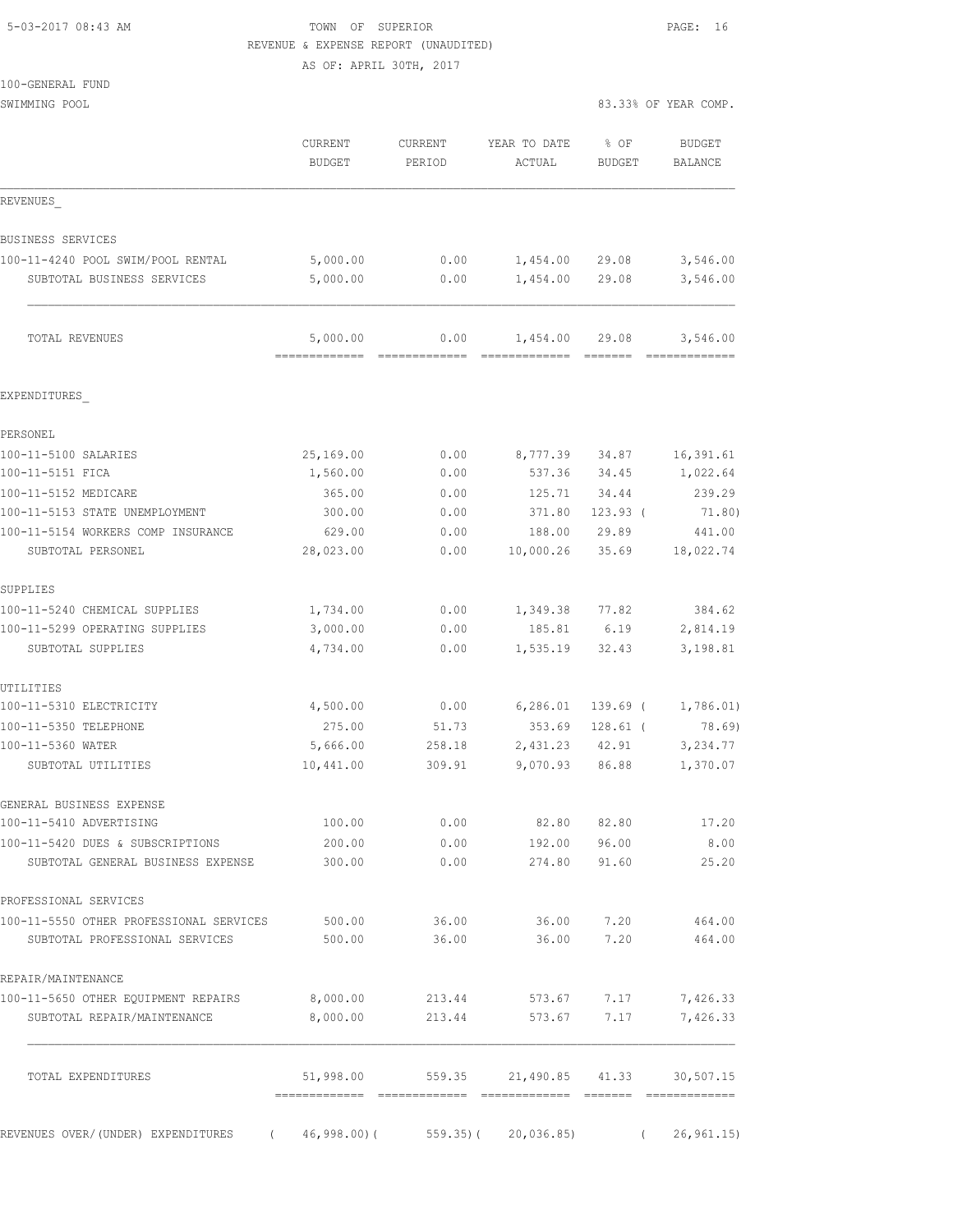## 5-03-2017 08:43 AM TOWN OF SUPERIOR PAGE: 16 REVENUE & EXPENSE REPORT (UNAUDITED)

AS OF: APRIL 30TH, 2017

| 100-GENERAL FUND                                                      |                           |                       |                           |                                                                                                                                                                                                                                                                                                                                                                                                                                                                                                                                                                                                        |                          |
|-----------------------------------------------------------------------|---------------------------|-----------------------|---------------------------|--------------------------------------------------------------------------------------------------------------------------------------------------------------------------------------------------------------------------------------------------------------------------------------------------------------------------------------------------------------------------------------------------------------------------------------------------------------------------------------------------------------------------------------------------------------------------------------------------------|--------------------------|
| SWIMMING POOL                                                         |                           |                       |                           |                                                                                                                                                                                                                                                                                                                                                                                                                                                                                                                                                                                                        | 83.33% OF YEAR COMP.     |
|                                                                       | CURRENT<br><b>BUDGET</b>  | CURRENT<br>PERIOD     | YEAR TO DATE<br>ACTUAL    | % OF<br><b>BUDGET</b>                                                                                                                                                                                                                                                                                                                                                                                                                                                                                                                                                                                  | BUDGET<br><b>BALANCE</b> |
| REVENUES                                                              |                           |                       |                           |                                                                                                                                                                                                                                                                                                                                                                                                                                                                                                                                                                                                        |                          |
| BUSINESS SERVICES                                                     |                           |                       |                           |                                                                                                                                                                                                                                                                                                                                                                                                                                                                                                                                                                                                        |                          |
| 100-11-4240 POOL SWIM/POOL RENTAL                                     | 5,000.00                  | 0.00                  | 1,454.00                  | 29.08                                                                                                                                                                                                                                                                                                                                                                                                                                                                                                                                                                                                  | 3,546.00                 |
| SUBTOTAL BUSINESS SERVICES                                            | 5,000.00                  | 0.00                  | 1,454.00                  | 29.08                                                                                                                                                                                                                                                                                                                                                                                                                                                                                                                                                                                                  | 3,546.00                 |
| TOTAL REVENUES                                                        | 5,000.00<br>------------- | 0.00<br>============= | 1,454.00<br>============= | 29.08<br>$\qquad \qquad \overline{\qquad \qquad }=\overline{\qquad \qquad }=\overline{\qquad \qquad }=\overline{\qquad \qquad }=\overline{\qquad \qquad }=\overline{\qquad \qquad }=\overline{\qquad \qquad }=\overline{\qquad \qquad }=\overline{\qquad \qquad }=\overline{\qquad \qquad }=\overline{\qquad \qquad }=\overline{\qquad \qquad }=\overline{\qquad \qquad }=\overline{\qquad \qquad }=\overline{\qquad \qquad }=\overline{\qquad \qquad }=\overline{\qquad \qquad }=\overline{\qquad \qquad }=\overline{\qquad \qquad }=\overline{\qquad \qquad }=\overline{\qquad \qquad }=\overline{\$ | 3,546.00                 |
| EXPENDITURES                                                          |                           |                       |                           |                                                                                                                                                                                                                                                                                                                                                                                                                                                                                                                                                                                                        |                          |
| PERSONEL                                                              |                           |                       |                           |                                                                                                                                                                                                                                                                                                                                                                                                                                                                                                                                                                                                        |                          |
| 100-11-5100 SALARIES                                                  | 25,169.00                 | 0.00                  | 8,777.39                  | 34.87                                                                                                                                                                                                                                                                                                                                                                                                                                                                                                                                                                                                  | 16,391.61                |
| 100-11-5151 FICA                                                      | 1,560.00                  | 0.00                  | 537.36                    | 34.45                                                                                                                                                                                                                                                                                                                                                                                                                                                                                                                                                                                                  | 1,022.64                 |
| 100-11-5152 MEDICARE                                                  | 365.00                    | 0.00                  | 125.71                    | 34.44                                                                                                                                                                                                                                                                                                                                                                                                                                                                                                                                                                                                  | 239.29                   |
| 100-11-5153 STATE UNEMPLOYMENT                                        | 300.00                    | 0.00                  | 371.80                    | $123.93$ (                                                                                                                                                                                                                                                                                                                                                                                                                                                                                                                                                                                             | 71.80)                   |
| 100-11-5154 WORKERS COMP INSURANCE                                    | 629.00                    | 0.00                  | 188.00                    | 29.89                                                                                                                                                                                                                                                                                                                                                                                                                                                                                                                                                                                                  | 441.00                   |
| SUBTOTAL PERSONEL                                                     | 28,023.00                 | 0.00                  | 10,000.26                 | 35.69                                                                                                                                                                                                                                                                                                                                                                                                                                                                                                                                                                                                  | 18,022.74                |
| SUPPLIES                                                              |                           |                       |                           |                                                                                                                                                                                                                                                                                                                                                                                                                                                                                                                                                                                                        |                          |
| 100-11-5240 CHEMICAL SUPPLIES                                         | 1,734.00                  | 0.00                  | 1,349.38                  | 77.82                                                                                                                                                                                                                                                                                                                                                                                                                                                                                                                                                                                                  | 384.62                   |
| 100-11-5299 OPERATING SUPPLIES                                        | 3,000.00                  | 0.00                  | 185.81                    | 6.19                                                                                                                                                                                                                                                                                                                                                                                                                                                                                                                                                                                                   | 2,814.19                 |
| SUBTOTAL SUPPLIES                                                     | 4,734.00                  | 0.00                  | 1,535.19                  | 32.43                                                                                                                                                                                                                                                                                                                                                                                                                                                                                                                                                                                                  | 3,198.81                 |
| UTILITIES                                                             |                           |                       |                           |                                                                                                                                                                                                                                                                                                                                                                                                                                                                                                                                                                                                        |                          |
| 100-11-5310 ELECTRICITY                                               | 4,500.00                  | 0.00                  | 6, 286.01                 | $139.69$ (                                                                                                                                                                                                                                                                                                                                                                                                                                                                                                                                                                                             | 1,786.01)                |
| 100-11-5350 TELEPHONE                                                 | 275.00                    | 51.73                 | 353.69                    | $128.61$ (                                                                                                                                                                                                                                                                                                                                                                                                                                                                                                                                                                                             | 78.69)                   |
| 100-11-5360 WATER                                                     | 5,666.00                  | 258.18                | 2,431.23 42.91            |                                                                                                                                                                                                                                                                                                                                                                                                                                                                                                                                                                                                        | 3,234.77                 |
| SUBTOTAL UTILITIES                                                    | 10,441.00                 | 309.91                | 9,070.93                  | 86.88                                                                                                                                                                                                                                                                                                                                                                                                                                                                                                                                                                                                  | 1,370.07                 |
| GENERAL BUSINESS EXPENSE                                              |                           |                       |                           |                                                                                                                                                                                                                                                                                                                                                                                                                                                                                                                                                                                                        |                          |
| 100-11-5410 ADVERTISING                                               | 100.00                    | 0.00                  | 82.80                     | 82.80                                                                                                                                                                                                                                                                                                                                                                                                                                                                                                                                                                                                  | 17.20                    |
| 100-11-5420 DUES & SUBSCRIPTIONS<br>SUBTOTAL GENERAL BUSINESS EXPENSE | 200.00<br>300.00          | 0.00<br>0.00          | 192.00<br>274.80          | 96.00<br>91.60                                                                                                                                                                                                                                                                                                                                                                                                                                                                                                                                                                                         | 8.00<br>25.20            |
| PROFESSIONAL SERVICES                                                 |                           |                       |                           |                                                                                                                                                                                                                                                                                                                                                                                                                                                                                                                                                                                                        |                          |
| 100-11-5550 OTHER PROFESSIONAL SERVICES                               | 500.00                    | 36.00                 | 36.00                     | 7.20                                                                                                                                                                                                                                                                                                                                                                                                                                                                                                                                                                                                   | 464.00                   |
| SUBTOTAL PROFESSIONAL SERVICES                                        | 500.00                    | 36.00                 | 36.00                     | 7.20                                                                                                                                                                                                                                                                                                                                                                                                                                                                                                                                                                                                   | 464.00                   |
| REPAIR/MAINTENANCE                                                    |                           |                       |                           |                                                                                                                                                                                                                                                                                                                                                                                                                                                                                                                                                                                                        |                          |
| 100-11-5650 OTHER EQUIPMENT REPAIRS                                   | 8,000.00                  | 213.44                | 573.67                    | 7.17                                                                                                                                                                                                                                                                                                                                                                                                                                                                                                                                                                                                   | 7,426.33                 |
| SUBTOTAL REPAIR/MAINTENANCE                                           | 8,000.00                  | 213.44                | 573.67                    | 7.17                                                                                                                                                                                                                                                                                                                                                                                                                                                                                                                                                                                                   | 7,426.33                 |
| TOTAL EXPENDITURES                                                    |                           | 51,998.00 559.35      |                           | 21,490.85 41.33                                                                                                                                                                                                                                                                                                                                                                                                                                                                                                                                                                                        | 30,507.15                |

REVENUES OVER/(UNDER) EXPENDITURES ( 46,998.00)( 559.35)( 20,036.85) ( 26,961.15)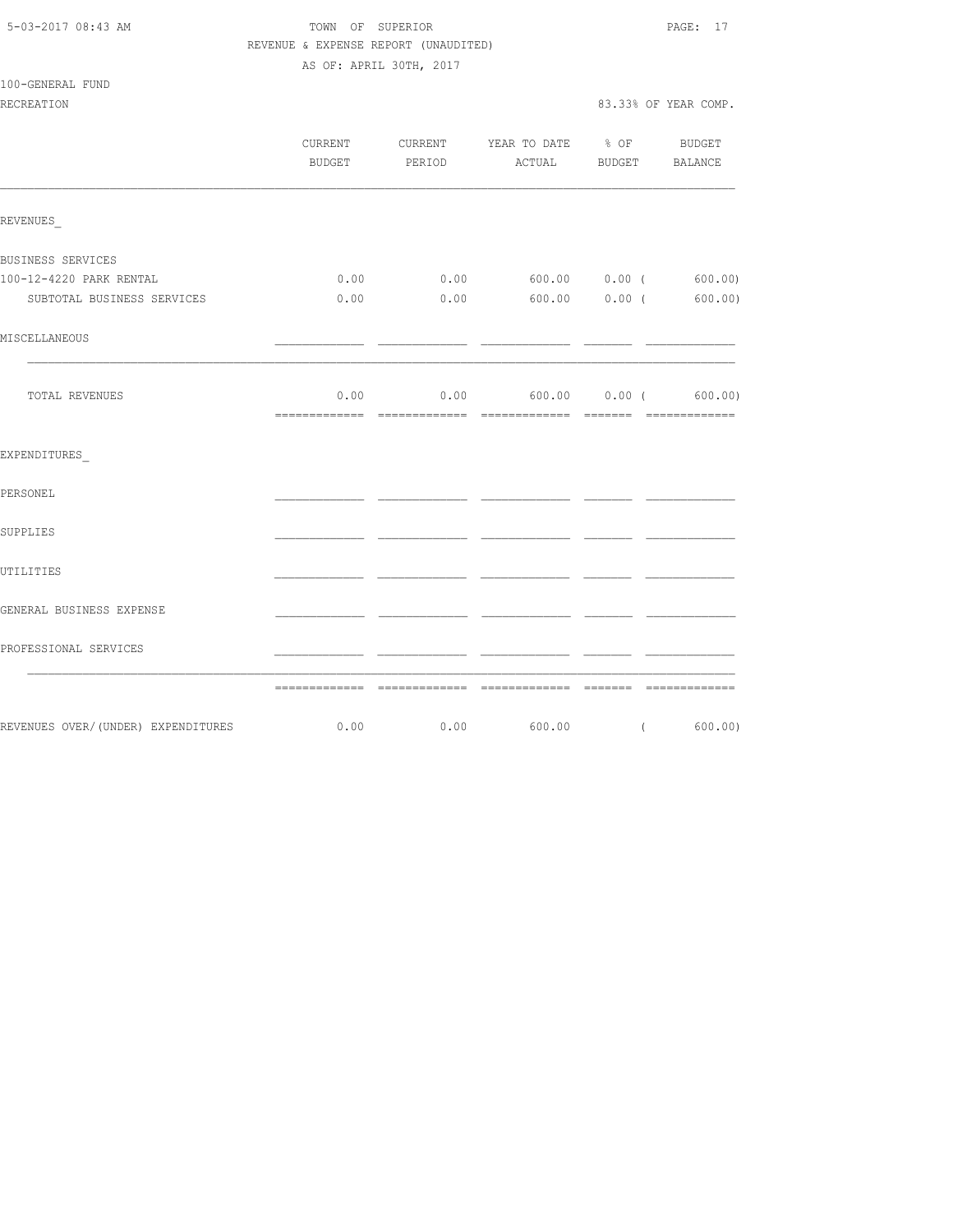| 5-03-2017 08:43 AM |  |
|--------------------|--|
|                    |  |

TOWN OF SUPERIOR **Example 2018** PAGE: 17 REVENUE & EXPENSE REPORT (UNAUDITED)

|--|

|                                    | CURRENT | BUDGET PERIOD | CURRENT YEAR TO DATE % OF BUDGET<br>ACTUAL BUDGET BALANCE |          |         |
|------------------------------------|---------|---------------|-----------------------------------------------------------|----------|---------|
| REVENUES                           |         |               |                                                           |          |         |
| BUSINESS SERVICES                  |         |               |                                                           |          |         |
| 100-12-4220 PARK RENTAL            | 0.00    |               | $0.00$ 600.00 0.00 (600.00)                               |          |         |
| SUBTOTAL BUSINESS SERVICES         | 0.00    |               | $0.00$ 600.00 0.00 (                                      |          | 600.00) |
| MISCELLANEOUS                      |         |               |                                                           |          |         |
| TOTAL REVENUES                     |         |               | $0.00$ 0.00 600.00 0.00 (600.00)                          |          |         |
| EXPENDITURES                       |         |               |                                                           |          |         |
| PERSONEL                           |         |               |                                                           |          |         |
| SUPPLIES                           |         |               |                                                           |          |         |
| UTILITIES                          |         |               |                                                           |          |         |
| GENERAL BUSINESS EXPENSE           |         |               |                                                           |          |         |
| PROFESSIONAL SERVICES              |         |               |                                                           |          |         |
|                                    |         |               |                                                           |          |         |
| REVENUES OVER/(UNDER) EXPENDITURES | 0.00    |               | $0.00$ 600.00                                             | $\left($ | 600.00) |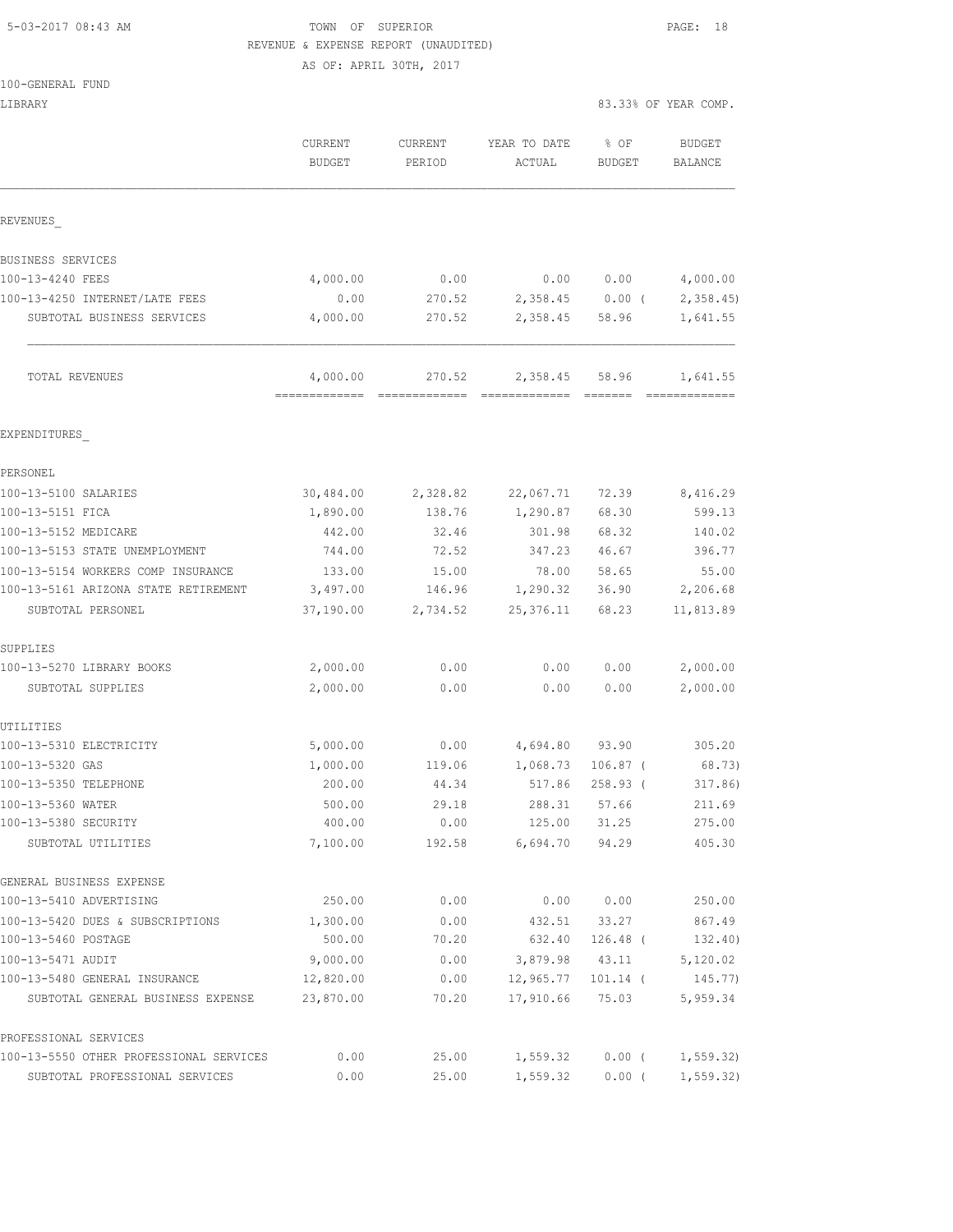## 5-03-2017 08:43 AM TOWN OF SUPERIOR PAGE: 18 REVENUE & EXPENSE REPORT (UNAUDITED)

|  | 100-GENERAL FUND |  |
|--|------------------|--|
|  |                  |  |

| LIBRARY                                 |                   |                                      |                        |                       | 83.33% OF YEAR COMP.      |
|-----------------------------------------|-------------------|--------------------------------------|------------------------|-----------------------|---------------------------|
|                                         | CURRENT<br>BUDGET | <b>CURRENT</b><br>PERIOD             | YEAR TO DATE<br>ACTUAL | % OF<br><b>BUDGET</b> | <b>BUDGET</b><br>BALANCE  |
| REVENUES                                |                   |                                      |                        |                       |                           |
| BUSINESS SERVICES                       |                   |                                      |                        |                       |                           |
| 100-13-4240 FEES                        | 4,000.00          | 0.00                                 | 0.00                   | 0.00                  | 4,000.00                  |
| 100-13-4250 INTERNET/LATE FEES          | 0.00              | 270.52                               | 2,358.45               | $0.00$ (              | 2,358.45                  |
| SUBTOTAL BUSINESS SERVICES              | 4,000.00          | 270.52                               | 2,358.45               | 58.96                 | 1,641.55                  |
| TOTAL REVENUES                          | 4,000.00          | 270.52<br>------------- ------------ | 2,358.45               | 58.96                 | 1,641.55<br>============= |
| EXPENDITURES                            |                   |                                      |                        |                       |                           |
| PERSONEL                                |                   |                                      |                        |                       |                           |
| 100-13-5100 SALARIES                    | 30,484.00         | 2,328.82                             | 22,067.71              | 72.39                 | 8,416.29                  |
| 100-13-5151 FICA                        | 1,890.00          | 138.76                               | 1,290.87               | 68.30                 | 599.13                    |
| 100-13-5152 MEDICARE                    | 442.00            | 32.46                                | 301.98                 | 68.32                 | 140.02                    |
| 100-13-5153 STATE UNEMPLOYMENT          | 744.00            | 72.52                                | 347.23                 | 46.67                 | 396.77                    |
| 100-13-5154 WORKERS COMP INSURANCE      | 133.00            | 15.00                                | 78.00                  | 58.65                 | 55.00                     |
| 100-13-5161 ARIZONA STATE RETIREMENT    | 3,497.00          | 146.96                               | 1,290.32               | 36.90                 | 2,206.68                  |
| SUBTOTAL PERSONEL                       | 37,190.00         | 2,734.52                             | 25,376.11              | 68.23                 | 11,813.89                 |
| SUPPLIES                                |                   |                                      |                        |                       |                           |
| 100-13-5270 LIBRARY BOOKS               | 2,000.00          | 0.00                                 | 0.00                   | 0.00                  | 2,000.00                  |
| SUBTOTAL SUPPLIES                       | 2,000.00          | 0.00                                 | 0.00                   | 0.00                  | 2,000.00                  |
| UTILITIES                               |                   |                                      |                        |                       |                           |
| 100-13-5310 ELECTRICITY                 | 5,000.00          | 0.00                                 | 4,694.80               | 93.90                 | 305.20                    |
| 100-13-5320 GAS                         | 1,000.00          | 119.06                               | 1,068.73               | $106.87$ (            | 68.73)                    |
| 100-13-5350 TELEPHONE                   | 200.00            | 44.34                                | 517.86                 | 258.93(               | 317.86)                   |
| 100-13-5360 WATER                       | 500.00            | 29.18                                | 288.31                 | 57.66                 | 211.69                    |
| 100-13-5380 SECURITY                    | 400.00            | 0.00                                 | 125.00                 | 31.25                 | 275.00                    |
| SUBTOTAL UTILITIES                      | 7,100.00          | 192.58                               | 6,694.70               | 94.29                 | 405.30                    |
| GENERAL BUSINESS EXPENSE                |                   |                                      |                        |                       |                           |
| 100-13-5410 ADVERTISING                 | 250.00            | 0.00                                 | 0.00                   | 0.00                  | 250.00                    |
| 100-13-5420 DUES & SUBSCRIPTIONS        | 1,300.00          | 0.00                                 | 432.51                 | 33.27                 | 867.49                    |
| 100-13-5460 POSTAGE                     | 500.00            | 70.20                                | 632.40                 | 126.48 (              | 132.40)                   |
| 100-13-5471 AUDIT                       | 9,000.00          | 0.00                                 | 3,879.98               | 43.11                 | 5,120.02                  |
| 100-13-5480 GENERAL INSURANCE           | 12,820.00         | 0.00                                 | 12,965.77              | $101.14$ (            | 145.77)                   |
| SUBTOTAL GENERAL BUSINESS EXPENSE       | 23,870.00         | 70.20                                | 17,910.66              | 75.03                 | 5,959.34                  |
| PROFESSIONAL SERVICES                   |                   |                                      |                        |                       |                           |
| 100-13-5550 OTHER PROFESSIONAL SERVICES | 0.00              | 25.00                                | 1,559.32               | $0.00$ (              | 1, 559.32                 |
| SUBTOTAL PROFESSIONAL SERVICES          | 0.00              | 25.00                                | 1,559.32               | $0.00$ (              | 1, 559.32)                |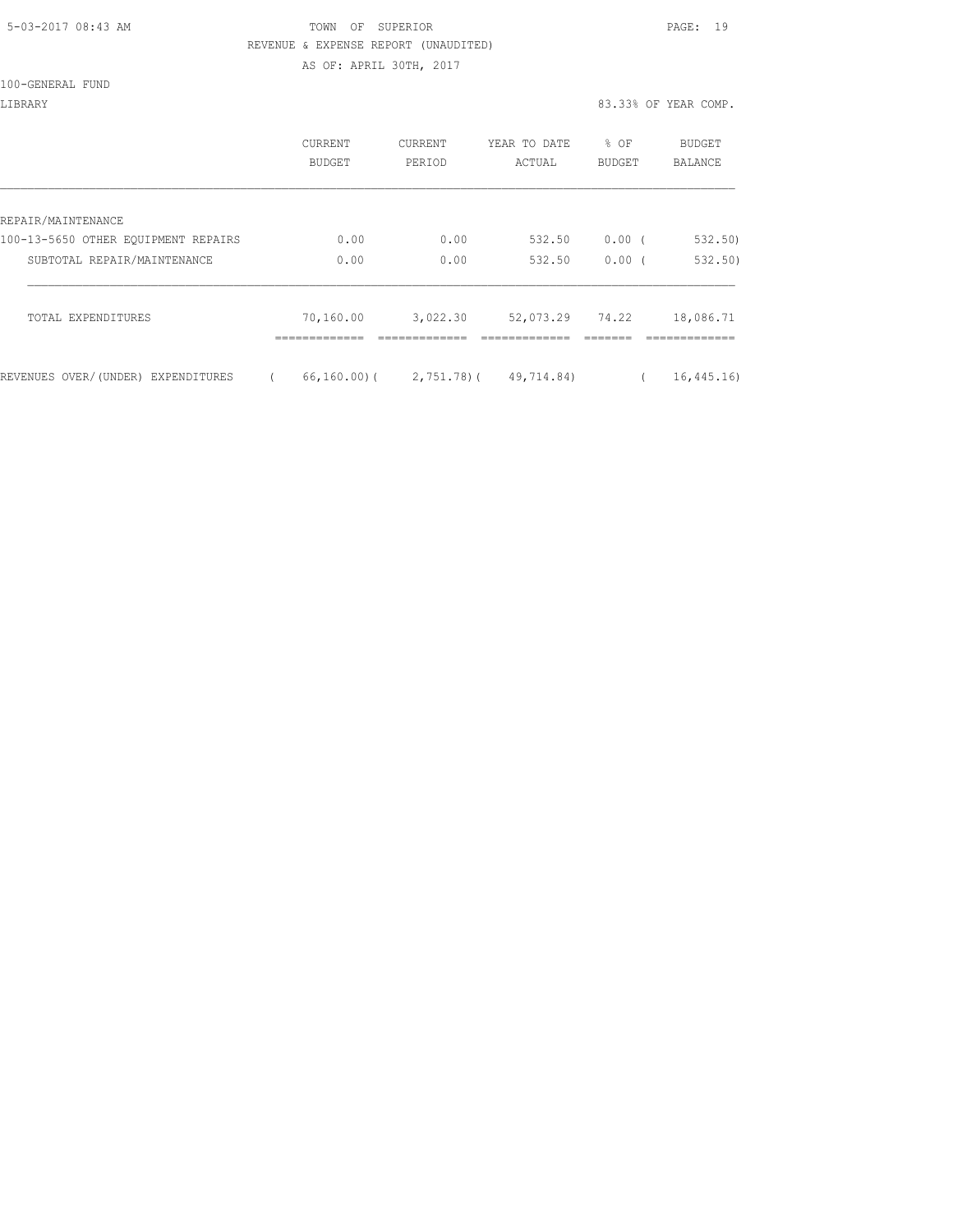| 5-03-2017 08:43 AM |  |
|--------------------|--|
|                    |  |

### TOWN OF SUPERIOR **Example 2017** PAGE: 19 REVENUE & EXPENSE REPORT (UNAUDITED)

|  | 100-GENERAL FUND |  |
|--|------------------|--|
|  |                  |  |

| LIBRARY                             |                          |                   |                        |                  | 83.33% OF YEAR COMP. |
|-------------------------------------|--------------------------|-------------------|------------------------|------------------|----------------------|
|                                     | <b>CURRENT</b><br>BUDGET | CURRENT<br>PERIOD | YEAR TO DATE<br>ACTUAL | $8$ OF<br>BUDGET | BUDGET<br>BALANCE    |
| REPAIR/MAINTENANCE                  |                          |                   |                        |                  |                      |
| 100-13-5650 OTHER EQUIPMENT REPAIRS | 0.00                     | 0.00              | 532.50                 | 0.00             | 532.50               |

| 100-13-5650 OTHER EOUIPMENT REPAIRS | 0.00        | 0.00           | 532.50     | 0.00  | 532.50)      |
|-------------------------------------|-------------|----------------|------------|-------|--------------|
| SUBTOTAL REPAIR/MAINTENANCE         | 0.00        | 0.00           | 532.50     | 0.00  | 532.50       |
| TOTAL EXPENDITURES                  | 70,160.00   | 3,022.30       | 52,073.29  | 74.22 | 18,086.71    |
|                                     |             |                |            |       |              |
| REVENUES OVER/(UNDER) EXPENDITURES  | 66,160.00)( | $2,751,78$ ) ( | 49,714.84) |       | 16, 445, 16) |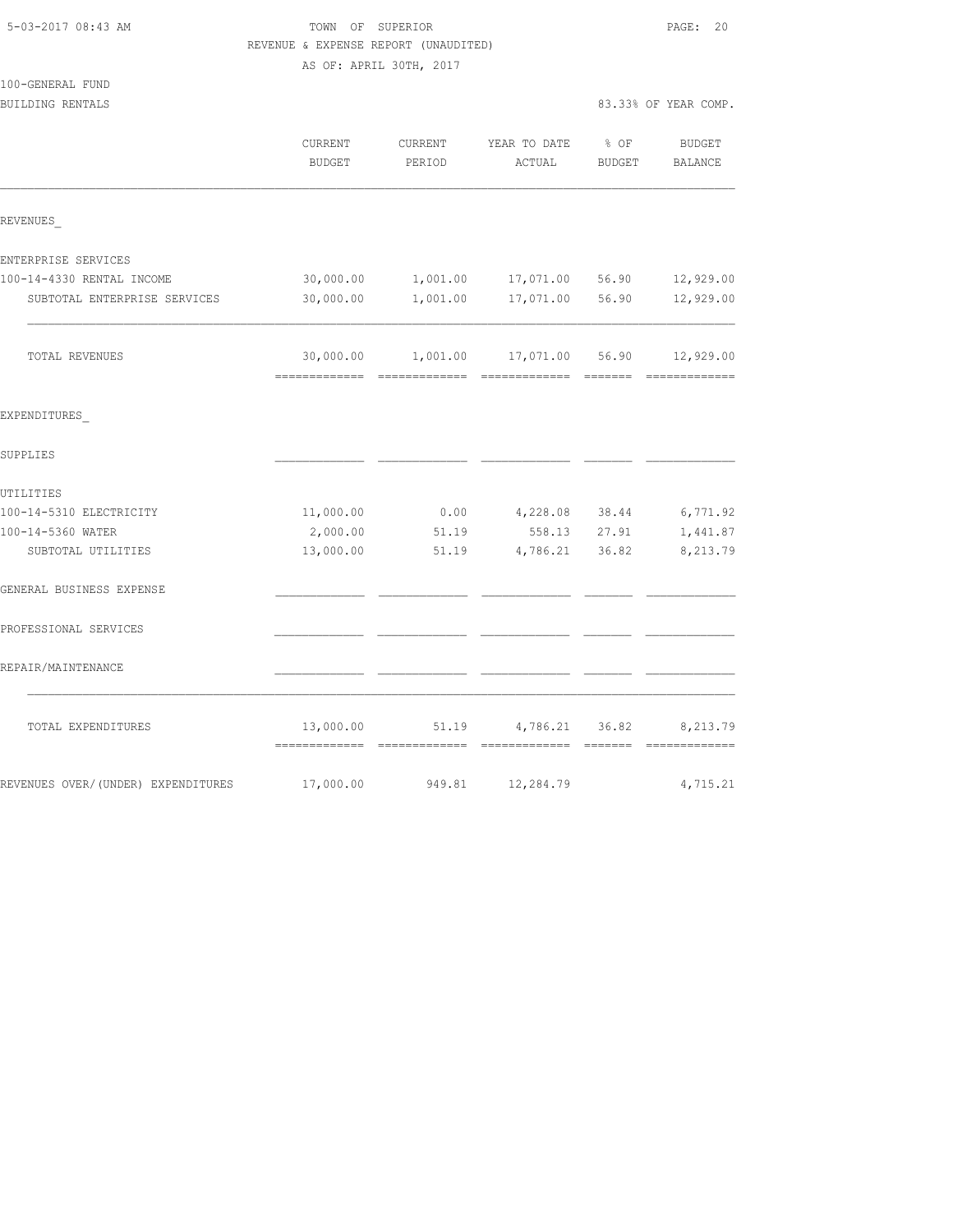| 5-03-2017 08:43 AM                 | TOWN OF SUPERIOR<br>REVENUE & EXPENSE REPORT (UNAUDITED) |          |                                 |               |                      |  |
|------------------------------------|----------------------------------------------------------|----------|---------------------------------|---------------|----------------------|--|
|                                    | AS OF: APRIL 30TH, 2017                                  |          |                                 |               |                      |  |
| 100-GENERAL FUND                   |                                                          |          |                                 |               |                      |  |
| BUILDING RENTALS                   |                                                          |          |                                 |               | 83.33% OF YEAR COMP. |  |
|                                    | CURRENT                                                  | CURRENT  | YEAR TO DATE                    | % OF          | <b>BUDGET</b>        |  |
|                                    | <b>BUDGET</b>                                            | PERIOD   | ACTUAL                          | <b>BUDGET</b> | <b>BALANCE</b>       |  |
| REVENUES                           |                                                          |          |                                 |               |                      |  |
| ENTERPRISE SERVICES                |                                                          |          |                                 |               |                      |  |
| 100-14-4330 RENTAL INCOME          | 30,000.00                                                | 1,001.00 | 17,071.00 56.90                 |               | 12,929.00            |  |
| SUBTOTAL ENTERPRISE SERVICES       | 30,000.00                                                | 1,001.00 | 17,071.00                       | 56.90         | 12,929.00            |  |
| TOTAL REVENUES                     | 30,000.00<br>------------- -------                       | 1,001.00 | 17,071.00 56.90<br>=== ======== |               | 12,929.00            |  |
| EXPENDITURES                       |                                                          |          |                                 |               |                      |  |
| SUPPLIES                           |                                                          |          |                                 |               |                      |  |
| UTILITIES                          |                                                          |          |                                 |               |                      |  |
| 100-14-5310 ELECTRICITY            | 11,000.00                                                | 0.00     | 4,228.08                        | 38.44         | 6,771.92             |  |
| 100-14-5360 WATER                  | 2,000.00                                                 | 51.19    | 558.13                          | 27.91         | 1,441.87             |  |
| SUBTOTAL UTILITIES                 | 13,000.00                                                | 51.19    | 4,786.21                        | 36.82         | 8,213.79             |  |
| GENERAL BUSINESS EXPENSE           |                                                          |          |                                 |               |                      |  |
| PROFESSIONAL SERVICES              |                                                          |          |                                 |               |                      |  |
| REPAIR/MAINTENANCE                 |                                                          |          |                                 |               |                      |  |
| TOTAL EXPENDITURES                 | 13,000.00                                                | 51.19    | 4,786.21                        | 36.82         | 8,213.79             |  |
| REVENUES OVER/(UNDER) EXPENDITURES | 17,000.00                                                | 949.81   | 12,284.79                       |               | 4,715.21             |  |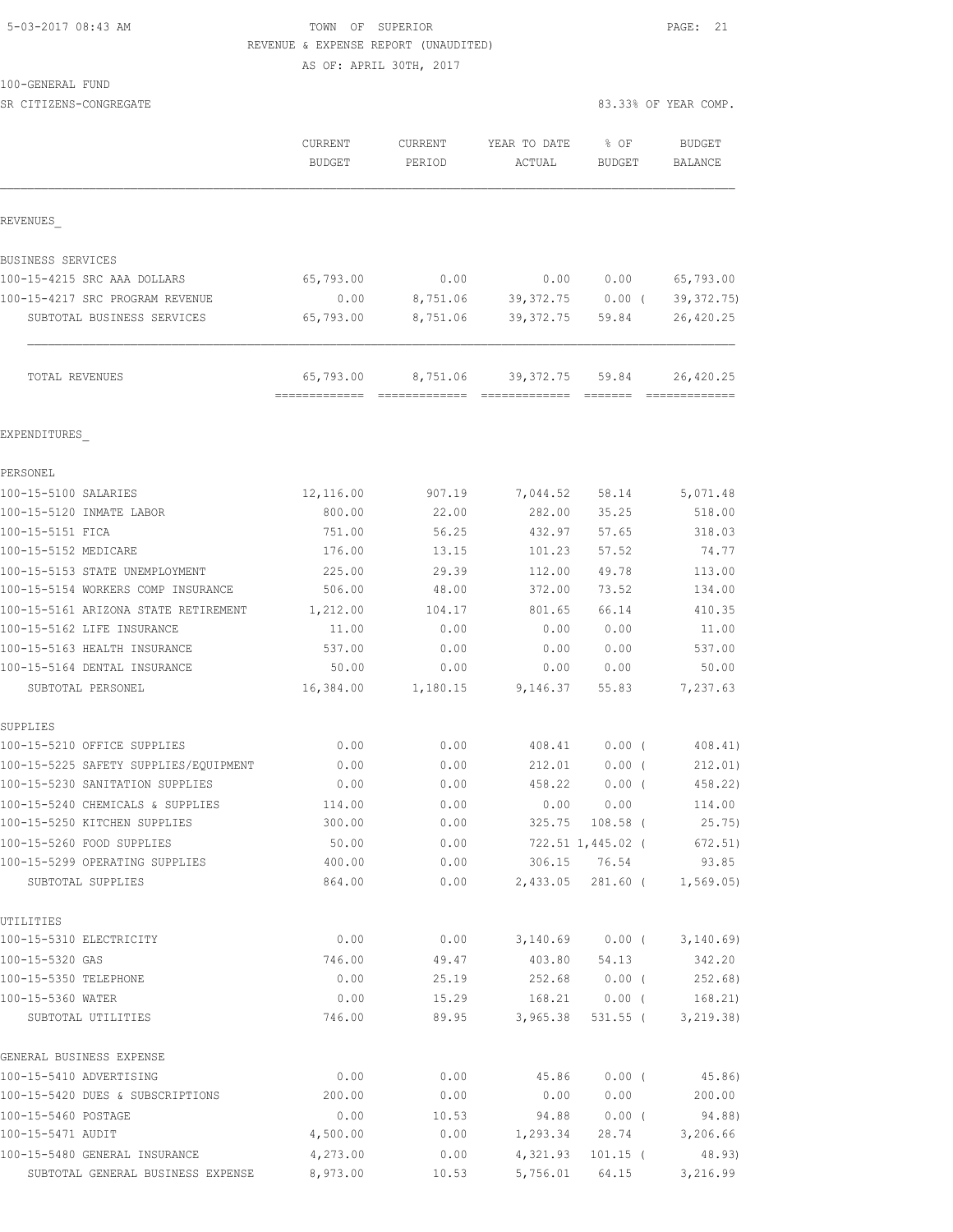## 5-03-2017 08:43 AM **TOWN** OF SUPERIOR **PAGE:** 21 REVENUE & EXPENSE REPORT (UNAUDITED)

AS OF: APRIL 30TH, 2017

SR CITIZENS-CONGREGATE 83.33% OF YEAR COMP.

|                                                              | <b>CURRENT</b><br><b>BUDGET</b> | <b>CURRENT</b><br>PERIOD | YEAR TO DATE<br>ACTUAL | % OF<br><b>BUDGET</b> | <b>BUDGET</b><br>BALANCE |
|--------------------------------------------------------------|---------------------------------|--------------------------|------------------------|-----------------------|--------------------------|
| REVENUES                                                     |                                 |                          |                        |                       |                          |
| BUSINESS SERVICES                                            |                                 |                          |                        |                       |                          |
| 100-15-4215 SRC AAA DOLLARS                                  | 65,793.00                       | 0.00                     | 0.00                   | 0.00                  | 65,793.00                |
| 100-15-4217 SRC PROGRAM REVENUE                              | 0.00                            | 8,751.06                 | 39, 372.75             | $0.00$ (              | 39, 372.75               |
| SUBTOTAL BUSINESS SERVICES                                   | 65,793.00                       | 8,751.06                 | 39, 372.75             | 59.84                 | 26,420.25                |
| TOTAL REVENUES                                               | 65,793.00<br>=============      | 8,751.06                 | 39, 372.75             | 59.84                 | 26,420.25                |
|                                                              |                                 |                          |                        |                       |                          |
| EXPENDITURES                                                 |                                 |                          |                        |                       |                          |
| PERSONEL                                                     |                                 |                          |                        |                       |                          |
| 100-15-5100 SALARIES                                         | 12,116.00                       | 907.19                   | 7,044.52               | 58.14                 | 5,071.48                 |
| 100-15-5120 INMATE LABOR                                     | 800.00                          | 22.00                    | 282.00                 | 35.25                 | 518.00                   |
| 100-15-5151 FICA                                             | 751.00                          | 56.25                    | 432.97                 | 57.65                 | 318.03                   |
| 100-15-5152 MEDICARE                                         | 176.00                          | 13.15                    | 101.23                 | 57.52                 | 74.77                    |
| 100-15-5153 STATE UNEMPLOYMENT                               | 225.00                          | 29.39                    | 112.00                 | 49.78                 | 113.00                   |
| 100-15-5154 WORKERS COMP INSURANCE                           | 506.00                          | 48.00                    | 372.00                 | 73.52                 | 134.00                   |
| 100-15-5161 ARIZONA STATE RETIREMENT                         | 1,212.00                        | 104.17                   | 801.65                 | 66.14                 | 410.35                   |
| 100-15-5162 LIFE INSURANCE                                   | 11.00                           | 0.00                     | 0.00                   | 0.00                  | 11.00                    |
| 100-15-5163 HEALTH INSURANCE<br>100-15-5164 DENTAL INSURANCE | 537.00<br>50.00                 | 0.00<br>0.00             | 0.00<br>0.00           | 0.00<br>0.00          | 537.00<br>50.00          |
| SUBTOTAL PERSONEL                                            | 16,384.00                       | 1,180.15                 | 9,146.37               | 55.83                 | 7,237.63                 |
| SUPPLIES                                                     |                                 |                          |                        |                       |                          |
| 100-15-5210 OFFICE SUPPLIES                                  | 0.00                            | 0.00                     | 408.41                 | $0.00$ (              | 408.41)                  |
| 100-15-5225 SAFETY SUPPLIES/EQUIPMENT                        | 0.00                            | 0.00                     | 212.01                 | $0.00$ (              | 212.01)                  |
| 100-15-5230 SANITATION SUPPLIES                              | 0.00                            | 0.00                     | 458.22                 | 0.00(                 | 458.22)                  |
| 100-15-5240 CHEMICALS & SUPPLIES                             | 114.00                          | 0.00                     | 0.00                   | 0.00                  | 114.00                   |
| 100-15-5250 KITCHEN SUPPLIES                                 | 300.00                          | 0.00                     |                        | 325.75 108.58 (       | 25.75)                   |
| 100-15-5260 FOOD SUPPLIES                                    | 50.00                           | 0.00                     |                        | 722.51 1,445.02 (     | 672.51)                  |
| 100-15-5299 OPERATING SUPPLIES                               | 400.00                          | 0.00                     |                        | 306.15 76.54          | 93.85                    |
| SUBTOTAL SUPPLIES                                            | 864.00                          | 0.00                     | 2,433.05               | 281.60 (              | 1,569.05)                |
| UTILITIES                                                    |                                 |                          |                        |                       |                          |
| 100-15-5310 ELECTRICITY                                      | 0.00                            | 0.00                     | 3,140.69               | $0.00$ (              | 3,140.69                 |
| 100-15-5320 GAS                                              | 746.00                          | 49.47                    | 403.80                 | 54.13                 | 342.20                   |
| 100-15-5350 TELEPHONE                                        | 0.00                            | 25.19                    | 252.68                 | $0.00$ (              | 252.68)                  |
| 100-15-5360 WATER                                            | 0.00                            | 15.29                    | 168.21                 | $0.00$ (              | 168.21)                  |
| SUBTOTAL UTILITIES                                           | 746.00                          | 89.95                    | 3,965.38               | 531.55 (              | 3, 219.38)               |
| GENERAL BUSINESS EXPENSE                                     |                                 |                          |                        |                       |                          |
| 100-15-5410 ADVERTISING                                      | 0.00                            | 0.00                     | 45.86                  | $0.00$ (              | 45.86)                   |
| 100-15-5420 DUES & SUBSCRIPTIONS                             | 200.00                          | 0.00                     | 0.00                   | 0.00                  | 200.00                   |
| 100-15-5460 POSTAGE                                          | 0.00                            | 10.53                    | 94.88                  | $0.00$ (              | 94.88)                   |
| 100-15-5471 AUDIT                                            | 4,500.00                        | 0.00                     | 1,293.34               | 28.74                 | 3,206.66                 |

100-15-5480 GENERAL INSURANCE 4,273.00 0.00 4,321.93 101.15 ( 48.93) SUBTOTAL GENERAL BUSINESS EXPENSE 8,973.00 10.53 5,756.01 64.15 3,216.99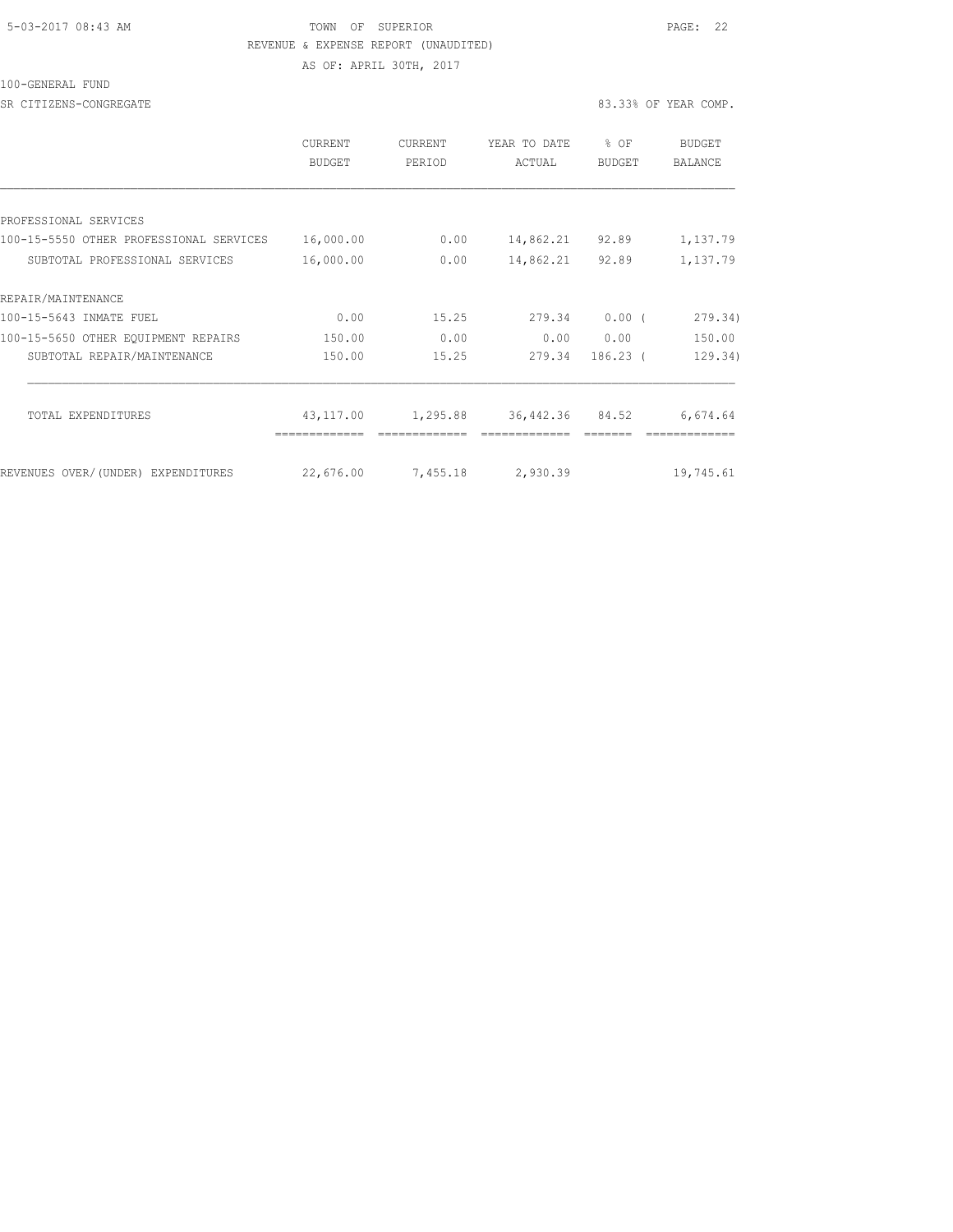#### 5-03-2017 08:43 AM TOWN OF SUPERIOR PAGE: 22 REVENUE & EXPENSE REPORT (UNAUDITED) AS OF: APRIL 30TH, 2017

100-GENERAL FUND

SR CITIZENS-CONGREGATE 83.33% OF YEAR COMP.

|                                         | <b>CURRENT</b><br>BUDGET | <b>CURRENT</b><br>PERIOD | YEAR TO DATE<br>ACTUAL | $8$ OF<br>BUDGET | BUDGET<br>BALANCE |
|-----------------------------------------|--------------------------|--------------------------|------------------------|------------------|-------------------|
|                                         |                          |                          |                        |                  |                   |
| PROFESSIONAL SERVICES                   |                          |                          |                        |                  |                   |
| 100-15-5550 OTHER PROFESSIONAL SERVICES | 16,000.00                | 0.00                     | 14,862.21              | 92.89            | 1,137.79          |
| SUBTOTAL PROFESSIONAL SERVICES          | 16,000.00                | 0.00                     | 14,862.21              | 92.89            | 1,137.79          |
| REPAIR/MAINTENANCE                      |                          |                          |                        |                  |                   |
| 100-15-5643 INMATE FUEL                 | 0.00                     | 15.25                    | 279.34                 | $0.00$ (         | 279.34)           |
| 100-15-5650 OTHER EQUIPMENT REPAIRS     | 150.00                   | 0.00                     | 0.00                   | 0.00             | 150.00            |
| SUBTOTAL REPAIR/MAINTENANCE             | 150.00                   | 15.25                    | 279.34                 | $186.23$ (       | 129.34)           |
| TOTAL EXPENDITURES                      | 43,117.00                | 1,295.88                 | 36,442.36              | 84.52            | 6,674.64          |
|                                         |                          |                          |                        |                  |                   |
| REVENUES OVER/(UNDER) EXPENDITURES      | 22,676.00                | 7,455.18                 | 2,930.39               |                  | 19,745.61         |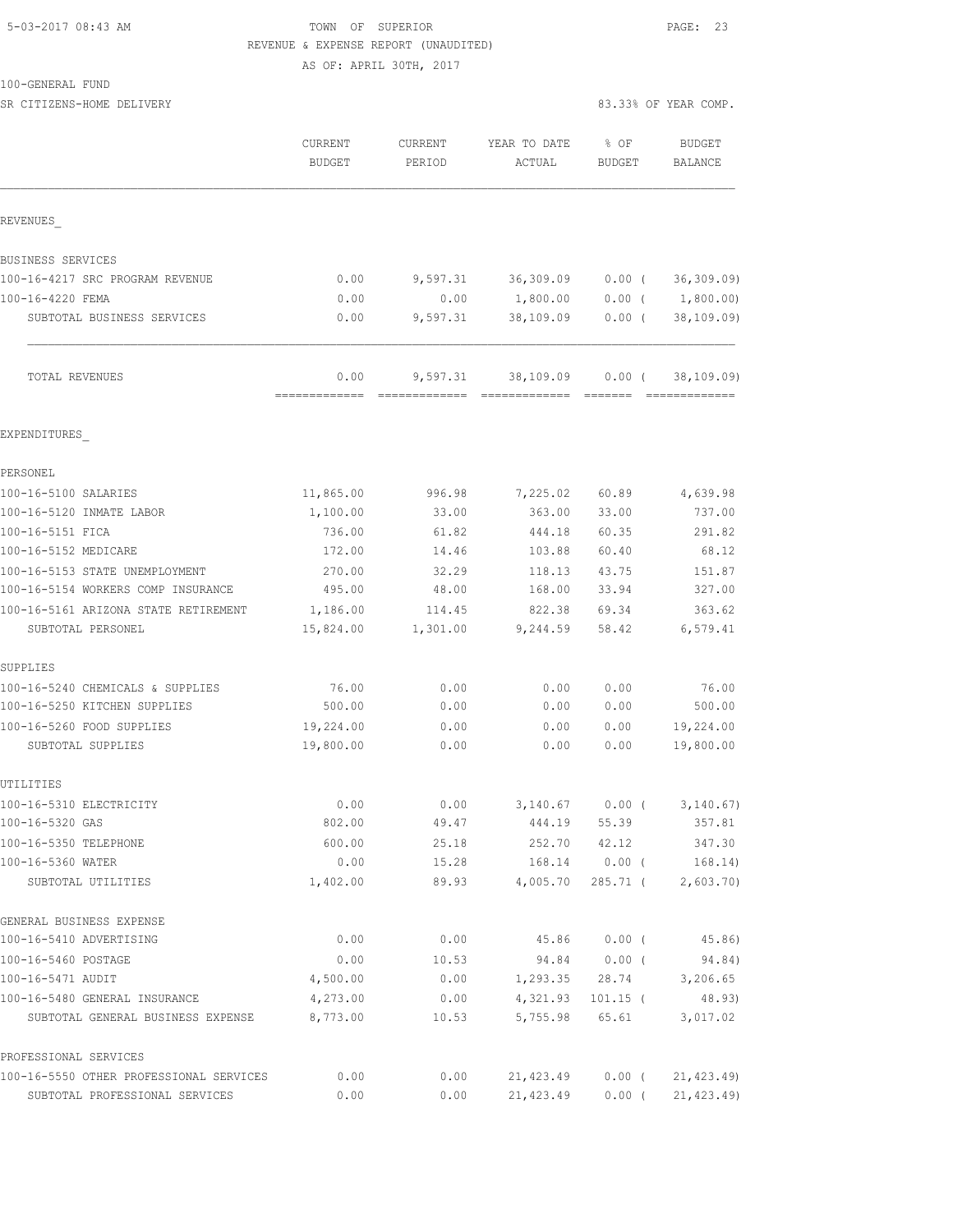## 5-03-2017 08:43 AM **TOWN** OF SUPERIOR **PAGE:** 23 REVENUE & EXPENSE REPORT (UNAUDITED)

AS OF: APRIL 30TH, 2017

PROFESSIONAL SERVICES

| SR CITIZENS-HOME DELIVERY               |                   |                   |                        | 83.33% OF YEAR COMP. |                       |
|-----------------------------------------|-------------------|-------------------|------------------------|----------------------|-----------------------|
|                                         | CURRENT<br>BUDGET | CURRENT<br>PERIOD | YEAR TO DATE<br>ACTUAL | % OF<br>BUDGET       | BUDGET<br>BALANCE     |
| REVENUES                                |                   |                   |                        |                      |                       |
| BUSINESS SERVICES                       |                   |                   |                        |                      |                       |
| 100-16-4217 SRC PROGRAM REVENUE         | 0.00              |                   | 9,597.31 36,309.09     | $0.00$ (             | 36, 309.09)           |
| 100-16-4220 FEMA                        | 0.00              | 0.00              | 1,800.00               |                      | $0.00$ ( $1,800.00$ ) |
| SUBTOTAL BUSINESS SERVICES              | 0.00              | 9,597.31          | 38,109.09              | $0.00$ (             | 38, 109.09)           |
| TOTAL REVENUES                          | 0.00              |                   | 9,597.31 38,109.09     |                      | $0.00$ ( 38,109.09)   |
| EXPENDITURES                            |                   |                   |                        |                      |                       |
| PERSONEL                                |                   |                   |                        |                      |                       |
| 100-16-5100 SALARIES                    | 11,865.00         | 996.98            | 7,225.02               | 60.89                | 4,639.98              |
| 100-16-5120 INMATE LABOR                | 1,100.00          | 33.00             | 363.00                 | 33.00                | 737.00                |
| 100-16-5151 FICA                        | 736.00            | 61.82             | 444.18                 | 60.35                | 291.82                |
| 100-16-5152 MEDICARE                    | 172.00            | 14.46             | 103.88                 | 60.40                | 68.12                 |
| 100-16-5153 STATE UNEMPLOYMENT          | 270.00            | 32.29             | 118.13                 | 43.75                | 151.87                |
| 100-16-5154 WORKERS COMP INSURANCE      | 495.00            | 48.00             | 168.00                 | 33.94                | 327.00                |
| 100-16-5161 ARIZONA STATE RETIREMENT    | 1,186.00          | 114.45            | 822.38                 | 69.34                | 363.62                |
| SUBTOTAL PERSONEL                       | 15,824.00         | 1,301.00          | 9,244.59               | 58.42                | 6,579.41              |
| SUPPLIES                                |                   |                   |                        |                      |                       |
| 100-16-5240 CHEMICALS & SUPPLIES        | 76.00             | 0.00              | 0.00                   | 0.00                 | 76.00                 |
| 100-16-5250 KITCHEN SUPPLIES            | 500.00            | 0.00              | 0.00                   | 0.00                 | 500.00                |
| 100-16-5260 FOOD SUPPLIES               | 19,224.00         | 0.00              | 0.00                   | 0.00                 | 19,224.00             |
| SUBTOTAL SUPPLIES                       | 19,800.00         | 0.00              | 0.00                   | 0.00                 | 19,800.00             |
| UTILITIES                               |                   |                   |                        |                      |                       |
| 100-16-5310 ELECTRICITY                 | 0.00              | 0.00              | 3,140.67               | $0.00$ (             | 3, 140.67)            |
| 100-16-5320 GAS                         | 802.00            | 49.47             | 444.19                 | 55.39                | 357.81                |
| 100-16-5350 TELEPHONE                   | 600.00            | 25.18             | 252.70                 | 42.12                | 347.30                |
| 100-16-5360 WATER<br>SUBTOTAL UTILITIES | 0.00<br>1,402.00  | 15.28<br>89.93    | 168.14<br>4,005.70     | $0.00$ (<br>285.71 ( | 168.14)<br>2,603.70   |
| GENERAL BUSINESS EXPENSE                |                   |                   |                        |                      |                       |
| 100-16-5410 ADVERTISING                 | 0.00              | 0.00              | 45.86                  | $0.00$ (             | 45.86)                |
| 100-16-5460 POSTAGE                     | 0.00              | 10.53             | 94.84                  | $0.00$ (             | 94.84)                |
| 100-16-5471 AUDIT                       | 4,500.00          | 0.00              | 1,293.35               | 28.74                | 3,206.65              |
| 100-16-5480 GENERAL INSURANCE           | 4,273.00          | 0.00              | 4,321.93               | $101.15$ (           | 48.93)                |
| SUBTOTAL GENERAL BUSINESS EXPENSE       | 8,773.00          | 10.53             | 5,755.98               | 65.61                | 3,017.02              |

100-16-5550 OTHER PROFESSIONAL SERVICES 0.00 0.00 21,423.49 0.00 ( 21,423.49) SUBTOTAL PROFESSIONAL SERVICES 0.00 0.00 21,423.49 0.00 ( 21,423.49)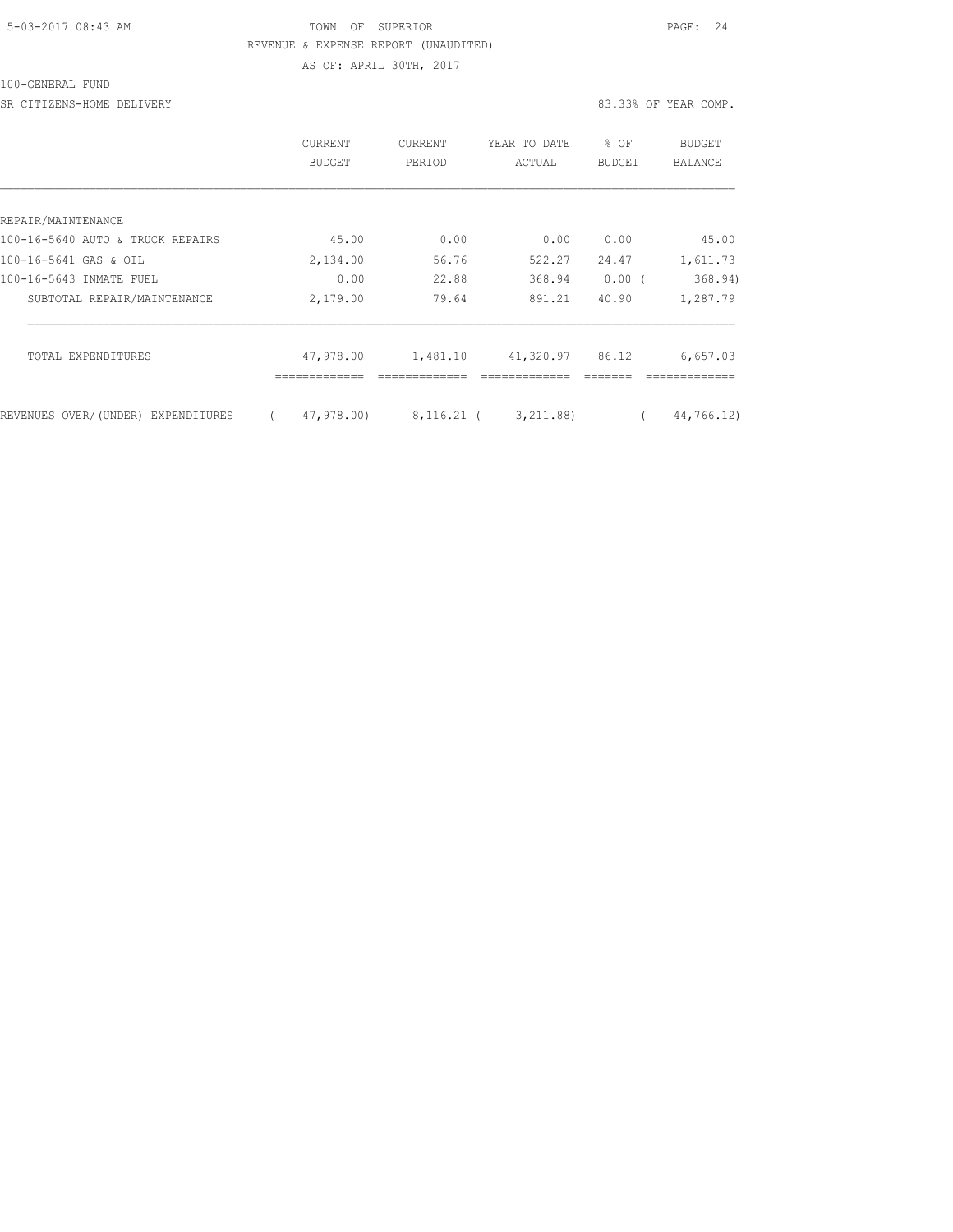### 5-03-2017 08:43 AM TOWN OF SUPERIOR PAGE: 24 REVENUE & EXPENSE REPORT (UNAUDITED) AS OF: APRIL 30TH, 2017

## 100-GENERAL FUND

SR CITIZENS-HOME DELIVERY 83.33% OF YEAR COMP.

|                                    | CURRENT<br><b>BUDGET</b> | CURRENT<br>PERIOD | YEAR TO DATE<br>ACTUAL | % OF<br><b>BUDGET</b> | BUDGET<br>BALANCE |
|------------------------------------|--------------------------|-------------------|------------------------|-----------------------|-------------------|
|                                    |                          |                   |                        |                       |                   |
| REPAIR/MAINTENANCE                 |                          |                   |                        |                       |                   |
| 100-16-5640 AUTO & TRUCK REPAIRS   | 45.00                    | 0.00              | 0.00                   | 0.00                  | 45.00             |
| 100-16-5641 GAS & OIL              | 2,134.00                 | 56.76             | 522.27                 | 24.47                 | 1,611.73          |
| 100-16-5643 INMATE FUEL            | 0.00                     | 22.88             | 368.94                 | 0.00(                 | 368.94)           |
| SUBTOTAL REPAIR/MAINTENANCE        | 2,179.00                 | 79.64             | 891.21                 | 40.90                 | 1,287.79          |
| TOTAL EXPENDITURES                 | 47,978.00                | 1,481.10          | 41,320.97              | 86.12                 | 6,657.03          |
|                                    |                          |                   |                        |                       |                   |
| REVENUES OVER/(UNDER) EXPENDITURES | 47,978.00)               | 8,116.21 (        | 3, 211.88)             |                       | 44,766.12)        |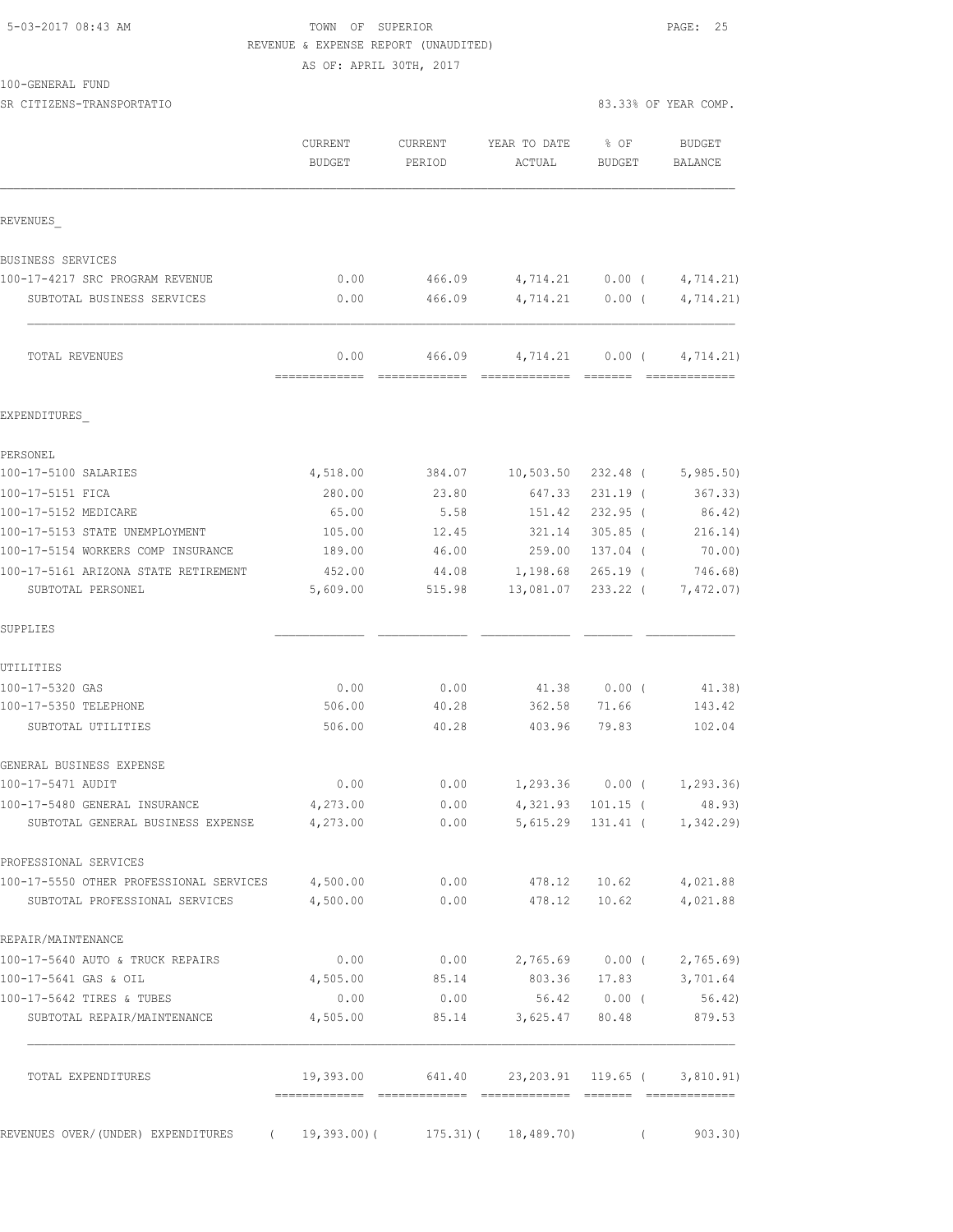### 5-03-2017 08:43 AM TOWN OF SUPERIOR PAGE: 25 REVENUE & EXPENSE REPORT (UNAUDITED)

AS OF: APRIL 30TH, 2017

SR CITIZENS-TRANSPORTATIO 83.33% OF YEAR COMP.

|                                                                    | CURRENT<br><b>BUDGET</b> | <b>CURRENT</b><br>PERIOD                      | YEAR TO DATE<br>ACTUAL                                                                                                                                                                                                                                                                                                                                                                                                                                                                             | % OF<br>BUDGET           | <b>BUDGET</b><br>BALANCE                                                                                                                                                                                                                                                                                                                                                                                                                                                                                  |
|--------------------------------------------------------------------|--------------------------|-----------------------------------------------|----------------------------------------------------------------------------------------------------------------------------------------------------------------------------------------------------------------------------------------------------------------------------------------------------------------------------------------------------------------------------------------------------------------------------------------------------------------------------------------------------|--------------------------|-----------------------------------------------------------------------------------------------------------------------------------------------------------------------------------------------------------------------------------------------------------------------------------------------------------------------------------------------------------------------------------------------------------------------------------------------------------------------------------------------------------|
| REVENUES                                                           |                          |                                               |                                                                                                                                                                                                                                                                                                                                                                                                                                                                                                    |                          |                                                                                                                                                                                                                                                                                                                                                                                                                                                                                                           |
| BUSINESS SERVICES                                                  |                          |                                               |                                                                                                                                                                                                                                                                                                                                                                                                                                                                                                    |                          |                                                                                                                                                                                                                                                                                                                                                                                                                                                                                                           |
| 100-17-4217 SRC PROGRAM REVENUE                                    | 0.00                     | 466.09                                        | 4,714.21 0.00 (                                                                                                                                                                                                                                                                                                                                                                                                                                                                                    |                          | 4,714.21)                                                                                                                                                                                                                                                                                                                                                                                                                                                                                                 |
| SUBTOTAL BUSINESS SERVICES                                         | 0.00                     | 466.09                                        |                                                                                                                                                                                                                                                                                                                                                                                                                                                                                                    | $4,714.21$ 0.00 (        | 4,714.21)                                                                                                                                                                                                                                                                                                                                                                                                                                                                                                 |
| TOTAL REVENUES                                                     | 0.00<br>=============    | 466.09<br>=============                       | 4,714.21<br>$\begin{array}{cccccccccccccc} \multicolumn{2}{c}{} & \multicolumn{2}{c}{} & \multicolumn{2}{c}{} & \multicolumn{2}{c}{} & \multicolumn{2}{c}{} & \multicolumn{2}{c}{} & \multicolumn{2}{c}{} & \multicolumn{2}{c}{} & \multicolumn{2}{c}{} & \multicolumn{2}{c}{} & \multicolumn{2}{c}{} & \multicolumn{2}{c}{} & \multicolumn{2}{c}{} & \multicolumn{2}{c}{} & \multicolumn{2}{c}{} & \multicolumn{2}{c}{} & \multicolumn{2}{c}{} & \multicolumn{2}{c}{} & \multicolumn{2}{c}{} & \$ | $0.00$ (<br>--------     | 4,714.21)<br>$\begin{array}{c} \multicolumn{2}{c} {\textbf{1}} & \multicolumn{2}{c} {\textbf{2}} & \multicolumn{2}{c} {\textbf{3}} & \multicolumn{2}{c} {\textbf{4}} \\ \multicolumn{2}{c} {\textbf{5}} & \multicolumn{2}{c} {\textbf{6}} & \multicolumn{2}{c} {\textbf{7}} & \multicolumn{2}{c} {\textbf{8}} & \multicolumn{2}{c} {\textbf{9}} \\ \multicolumn{2}{c} {\textbf{6}} & \multicolumn{2}{c} {\textbf{7}} & \multicolumn{2}{c} {\textbf{8}} & \multicolumn{2}{c} {\textbf{9}} & \multicolumn{$ |
| EXPENDITURES                                                       |                          |                                               |                                                                                                                                                                                                                                                                                                                                                                                                                                                                                                    |                          |                                                                                                                                                                                                                                                                                                                                                                                                                                                                                                           |
| PERSONEL                                                           |                          |                                               |                                                                                                                                                                                                                                                                                                                                                                                                                                                                                                    |                          |                                                                                                                                                                                                                                                                                                                                                                                                                                                                                                           |
| 100-17-5100 SALARIES                                               | 4,518.00                 | 384.07                                        | 10,503.50                                                                                                                                                                                                                                                                                                                                                                                                                                                                                          | 232.48 (                 | 5,985.50                                                                                                                                                                                                                                                                                                                                                                                                                                                                                                  |
| 100-17-5151 FICA                                                   | 280.00                   | 23.80                                         | 647.33                                                                                                                                                                                                                                                                                                                                                                                                                                                                                             | $231.19$ (               | 367.33)                                                                                                                                                                                                                                                                                                                                                                                                                                                                                                   |
| 100-17-5152 MEDICARE                                               | 65.00                    | 5.58                                          | 151.42                                                                                                                                                                                                                                                                                                                                                                                                                                                                                             | $232.95$ (               | 86.42)                                                                                                                                                                                                                                                                                                                                                                                                                                                                                                    |
| 100-17-5153 STATE UNEMPLOYMENT                                     | 105.00                   | 12.45                                         | 321.14                                                                                                                                                                                                                                                                                                                                                                                                                                                                                             | $305.85$ (               | 216.14)                                                                                                                                                                                                                                                                                                                                                                                                                                                                                                   |
| 100-17-5154 WORKERS COMP INSURANCE                                 | 189.00                   | 46.00                                         | 259.00                                                                                                                                                                                                                                                                                                                                                                                                                                                                                             | 137.04 (                 | 70.00)                                                                                                                                                                                                                                                                                                                                                                                                                                                                                                    |
| 100-17-5161 ARIZONA STATE RETIREMENT<br>SUBTOTAL PERSONEL          | 452.00<br>5,609.00       | 44.08<br>515.98                               | 1,198.68<br>13,081.07                                                                                                                                                                                                                                                                                                                                                                                                                                                                              | $265.19$ (<br>$233.22$ ( | 746.68)<br>7,472.07)                                                                                                                                                                                                                                                                                                                                                                                                                                                                                      |
| SUPPLIES                                                           |                          |                                               |                                                                                                                                                                                                                                                                                                                                                                                                                                                                                                    |                          |                                                                                                                                                                                                                                                                                                                                                                                                                                                                                                           |
| UTILITIES                                                          |                          |                                               |                                                                                                                                                                                                                                                                                                                                                                                                                                                                                                    |                          |                                                                                                                                                                                                                                                                                                                                                                                                                                                                                                           |
| 100-17-5320 GAS                                                    | 0.00                     | 0.00                                          | 41.38                                                                                                                                                                                                                                                                                                                                                                                                                                                                                              | $0.00$ (                 | 41.38)                                                                                                                                                                                                                                                                                                                                                                                                                                                                                                    |
| 100-17-5350 TELEPHONE                                              | 506.00                   | 40.28                                         | 362.58                                                                                                                                                                                                                                                                                                                                                                                                                                                                                             | 71.66                    | 143.42                                                                                                                                                                                                                                                                                                                                                                                                                                                                                                    |
| SUBTOTAL UTILITIES                                                 | 506.00                   | 40.28                                         | 403.96                                                                                                                                                                                                                                                                                                                                                                                                                                                                                             | 79.83                    | 102.04                                                                                                                                                                                                                                                                                                                                                                                                                                                                                                    |
| GENERAL BUSINESS EXPENSE                                           |                          |                                               |                                                                                                                                                                                                                                                                                                                                                                                                                                                                                                    |                          |                                                                                                                                                                                                                                                                                                                                                                                                                                                                                                           |
| 100-17-5471 AUDIT                                                  | 0.00                     | 0.00                                          |                                                                                                                                                                                                                                                                                                                                                                                                                                                                                                    | $1,293.36$ 0.00 (        | 1,293.36)                                                                                                                                                                                                                                                                                                                                                                                                                                                                                                 |
| 100-17-5480 GENERAL INSURANCE<br>SUBTOTAL GENERAL BUSINESS EXPENSE | 4,273.00<br>4,273.00     | 0.00<br>0.00                                  |                                                                                                                                                                                                                                                                                                                                                                                                                                                                                                    | 4, 321.93 101.15 (       | 48.93)<br>5, 615.29 131.41 ( 1, 342.29)                                                                                                                                                                                                                                                                                                                                                                                                                                                                   |
| PROFESSIONAL SERVICES                                              |                          |                                               |                                                                                                                                                                                                                                                                                                                                                                                                                                                                                                    |                          |                                                                                                                                                                                                                                                                                                                                                                                                                                                                                                           |
| 100-17-5550 OTHER PROFESSIONAL SERVICES 4,500.00                   |                          |                                               | $0.00$ 478.12 10.62 4,021.88                                                                                                                                                                                                                                                                                                                                                                                                                                                                       |                          |                                                                                                                                                                                                                                                                                                                                                                                                                                                                                                           |
| SUBTOTAL PROFESSIONAL SERVICES                                     | 4,500.00                 |                                               | $0.00$ 478.12                                                                                                                                                                                                                                                                                                                                                                                                                                                                                      | 10.62                    | 4,021.88                                                                                                                                                                                                                                                                                                                                                                                                                                                                                                  |
| REPAIR/MAINTENANCE                                                 |                          |                                               |                                                                                                                                                                                                                                                                                                                                                                                                                                                                                                    |                          |                                                                                                                                                                                                                                                                                                                                                                                                                                                                                                           |
| 100-17-5640 AUTO & TRUCK REPAIRS                                   | 0.00                     | 0.00                                          |                                                                                                                                                                                                                                                                                                                                                                                                                                                                                                    |                          | 2,765.69 0.00 ( 2,765.69)                                                                                                                                                                                                                                                                                                                                                                                                                                                                                 |
| 100-17-5641 GAS & OIL                                              | 4,505.00                 | 85.14                                         | 803.36                                                                                                                                                                                                                                                                                                                                                                                                                                                                                             | 17.83                    | 3,701.64                                                                                                                                                                                                                                                                                                                                                                                                                                                                                                  |
| 100-17-5642 TIRES & TUBES<br>SUBTOTAL REPAIR/MAINTENANCE           | 0.00<br>4,505.00         | 0.00                                          | 85.14 3,625.47 80.48                                                                                                                                                                                                                                                                                                                                                                                                                                                                               | 56.42 0.00 (             | 56.42)<br>879.53                                                                                                                                                                                                                                                                                                                                                                                                                                                                                          |
|                                                                    |                          |                                               |                                                                                                                                                                                                                                                                                                                                                                                                                                                                                                    |                          |                                                                                                                                                                                                                                                                                                                                                                                                                                                                                                           |
| TOTAL EXPENDITURES                                                 |                          | 19,393.00 641.40 23,203.91 119.65 ( 3,810.91) |                                                                                                                                                                                                                                                                                                                                                                                                                                                                                                    |                          |                                                                                                                                                                                                                                                                                                                                                                                                                                                                                                           |
| REVENUES OVER/(UNDER) EXPENDITURES (19,393.00)(175.31)(18,489.70)  |                          |                                               |                                                                                                                                                                                                                                                                                                                                                                                                                                                                                                    | $\left($                 | 903.30                                                                                                                                                                                                                                                                                                                                                                                                                                                                                                    |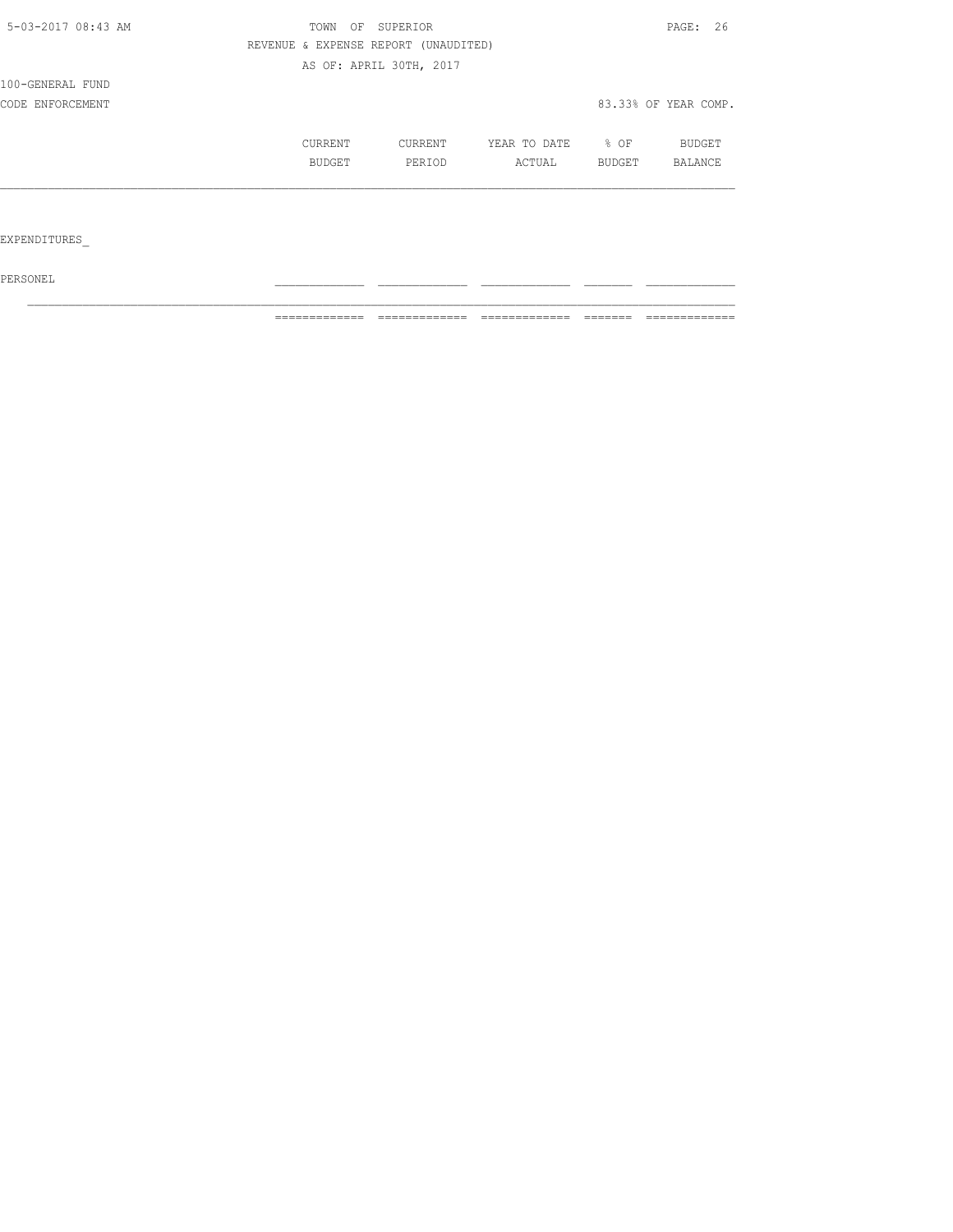| 5-03-2017 08:43 AM | OF<br>SUPERIOR<br>TOWN | PAGE: 26                             |              |        |                      |
|--------------------|------------------------|--------------------------------------|--------------|--------|----------------------|
|                    |                        | REVENUE & EXPENSE REPORT (UNAUDITED) |              |        |                      |
|                    |                        | AS OF: APRIL 30TH, 2017              |              |        |                      |
| 100-GENERAL FUND   |                        |                                      |              |        |                      |
| CODE ENFORCEMENT   |                        |                                      |              |        | 83.33% OF YEAR COMP. |
|                    | CURRENT                | CURRENT                              | YEAR TO DATE | % OF   | BUDGET               |
|                    | <b>BUDGET</b>          | PERIOD                               | ACTUAL       | BUDGET | <b>BALANCE</b>       |
|                    |                        |                                      |              |        |                      |
|                    |                        |                                      |              |        |                      |

EXPENDITURES\_

 $PERSONEL$ 

============= ============= ============= ======= =============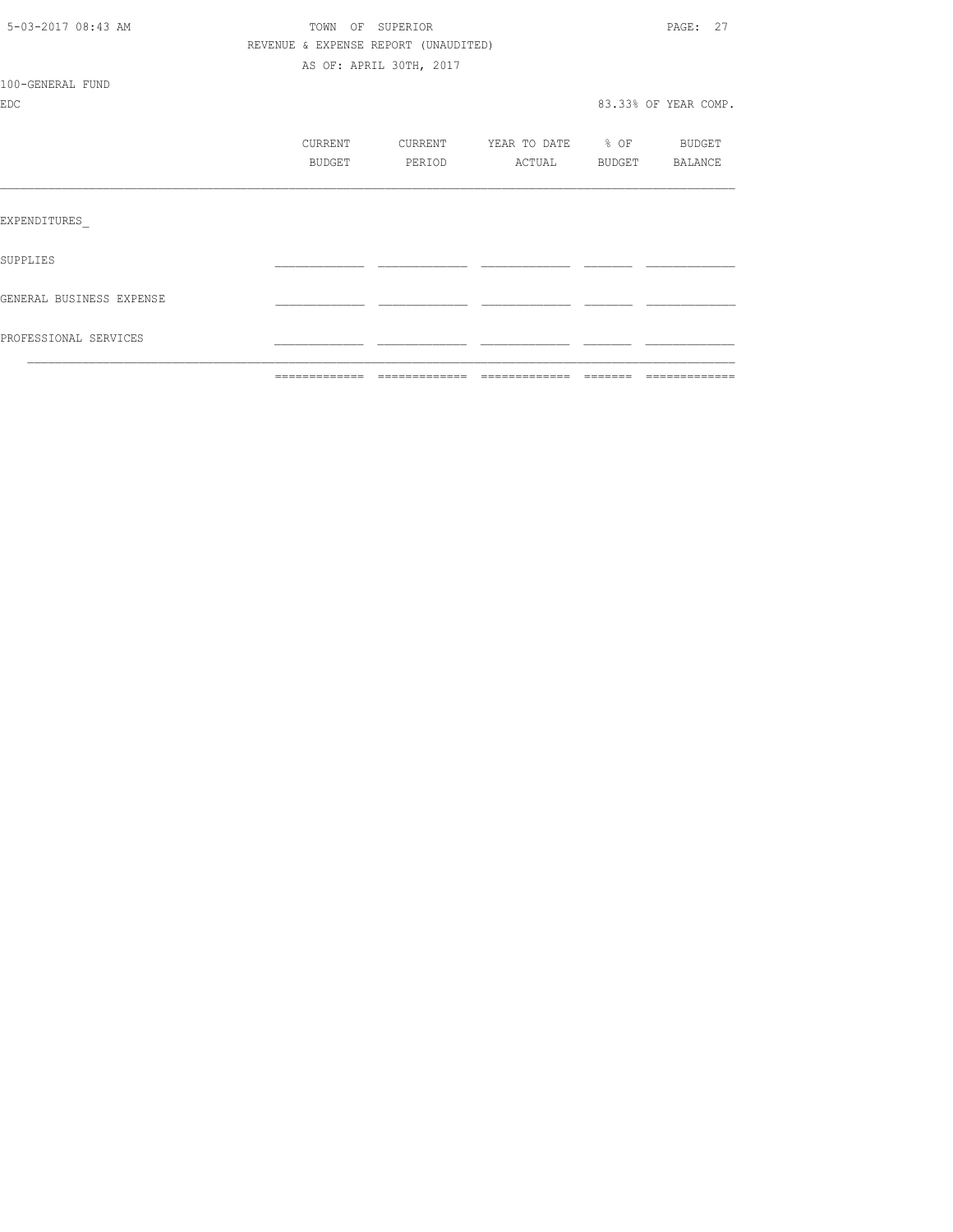|                          | =============                        |                         | ============================== | -------- |                      |
|--------------------------|--------------------------------------|-------------------------|--------------------------------|----------|----------------------|
| PROFESSIONAL SERVICES    |                                      |                         |                                |          |                      |
| GENERAL BUSINESS EXPENSE |                                      |                         |                                |          |                      |
| SUPPLIES                 |                                      |                         |                                |          |                      |
| EXPENDITURES             |                                      |                         |                                |          |                      |
|                          |                                      | PERIOD                  | ACTUAL BUDGET BALANCE          |          |                      |
|                          | CURRENT<br>BUDGET                    | CURRENT                 | YEAR TO DATE % OF BUDGET       |          |                      |
| <b>EDC</b>               |                                      |                         |                                |          | 83.33% OF YEAR COMP. |
| 100-GENERAL FUND         |                                      |                         |                                |          |                      |
|                          |                                      | AS OF: APRIL 30TH, 2017 |                                |          |                      |
|                          | REVENUE & EXPENSE REPORT (UNAUDITED) |                         |                                |          |                      |
| 5-03-2017 08:43 AM       | TOWN OF SUPERIOR                     |                         |                                |          | PAGE: 27             |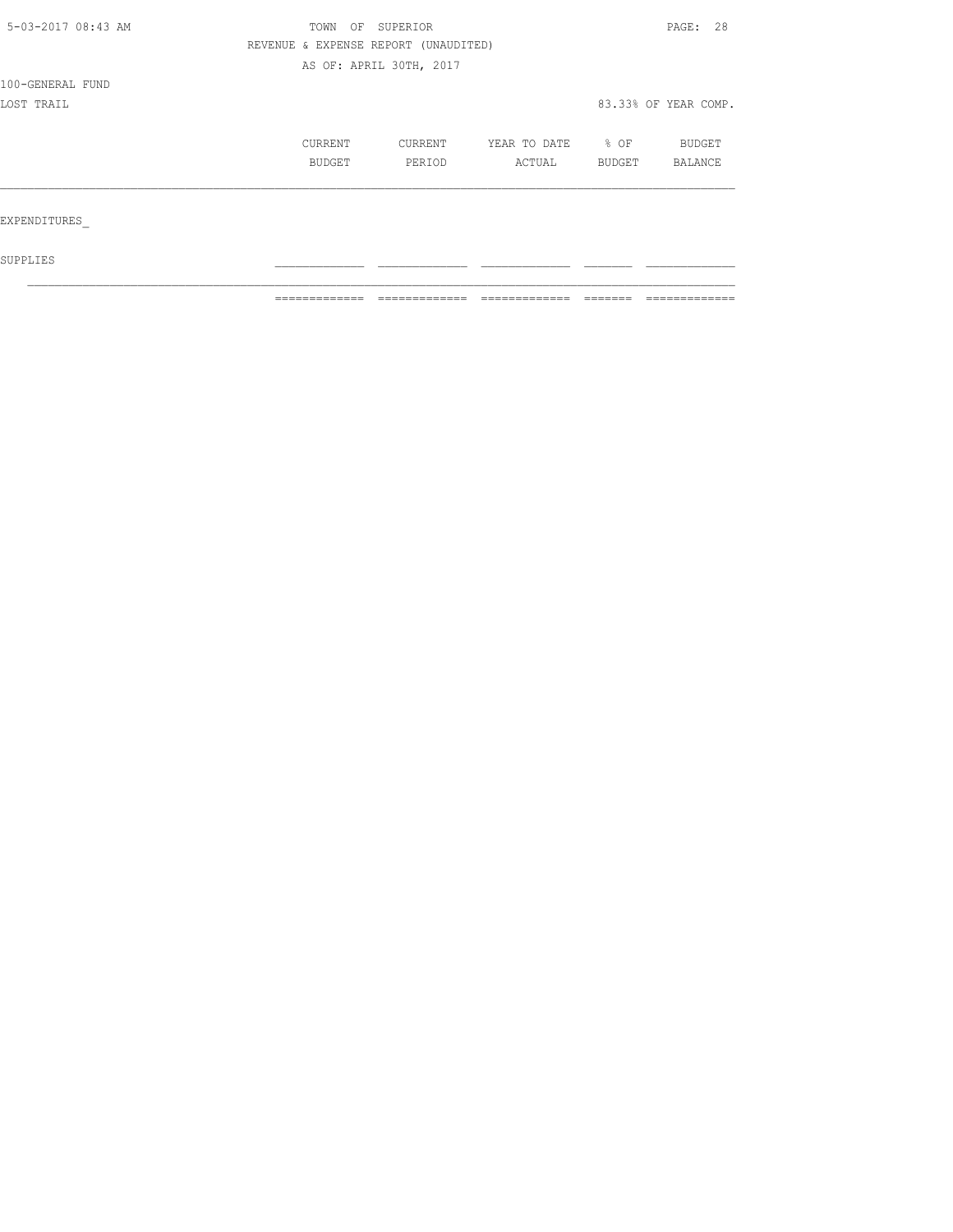| 5-03-2017 08:43 AM | TOWN OF SUPERIOR                     |                         |              |        | PAGE: 28             |  |
|--------------------|--------------------------------------|-------------------------|--------------|--------|----------------------|--|
|                    | REVENUE & EXPENSE REPORT (UNAUDITED) |                         |              |        |                      |  |
|                    |                                      | AS OF: APRIL 30TH, 2017 |              |        |                      |  |
| 100-GENERAL FUND   |                                      |                         |              |        |                      |  |
| LOST TRAIL         |                                      |                         |              |        | 83.33% OF YEAR COMP. |  |
|                    | CURRENT                              | CURRENT                 | YEAR TO DATE | % OF   | <b>BUDGET</b>        |  |
|                    | BUDGET                               | PERIOD                  | ACTUAL       | BUDGET | <b>BALANCE</b>       |  |
| EXPENDITURES       |                                      |                         |              |        |                      |  |

 ${\tt SUPPLIES}$  $\mathcal{L}_\text{max}$ 

============= ============= ============= ======= =============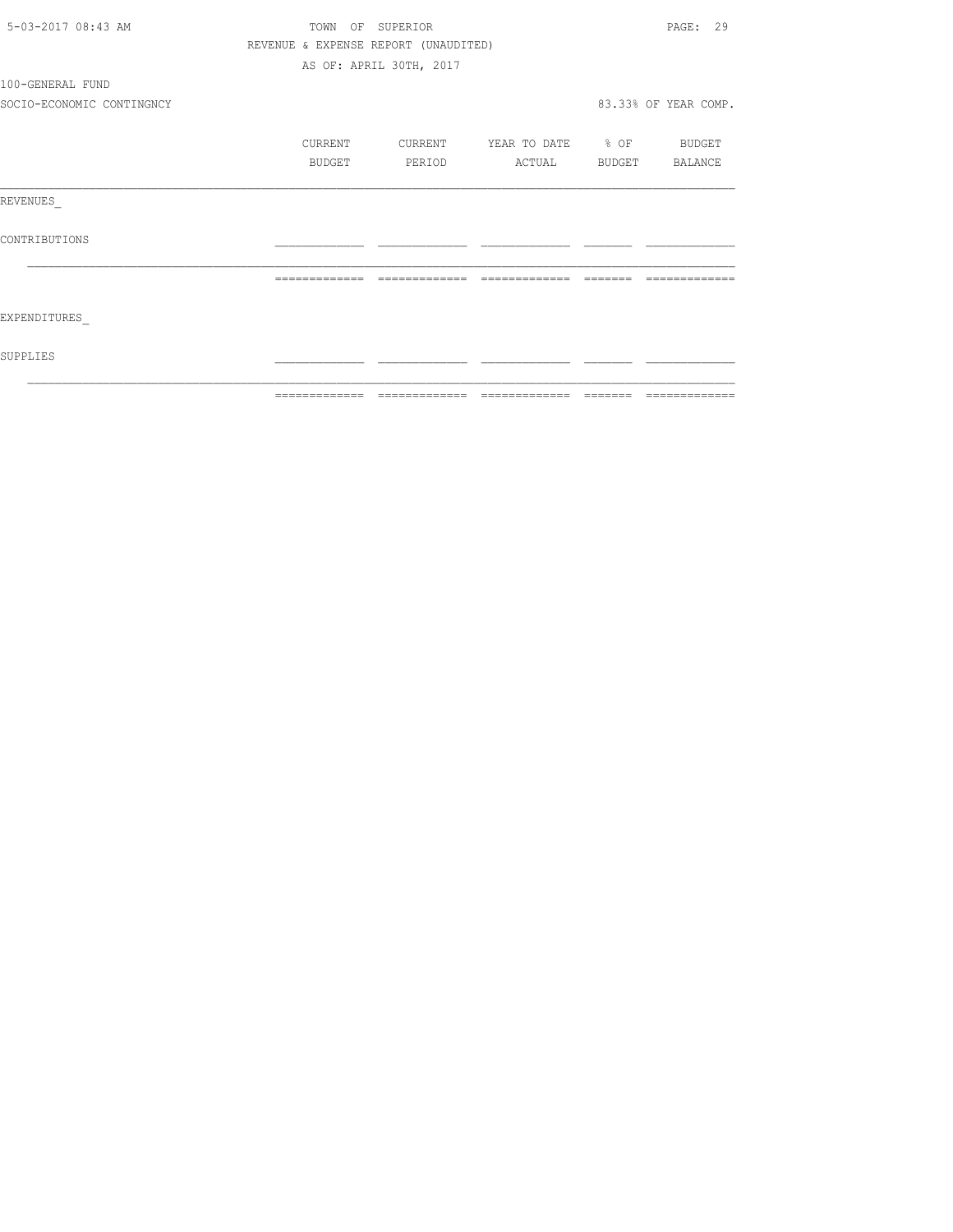| 5-03-2017 08:43 AM        | TOWN OF SUPERIOR                     |                         | PAGE: 29                                                                                                                                                                                                                                                                                                                                                                                                                                                                                     |                                                                                                                                                                                                                                                                                                                                                                                                                                                                                            |                      |
|---------------------------|--------------------------------------|-------------------------|----------------------------------------------------------------------------------------------------------------------------------------------------------------------------------------------------------------------------------------------------------------------------------------------------------------------------------------------------------------------------------------------------------------------------------------------------------------------------------------------|--------------------------------------------------------------------------------------------------------------------------------------------------------------------------------------------------------------------------------------------------------------------------------------------------------------------------------------------------------------------------------------------------------------------------------------------------------------------------------------------|----------------------|
|                           | REVENUE & EXPENSE REPORT (UNAUDITED) |                         |                                                                                                                                                                                                                                                                                                                                                                                                                                                                                              |                                                                                                                                                                                                                                                                                                                                                                                                                                                                                            |                      |
|                           |                                      | AS OF: APRIL 30TH, 2017 |                                                                                                                                                                                                                                                                                                                                                                                                                                                                                              |                                                                                                                                                                                                                                                                                                                                                                                                                                                                                            |                      |
| 100-GENERAL FUND          |                                      |                         |                                                                                                                                                                                                                                                                                                                                                                                                                                                                                              |                                                                                                                                                                                                                                                                                                                                                                                                                                                                                            |                      |
| SOCIO-ECONOMIC CONTINGNCY |                                      |                         |                                                                                                                                                                                                                                                                                                                                                                                                                                                                                              |                                                                                                                                                                                                                                                                                                                                                                                                                                                                                            | 83.33% OF YEAR COMP. |
|                           | CURRENT                              | <b>CURRENT</b>          | YEAR TO DATE % OF BUDGET                                                                                                                                                                                                                                                                                                                                                                                                                                                                     |                                                                                                                                                                                                                                                                                                                                                                                                                                                                                            |                      |
|                           | BUDGET                               | <b>PERIOD</b>           | ACTUAL BUDGET BALANCE                                                                                                                                                                                                                                                                                                                                                                                                                                                                        |                                                                                                                                                                                                                                                                                                                                                                                                                                                                                            |                      |
| REVENUES                  |                                      |                         |                                                                                                                                                                                                                                                                                                                                                                                                                                                                                              |                                                                                                                                                                                                                                                                                                                                                                                                                                                                                            |                      |
| CONTRIBUTIONS             |                                      |                         |                                                                                                                                                                                                                                                                                                                                                                                                                                                                                              |                                                                                                                                                                                                                                                                                                                                                                                                                                                                                            |                      |
|                           | =============                        | =============           | $\begin{array}{c} \multicolumn{2}{c} {\textbf{1}} & \multicolumn{2}{c} {\textbf{2}} & \multicolumn{2}{c} {\textbf{3}} & \multicolumn{2}{c} {\textbf{4}} \\ \multicolumn{2}{c} {\textbf{5}} & \multicolumn{2}{c} {\textbf{6}} & \multicolumn{2}{c} {\textbf{7}} & \multicolumn{2}{c} {\textbf{8}} & \multicolumn{2}{c} {\textbf{9}} \\ \multicolumn{2}{c} {\textbf{1}} & \multicolumn{2}{c} {\textbf{1}} & \multicolumn{2}{c} {\textbf{1}} & \multicolumn{2}{c} {\textbf{1}} & \multicolumn{$ | $\qquad \qquad \qquad =\qquad \qquad =\qquad \qquad =\qquad \qquad =\qquad \qquad =\qquad \qquad =\qquad \qquad =\qquad \qquad =\qquad \qquad =\qquad \qquad =\qquad \qquad =\qquad \qquad =\qquad \qquad =\qquad \qquad =\qquad \qquad =\qquad \qquad =\qquad \qquad =\qquad \qquad =\qquad \qquad =\qquad \qquad =\qquad \qquad =\qquad \qquad =\qquad \qquad =\qquad \qquad =\qquad \qquad =\qquad \qquad =\qquad \qquad =\qquad \qquad =\qquad \qquad =\qquad \qquad =\qquad \qquad =$ |                      |
| EXPENDITURES              |                                      |                         |                                                                                                                                                                                                                                                                                                                                                                                                                                                                                              |                                                                                                                                                                                                                                                                                                                                                                                                                                                                                            |                      |
| SUPPLIES                  |                                      |                         |                                                                                                                                                                                                                                                                                                                                                                                                                                                                                              |                                                                                                                                                                                                                                                                                                                                                                                                                                                                                            |                      |
|                           |                                      |                         |                                                                                                                                                                                                                                                                                                                                                                                                                                                                                              |                                                                                                                                                                                                                                                                                                                                                                                                                                                                                            |                      |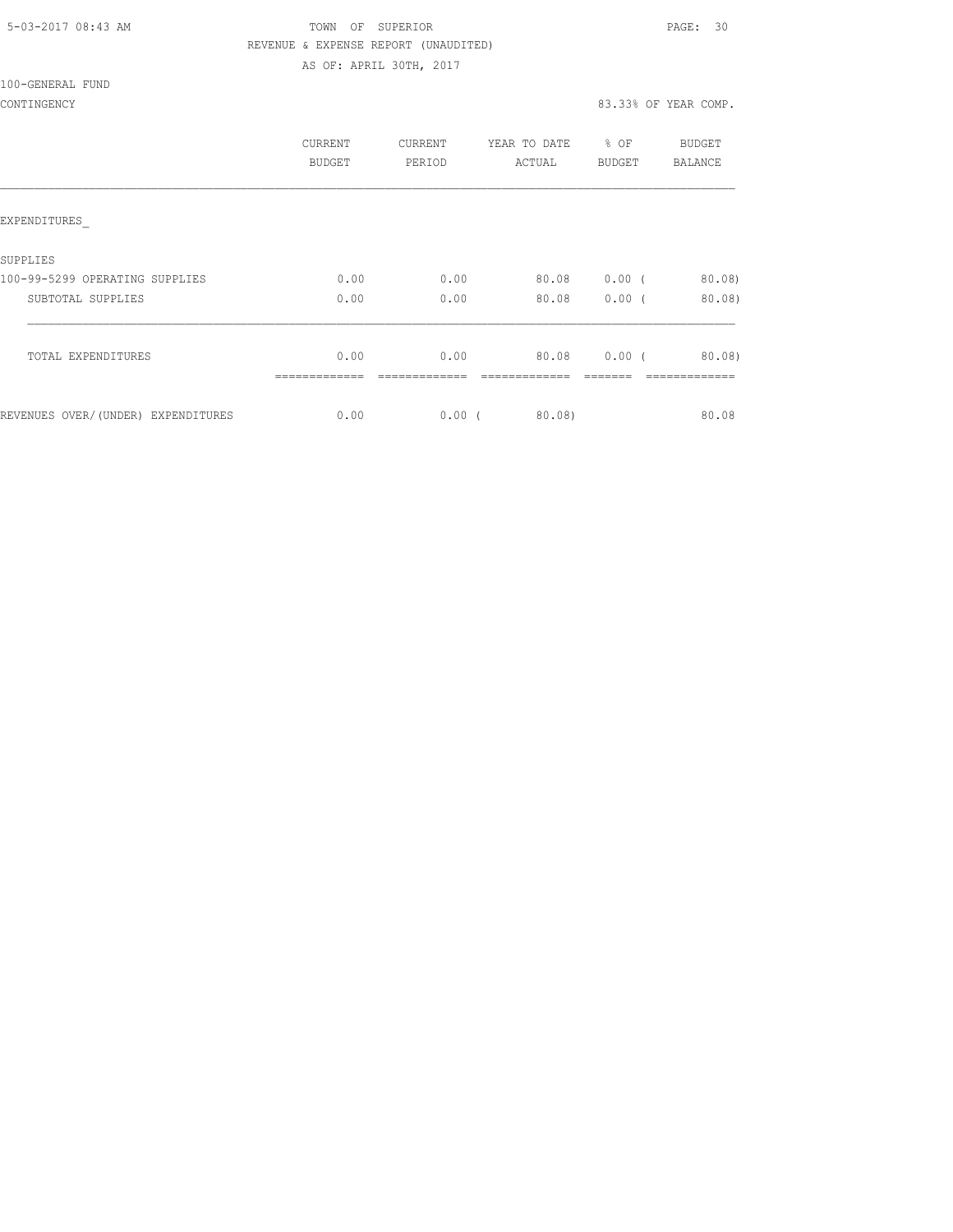| 5-03-2017 08:43 AM |  |
|--------------------|--|
|                    |  |

# TOWN OF SUPERIOR **Example 2017** PAGE: 30 REVENUE & EXPENSE REPORT (UNAUDITED)

AS OF: APRIL 30TH, 2017

100-GENERAL FUND

|                                    | <b>CURRENT</b><br>BUDGET | <b>CURRENT</b><br>PERIOD | YEAR TO DATE<br>ACTUAL | $8$ OF<br>BUDGET | BUDGET<br>BALANCE |
|------------------------------------|--------------------------|--------------------------|------------------------|------------------|-------------------|
| EXPENDITURES                       |                          |                          |                        |                  |                   |
| SUPPLIES                           |                          |                          |                        |                  |                   |
| 100-99-5299 OPERATING SUPPLIES     | 0.00                     | 0.00                     | 80.08                  | $0.00$ (         | 80.08             |
| SUBTOTAL SUPPLIES                  | 0.00                     | 0.00                     | 80.08                  | 0.00(            | $80.08$ )         |
| TOTAL EXPENDITURES                 | 0.00                     | 0.00                     | 80.08                  | $0.00$ (         | 80.08)            |
|                                    |                          |                          |                        |                  |                   |
| REVENUES OVER/(UNDER) EXPENDITURES | 0.00                     | $0.00$ (                 | 80.08)                 |                  | 80.08             |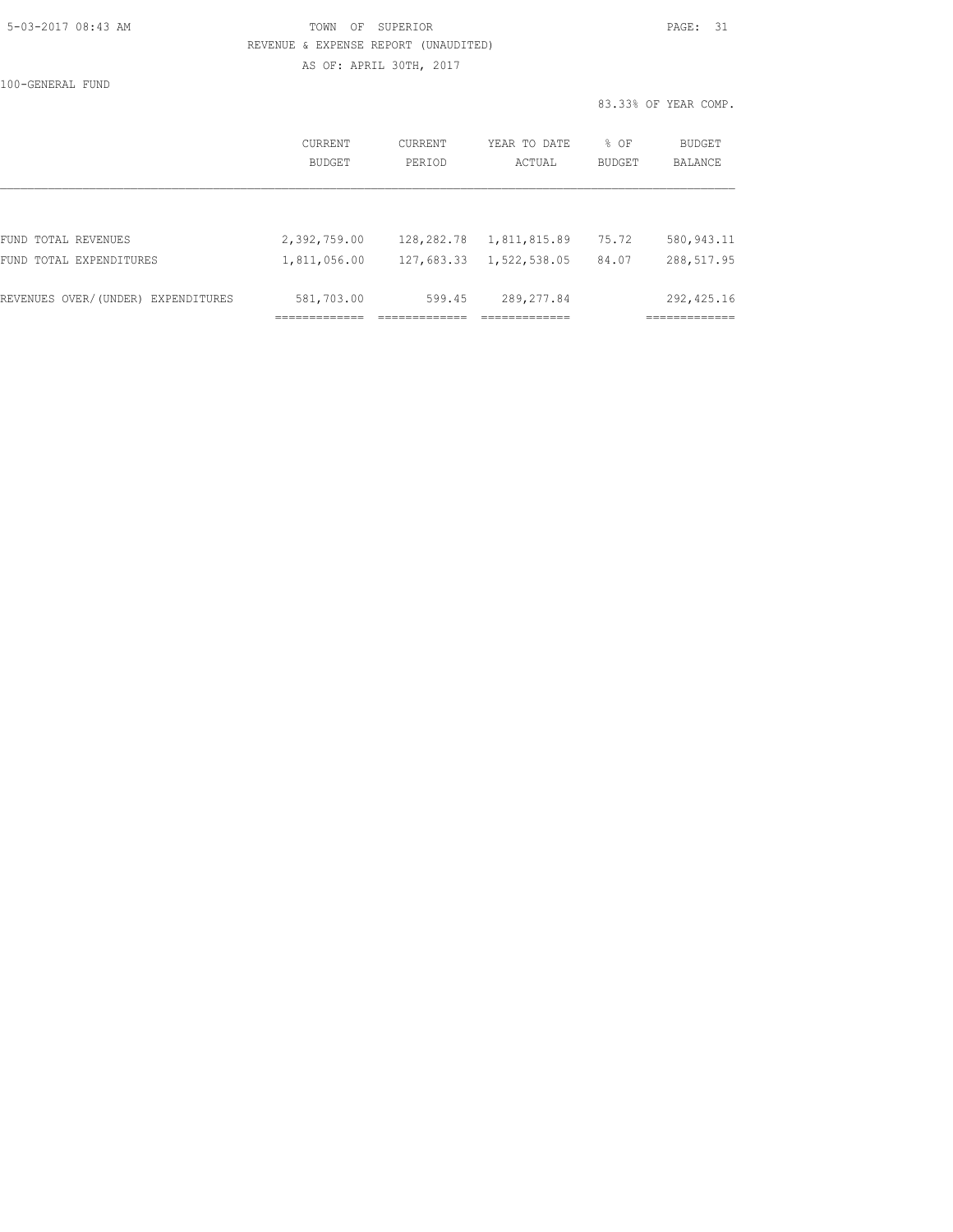#### 5-03-2017 08:43 AM TOWN OF SUPERIOR PAGE: 31 REVENUE & EXPENSE REPORT (UNAUDITED) AS OF: APRIL 30TH, 2017

100-GENERAL FUND

83.33% OF YEAR COMP.

|                                    | CURRENT<br><b>BUDGET</b> | CURRENT<br>PERIOD | YEAR TO DATE<br>ACTUAL | % OF<br><b>BUDGET</b> | BUDGET<br><b>BALANCE</b> |
|------------------------------------|--------------------------|-------------------|------------------------|-----------------------|--------------------------|
|                                    |                          |                   |                        |                       |                          |
| FUND TOTAL REVENUES                | 2,392,759.00             | 128,282.78        | 1,811,815.89           | 75.72                 | 580, 943.11              |
| FUND TOTAL EXPENDITURES            | 1,811,056.00             | 127,683.33        | 1,522,538.05           | 84.07                 | 288,517.95               |
| REVENUES OVER/(UNDER) EXPENDITURES | 581,703.00               | 599.45            | 289, 277.84            |                       | 292, 425.16              |
|                                    |                          |                   |                        |                       |                          |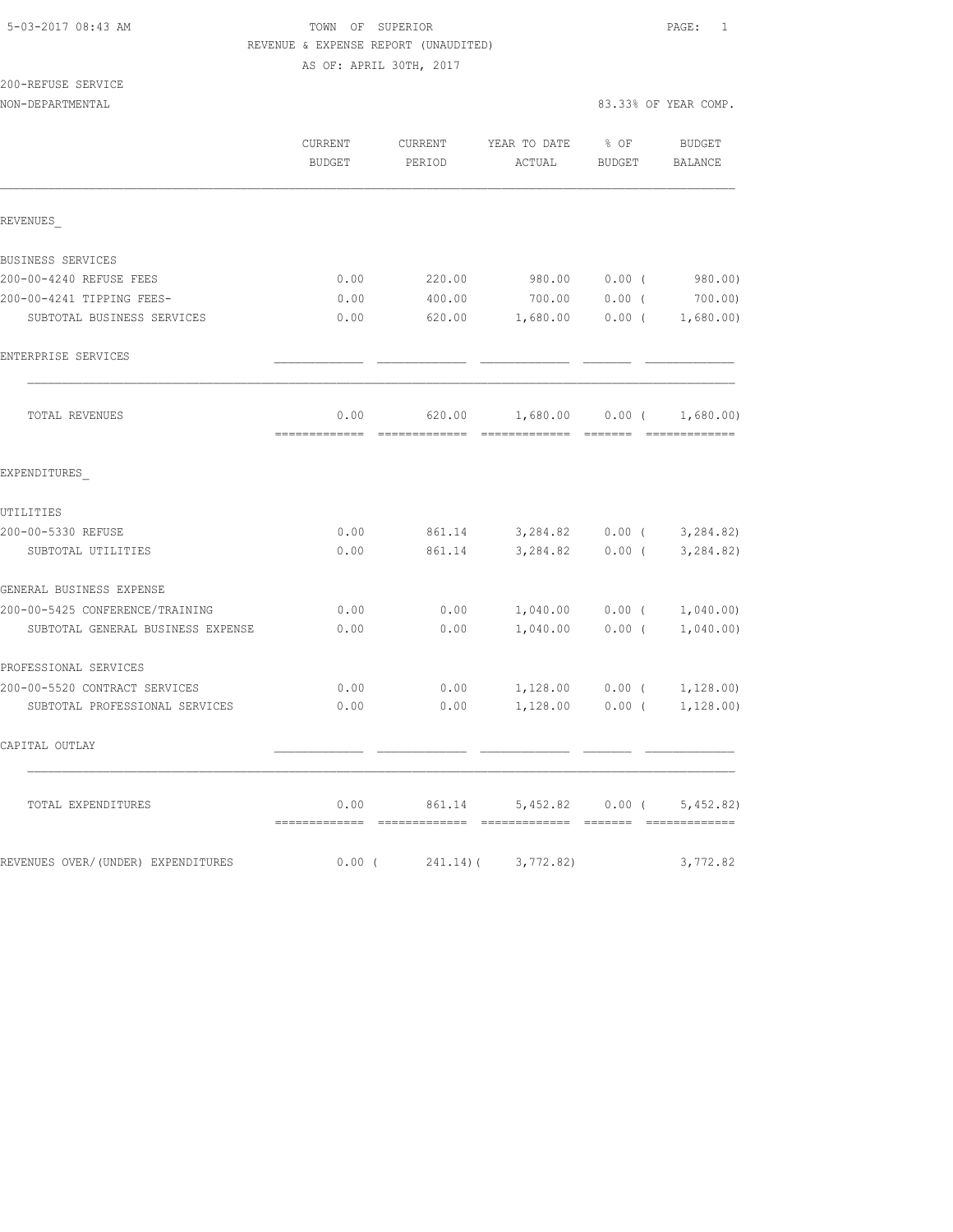| 5-03-2017 08:43 AM |  |
|--------------------|--|
|                    |  |

## TOWN OF SUPERIOR **Example 2018** PAGE: 1 REVENUE & EXPENSE REPORT (UNAUDITED) AS OF: APRIL 30TH, 2017

| 200-REFUSE SERVICE |  |
|--------------------|--|
|--------------------|--|

|                                    | CURRENT<br>BUDGET                     | CURRENT<br>PERIOD | YEAR TO DATE % OF<br>ACTUAL         | BUDGET            | BUDGET<br>BALANCE               |
|------------------------------------|---------------------------------------|-------------------|-------------------------------------|-------------------|---------------------------------|
| REVENUES                           |                                       |                   |                                     |                   |                                 |
| BUSINESS SERVICES                  |                                       |                   |                                     |                   |                                 |
| 200-00-4240 REFUSE FEES            | 0.00                                  |                   | 220.00 980.00                       |                   | $0.00$ (980.00)                 |
| 200-00-4241 TIPPING FEES-          | 0.00                                  | 400.00            | 700.00                              | $0.00$ (          | 700.00)                         |
| SUBTOTAL BUSINESS SERVICES         | 0.00                                  |                   | 620.00  1,680.00  0.00  ( 1,680.00) |                   |                                 |
| ENTERPRISE SERVICES                |                                       |                   |                                     |                   |                                 |
| TOTAL REVENUES                     | 0.00<br>-------------- -------------- |                   | - cooperaterate - cooperat          |                   |                                 |
| EXPENDITURES                       |                                       |                   |                                     |                   |                                 |
| UTILITIES                          |                                       |                   |                                     |                   |                                 |
| 200-00-5330 REFUSE                 | 0.00                                  |                   | 861.14 3,284.82 0.00 (3,284.82)     |                   |                                 |
| SUBTOTAL UTILITIES                 | 0.00                                  | 861.14            | $3,284.82$ 0.00 ( $3,284.82$ )      |                   |                                 |
| GENERAL BUSINESS EXPENSE           |                                       |                   |                                     |                   |                                 |
| 200-00-5425 CONFERENCE/TRAINING    | 0.00                                  | 0.00              |                                     |                   | $1,040.00$ $0.00$ ( $1,040.00)$ |
| SUBTOTAL GENERAL BUSINESS EXPENSE  | 0.00                                  | 0.00              |                                     | $1,040.00$ 0.00 ( | 1,040.00)                       |
| PROFESSIONAL SERVICES              |                                       |                   |                                     |                   |                                 |
| 200-00-5520 CONTRACT SERVICES      | 0.00                                  | 0.00              |                                     |                   | $1,128.00$ 0.00 ( 1,128.00)     |
| SUBTOTAL PROFESSIONAL SERVICES     | 0.00                                  | 0.00              | 1,128.00                            | $0.00$ (          | 1,128.00)                       |
| CAPITAL OUTLAY                     |                                       |                   |                                     |                   |                                 |
| TOTAL EXPENDITURES                 | 0.00                                  | 861.14            |                                     |                   | $5,452.82$ 0.00 ( $5,452.82$ )  |
| REVENUES OVER/(UNDER) EXPENDITURES | 0.00(                                 | 241.14) (         | 3,772.82)                           |                   | 3,772.82                        |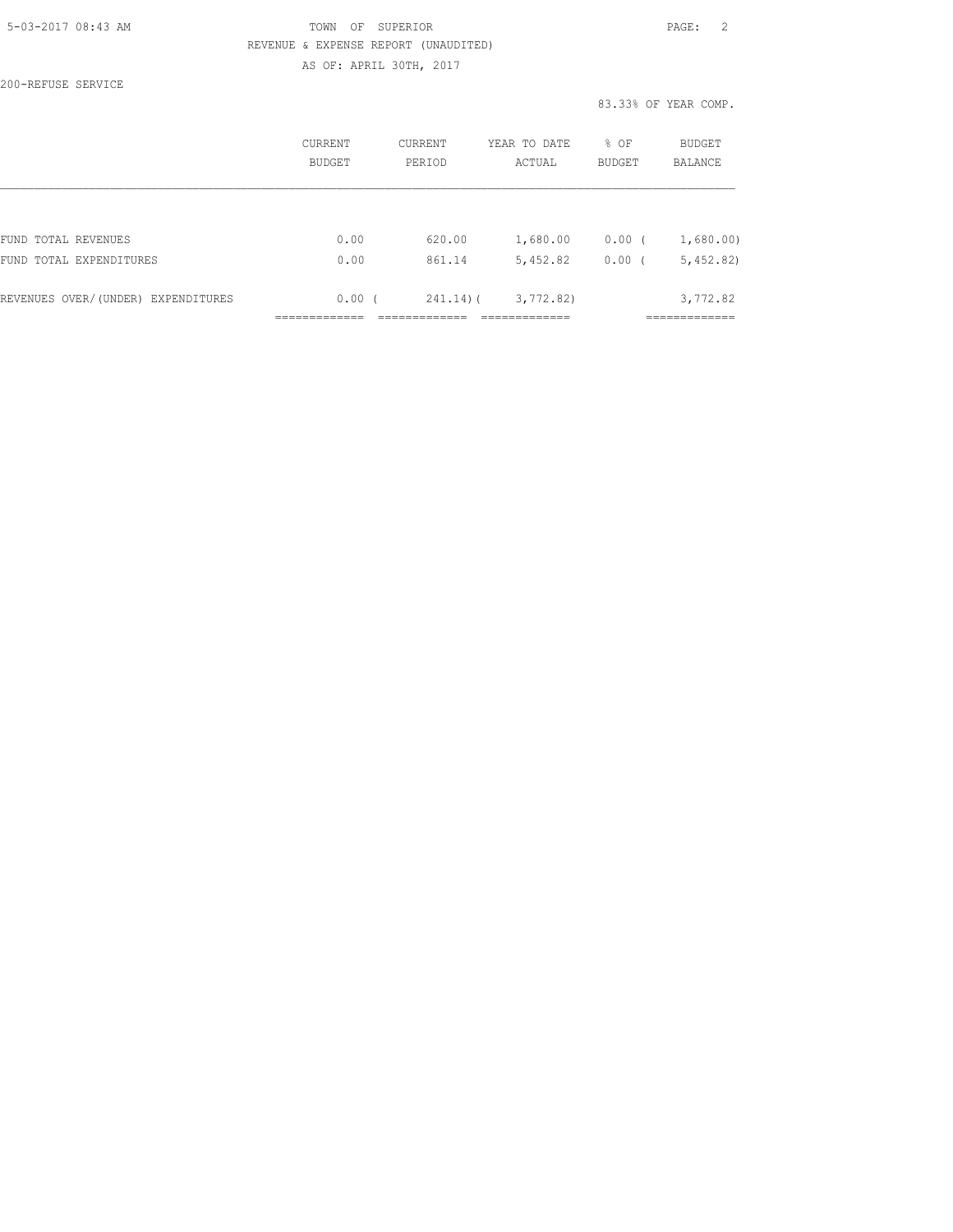#### 5-03-2017 08:43 AM TOWN OF SUPERIOR PAGE: 2 REVENUE & EXPENSE REPORT (UNAUDITED) AS OF: APRIL 30TH, 2017

200-REFUSE SERVICE

83.33% OF YEAR COMP.

|                                    | CURRENT<br>BUDGET | <b>CURRENT</b><br>PERIOD | YEAR TO DATE<br>ACTUAL | % OF<br><b>BUDGET</b> | <b>BUDGET</b><br><b>BALANCE</b> |
|------------------------------------|-------------------|--------------------------|------------------------|-----------------------|---------------------------------|
|                                    |                   |                          |                        |                       |                                 |
| FUND TOTAL REVENUES                | 0.00              | 620.00                   | 1,680.00               | $0.00$ (              | 1,680.00)                       |
| FUND TOTAL EXPENDITURES            | 0.00              | 861.14                   | 5,452.82               | 0.00(                 | 5,452,82)                       |
| REVENUES OVER/(UNDER) EXPENDITURES | 0.00(             | $241.14$ ) (             | 3,772,82)              |                       | 3,772.82                        |
|                                    |                   |                          |                        |                       |                                 |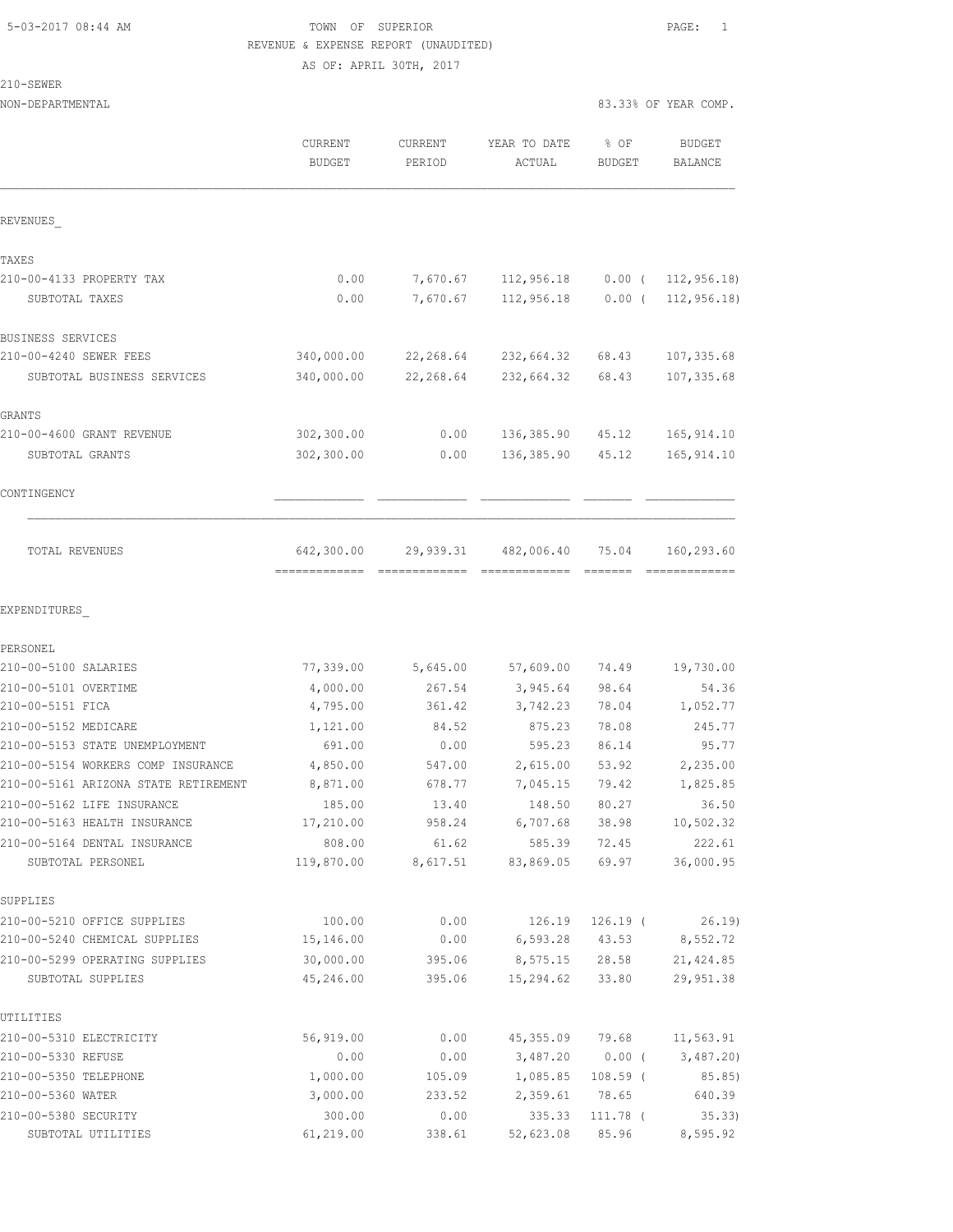#### 5-03-2017 08:44 AM TOWN OF SUPERIOR PAGE: 1 REVENUE & EXPENSE REPORT (UNAUDITED) AS OF: APRIL 30TH, 2017

210-SEWER

| NON-DEPARTMENTAL                                                           |                          |                   |                        | 83.33% OF YEAR COMP.  |                          |
|----------------------------------------------------------------------------|--------------------------|-------------------|------------------------|-----------------------|--------------------------|
|                                                                            | CURRENT<br><b>BUDGET</b> | CURRENT<br>PERIOD | YEAR TO DATE<br>ACTUAL | % OF<br><b>BUDGET</b> | <b>BUDGET</b><br>BALANCE |
| REVENUES                                                                   |                          |                   |                        |                       |                          |
| TAXES                                                                      |                          |                   |                        |                       |                          |
| 210-00-4133 PROPERTY TAX                                                   | 0.00                     | 7,670.67          | 112,956.18             | $0.00$ (              | 112, 956.18              |
| SUBTOTAL TAXES                                                             | 0.00                     | 7,670.67          | 112,956.18             | $0.00$ (              | 112, 956.18              |
| BUSINESS SERVICES                                                          |                          |                   |                        |                       |                          |
| 210-00-4240 SEWER FEES                                                     | 340,000.00               | 22,268.64         | 232,664.32             | 68.43                 | 107,335.68               |
| SUBTOTAL BUSINESS SERVICES                                                 | 340,000.00               | 22,268.64         | 232,664.32             | 68.43                 | 107, 335.68              |
| GRANTS                                                                     |                          |                   |                        |                       |                          |
| 210-00-4600 GRANT REVENUE                                                  | 302,300.00               | 0.00              | 136,385.90             | 45.12                 | 165, 914.10              |
| SUBTOTAL GRANTS                                                            | 302,300.00               | 0.00              | 136,385.90             | 45.12                 | 165, 914.10              |
| CONTINGENCY                                                                |                          |                   |                        |                       |                          |
| TOTAL REVENUES                                                             | 642,300.00               | 29,939.31         | 482,006.40             | 75.04                 | 160,293.60               |
| EXPENDITURES                                                               |                          |                   |                        |                       |                          |
| PERSONEL                                                                   |                          |                   |                        |                       |                          |
| 210-00-5100 SALARIES                                                       | 77,339.00                | 5,645.00          | 57,609.00              | 74.49                 | 19,730.00                |
| 210-00-5101 OVERTIME                                                       | 4,000.00                 | 267.54            | 3,945.64               | 98.64                 | 54.36                    |
| 210-00-5151 FICA                                                           | 4,795.00                 | 361.42            | 3,742.23               | 78.04                 | 1,052.77                 |
| 210-00-5152 MEDICARE                                                       | 1,121.00                 | 84.52             | 875.23                 | 78.08                 | 245.77                   |
| 210-00-5153 STATE UNEMPLOYMENT                                             | 691.00<br>4,850.00       | 0.00              | 595.23                 | 86.14                 | 95.77                    |
| 210-00-5154 WORKERS COMP INSURANCE<br>210-00-5161 ARIZONA STATE RETIREMENT | 8,871.00                 | 547.00<br>678.77  | 2,615.00<br>7,045.15   | 53.92<br>79.42        | 2,235.00<br>1,825.85     |
| 210-00-5162 LIFE INSURANCE                                                 | 185.00                   | 13.40             | 148.50                 | 80.27                 | 36.50                    |
| 210-00-5163 HEALTH INSURANCE                                               | 17,210.00                | 958.24            | 6,707.68               | 38.98                 | 10,502.32                |
| 210-00-5164 DENTAL INSURANCE                                               | 808.00                   | 61.62             | 585.39                 | 72.45                 | 222.61                   |
| SUBTOTAL PERSONEL                                                          | 119,870.00               | 8,617.51          | 83,869.05              | 69.97                 | 36,000.95                |
| SUPPLIES                                                                   |                          |                   |                        |                       |                          |
| 210-00-5210 OFFICE SUPPLIES                                                | 100.00                   | 0.00              | 126.19                 | $126.19$ (            | 26.19                    |
| 210-00-5240 CHEMICAL SUPPLIES                                              | 15,146.00                | 0.00              | 6,593.28               | 43.53                 | 8,552.72                 |
| 210-00-5299 OPERATING SUPPLIES                                             | 30,000.00                | 395.06            | 8,575.15               | 28.58                 | 21, 424.85               |
| SUBTOTAL SUPPLIES                                                          | 45,246.00                | 395.06            | 15,294.62              | 33.80                 | 29, 951.38               |
| UTILITIES                                                                  |                          |                   |                        |                       |                          |
| 210-00-5310 ELECTRICITY                                                    | 56,919.00                | 0.00              | 45,355.09              | 79.68                 | 11,563.91                |
| 210-00-5330 REFUSE                                                         | 0.00                     | 0.00              | 3,487.20               | $0.00$ (              | 3,487.20                 |
| 210-00-5350 TELEPHONE                                                      | 1,000.00                 | 105.09            | 1,085.85               | $108.59$ (            | 85.85)                   |
| 210-00-5360 WATER                                                          | 3,000.00                 | 233.52            | 2,359.61               | 78.65                 | 640.39                   |

210-00-5380 SECURITY 300.00 0.00 335.33 111.78 ( 35.33) SUBTOTAL UTILITIES 61,219.00 338.61 52,623.08 85.96 8,595.92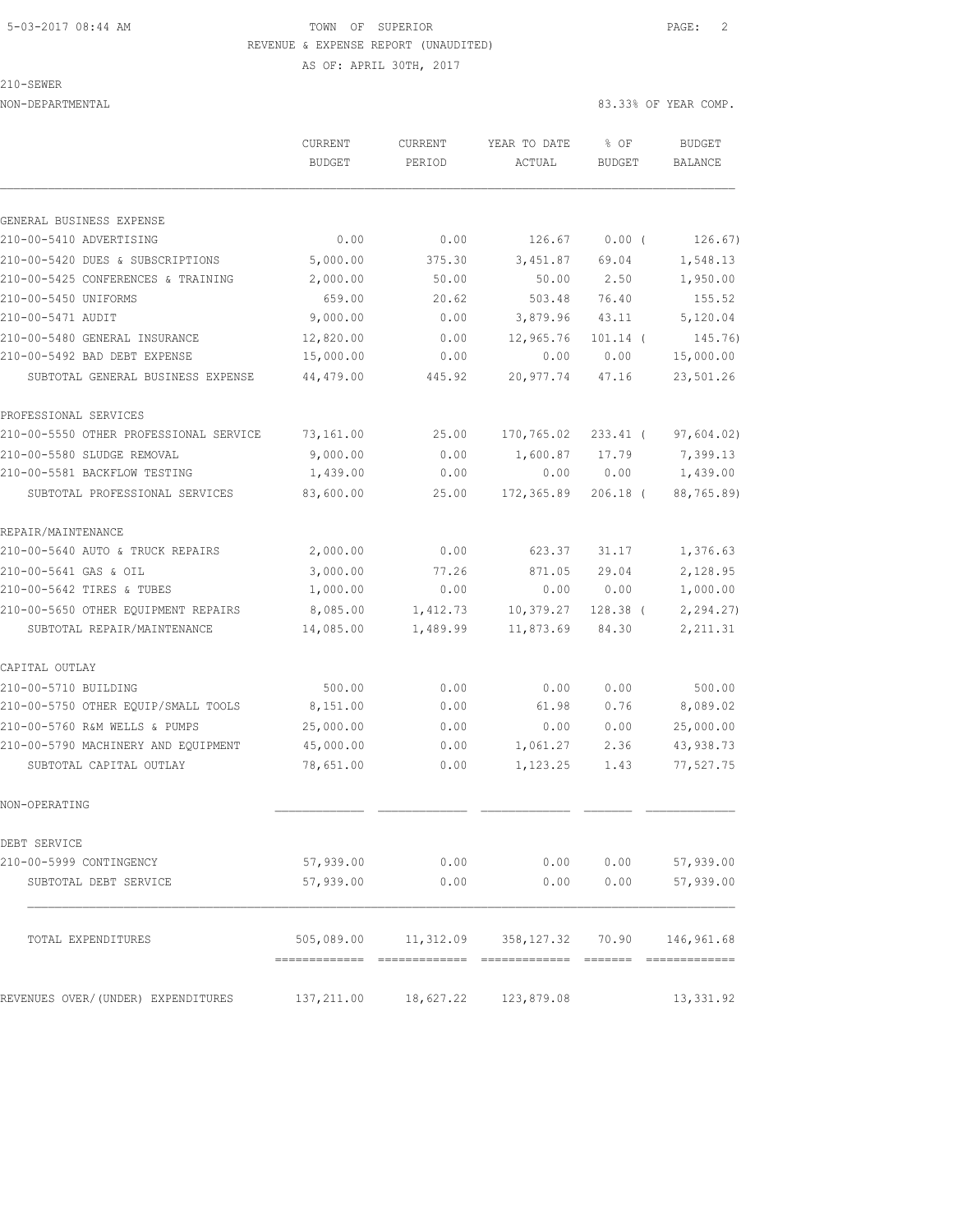## 5-03-2017 08:44 AM TOWN OF SUPERIOR PAGE: 2 REVENUE & EXPENSE REPORT (UNAUDITED)

AS OF: APRIL 30TH, 2017

210-SEWER

NON-DEPARTMENTAL 83.33% OF YEAR COMP.

|                                        | <b>CURRENT</b><br><b>BUDGET</b> | <b>CURRENT</b><br>PERIOD | YEAR TO DATE<br>ACTUAL | \$OF<br><b>BUDGET</b> | <b>BUDGET</b><br>BALANCE |
|----------------------------------------|---------------------------------|--------------------------|------------------------|-----------------------|--------------------------|
|                                        |                                 |                          |                        |                       |                          |
| GENERAL BUSINESS EXPENSE               |                                 |                          |                        |                       |                          |
| 210-00-5410 ADVERTISING                | 0.00                            | 0.00                     | 126.67                 | 0.00(                 | 126.67)                  |
| 210-00-5420 DUES & SUBSCRIPTIONS       | 5,000.00                        | 375.30                   | 3,451.87               | 69.04                 | 1,548.13                 |
| 210-00-5425 CONFERENCES & TRAINING     | 2,000.00                        | 50.00                    | 50.00                  | 2.50                  | 1,950.00                 |
| 210-00-5450 UNIFORMS                   | 659.00                          | 20.62                    | 503.48                 | 76.40                 | 155.52                   |
| 210-00-5471 AUDIT                      | 9,000.00                        | 0.00                     | 3,879.96               | 43.11                 | 5,120.04                 |
| 210-00-5480 GENERAL INSURANCE          | 12,820.00                       | 0.00                     | 12,965.76              | $101.14$ (            | 145.76)                  |
| 210-00-5492 BAD DEBT EXPENSE           | 15,000.00                       | 0.00                     | 0.00                   | 0.00                  | 15,000.00                |
| SUBTOTAL GENERAL BUSINESS EXPENSE      | 44,479.00                       | 445.92                   | 20,977.74              | 47.16                 | 23,501.26                |
| PROFESSIONAL SERVICES                  |                                 |                          |                        |                       |                          |
| 210-00-5550 OTHER PROFESSIONAL SERVICE | 73,161.00                       | 25.00                    | 170,765.02             | 233.41 (              | 97,604.02)               |
| 210-00-5580 SLUDGE REMOVAL             | 9,000.00                        | 0.00                     | 1,600.87               | 17.79                 | 7,399.13                 |
| 210-00-5581 BACKFLOW TESTING           | 1,439.00                        | 0.00                     | 0.00                   | 0.00                  | 1,439.00                 |
| SUBTOTAL PROFESSIONAL SERVICES         | 83,600.00                       | 25.00                    | 172,365.89             | $206.18$ (            | 88,765.89)               |
| REPAIR/MAINTENANCE                     |                                 |                          |                        |                       |                          |
| 210-00-5640 AUTO & TRUCK REPAIRS       | 2,000.00                        | 0.00                     | 623.37                 | 31.17                 | 1,376.63                 |
| 210-00-5641 GAS & OIL                  | 3,000.00                        | 77.26                    | 871.05                 | 29.04                 | 2,128.95                 |
| 210-00-5642 TIRES & TUBES              | 1,000.00                        | 0.00                     | 0.00                   | 0.00                  | 1,000.00                 |
| 210-00-5650 OTHER EQUIPMENT REPAIRS    | 8,085.00                        | 1,412.73                 | 10,379.27              | 128.38 (              | 2, 294.27                |
| SUBTOTAL REPAIR/MAINTENANCE            | 14,085.00                       | 1,489.99                 | 11,873.69              | 84.30                 | 2, 211.31                |
| CAPITAL OUTLAY                         |                                 |                          |                        |                       |                          |
| 210-00-5710 BUILDING                   | 500.00                          | 0.00                     | 0.00                   | 0.00                  | 500.00                   |
| 210-00-5750 OTHER EQUIP/SMALL TOOLS    | 8,151.00                        | 0.00                     | 61.98                  | 0.76                  | 8,089.02                 |
| 210-00-5760 R&M WELLS & PUMPS          | 25,000.00                       | 0.00                     | 0.00                   | 0.00                  | 25,000.00                |
| 210-00-5790 MACHINERY AND EQUIPMENT    | 45,000.00                       | 0.00                     | 1,061.27               | 2.36                  | 43,938.73                |
| SUBTOTAL CAPITAL OUTLAY                | 78,651.00                       | 0.00                     | 1,123.25               | 1.43                  | 77,527.75                |
| NON-OPERATING                          |                                 |                          |                        |                       |                          |
| DEBT SERVICE                           |                                 |                          |                        |                       |                          |
| 210-00-5999 CONTINGENCY                | 57,939.00                       | 0.00                     | 0.00                   | 0.00                  | 57,939.00                |
| SUBTOTAL DEBT SERVICE                  | 57,939.00                       | 0.00                     | 0.00                   | 0.00                  | 57,939.00                |
| TOTAL EXPENDITURES                     | 505,089.00                      | 11,312.09                | 358,127.32             | 70.90                 | 146,961.68               |
| REVENUES OVER/(UNDER) EXPENDITURES     | 137,211.00                      | 18,627.22                | 123,879.08             |                       | 13, 331.92               |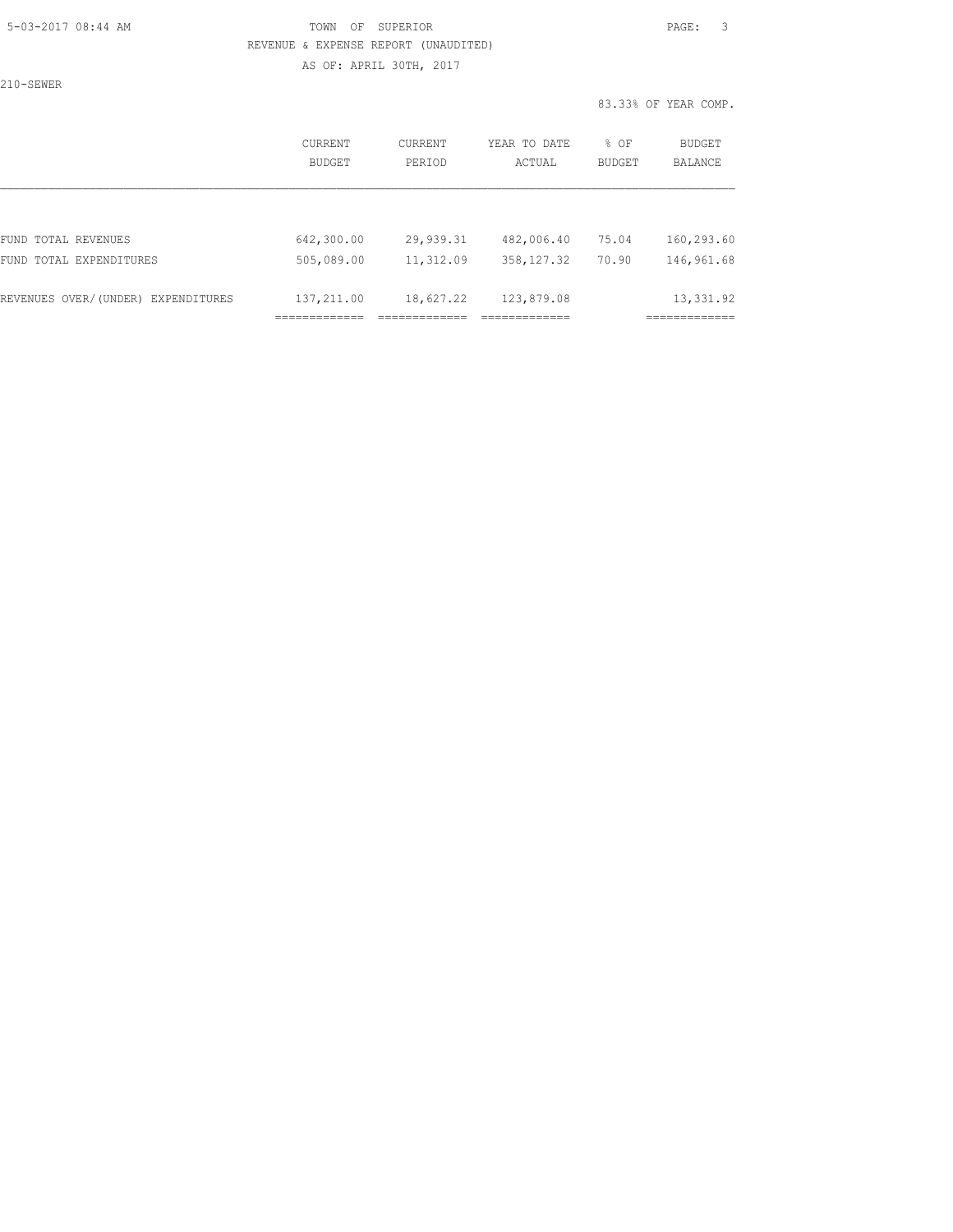#### 5-03-2017 08:44 AM TOWN OF SUPERIOR PAGE: 3 REVENUE & EXPENSE REPORT (UNAUDITED) AS OF: APRIL 30TH, 2017

210-SEWER

83.33% OF YEAR COMP.

|                                    | CURRENT<br><b>BUDGET</b> | CURRENT<br>PERIOD | YEAR TO DATE<br>ACTUAL | % OF<br><b>BUDGET</b> | BUDGET<br><b>BALANCE</b> |
|------------------------------------|--------------------------|-------------------|------------------------|-----------------------|--------------------------|
|                                    |                          |                   |                        |                       |                          |
| FUND TOTAL REVENUES                | 642,300.00               | 29,939.31         | 482,006.40             | 75.04                 | 160,293.60               |
| FUND TOTAL EXPENDITURES            | 505,089.00               | 11,312.09         | 358, 127.32            | 70.90                 | 146,961.68               |
| REVENUES OVER/(UNDER) EXPENDITURES | 137,211.00               | 18,627.22         | 123,879.08             |                       | 13, 331.92               |
|                                    |                          |                   |                        |                       |                          |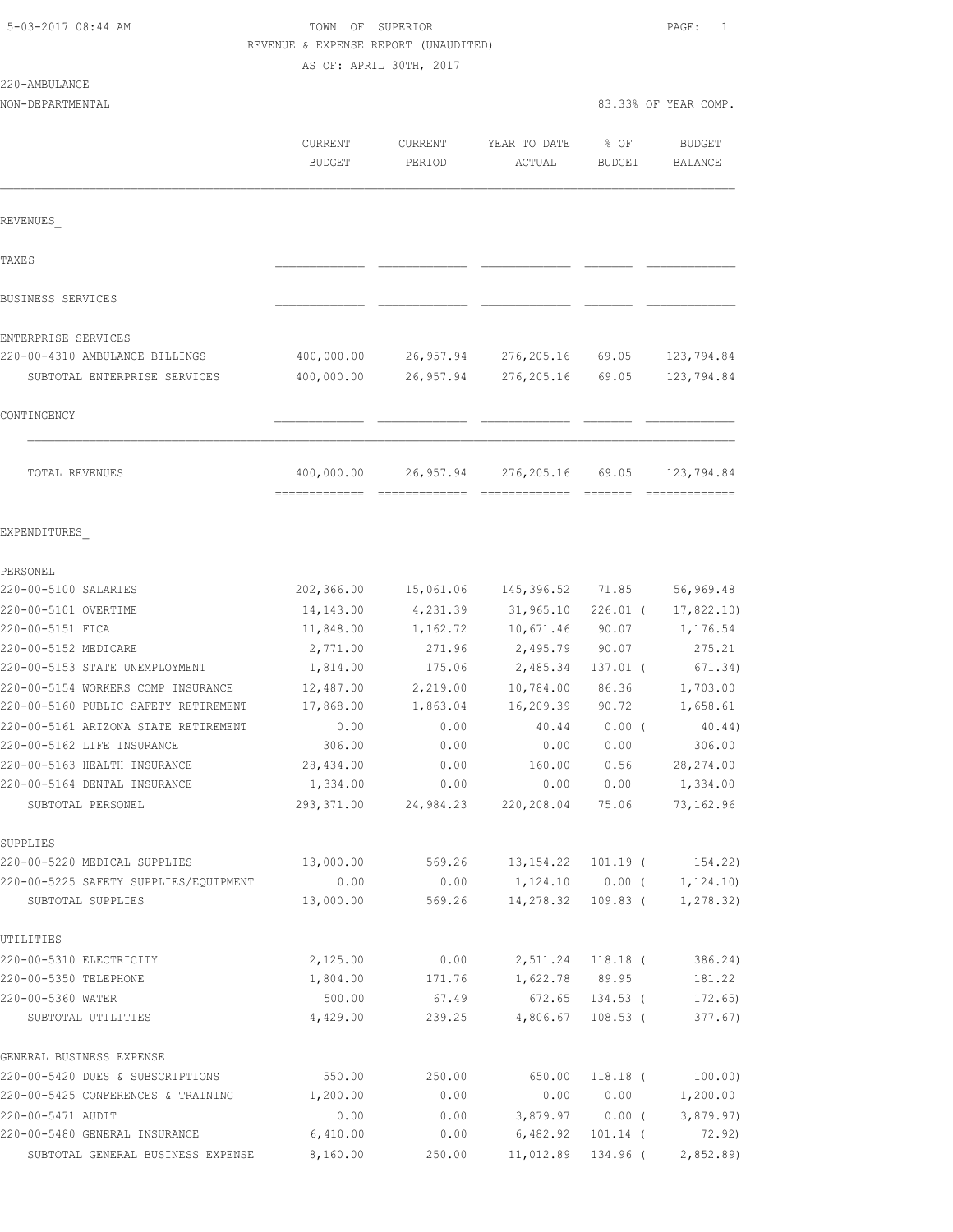| 5-03-2017 08:44 AM |  |
|--------------------|--|
|                    |  |

# TOWN OF SUPERIOR **Example 2017** PAGE: 1 REVENUE & EXPENSE REPORT (UNAUDITED)

AS OF: APRIL 30TH, 2017

| 220-AMBULANCE |  |
|---------------|--|
|               |  |

|                                                            | CURRENT<br><b>BUDGET</b> | <b>CURRENT</b><br>PERIOD | YEAR TO DATE<br>ACTUAL       | % OF<br><b>BUDGET</b> | <b>BUDGET</b><br>BALANCE |
|------------------------------------------------------------|--------------------------|--------------------------|------------------------------|-----------------------|--------------------------|
| REVENUES                                                   |                          |                          |                              |                       |                          |
| TAXE S                                                     |                          |                          |                              |                       |                          |
| BUSINESS SERVICES                                          |                          |                          |                              |                       |                          |
| ENTERPRISE SERVICES                                        |                          |                          |                              |                       |                          |
| 220-00-4310 AMBULANCE BILLINGS                             | 400,000.00               | 26,957.94                | 276,205.16                   | 69.05                 | 123,794.84               |
| SUBTOTAL ENTERPRISE SERVICES                               | 400,000.00               | 26,957.94                | 276,205.16                   | 69.05                 | 123,794.84               |
| CONTINGENCY                                                |                          |                          |                              |                       |                          |
| TOTAL REVENUES                                             | 400,000.00               | 26,957.94                | 276,205.16                   | 69.05                 | 123,794.84               |
|                                                            |                          |                          |                              |                       |                          |
| EXPENDITURES                                               |                          |                          |                              |                       |                          |
| PERSONEL                                                   |                          |                          |                              |                       |                          |
| 220-00-5100 SALARIES                                       | 202,366.00               | 15,061.06                | 145,396.52                   | 71.85                 | 56,969.48                |
| 220-00-5101 OVERTIME                                       | 14,143.00                | 4,231.39                 | 31,965.10                    | 226.01 (              | 17,822.10)               |
| 220-00-5151 FICA                                           | 11,848.00                | 1,162.72                 | 10,671.46                    | 90.07                 | 1,176.54                 |
| 220-00-5152 MEDICARE                                       | 2,771.00                 | 271.96                   | 2,495.79                     | 90.07                 | 275.21                   |
| 220-00-5153 STATE UNEMPLOYMENT                             | 1,814.00                 | 175.06                   | 2,485.34                     | $137.01$ (            | 671.34)                  |
| 220-00-5154 WORKERS COMP INSURANCE                         | 12,487.00                | 2,219.00                 | 10,784.00                    | 86.36                 | 1,703.00                 |
| 220-00-5160 PUBLIC SAFETY RETIREMENT                       | 17,868.00                | 1,863.04                 | 16,209.39                    | 90.72                 | 1,658.61                 |
| 220-00-5161 ARIZONA STATE RETIREMENT                       | 0.00                     | 0.00                     | 40.44                        | $0.00$ (              | 40.44)                   |
| 220-00-5162 LIFE INSURANCE                                 | 306.00                   | 0.00                     | 0.00                         | 0.00                  | 306.00                   |
| 220-00-5163 HEALTH INSURANCE                               | 28,434.00                | 0.00                     | 160.00                       | 0.56                  | 28, 274.00               |
| 220-00-5164 DENTAL INSURANCE                               | 1,334.00                 | 0.00                     | 0.00                         | 0.00                  | 1,334.00                 |
| SUBTOTAL PERSONEL                                          | 293,371.00               | 24,984.23                | 220,208.04                   | 75.06                 | 73, 162.96               |
| SUPPLIES                                                   |                          |                          |                              |                       |                          |
| 220-00-5220 MEDICAL SUPPLIES                               | 13,000.00                | 569.26                   | 13,154.22                    | 101.19 (              | 154.22)                  |
| 220-00-5225 SAFETY SUPPLIES/EOUIPMENT<br>SUBTOTAL SUPPLIES | 0.00<br>13,000.00        | 0.00<br>569.26           | 1,124.10 0.00 (<br>14,278.32 | 109.83 (              | 1,124.10<br>1, 278.32)   |
| UTILITIES                                                  |                          |                          |                              |                       |                          |
| 220-00-5310 ELECTRICITY                                    | 2,125.00                 | 0.00                     | 2,511.24                     | $118.18$ (            | 386.24)                  |
| 220-00-5350 TELEPHONE                                      | 1,804.00                 | 171.76                   | 1,622.78                     | 89.95                 | 181.22                   |
| 220-00-5360 WATER                                          | 500.00                   | 67.49                    | 672.65                       | $134.53$ (            | 172.65)                  |
| SUBTOTAL UTILITIES                                         | 4,429.00                 | 239.25                   | 4,806.67                     | $108.53$ (            | 377.67)                  |
| GENERAL BUSINESS EXPENSE                                   |                          |                          |                              |                       |                          |
| 220-00-5420 DUES & SUBSCRIPTIONS                           | 550.00                   | 250.00                   | 650.00                       | $118.18$ (            | 100.00)                  |
| 220-00-5425 CONFERENCES & TRAINING                         | 1,200.00                 | 0.00                     | 0.00                         | 0.00                  | 1,200.00                 |
| 220-00-5471 AUDIT                                          | 0.00                     | 0.00                     | 3,879.97                     | $0.00$ (              | 3,879.97)                |
| 220-00-5480 GENERAL INSURANCE                              | 6,410.00                 | 0.00                     | 6,482.92                     | $101.14$ (            | 72.92)                   |
| SUBTOTAL GENERAL BUSINESS EXPENSE                          | 8,160.00                 | 250.00                   | 11,012.89                    | 134.96 (              | 2,852.89                 |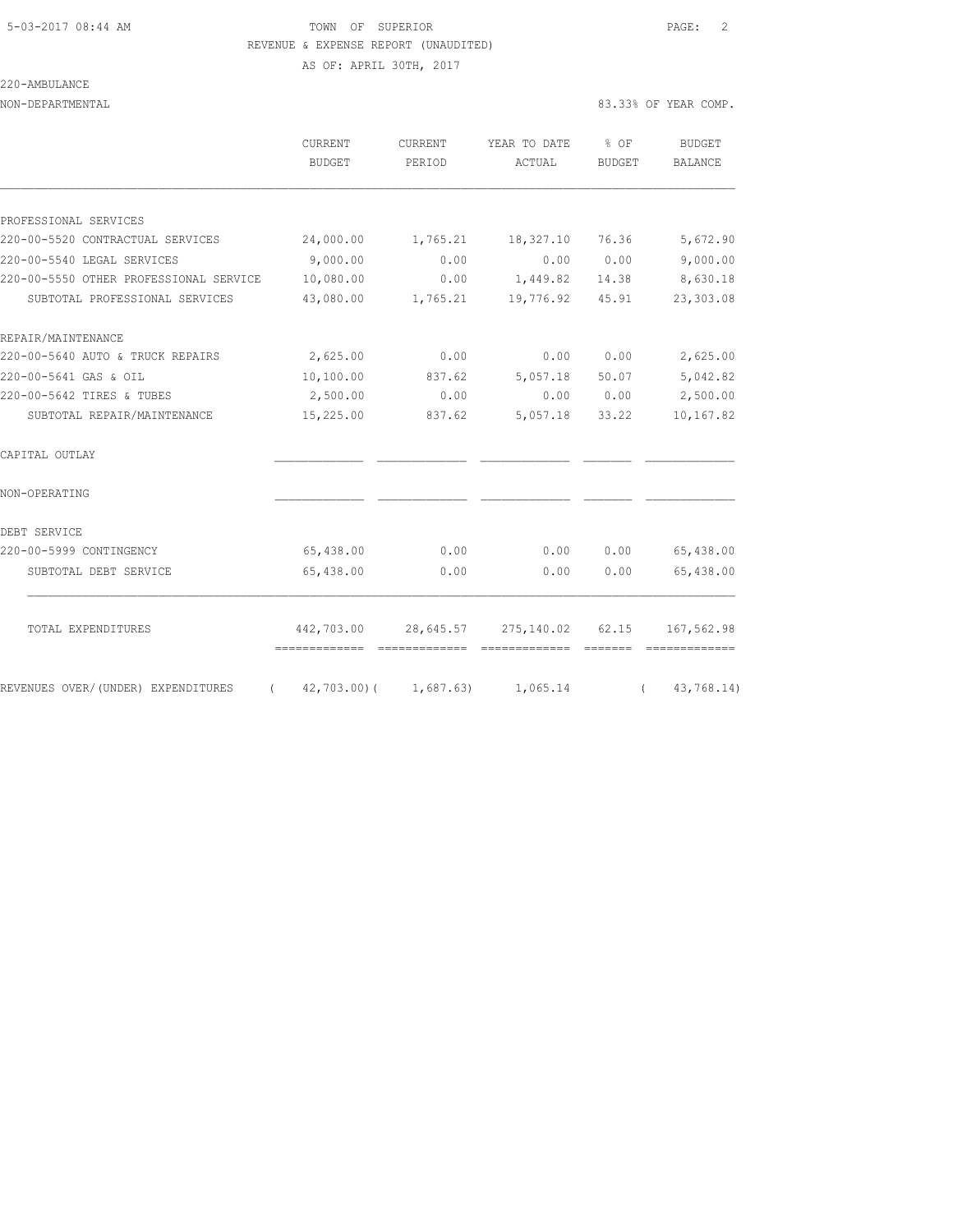# 5-03-2017 08:44 AM TOWN OF SUPERIOR PAGE: 2 REVENUE & EXPENSE REPORT (UNAUDITED)

AS OF: APRIL 30TH, 2017

| 220-AMBULANCE |
|---------------|
|               |

|                                                  | CURRENT<br><b>BUDGET</b>       | CURRENT<br>PERIOD | YEAR TO DATE<br>ACTUAL                           | % OF<br><b>BUDGET</b>                                                                                                                                                                                                                                                                                                                                                                                                                                                                  | <b>BUDGET</b><br>BALANCE |
|--------------------------------------------------|--------------------------------|-------------------|--------------------------------------------------|----------------------------------------------------------------------------------------------------------------------------------------------------------------------------------------------------------------------------------------------------------------------------------------------------------------------------------------------------------------------------------------------------------------------------------------------------------------------------------------|--------------------------|
|                                                  |                                |                   |                                                  |                                                                                                                                                                                                                                                                                                                                                                                                                                                                                        |                          |
| PROFESSIONAL SERVICES                            |                                |                   |                                                  |                                                                                                                                                                                                                                                                                                                                                                                                                                                                                        |                          |
| 220-00-5520 CONTRACTUAL SERVICES                 | 24,000.00                      | 1,765.21          | 18,327.10                                        | 76.36                                                                                                                                                                                                                                                                                                                                                                                                                                                                                  | 5,672.90                 |
| 220-00-5540 LEGAL SERVICES                       | 9,000.00                       | 0.00              | 0.00                                             | 0.00                                                                                                                                                                                                                                                                                                                                                                                                                                                                                   | 9,000.00                 |
| 220-00-5550 OTHER PROFESSIONAL SERVICE           | 10,080.00                      | 0.00              | 1,449.82                                         | 14.38                                                                                                                                                                                                                                                                                                                                                                                                                                                                                  | 8,630.18                 |
| SUBTOTAL PROFESSIONAL SERVICES                   | 43,080.00                      | 1,765.21          | 19,776.92                                        | 45.91                                                                                                                                                                                                                                                                                                                                                                                                                                                                                  | 23,303.08                |
| REPAIR/MAINTENANCE                               |                                |                   |                                                  |                                                                                                                                                                                                                                                                                                                                                                                                                                                                                        |                          |
| 220-00-5640 AUTO & TRUCK REPAIRS                 | 2,625.00                       | 0.00              | 0.00                                             | 0.00                                                                                                                                                                                                                                                                                                                                                                                                                                                                                   | 2,625.00                 |
| 220-00-5641 GAS & OIL                            | 10,100.00                      | 837.62            | 5,057.18                                         | 50.07                                                                                                                                                                                                                                                                                                                                                                                                                                                                                  | 5,042.82                 |
| 220-00-5642 TIRES & TUBES                        | 2,500.00                       | 0.00              | 0.00                                             | 0.00                                                                                                                                                                                                                                                                                                                                                                                                                                                                                   | 2,500.00                 |
| SUBTOTAL REPAIR/MAINTENANCE                      | 15,225.00                      | 837.62            | 5,057.18                                         | 33.22                                                                                                                                                                                                                                                                                                                                                                                                                                                                                  | 10,167.82                |
| CAPITAL OUTLAY                                   |                                |                   |                                                  |                                                                                                                                                                                                                                                                                                                                                                                                                                                                                        |                          |
| NON-OPERATING                                    |                                |                   |                                                  |                                                                                                                                                                                                                                                                                                                                                                                                                                                                                        |                          |
| DEBT SERVICE                                     |                                |                   |                                                  |                                                                                                                                                                                                                                                                                                                                                                                                                                                                                        |                          |
| 220-00-5999 CONTINGENCY                          | 65,438.00                      | 0.00              | 0.00                                             | 0.00                                                                                                                                                                                                                                                                                                                                                                                                                                                                                   | 65,438.00                |
| SUBTOTAL DEBT SERVICE                            | 65,438.00                      | 0.00              | 0.00                                             | 0.00                                                                                                                                                                                                                                                                                                                                                                                                                                                                                   | 65,438.00                |
|                                                  |                                |                   | 442,703.00 28,645.57 275,140.02 62.15 167,562.98 |                                                                                                                                                                                                                                                                                                                                                                                                                                                                                        |                          |
| TOTAL EXPENDITURES                               | ============================== |                   | - =============                                  | $\begin{array}{cccccccccc} \multicolumn{2}{c}{} & \multicolumn{2}{c}{} & \multicolumn{2}{c}{} & \multicolumn{2}{c}{} & \multicolumn{2}{c}{} & \multicolumn{2}{c}{} & \multicolumn{2}{c}{} & \multicolumn{2}{c}{} & \multicolumn{2}{c}{} & \multicolumn{2}{c}{} & \multicolumn{2}{c}{} & \multicolumn{2}{c}{} & \multicolumn{2}{c}{} & \multicolumn{2}{c}{} & \multicolumn{2}{c}{} & \multicolumn{2}{c}{} & \multicolumn{2}{c}{} & \multicolumn{2}{c}{} & \multicolumn{2}{c}{} & \mult$ |                          |
| REVENUES OVER/(UNDER) EXPENDITURES<br>$\sqrt{2}$ | 42,703.00) ( 1,687.63)         |                   | 1,065.14                                         | $\sqrt{2}$                                                                                                                                                                                                                                                                                                                                                                                                                                                                             | 43,768.14)               |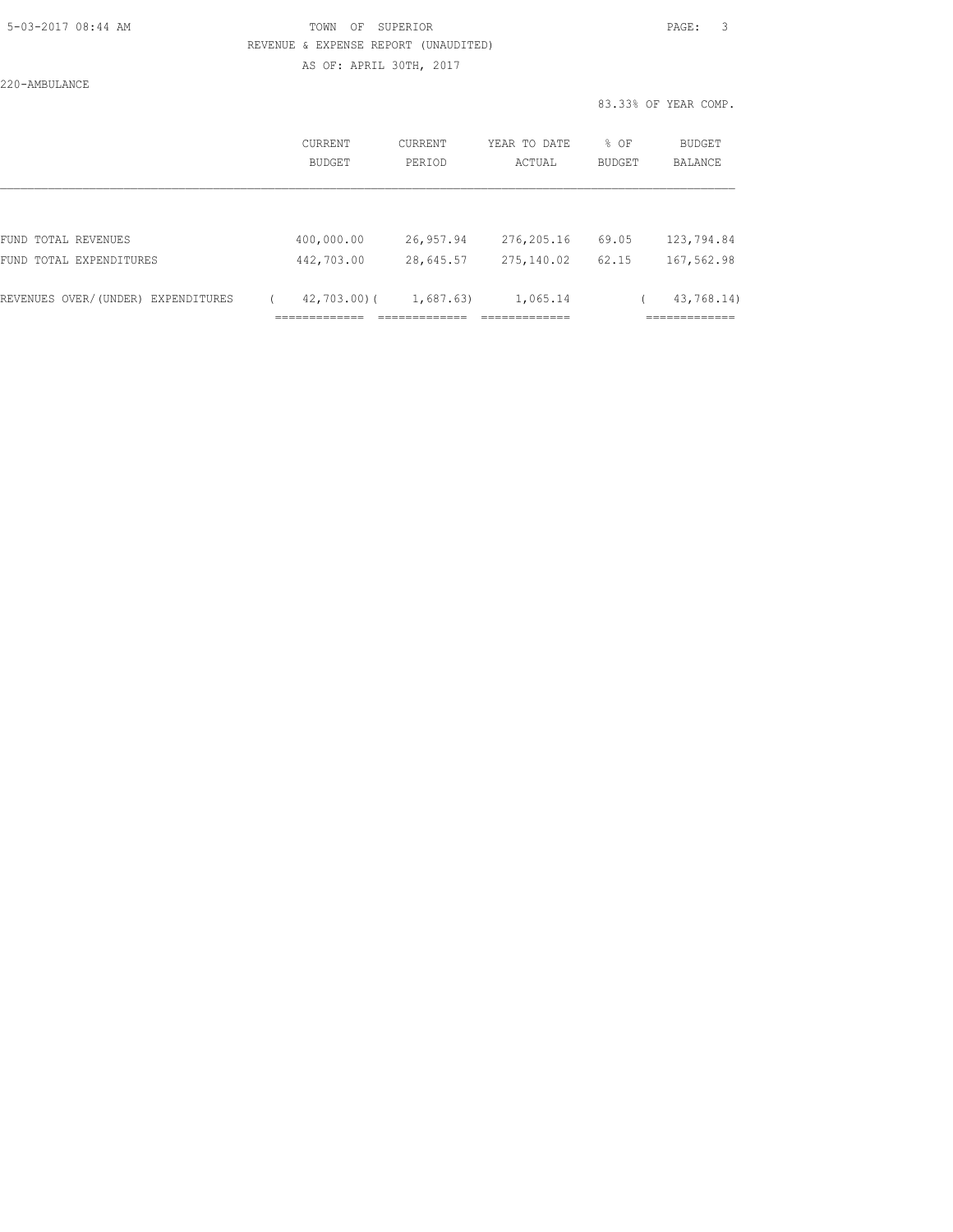#### 5-03-2017 08:44 AM TOWN OF SUPERIOR PAGE: 3 REVENUE & EXPENSE REPORT (UNAUDITED) AS OF: APRIL 30TH, 2017

220-AMBULANCE

|                                    | CURRENT<br>BUDGET                                | <b>CURRENT</b><br>PERIOD                   | YEAR TO DATE<br>ACTUAL                    | % OF<br><b>BUDGET</b> | BUDGET<br>BALANCE                          |
|------------------------------------|--------------------------------------------------|--------------------------------------------|-------------------------------------------|-----------------------|--------------------------------------------|
|                                    |                                                  |                                            |                                           |                       |                                            |
| FUND TOTAL REVENUES                | 400,000.00                                       | 26,957.94                                  | 276,205.16                                | 69.05                 | 123,794.84                                 |
| FUND TOTAL EXPENDITURES            | 442,703.00                                       | 28,645.57                                  | 275,140.02                                | 62.15                 | 167,562.98                                 |
| REVENUES OVER/(UNDER) EXPENDITURES | $42,703.00$ (<br>_____________<br>-------------- | 1,687.63)<br>_____________<br>------------ | 1,065.14<br>_____________<br>------------ |                       | 43,768.14)<br>____________<br>------------ |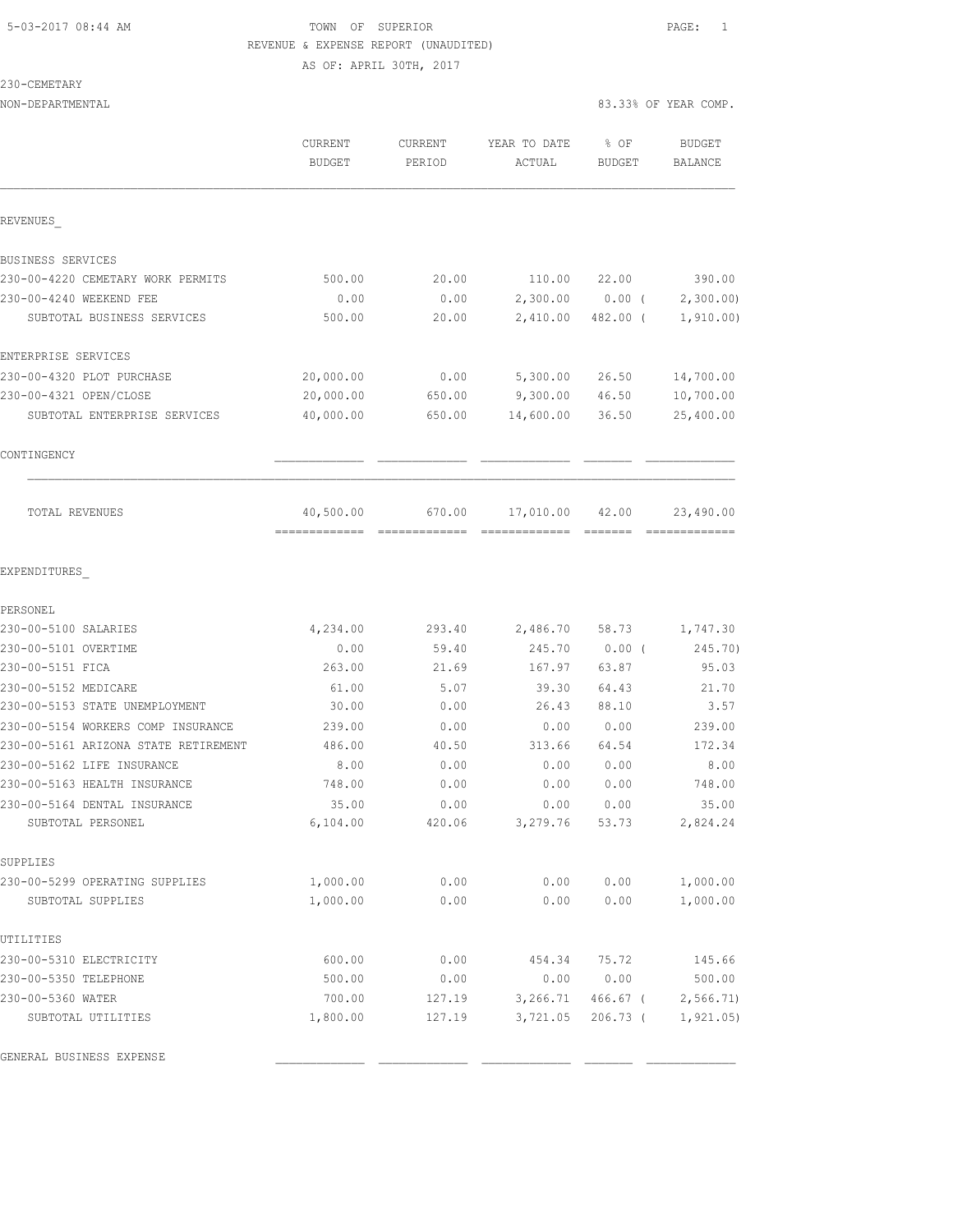### 5-03-2017 08:44 AM TOWN OF SUPERIOR PAGE: 1 REVENUE & EXPENSE REPORT (UNAUDITED) AS OF: APRIL 30TH, 2017

#### 230-CEMETARY

|                                                                            | CURRENT<br><b>BUDGET</b>   | CURRENT<br>PERIOD | YEAR TO DATE<br>ACTUAL                | % OF<br><b>BUDGET</b> | <b>BUDGET</b><br>BALANCE   |
|----------------------------------------------------------------------------|----------------------------|-------------------|---------------------------------------|-----------------------|----------------------------|
| REVENUES                                                                   |                            |                   |                                       |                       |                            |
| BUSINESS SERVICES                                                          |                            |                   |                                       |                       |                            |
| 230-00-4220 CEMETARY WORK PERMITS                                          | 500.00                     | 20.00             | 110.00                                | 22.00                 | 390.00                     |
| 230-00-4240 WEEKEND FEE                                                    | 0.00                       | 0.00              |                                       | $2,300.00$ 0.00 (     | 2,300.00                   |
| SUBTOTAL BUSINESS SERVICES                                                 | 500.00                     | 20.00             | 2,410.00                              | 482.00 (              | 1,910.00)                  |
| ENTERPRISE SERVICES                                                        |                            |                   |                                       |                       |                            |
| 230-00-4320 PLOT PURCHASE                                                  | 20,000.00                  | 0.00              | 5,300.00                              | 26.50                 | 14,700.00                  |
| 230-00-4321 OPEN/CLOSE                                                     | 20,000.00                  | 650.00            | 9,300.00                              | 46.50                 | 10,700.00                  |
| SUBTOTAL ENTERPRISE SERVICES                                               | 40,000.00                  | 650.00            | 14,600.00                             | 36.50                 | 25,400.00                  |
| CONTINGENCY                                                                |                            |                   |                                       |                       |                            |
| TOTAL REVENUES                                                             | 40,500.00<br>============= | 670.00            | 17,010.00<br>======================== | 42.00                 | 23,490.00<br>------------- |
| EXPENDITURES                                                               |                            |                   |                                       |                       |                            |
| PERSONEL                                                                   |                            |                   |                                       |                       |                            |
| 230-00-5100 SALARIES                                                       | 4,234.00                   | 293.40            | 2,486.70                              | 58.73                 | 1,747.30                   |
| 230-00-5101 OVERTIME                                                       | 0.00                       | 59.40             | 245.70                                | $0.00$ (              | 245.70)                    |
| 230-00-5151 FICA                                                           | 263.00                     | 21.69             | 167.97                                | 63.87                 | 95.03                      |
| 230-00-5152 MEDICARE                                                       | 61.00                      | 5.07              | 39.30                                 | 64.43                 | 21.70                      |
| 230-00-5153 STATE UNEMPLOYMENT                                             | 30.00                      | 0.00              | 26.43                                 | 88.10                 | 3.57                       |
| 230-00-5154 WORKERS COMP INSURANCE<br>230-00-5161 ARIZONA STATE RETIREMENT | 239.00<br>486.00           | 0.00              | 0.00<br>313.66                        | 0.00                  | 239.00                     |
| 230-00-5162 LIFE INSURANCE                                                 |                            | 40.50             |                                       | 64.54                 | 172.34                     |
| 230-00-5163 HEALTH INSURANCE                                               | 8.00<br>748.00             | 0.00<br>0.00      | 0.00<br>0.00                          | 0.00<br>0.00          | 8.00<br>748.00             |
| 230-00-5164 DENTAL INSURANCE                                               | 35.00                      | 0.00              | 0.00                                  | 0.00                  | 35.00                      |
| SUBTOTAL PERSONEL                                                          | 6,104.00                   | 420.06            | 3,279.76                              | 53.73                 | 2,824.24                   |
| SUPPLIES                                                                   |                            |                   |                                       |                       |                            |
| 230-00-5299 OPERATING SUPPLIES                                             | 1,000.00                   | 0.00              | 0.00                                  | 0.00                  | 1,000.00                   |
| SUBTOTAL SUPPLIES                                                          | 1,000.00                   | 0.00              | 0.00                                  | 0.00                  | 1,000.00                   |
| UTILITIES                                                                  |                            |                   |                                       |                       |                            |
| 230-00-5310 ELECTRICITY                                                    | 600.00                     | 0.00              | 454.34                                | 75.72                 | 145.66                     |
| 230-00-5350 TELEPHONE                                                      | 500.00                     | 0.00              | 0.00                                  | 0.00                  | 500.00                     |
| 230-00-5360 WATER                                                          | 700.00                     | 127.19            | 3,266.71                              | $466.67$ (            | 2,566.71                   |
| SUBTOTAL UTILITIES                                                         | 1,800.00                   | 127.19            | 3,721.05                              | $206.73$ (            | 1, 921.05)                 |

GENERAL BUSINESS EXPENSE \_\_\_\_\_\_\_\_\_\_\_\_\_ \_\_\_\_\_\_\_\_\_\_\_\_\_ \_\_\_\_\_\_\_\_\_\_\_\_\_ \_\_\_\_\_\_\_ \_\_\_\_\_\_\_\_\_\_\_\_\_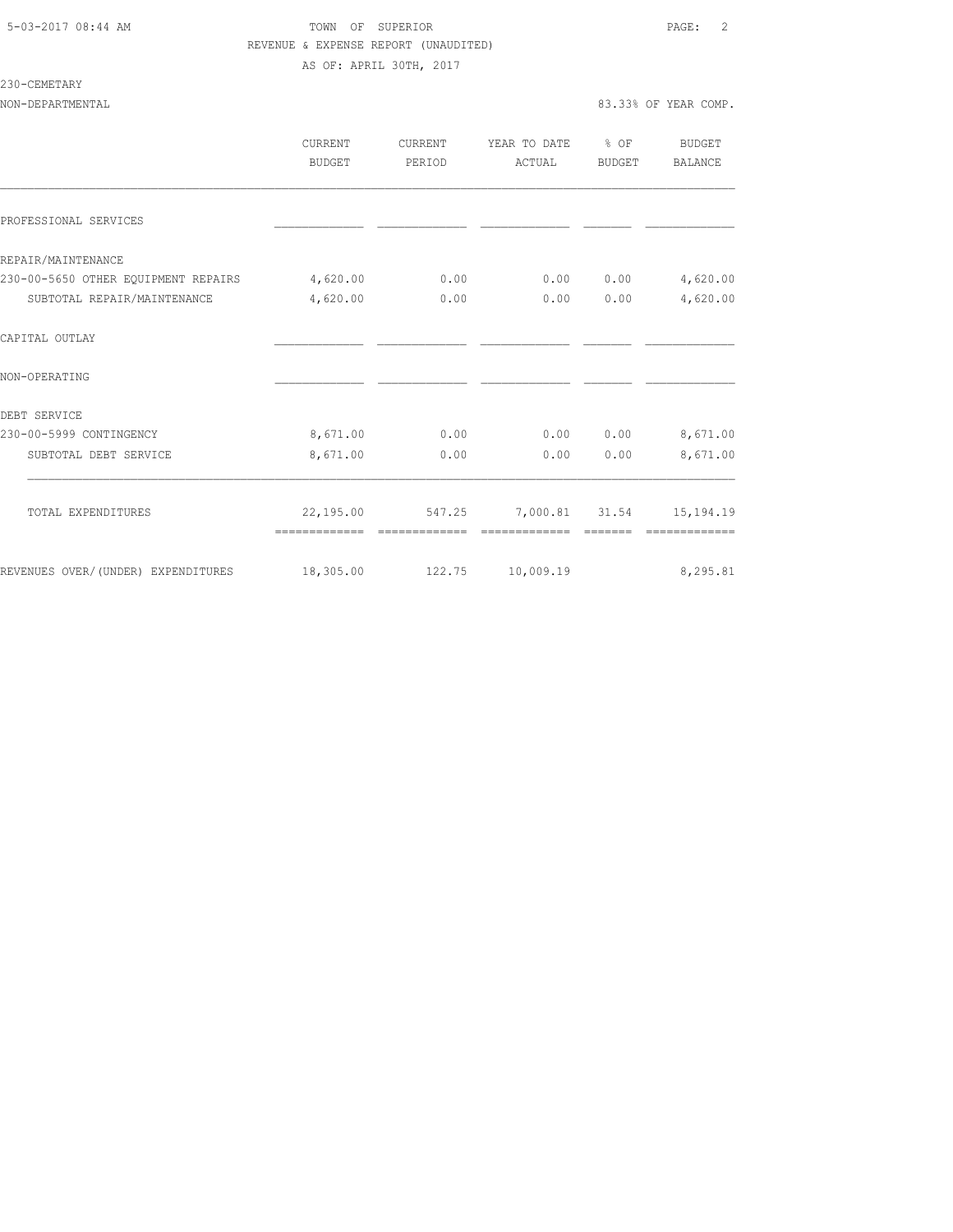### 5-03-2017 08:44 AM **TOWN** OF SUPERIOR **PAGE:** 2 REVENUE & EXPENSE REPORT (UNAUDITED) AS OF: APRIL 30TH, 2017

# 230-CEMETARY

|                                              | CURRENT<br>BUDGET | CURRENT<br>PERIOD | YEAR TO DATE % OF<br>ACTUAL               | BUDGET | BUDGET<br>BALANCE |
|----------------------------------------------|-------------------|-------------------|-------------------------------------------|--------|-------------------|
| PROFESSIONAL SERVICES                        |                   |                   |                                           |        |                   |
| REPAIR/MAINTENANCE                           |                   |                   |                                           |        |                   |
| 230-00-5650 OTHER EQUIPMENT REPAIRS 4,620.00 |                   | 0.00              | 0.00                                      | 0.00   | 4,620.00          |
| SUBTOTAL REPAIR/MAINTENANCE                  | 4,620.00          | 0.00              | 0.00                                      | 0.00   | 4,620.00          |
| CAPITAL OUTLAY                               |                   |                   |                                           |        |                   |
| NON-OPERATING                                |                   |                   |                                           |        |                   |
| DEBT SERVICE                                 |                   |                   |                                           |        |                   |
| 230-00-5999 CONTINGENCY                      | 8,671.00          | 0.00              | 0.00                                      |        | $0.00$ $8,671.00$ |
| SUBTOTAL DEBT SERVICE                        | 8,671.00          | 0.00              | 0.00                                      | 0.00   | 8,671.00          |
| TOTAL EXPENDITURES                           |                   |                   | 22,195.00 547.25 7,000.81 31.54 15,194.19 |        |                   |
|                                              |                   | -------------     | --------------                            |        | =============     |
| REVENUES OVER/(UNDER) EXPENDITURES 18,305.00 |                   |                   | 122.75 10,009.19                          |        | 8,295.81          |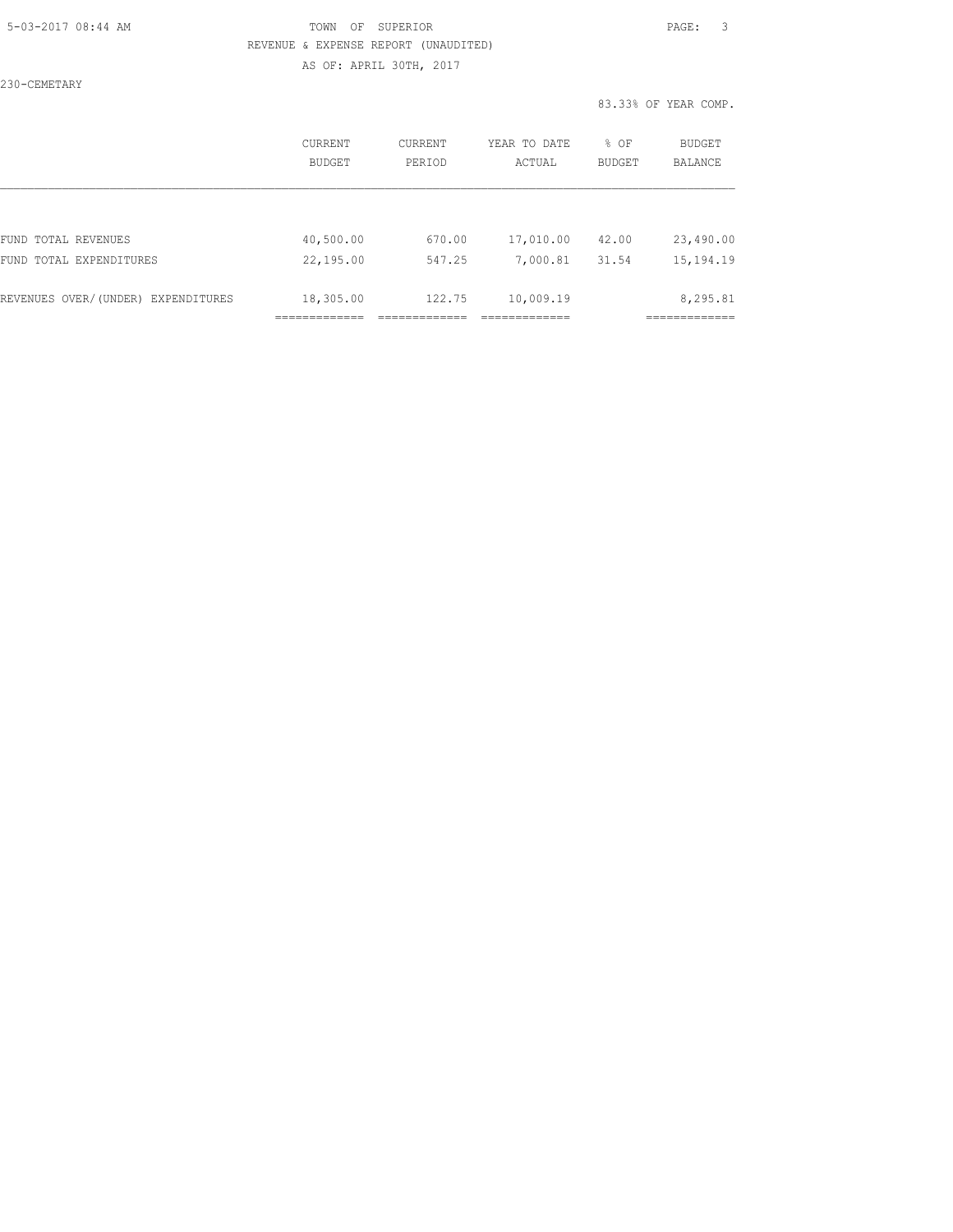### 5-03-2017 08:44 AM TOWN OF SUPERIOR PAGE: 3 REVENUE & EXPENSE REPORT (UNAUDITED) AS OF: APRIL 30TH, 2017

230-CEMETARY

|                                    | CURRENT<br>BUDGET | CURRENT<br>PERIOD | YEAR TO DATE<br>ACTUAL | % OF<br><b>BUDGET</b> | <b>BUDGET</b><br>BALANCE |
|------------------------------------|-------------------|-------------------|------------------------|-----------------------|--------------------------|
|                                    |                   |                   |                        |                       |                          |
| FUND TOTAL REVENUES                | 40,500.00         | 670.00            | 17,010.00              | 42.00                 | 23,490.00                |
| FUND TOTAL EXPENDITURES            | 22,195.00         | 547.25            | 7,000.81               | 31.54                 | 15, 194. 19              |
| REVENUES OVER/(UNDER) EXPENDITURES | 18,305.00         | 122.75            | 10,009.19              |                       | 8,295.81                 |
|                                    |                   |                   |                        |                       |                          |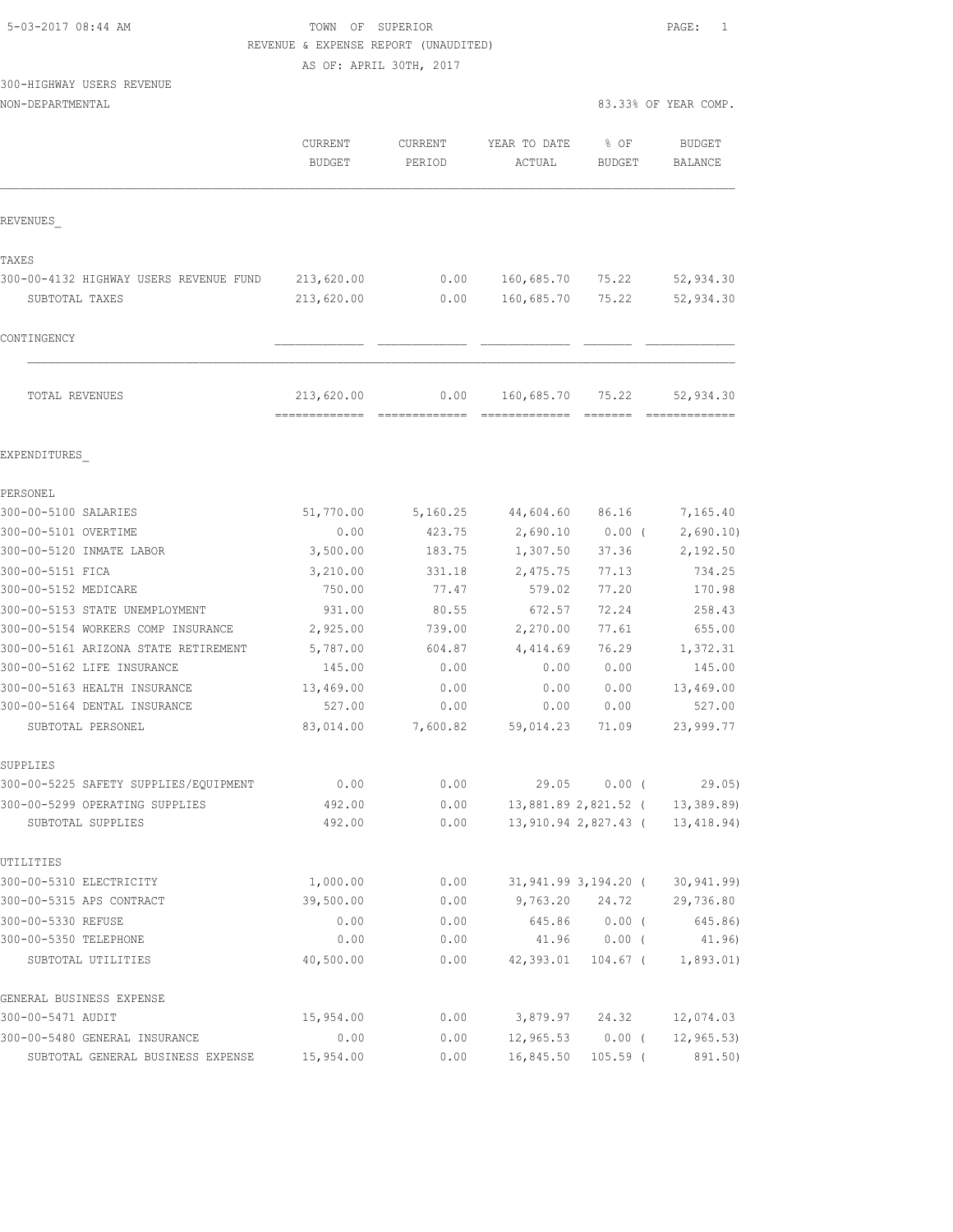| 5-03-2017 08:44 AM |  |
|--------------------|--|

TOWN OF SUPERIOR **Example 2017** PAGE: 1 REVENUE & EXPENSE REPORT (UNAUDITED)

AS OF: APRIL 30TH, 2017

300-HIGHWAY USERS REVENUE

|                                                          | CURRENT<br><b>BUDGET</b>                    | <b>CURRENT</b><br>PERIOD | YEAR TO DATE<br>ACTUAL      | % OF<br><b>BUDGET</b>                                                                                                                                                                                                                                                                                                                                                                                                                                                                           | <b>BUDGET</b><br>BALANCE   |
|----------------------------------------------------------|---------------------------------------------|--------------------------|-----------------------------|-------------------------------------------------------------------------------------------------------------------------------------------------------------------------------------------------------------------------------------------------------------------------------------------------------------------------------------------------------------------------------------------------------------------------------------------------------------------------------------------------|----------------------------|
| REVENUES                                                 |                                             |                          |                             |                                                                                                                                                                                                                                                                                                                                                                                                                                                                                                 |                            |
| TAXES                                                    |                                             |                          |                             |                                                                                                                                                                                                                                                                                                                                                                                                                                                                                                 |                            |
| 300-00-4132 HIGHWAY USERS REVENUE FUND<br>SUBTOTAL TAXES | 213,620.00<br>213,620.00                    | 0.00<br>0.00             | 160,685.70<br>160,685.70    | 75.22<br>75.22                                                                                                                                                                                                                                                                                                                                                                                                                                                                                  | 52,934.30<br>52,934.30     |
| CONTINGENCY                                              |                                             |                          |                             |                                                                                                                                                                                                                                                                                                                                                                                                                                                                                                 |                            |
| TOTAL REVENUES                                           | 213,620.00<br>-------------- -------------- | 0.00                     | 160,685.70<br>============= | 75.22<br>$\begin{array}{cccccccccc} \multicolumn{2}{c}{} & \multicolumn{2}{c}{} & \multicolumn{2}{c}{} & \multicolumn{2}{c}{} & \multicolumn{2}{c}{} & \multicolumn{2}{c}{} & \multicolumn{2}{c}{} & \multicolumn{2}{c}{} & \multicolumn{2}{c}{} & \multicolumn{2}{c}{} & \multicolumn{2}{c}{} & \multicolumn{2}{c}{} & \multicolumn{2}{c}{} & \multicolumn{2}{c}{} & \multicolumn{2}{c}{} & \multicolumn{2}{c}{} & \multicolumn{2}{c}{} & \multicolumn{2}{c}{} & \multicolumn{2}{c}{} & \mult$ | 52,934.30<br>============= |
| EXPENDITURES                                             |                                             |                          |                             |                                                                                                                                                                                                                                                                                                                                                                                                                                                                                                 |                            |
| PERSONEL                                                 |                                             |                          |                             |                                                                                                                                                                                                                                                                                                                                                                                                                                                                                                 |                            |
| 300-00-5100 SALARIES                                     | 51,770.00                                   | 5,160.25                 | 44,604.60                   | 86.16                                                                                                                                                                                                                                                                                                                                                                                                                                                                                           | 7,165.40                   |
| 300-00-5101 OVERTIME                                     | 0.00                                        | 423.75                   | 2,690.10                    | $0.00$ (                                                                                                                                                                                                                                                                                                                                                                                                                                                                                        | 2,690.10                   |
| 300-00-5120 INMATE LABOR                                 | 3,500.00                                    | 183.75                   | 1,307.50                    | 37.36                                                                                                                                                                                                                                                                                                                                                                                                                                                                                           | 2,192.50                   |
| 300-00-5151 FICA                                         | 3,210.00                                    | 331.18                   | 2,475.75                    | 77.13                                                                                                                                                                                                                                                                                                                                                                                                                                                                                           | 734.25                     |
| 300-00-5152 MEDICARE                                     | 750.00                                      | 77.47                    | 579.02                      | 77.20                                                                                                                                                                                                                                                                                                                                                                                                                                                                                           | 170.98                     |
| 300-00-5153 STATE UNEMPLOYMENT                           | 931.00                                      | 80.55                    | 672.57                      | 72.24                                                                                                                                                                                                                                                                                                                                                                                                                                                                                           | 258.43                     |
| 300-00-5154 WORKERS COMP INSURANCE                       | 2,925.00                                    | 739.00                   | 2,270.00                    | 77.61                                                                                                                                                                                                                                                                                                                                                                                                                                                                                           | 655.00                     |
| 300-00-5161 ARIZONA STATE RETIREMENT                     | 5,787.00                                    | 604.87                   | 4,414.69                    | 76.29                                                                                                                                                                                                                                                                                                                                                                                                                                                                                           | 1,372.31                   |
| 300-00-5162 LIFE INSURANCE                               | 145.00                                      | 0.00                     | 0.00                        | 0.00                                                                                                                                                                                                                                                                                                                                                                                                                                                                                            | 145.00                     |
| 300-00-5163 HEALTH INSURANCE                             | 13,469.00                                   | 0.00                     | 0.00                        | 0.00                                                                                                                                                                                                                                                                                                                                                                                                                                                                                            | 13,469.00                  |
| 300-00-5164 DENTAL INSURANCE                             | 527.00                                      | 0.00                     | 0.00                        | 0.00                                                                                                                                                                                                                                                                                                                                                                                                                                                                                            | 527.00                     |
| SUBTOTAL PERSONEL                                        | 83,014.00                                   | 7,600.82                 | 59,014.23                   | 71.09                                                                                                                                                                                                                                                                                                                                                                                                                                                                                           | 23,999.77                  |
| SUPPLIES                                                 |                                             |                          |                             |                                                                                                                                                                                                                                                                                                                                                                                                                                                                                                 |                            |
| 300-00-5225 SAFETY SUPPLIES/EQUIPMENT                    | 0.00                                        | 0.00                     | 29.05                       | 0.00(                                                                                                                                                                                                                                                                                                                                                                                                                                                                                           | 29.05)                     |
| 300-00-5299 OPERATING SUPPLIES                           | 492.00                                      | 0.00                     | 13,881.89 2,821.52 (        |                                                                                                                                                                                                                                                                                                                                                                                                                                                                                                 | 13, 389.89)                |
| SUBTOTAL SUPPLIES                                        | 492.00                                      | 0.00                     | 13,910.94 2,827.43 (        |                                                                                                                                                                                                                                                                                                                                                                                                                                                                                                 | 13,418.94)                 |
| UTILITIES                                                |                                             |                          |                             |                                                                                                                                                                                                                                                                                                                                                                                                                                                                                                 |                            |
| 300-00-5310 ELECTRICITY                                  | 1,000.00                                    | 0.00                     | 31,941.99 3,194.20 (        |                                                                                                                                                                                                                                                                                                                                                                                                                                                                                                 | 30, 941.99                 |
| 300-00-5315 APS CONTRACT                                 | 39,500.00                                   | 0.00                     | 9,763.20                    | 24.72                                                                                                                                                                                                                                                                                                                                                                                                                                                                                           | 29,736.80                  |
| 300-00-5330 REFUSE                                       | 0.00                                        | 0.00                     | 645.86                      | $0.00$ (                                                                                                                                                                                                                                                                                                                                                                                                                                                                                        | 645.86)                    |
| 300-00-5350 TELEPHONE                                    | 0.00                                        | 0.00                     | 41.96                       | $0.00$ (                                                                                                                                                                                                                                                                                                                                                                                                                                                                                        | 41.96)                     |
| SUBTOTAL UTILITIES                                       | 40,500.00                                   | 0.00                     | 42,393.01                   | $104.67$ (                                                                                                                                                                                                                                                                                                                                                                                                                                                                                      | 1,893.01)                  |
| GENERAL BUSINESS EXPENSE                                 |                                             |                          |                             |                                                                                                                                                                                                                                                                                                                                                                                                                                                                                                 |                            |
| 300-00-5471 AUDIT                                        | 15,954.00                                   | 0.00                     | 3,879.97                    | 24.32                                                                                                                                                                                                                                                                                                                                                                                                                                                                                           | 12,074.03                  |
| 300-00-5480 GENERAL INSURANCE                            | 0.00                                        | 0.00                     | 12,965.53                   | $0.00$ (                                                                                                                                                                                                                                                                                                                                                                                                                                                                                        | 12, 965.53                 |
| SUBTOTAL GENERAL BUSINESS EXPENSE                        | 15,954.00                                   | 0.00                     | 16,845.50                   | $105.59$ (                                                                                                                                                                                                                                                                                                                                                                                                                                                                                      | 891.50)                    |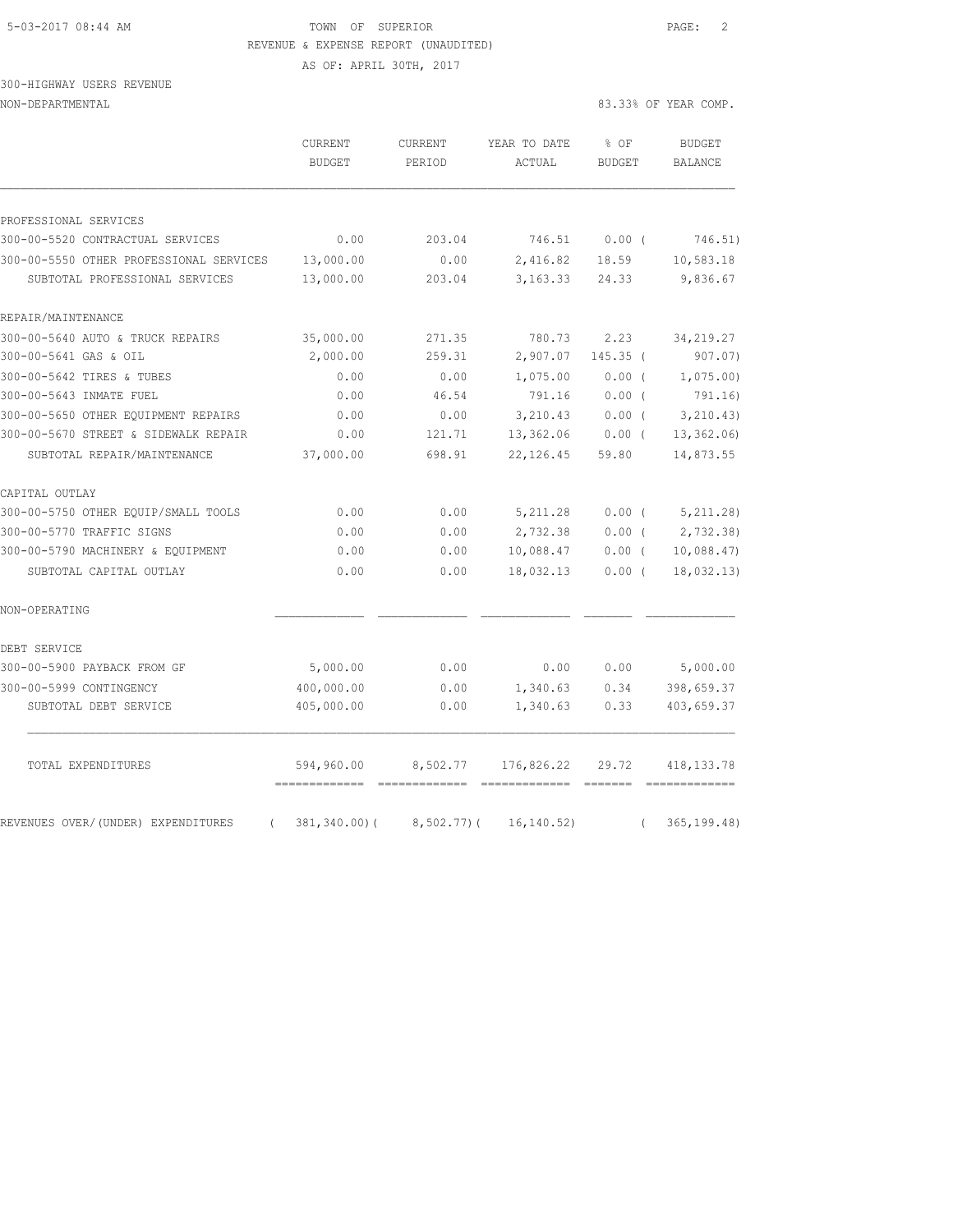# 5-03-2017 08:44 AM **TOWN** OF SUPERIOR **PAGE:** 2 REVENUE & EXPENSE REPORT (UNAUDITED)

AS OF: APRIL 30TH, 2017

# 300-HIGHWAY USERS REVENUE

|                                             |                          |                        |                         | 83.33% OF YEAR COMP.                                             |  |
|---------------------------------------------|--------------------------|------------------------|-------------------------|------------------------------------------------------------------|--|
| CURRENT<br><b>BUDGET</b>                    | <b>CURRENT</b><br>PERIOD | YEAR TO DATE<br>ACTUAL | $8$ OF<br><b>BUDGET</b> | <b>BUDGET</b><br><b>BALANCE</b>                                  |  |
|                                             |                          |                        |                         |                                                                  |  |
| 0.00                                        |                          |                        |                         | 746.51)                                                          |  |
|                                             |                          |                        |                         | 10,583.18                                                        |  |
| 13,000.00                                   | 203.04                   |                        | 24.33                   | 9,836.67                                                         |  |
|                                             |                          |                        |                         |                                                                  |  |
| 35,000.00                                   | 271.35                   | 780.73                 | 2.23                    | 34, 219.27                                                       |  |
| 2,000.00                                    | 259.31                   | 2,907.07               | $145.35$ (              | 907.07)                                                          |  |
| 0.00                                        | 0.00                     | 1,075.00               | 0.00(                   | 1,075.00                                                         |  |
| 0.00                                        | 46.54                    | 791.16                 | 0.00(                   | 791.16)                                                          |  |
| 0.00                                        | 0.00                     | 3,210.43               | 0.00(                   | 3, 210.43)                                                       |  |
| 0.00                                        | 121.71                   | 13,362.06              | $0.00$ (                | 13, 362.06                                                       |  |
| 37,000.00                                   | 698.91                   | 22, 126.45             | 59.80                   | 14,873.55                                                        |  |
|                                             |                          |                        |                         |                                                                  |  |
| 0.00                                        | 0.00                     | 5,211.28               |                         | 5, 211.28                                                        |  |
| 0.00                                        | 0.00                     | 2,732.38               | $0.00$ (                | 2,732.38                                                         |  |
| 0.00                                        | 0.00                     | 10,088.47              | $0.00$ (                | 10,088.47                                                        |  |
| 0.00                                        | 0.00                     | 18,032.13              | $0.00$ (                | 18,032.13)                                                       |  |
|                                             |                          |                        |                         |                                                                  |  |
|                                             |                          |                        |                         |                                                                  |  |
| 5,000.00                                    | 0.00                     | 0.00                   | 0.00                    | 5,000.00                                                         |  |
| 400,000.00                                  | 0.00                     | 1,340.63               | 0.34                    | 398,659.37                                                       |  |
| 405,000.00                                  | 0.00                     | 1,340.63               | 0.33                    | 403,659.37                                                       |  |
| 594,960.00<br>=============<br>essessessess | 8,502.77                 | 176,826.22             | 29.72                   | 418, 133. 78                                                     |  |
|                                             | 13,000.00                | 203.04<br>0.00         |                         | 746.51<br>$0.00$ (<br>2,416.82<br>18.59<br>3, 163.33<br>$0.00$ ( |  |

REVENUES OVER/(UNDER) EXPENDITURES ( 381,340.00)( 8,502.77)( 16,140.52) ( 365,199.48)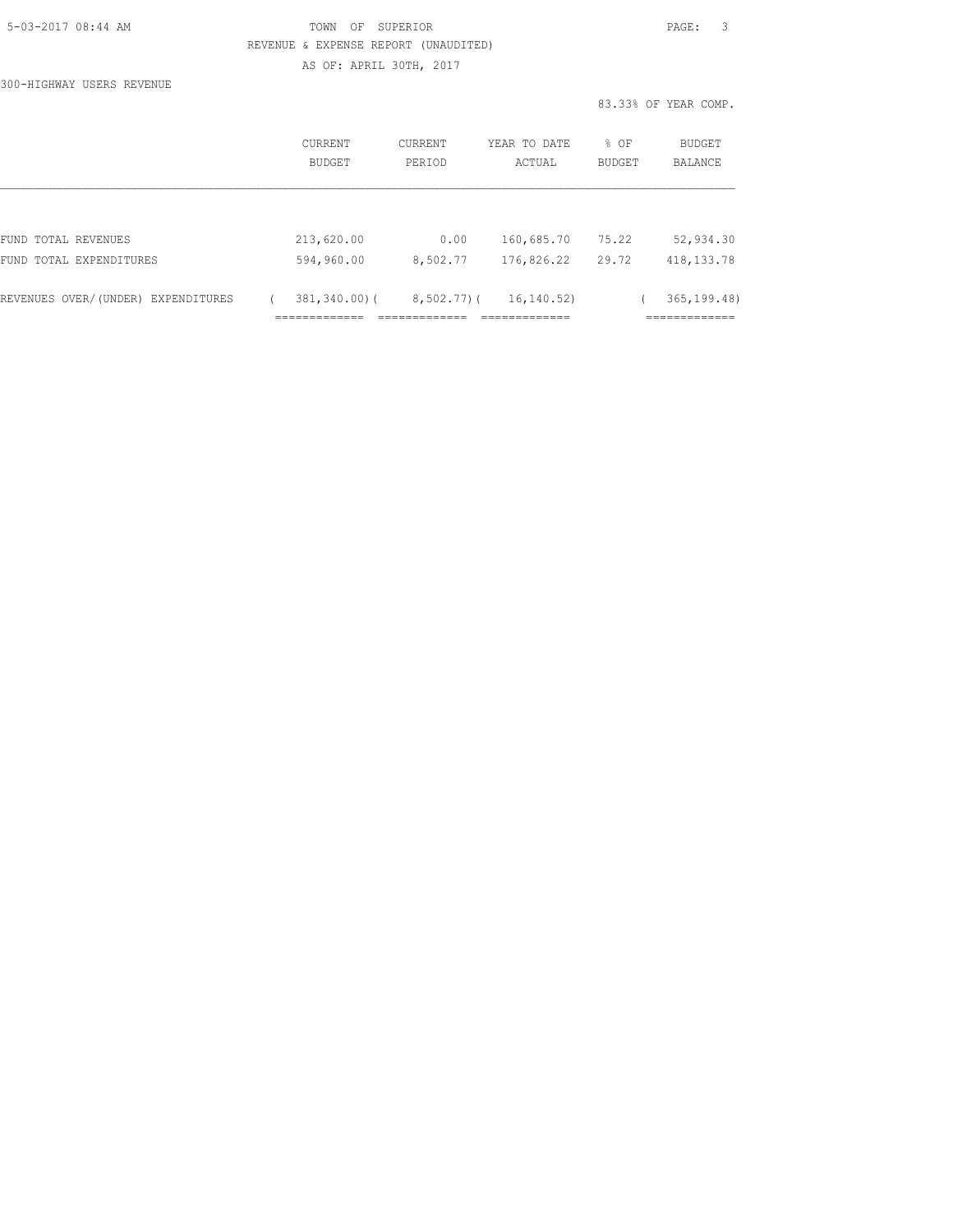| 5-03-2017 08:44 AM |  |
|--------------------|--|
|                    |  |

# TOWN OF SUPERIOR **Example 2018** PAGE: 3 REVENUE & EXPENSE REPORT (UNAUDITED)

AS OF: APRIL 30TH, 2017

300-HIGHWAY USERS REVENUE

|                                    | <b>CURRENT</b><br>BUDGET | CURRENT<br>PERIOD | YEAR TO DATE<br>ACTUAL | % OF<br><b>BUDGET</b> | <b>BUDGET</b><br><b>BALANCE</b> |
|------------------------------------|--------------------------|-------------------|------------------------|-----------------------|---------------------------------|
|                                    |                          |                   |                        |                       |                                 |
| FUND TOTAL REVENUES                | 213,620.00               | 0.00              | 160,685.70             | 75.22                 | 52,934.30                       |
| FUND TOTAL EXPENDITURES            | 594,960.00               | 8,502.77          | 176,826.22             | 29.72                 | 418, 133. 78                    |
| REVENUES OVER/(UNDER) EXPENDITURES | $381, 340.00$ (          | $8,502,77$ ) (    | 16,140.52)             |                       | 365, 199.48                     |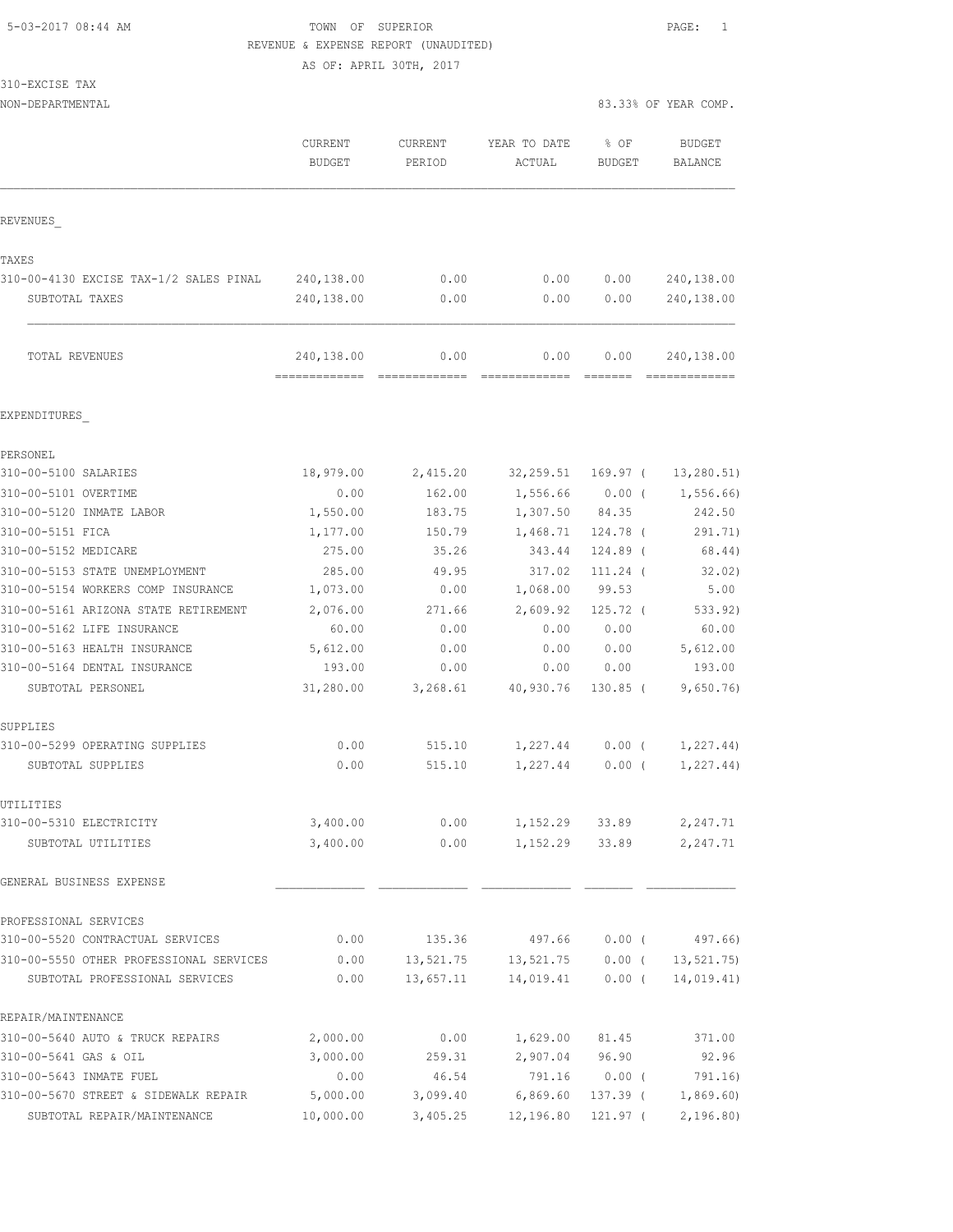# 5-03-2017 08:44 AM TOWN OF SUPERIOR PAGE: 1 REVENUE & EXPENSE REPORT (UNAUDITED)

AS OF: APRIL 30TH, 2017

| 310-EXCISE TAX                                                             |                             |                        |                       |                   |                             |
|----------------------------------------------------------------------------|-----------------------------|------------------------|-----------------------|-------------------|-----------------------------|
| NON-DEPARTMENTAL                                                           |                             |                        |                       |                   | 83.33% OF YEAR COMP.        |
|                                                                            | CURRENT                     | CURRENT                | YEAR TO DATE          | % OF              | BUDGET                      |
|                                                                            | <b>BUDGET</b>               | PERIOD                 | ACTUAL                | <b>BUDGET</b>     | BALANCE                     |
| REVENUES                                                                   |                             |                        |                       |                   |                             |
|                                                                            |                             |                        |                       |                   |                             |
| TAXES                                                                      |                             |                        |                       |                   |                             |
| 310-00-4130 EXCISE TAX-1/2 SALES PINAL                                     | 240,138.00                  | 0.00                   | 0.00                  | 0.00              | 240,138.00                  |
| SUBTOTAL TAXES                                                             | 240,138.00                  | 0.00                   | 0.00                  | 0.00              | 240,138.00                  |
| TOTAL REVENUES                                                             | 240,138.00<br>============= | 0.00<br>-------------- | 0.00<br>============= | 0.00              | 240,138.00<br>============= |
| EXPENDITURES                                                               |                             |                        |                       |                   |                             |
| PERSONEL                                                                   |                             |                        |                       |                   |                             |
| 310-00-5100 SALARIES                                                       | 18,979.00                   | 2,415.20               | 32,259.51             | 169.97 (          | 13, 280.51)                 |
| 310-00-5101 OVERTIME                                                       | 0.00                        | 162.00                 | 1,556.66              | $0.00$ (          | 1,556.66)                   |
| 310-00-5120 INMATE LABOR                                                   | 1,550.00                    | 183.75                 | 1,307.50              | 84.35             | 242.50                      |
| 310-00-5151 FICA                                                           | 1,177.00                    | 150.79                 | 1,468.71              | 124.78 (          | 291.71)                     |
| 310-00-5152 MEDICARE                                                       | 275.00                      | 35.26                  | 343.44                | 124.89 (          | 68.44)                      |
| 310-00-5153 STATE UNEMPLOYMENT                                             | 285.00                      | 49.95                  | 317.02<br>1,068.00    | 111.24 (<br>99.53 | 32.02)                      |
| 310-00-5154 WORKERS COMP INSURANCE<br>310-00-5161 ARIZONA STATE RETIREMENT | 1,073.00<br>2,076.00        | 0.00<br>271.66         | 2,609.92              | $125.72$ (        | 5.00<br>533.92)             |
| 310-00-5162 LIFE INSURANCE                                                 | 60.00                       | 0.00                   | 0.00                  | 0.00              | 60.00                       |
| 310-00-5163 HEALTH INSURANCE                                               | 5,612.00                    | 0.00                   | 0.00                  | 0.00              | 5,612.00                    |
| 310-00-5164 DENTAL INSURANCE                                               | 193.00                      | 0.00                   | 0.00                  | 0.00              | 193.00                      |
| SUBTOTAL PERSONEL                                                          | 31,280.00                   | 3,268.61               | 40,930.76             | $130.85$ (        | 9,650.76                    |
| SUPPLIES                                                                   |                             |                        |                       |                   |                             |
| 310-00-5299 OPERATING SUPPLIES                                             | 0.00                        | 515.10                 | 1,227.44              | $0.00$ (          | 1,227.44)                   |
| SUBTOTAL SUPPLIES                                                          | 0.00                        | 515.10                 | 1,227.44              | $0.00$ (          | 1, 227.44)                  |
| UTILITIES                                                                  |                             |                        |                       |                   |                             |
| 310-00-5310 ELECTRICITY                                                    | 3,400.00                    | 0.00                   | 1,152.29              | 33.89             | 2,247.71                    |
| SUBTOTAL UTILITIES                                                         | 3,400.00                    | 0.00                   | 1,152.29              | 33.89             | 2,247.71                    |
| GENERAL BUSINESS EXPENSE                                                   |                             |                        |                       |                   |                             |
| PROFESSIONAL SERVICES                                                      |                             |                        |                       |                   |                             |
| 310-00-5520 CONTRACTUAL SERVICES                                           | 0.00                        | 135.36                 | 497.66                | $0.00$ (          | 497.66)                     |
| 310-00-5550 OTHER PROFESSIONAL SERVICES                                    | 0.00                        | 13,521.75              | 13,521.75             | $0.00$ (          | 13, 521.75                  |
| SUBTOTAL PROFESSIONAL SERVICES                                             | 0.00                        | 13,657.11              | 14,019.41             | 0.00(             | 14,019.41)                  |
| REPAIR/MAINTENANCE                                                         |                             |                        |                       |                   |                             |
| 310-00-5640 AUTO & TRUCK REPAIRS                                           | 2,000.00                    | 0.00                   | 1,629.00              | 81.45             | 371.00                      |
| 310-00-5641 GAS & OIL                                                      | 3,000.00                    | 259.31                 | 2,907.04              | 96.90             | 92.96                       |
| 310-00-5643 INMATE FUEL                                                    | 0.00                        | 46.54                  | 791.16                | 0.00(             | 791.16)                     |

310-00-5670 STREET & SIDEWALK REPAIR 5,000.00 3,099.40 6,869.60 137.39 ( 1,869.60) SUBTOTAL REPAIR/MAINTENANCE 10,000.00 3,405.25 12,196.80 121.97 ( 2,196.80)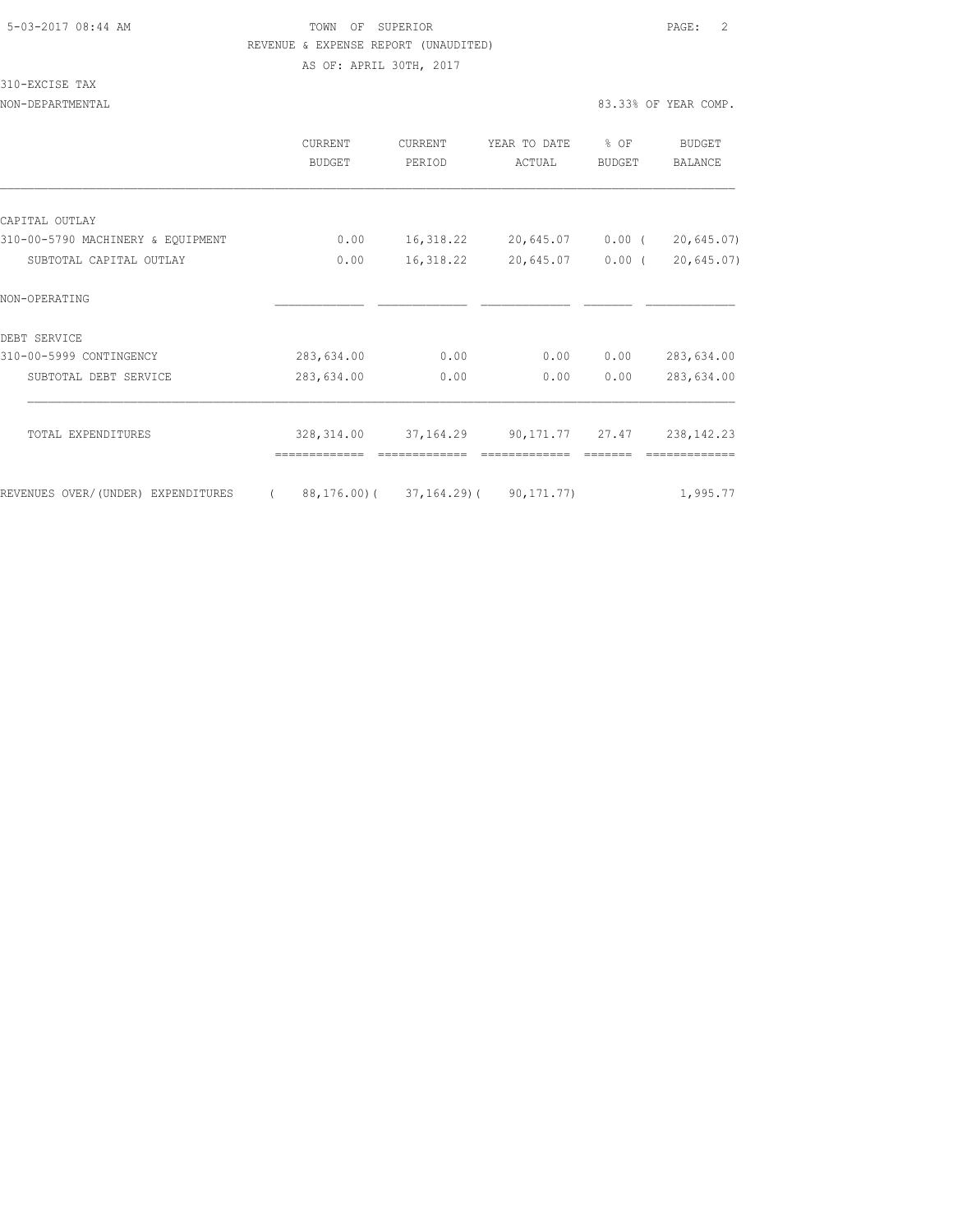### 5-03-2017 08:44 AM TOWN OF SUPERIOR PAGE: 2 REVENUE & EXPENSE REPORT (UNAUDITED)

AS OF: APRIL 30TH, 2017

310-EXCISE TAX

|                                    | CURRENT<br>BUDGET | <b>CURRENT</b><br>PERIOD | YEAR TO DATE<br>ACTUAL             | % OF<br><b>BUDGET</b> | BUDGET<br><b>BALANCE</b> |
|------------------------------------|-------------------|--------------------------|------------------------------------|-----------------------|--------------------------|
|                                    |                   |                          |                                    |                       |                          |
| CAPITAL OUTLAY                     |                   |                          |                                    |                       |                          |
| 310-00-5790 MACHINERY & EQUIPMENT  | 0.00              | 16,318.22                | 20,645.07 0.00 (                   |                       | 20,645.07                |
| SUBTOTAL CAPITAL OUTLAY            | 0.00              | 16,318.22                | 20,645.07                          | $0.00$ (              | 20,645.07                |
| NON-OPERATING                      |                   |                          |                                    |                       |                          |
| DEBT SERVICE                       |                   |                          |                                    |                       |                          |
| 310-00-5999 CONTINGENCY            | 283,634.00        | 0.00                     | 0.00                               | 0.00                  | 283,634.00               |
| SUBTOTAL DEBT SERVICE              | 283,634.00        | 0.00                     | 0.00                               | 0.00                  | 283,634.00               |
| TOTAL EXPENDITURES                 | 328,314.00        | 37,164.29                | 90,171.77 27.47                    |                       | 238, 142. 23             |
| REVENUES OVER/(UNDER) EXPENDITURES | $\sqrt{2}$        |                          | 88,176.00)( 37,164.29)( 90,171.77) |                       | 1,995.77                 |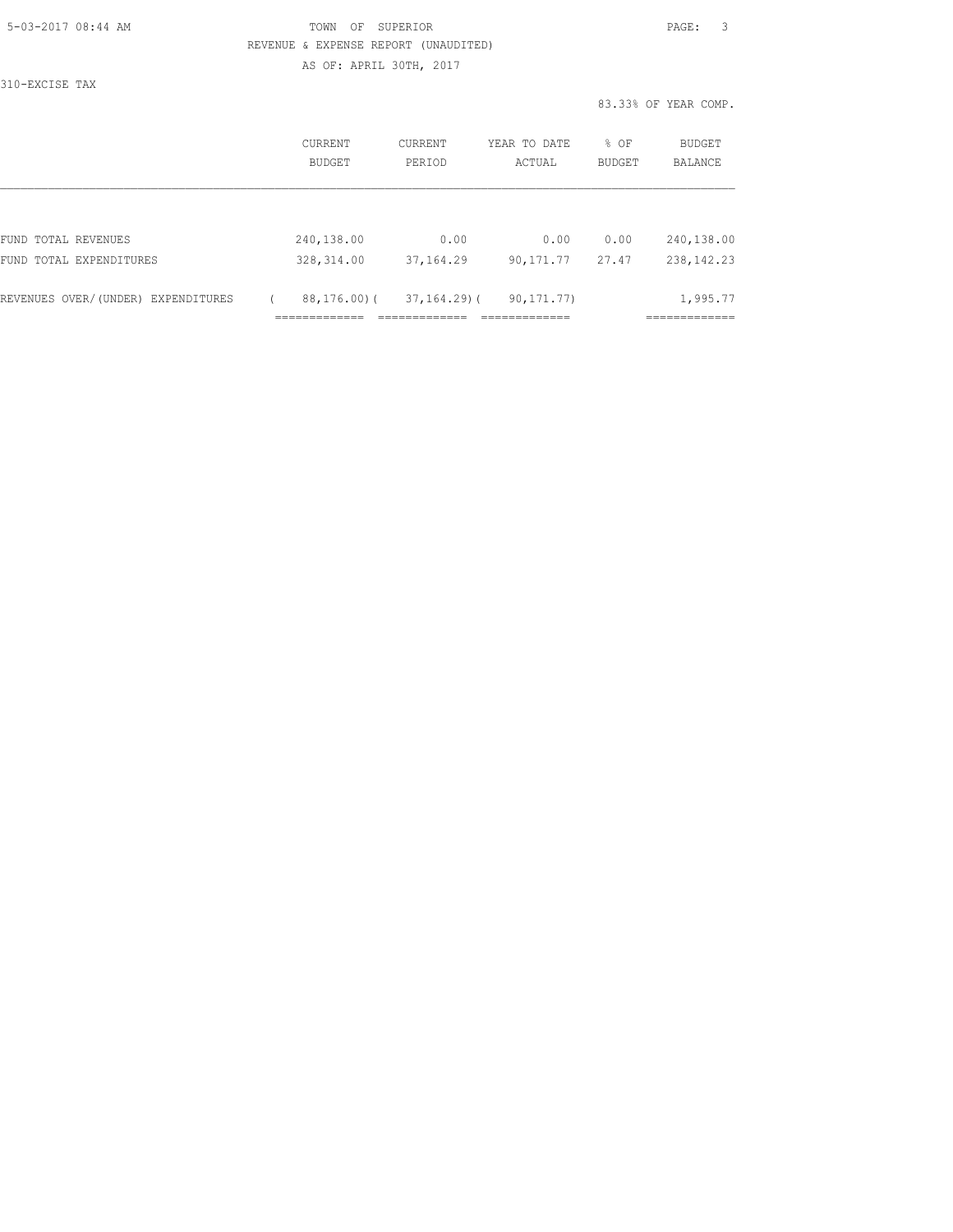| 5-03-2017 08:44 AM |  |
|--------------------|--|
|                    |  |

### TOWN OF SUPERIOR **Example 2018** PAGE: 3 REVENUE & EXPENSE REPORT (UNAUDITED) AS OF: APRIL 30TH, 2017

310-EXCISE TAX

|                                                | CURRENT<br>BUDGET         | CURRENT<br>PERIOD  | YEAR TO DATE<br>ACTUAL | % OF<br>BUDGET | <b>BUDGET</b><br>BALANCE   |
|------------------------------------------------|---------------------------|--------------------|------------------------|----------------|----------------------------|
| FUND TOTAL REVENUES<br>FUND TOTAL EXPENDITURES | 240,138.00<br>328, 314.00 | 0.00<br>37, 164.29 | 0.00<br>90,171.77      | 0.00<br>27.47  | 240,138.00<br>238, 142. 23 |
| REVENUES OVER/(UNDER) EXPENDITURES             | 88,176.00)(               | $37, 164, 29$ ) (  | 90, 171, 77)           |                | 1,995.77                   |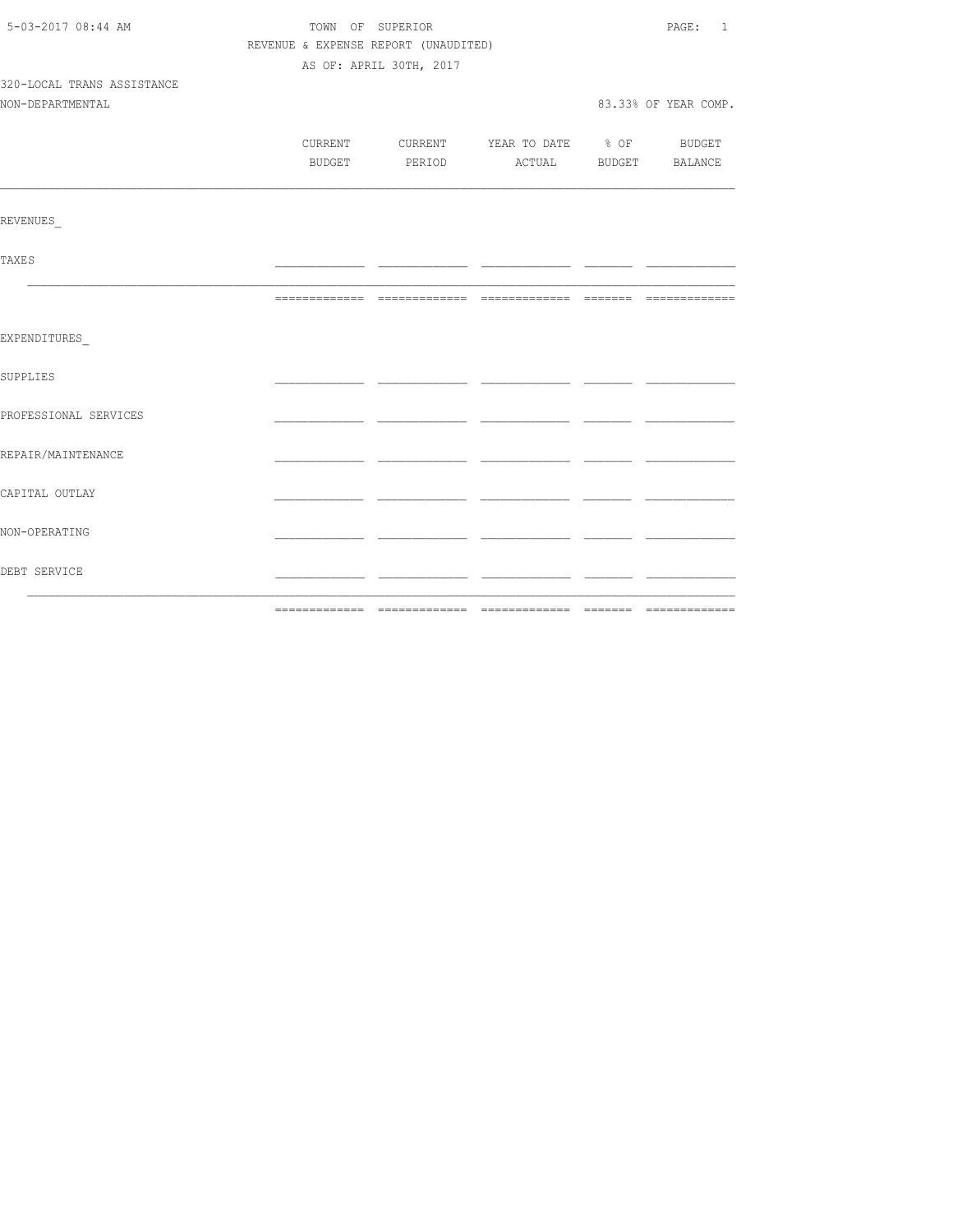| 5-03-2017 08:44 AM         |        | TOWN OF SUPERIOR                     |                                          |  |                      |  |
|----------------------------|--------|--------------------------------------|------------------------------------------|--|----------------------|--|
|                            |        | REVENUE & EXPENSE REPORT (UNAUDITED) |                                          |  |                      |  |
|                            |        | AS OF: APRIL 30TH, 2017              |                                          |  |                      |  |
| 320-LOCAL TRANS ASSISTANCE |        |                                      |                                          |  |                      |  |
| NON-DEPARTMENTAL           |        |                                      |                                          |  | 83.33% OF YEAR COMP. |  |
|                            |        |                                      |                                          |  |                      |  |
|                            |        |                                      | CURRENT CURRENT YEAR TO DATE % OF BUDGET |  |                      |  |
|                            | BUDGET |                                      | PERIOD ACTUAL BUDGET BALANCE             |  |                      |  |
|                            |        |                                      |                                          |  |                      |  |
| <b>REVENUES</b>            |        |                                      |                                          |  |                      |  |
| <b>TAXES</b>               |        |                                      |                                          |  |                      |  |
|                            |        |                                      |                                          |  |                      |  |
| EXPENDITURES               |        |                                      |                                          |  |                      |  |
| SUPPLIES                   |        |                                      |                                          |  |                      |  |
| PROFESSIONAL SERVICES      |        |                                      |                                          |  |                      |  |
| REPAIR/MAINTENANCE         |        |                                      |                                          |  |                      |  |
| CAPITAL OUTLAY             |        |                                      |                                          |  |                      |  |
| NON-OPERATING              |        |                                      |                                          |  |                      |  |
| DEBT SERVICE               |        |                                      |                                          |  |                      |  |
|                            |        |                                      |                                          |  |                      |  |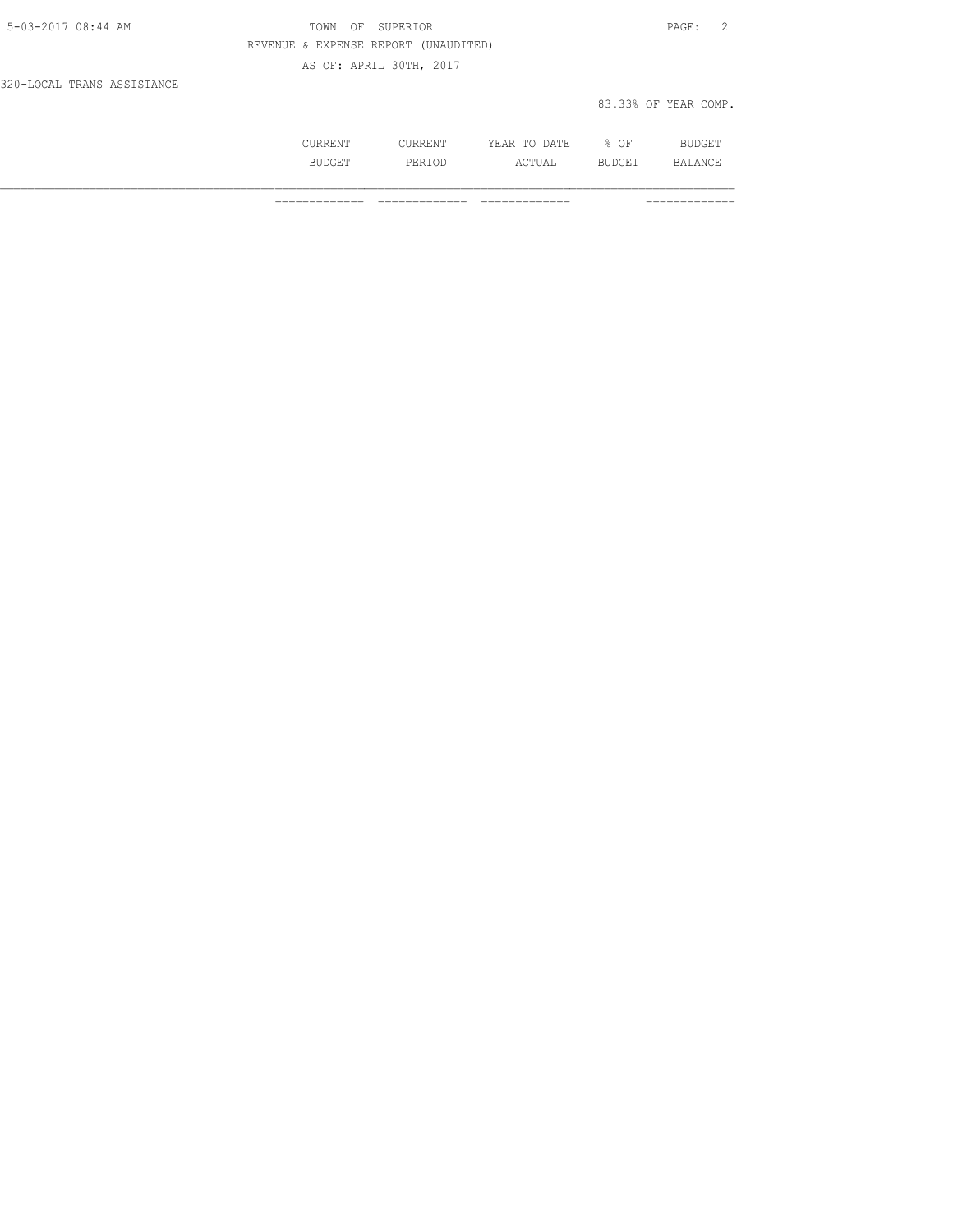| 5-03-2017 08:44 AM         | OF SUPERIOR<br>TOWN                  | PAGE: 2              |
|----------------------------|--------------------------------------|----------------------|
|                            | REVENUE & EXPENSE REPORT (UNAUDITED) |                      |
|                            | AS OF: APRIL 30TH, 2017              |                      |
| 320-LOCAL TRANS ASSISTANCE |                                      |                      |
|                            |                                      | 83.33% OF YEAR COMP. |

| .              | 71. m. T.<br>----<br>----- | ΟF<br>∽.<br>- | -- |
|----------------|----------------------------|---------------|----|
| اما د .<br>◡∸◡ | ---                        | --            |    |

============= ============= ============= =============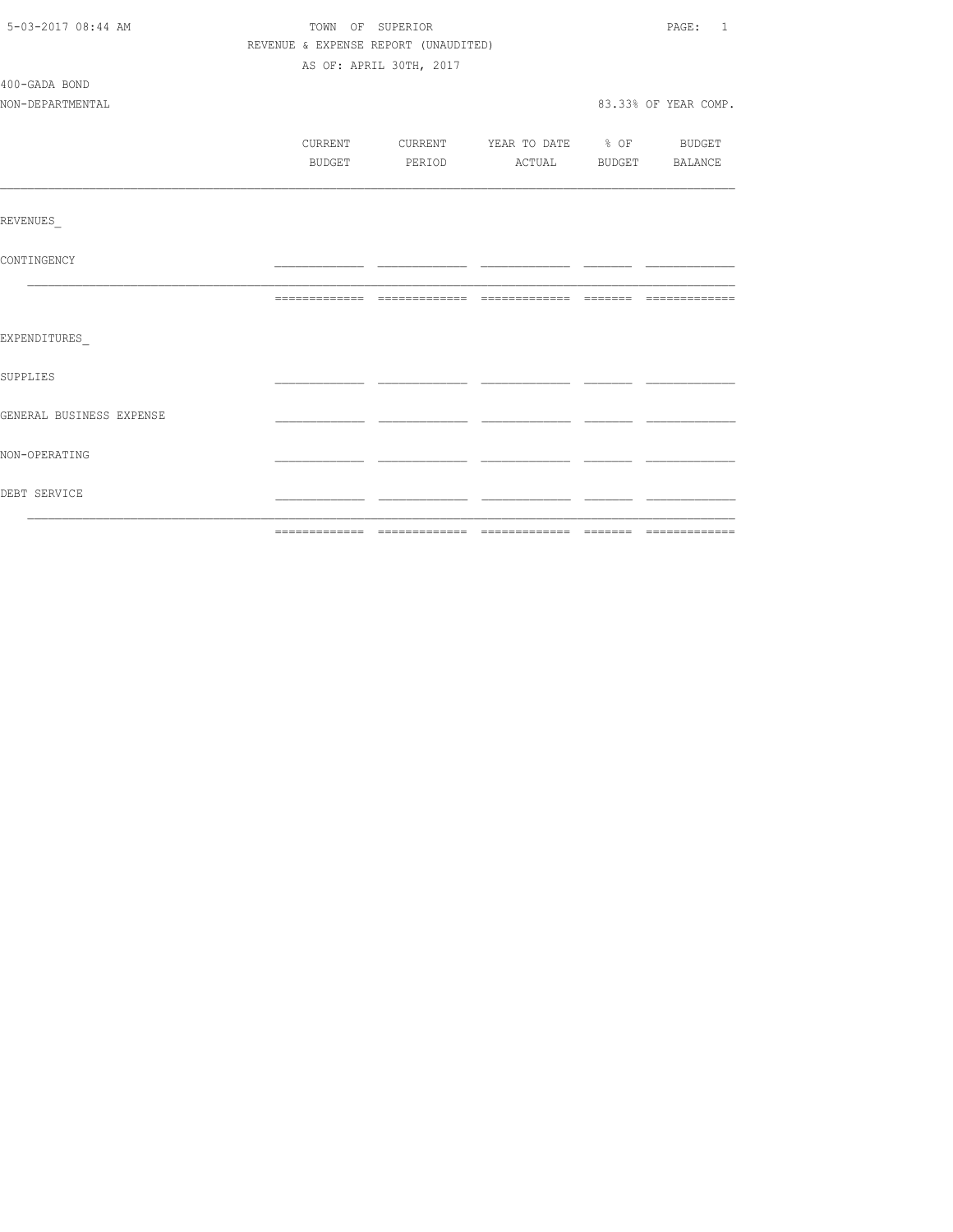| 5-03-2017 08:44 AM       |         | TOWN OF SUPERIOR                     |                          | PAGE: 1              |
|--------------------------|---------|--------------------------------------|--------------------------|----------------------|
|                          |         | REVENUE & EXPENSE REPORT (UNAUDITED) |                          |                      |
|                          |         | AS OF: APRIL 30TH, 2017              |                          |                      |
| 400-GADA BOND            |         |                                      |                          |                      |
| NON-DEPARTMENTAL         |         |                                      |                          | 83.33% OF YEAR COMP. |
|                          |         |                                      |                          |                      |
|                          | CURRENT | CURRENT                              | YEAR TO DATE % OF BUDGET |                      |
|                          | BUDGET  | PERIOD                               | ACTUAL BUDGET BALANCE    |                      |
|                          |         |                                      |                          |                      |
| REVENUES                 |         |                                      |                          |                      |
| CONTINGENCY              |         |                                      |                          |                      |
|                          |         |                                      |                          |                      |
| EXPENDITURES             |         |                                      |                          |                      |
| <b>SUPPLIES</b>          |         |                                      |                          |                      |
| GENERAL BUSINESS EXPENSE |         |                                      |                          |                      |
| NON-OPERATING            |         |                                      |                          |                      |
| DEBT SERVICE             |         |                                      |                          |                      |
|                          |         |                                      |                          |                      |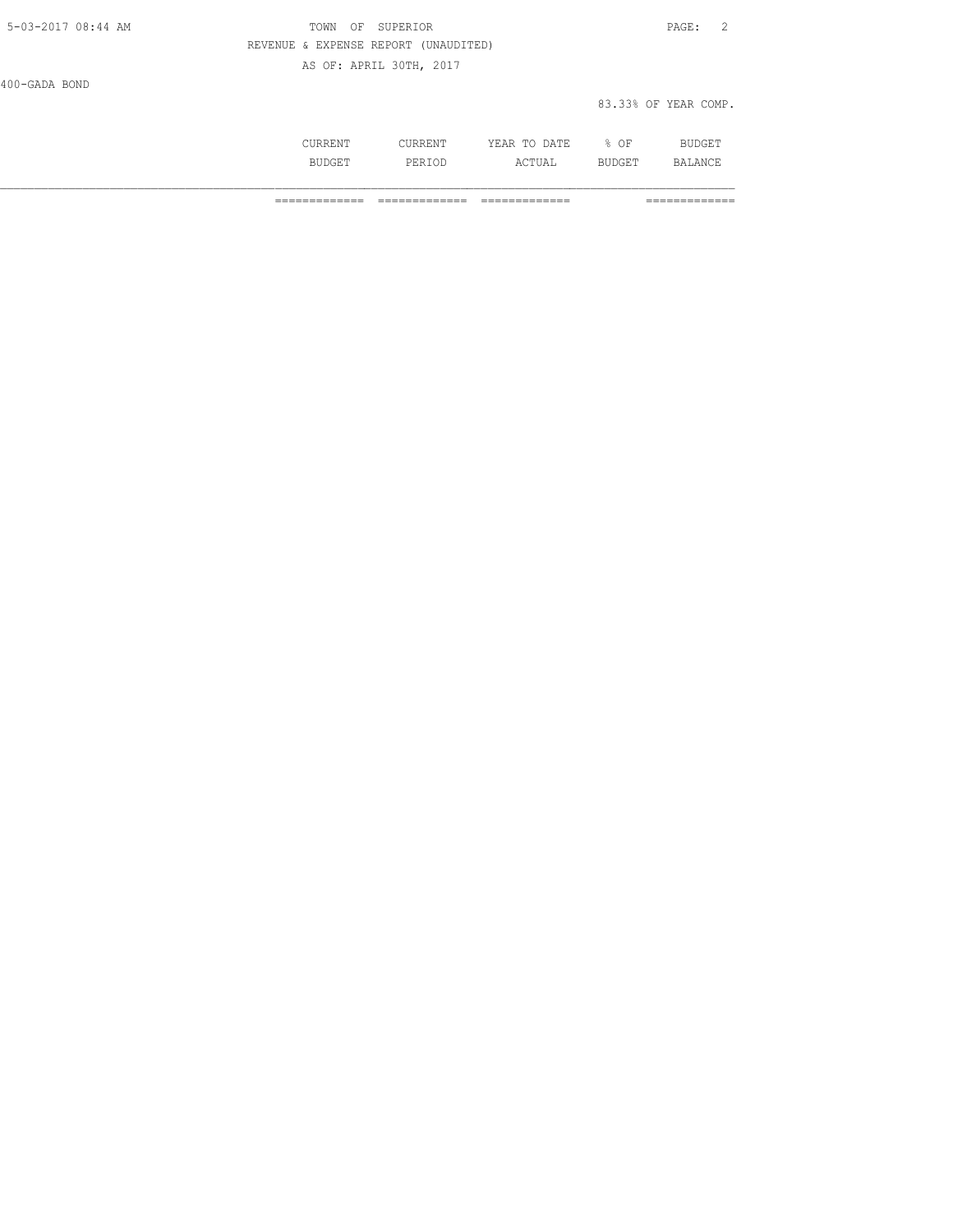| 5-03-2017 08:44 AM | OF SUPERIOR<br>TOWN                  | PAGE:                |  |
|--------------------|--------------------------------------|----------------------|--|
|                    | REVENUE & EXPENSE REPORT (UNAUDITED) |                      |  |
|                    | AS OF: APRIL 30TH, 2017              |                      |  |
| 400-GADA BOND      |                                      |                      |  |
|                    |                                      | 83.33% OF YEAR COMP. |  |

| ◡◡ュ៶ュ៶⊐ュッ | .                 | ۱۳۳<br>.<br>----<br>-----                                           | ΟF    | $\sim$ $\sim$<br>חזרת |
|-----------|-------------------|---------------------------------------------------------------------|-------|-----------------------|
| .<br>---  | بياد .<br><br>◡∸◡ | $\wedge$ $\cap$ $\overline{m}$ $\overline{r}$ $\overline{r}$<br>⊥∪∆ | ב בטי | . A NICT<br>₩.        |

============= ============= ============= =============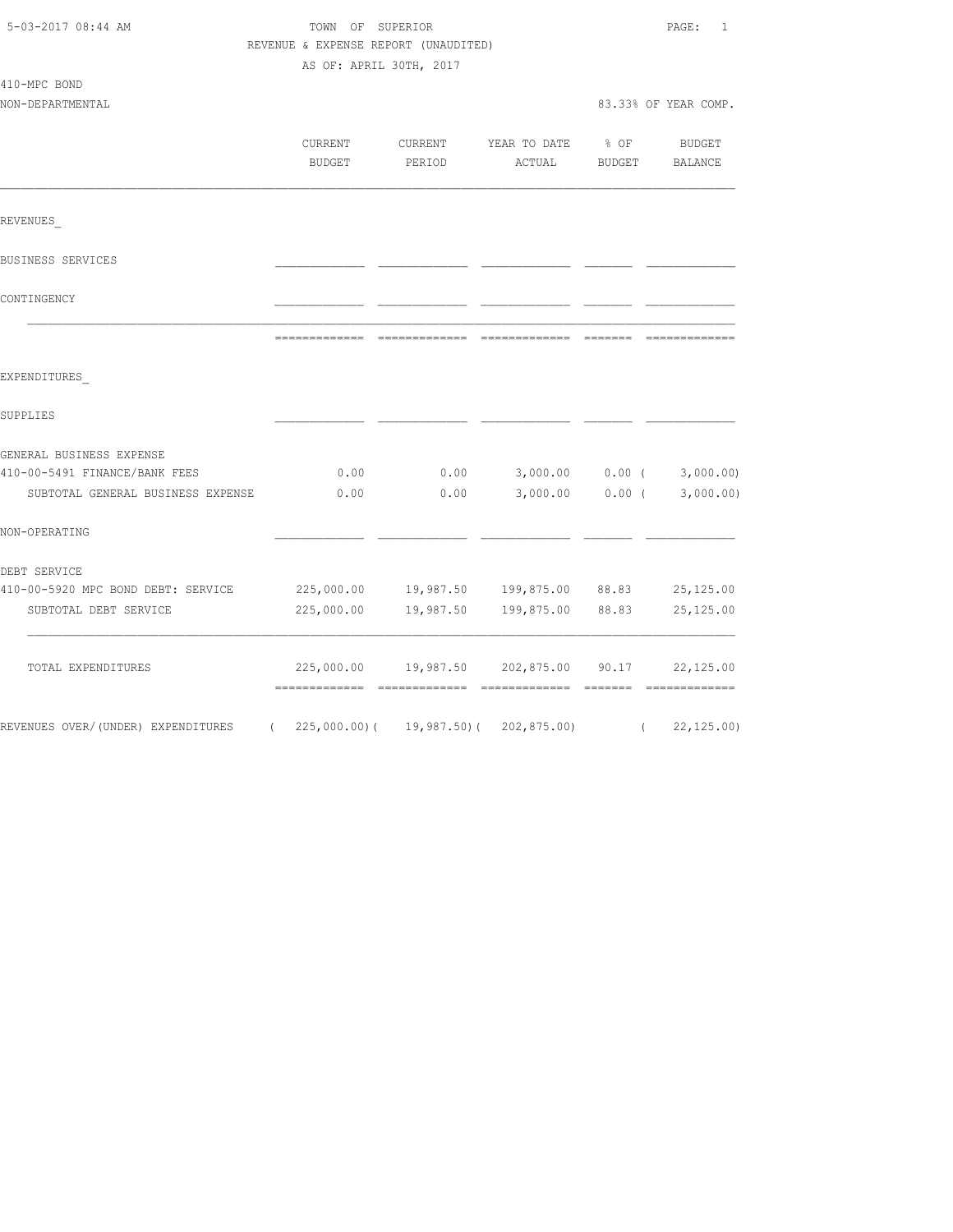| 5-03-2017 08:44 AM                 | TOWN OF SUPERIOR                     | PAGE:<br>$\mathbf{1}$ |                              |               |                       |
|------------------------------------|--------------------------------------|-----------------------|------------------------------|---------------|-----------------------|
|                                    | REVENUE & EXPENSE REPORT (UNAUDITED) |                       |                              |               |                       |
|                                    | AS OF: APRIL 30TH, 2017              |                       |                              |               |                       |
| 410-MPC BOND                       |                                      |                       |                              |               |                       |
| NON-DEPARTMENTAL                   |                                      |                       |                              |               | 83.33% OF YEAR COMP.  |
|                                    |                                      |                       |                              |               |                       |
|                                    | CURRENT                              | CURRENT               | YEAR TO DATE                 | $8$ OF        | BUDGET                |
|                                    | <b>BUDGET</b>                        | PERIOD                | ACTUAL                       | <b>BUDGET</b> | <b>BALANCE</b>        |
| REVENUES                           |                                      |                       |                              |               |                       |
| BUSINESS SERVICES                  |                                      |                       |                              |               |                       |
| CONTINGENCY                        |                                      |                       |                              |               |                       |
|                                    | =============                        |                       |                              | --------      | --------------        |
| EXPENDITURES                       |                                      |                       |                              |               |                       |
| SUPPLIES                           |                                      |                       |                              |               |                       |
| GENERAL BUSINESS EXPENSE           |                                      |                       |                              |               |                       |
| 410-00-5491 FINANCE/BANK FEES      | 0.00                                 | 0.00                  | 3,000.00                     |               | $0.00$ ( $3,000.00$ ) |
| SUBTOTAL GENERAL BUSINESS EXPENSE  | 0.00                                 | 0.00                  | 3,000.00                     | $0.00$ (      | 3,000.00)             |
| NON-OPERATING                      |                                      |                       |                              |               |                       |
| DEBT SERVICE                       |                                      |                       |                              |               |                       |
| 410-00-5920 MPC BOND DEBT: SERVICE | 225,000.00                           |                       | 19,987.50  199,875.00  88.83 |               | 25,125.00             |
| SUBTOTAL DEBT SERVICE              | 225,000.00                           | 19,987.50             | 199,875.00 88.83             |               | 25, 125.00            |
| TOTAL EXPENDITURES                 |                                      | 225,000.00 19,987.50  | 202,875.00                   | 90.17         | 22,125.00             |
| REVENUES OVER/(UNDER) EXPENDITURES | $(225,000.00)$ (                     | 19,987.50)(           | 202,875.00)                  | $\left($      | 22, 125.00            |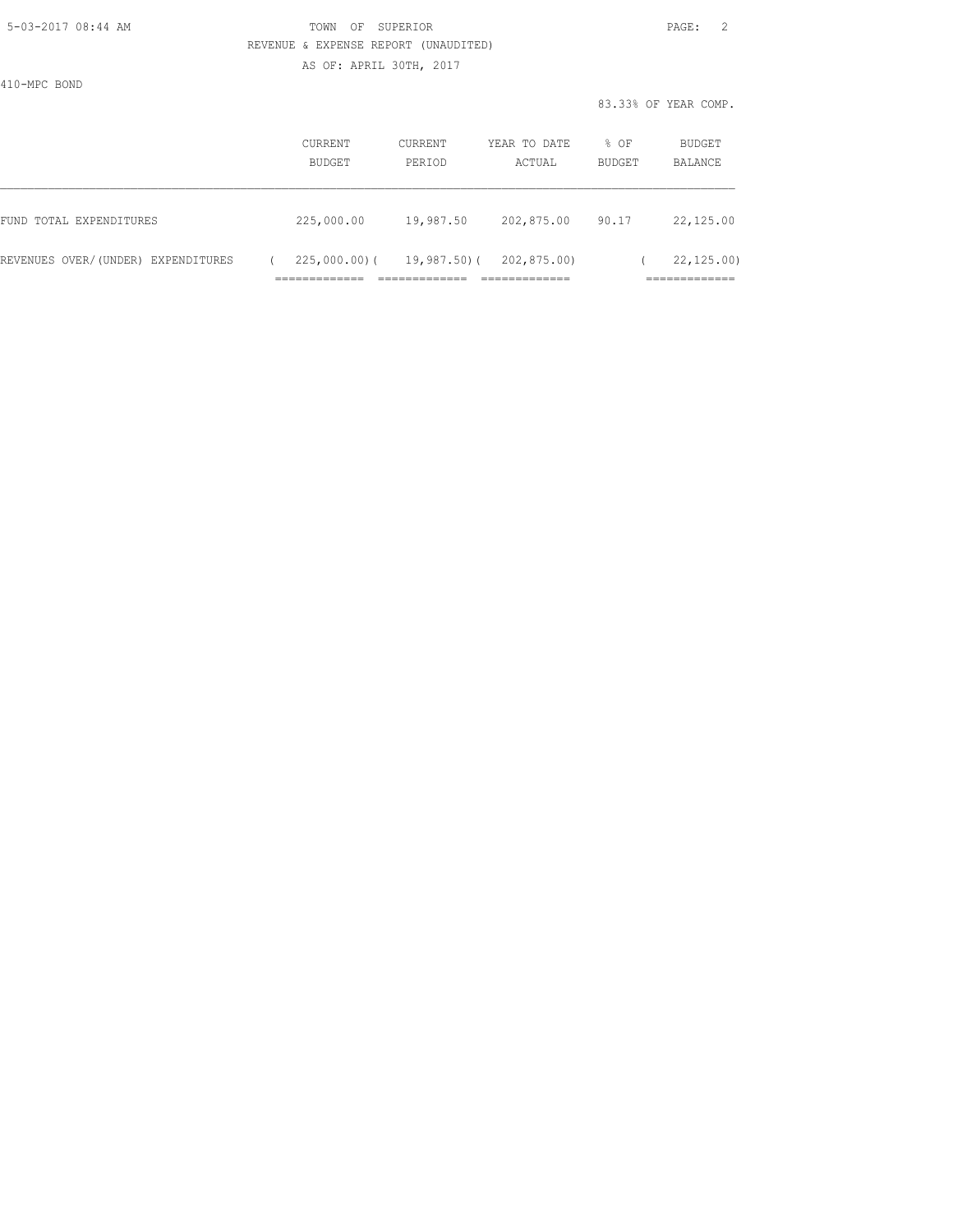### 5-03-2017 08:44 AM TOWN OF SUPERIOR PAGE: 2 REVENUE & EXPENSE REPORT (UNAUDITED) AS OF: APRIL 30TH, 2017

410-MPC BOND

|                                    | CURRENT<br><b>BUDGET</b> | CURRENT<br>PERTOD | YEAR TO DATE<br>ACTUAL | $8$ OF<br><b>BUDGET</b> | BUDGET<br>BALANCE |
|------------------------------------|--------------------------|-------------------|------------------------|-------------------------|-------------------|
| FUND TOTAL EXPENDITURES            | 225,000.00               | 19,987.50         | 202,875.00             | 90.17                   | 22,125.00         |
| REVENUES OVER/(UNDER) EXPENDITURES | $225,000.00)$ (          | 19,987.50)(       | 202,875.00)            |                         | 22, 125, 00)      |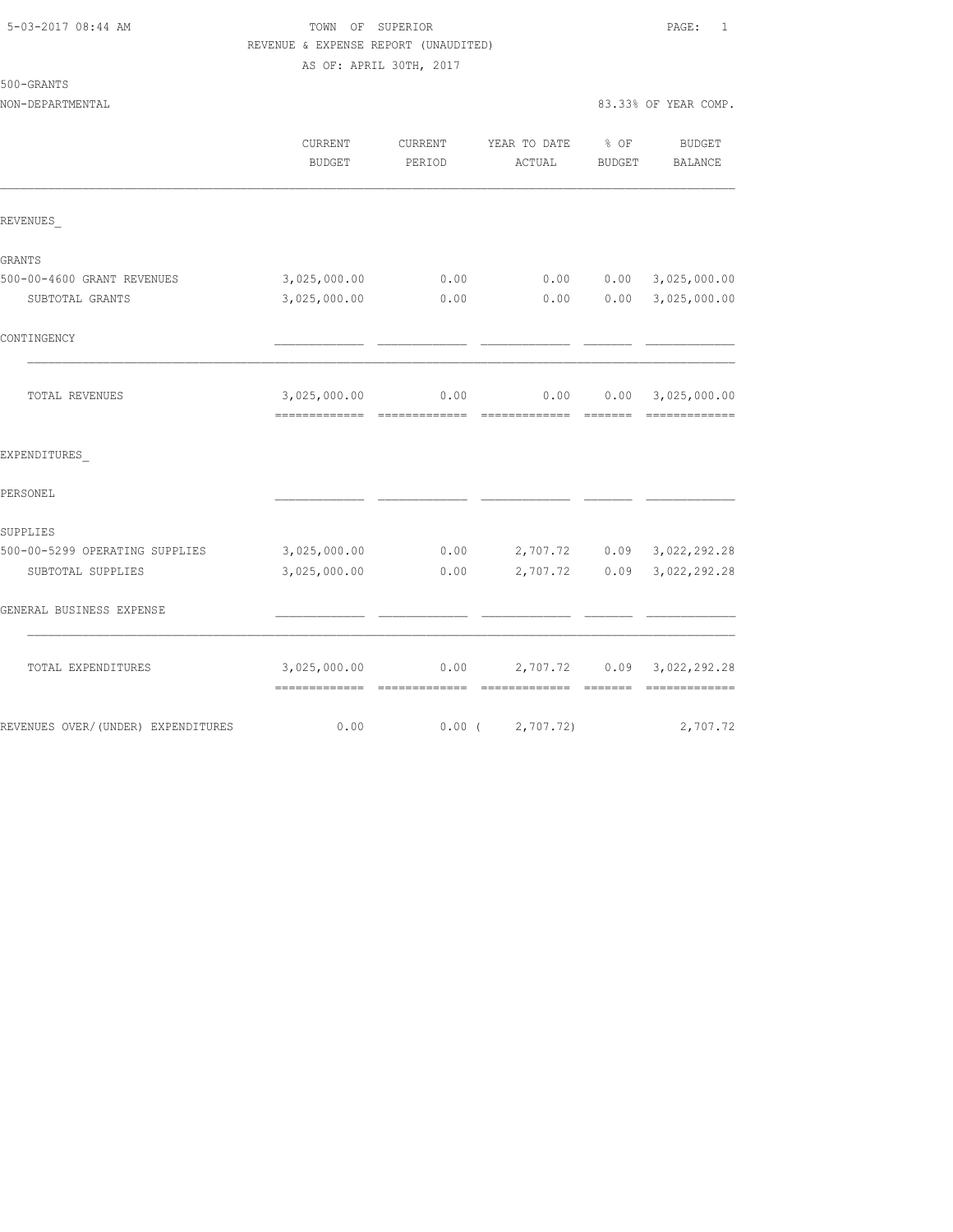# 5-03-2017 08:44 AM TOWN OF SUPERIOR PAGE: 1 REVENUE & EXPENSE REPORT (UNAUDITED)

AS OF: APRIL 30TH, 2017

| )-GRANTS<br>500 |  |
|-----------------|--|
|-----------------|--|

|                                    | CURRENT<br><b>BUDGET</b>                      | CURRENT<br>PERIOD | YEAR TO DATE % OF<br>ACTUAL | <b>BUDGET</b> | <b>BUDGET</b><br>BALANCE                                                                                                                                                                                                                                                                                                                                                                                                                                                                                      |
|------------------------------------|-----------------------------------------------|-------------------|-----------------------------|---------------|---------------------------------------------------------------------------------------------------------------------------------------------------------------------------------------------------------------------------------------------------------------------------------------------------------------------------------------------------------------------------------------------------------------------------------------------------------------------------------------------------------------|
| REVENUES                           |                                               |                   |                             |               |                                                                                                                                                                                                                                                                                                                                                                                                                                                                                                               |
| GRANTS                             |                                               |                   |                             |               |                                                                                                                                                                                                                                                                                                                                                                                                                                                                                                               |
| 500-00-4600 GRANT REVENUES         | 3,025,000.00                                  | 0.00              | 0.00                        | 0.00          | 3,025,000.00                                                                                                                                                                                                                                                                                                                                                                                                                                                                                                  |
| SUBTOTAL GRANTS                    | 3,025,000.00                                  | 0.00              | 0.00                        | 0.00          | 3,025,000.00                                                                                                                                                                                                                                                                                                                                                                                                                                                                                                  |
| CONTINGENCY                        |                                               |                   |                             |               |                                                                                                                                                                                                                                                                                                                                                                                                                                                                                                               |
| TOTAL REVENUES                     | 3,025,000.00                                  | 0.00              | 0.00                        |               | $0.00$ 3,025,000.00<br>$\begin{array}{cccccccccc} \multicolumn{2}{c}{} & \multicolumn{2}{c}{} & \multicolumn{2}{c}{} & \multicolumn{2}{c}{} & \multicolumn{2}{c}{} & \multicolumn{2}{c}{} & \multicolumn{2}{c}{} & \multicolumn{2}{c}{} & \multicolumn{2}{c}{} & \multicolumn{2}{c}{} & \multicolumn{2}{c}{} & \multicolumn{2}{c}{} & \multicolumn{2}{c}{} & \multicolumn{2}{c}{} & \multicolumn{2}{c}{} & \multicolumn{2}{c}{} & \multicolumn{2}{c}{} & \multicolumn{2}{c}{} & \multicolumn{2}{c}{} & \mult$ |
| EXPENDITURES                       |                                               |                   |                             |               |                                                                                                                                                                                                                                                                                                                                                                                                                                                                                                               |
| PERSONEL                           |                                               |                   |                             |               |                                                                                                                                                                                                                                                                                                                                                                                                                                                                                                               |
| SUPPLIES                           |                                               |                   |                             |               |                                                                                                                                                                                                                                                                                                                                                                                                                                                                                                               |
| 500-00-5299 OPERATING SUPPLIES     | 3,025,000.00                                  | 0.00              |                             |               | 2,707.72 0.09 3,022,292.28                                                                                                                                                                                                                                                                                                                                                                                                                                                                                    |
| SUBTOTAL SUPPLIES                  | 3,025,000.00                                  | 0.00              | 2,707.72                    | 0.09          | 3,022,292.28                                                                                                                                                                                                                                                                                                                                                                                                                                                                                                  |
| GENERAL BUSINESS EXPENSE           |                                               |                   |                             |               |                                                                                                                                                                                                                                                                                                                                                                                                                                                                                                               |
| TOTAL EXPENDITURES                 | 3,025,000.00<br>-------------- -------------- | 0.00              | 2,707.72 0.09               |               | 3,022,292.28<br>=============                                                                                                                                                                                                                                                                                                                                                                                                                                                                                 |
| REVENUES OVER/(UNDER) EXPENDITURES | 0.00                                          | $0.00$ (          | 2,707.72)                   |               | 2,707.72                                                                                                                                                                                                                                                                                                                                                                                                                                                                                                      |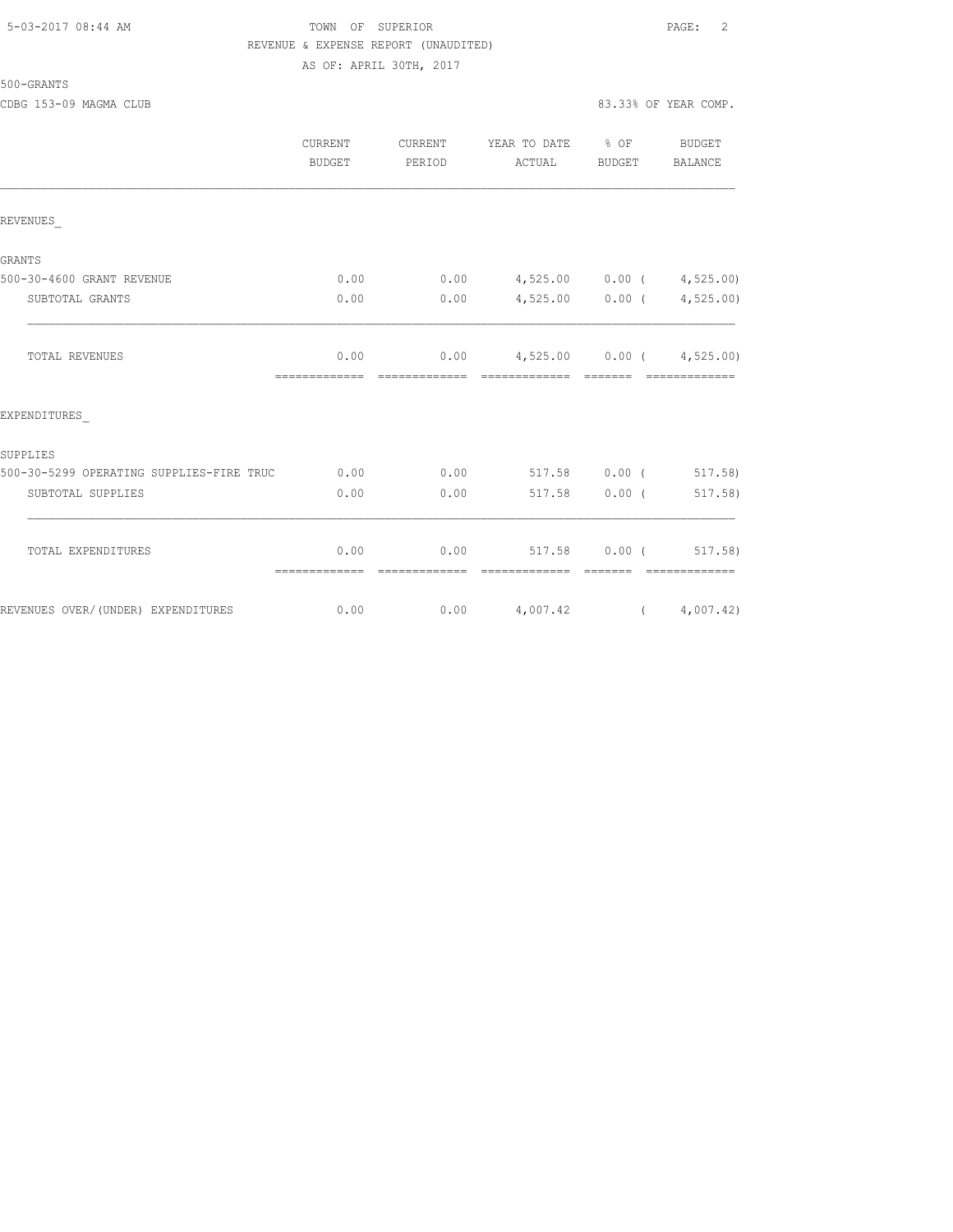#### 5-03-2017 08:44 AM TOWN OF SUPERIOR PAGE: 2 REVENUE & EXPENSE REPORT (UNAUDITED) AS OF: APRIL 30TH, 2017

500-GRANTS

CDBG 153-09 MAGMA CLUB 83.33% OF YEAR COMP.

|                                          | <b>CURRENT</b><br>BUDGET | <b>CURRENT</b><br>PERIOD | YEAR TO DATE % OF<br>ACTUAL                                                                                                                                                                                                                                                                                                                                                                                                                                                                                                                   | BUDGET                                                                                                                                                                                                                                                                                                                                                                                                                                                                               | <b>BUDGET</b><br>BALANCE |
|------------------------------------------|--------------------------|--------------------------|-----------------------------------------------------------------------------------------------------------------------------------------------------------------------------------------------------------------------------------------------------------------------------------------------------------------------------------------------------------------------------------------------------------------------------------------------------------------------------------------------------------------------------------------------|--------------------------------------------------------------------------------------------------------------------------------------------------------------------------------------------------------------------------------------------------------------------------------------------------------------------------------------------------------------------------------------------------------------------------------------------------------------------------------------|--------------------------|
| REVENUES                                 |                          |                          |                                                                                                                                                                                                                                                                                                                                                                                                                                                                                                                                               |                                                                                                                                                                                                                                                                                                                                                                                                                                                                                      |                          |
| GRANTS                                   |                          |                          |                                                                                                                                                                                                                                                                                                                                                                                                                                                                                                                                               |                                                                                                                                                                                                                                                                                                                                                                                                                                                                                      |                          |
| 500-30-4600 GRANT REVENUE                | 0.00                     |                          | $0.00$ 4,525.00 0.00 ( 4,525.00)                                                                                                                                                                                                                                                                                                                                                                                                                                                                                                              |                                                                                                                                                                                                                                                                                                                                                                                                                                                                                      |                          |
| SUBTOTAL GRANTS                          | 0.00                     | 0.00                     | $4,525.00$ 0.00 ( $4,525.00$ )                                                                                                                                                                                                                                                                                                                                                                                                                                                                                                                |                                                                                                                                                                                                                                                                                                                                                                                                                                                                                      |                          |
| TOTAL REVENUES                           | 0.00<br>=============    | - =============          | $0.00 \qquad 4,525.00 \qquad 0.00 \qquad 4,525.00)$<br>$\begin{array}{cccccccccc} \multicolumn{2}{c}{} & \multicolumn{2}{c}{} & \multicolumn{2}{c}{} & \multicolumn{2}{c}{} & \multicolumn{2}{c}{} & \multicolumn{2}{c}{} & \multicolumn{2}{c}{} & \multicolumn{2}{c}{} & \multicolumn{2}{c}{} & \multicolumn{2}{c}{} & \multicolumn{2}{c}{} & \multicolumn{2}{c}{} & \multicolumn{2}{c}{} & \multicolumn{2}{c}{} & \multicolumn{2}{c}{} & \multicolumn{2}{c}{} & \multicolumn{2}{c}{} & \multicolumn{2}{c}{} & \multicolumn{2}{c}{} & \mult$ | _______                                                                                                                                                                                                                                                                                                                                                                                                                                                                              |                          |
| EXPENDITURES                             |                          |                          |                                                                                                                                                                                                                                                                                                                                                                                                                                                                                                                                               |                                                                                                                                                                                                                                                                                                                                                                                                                                                                                      |                          |
| SUPPLIES                                 |                          |                          |                                                                                                                                                                                                                                                                                                                                                                                                                                                                                                                                               |                                                                                                                                                                                                                                                                                                                                                                                                                                                                                      |                          |
| 500-30-5299 OPERATING SUPPLIES-FIRE TRUC | 0.00                     | 0.00                     | 517.58 0.00 (517.58)                                                                                                                                                                                                                                                                                                                                                                                                                                                                                                                          |                                                                                                                                                                                                                                                                                                                                                                                                                                                                                      |                          |
| SUBTOTAL SUPPLIES                        | 0.00                     | 0.00                     |                                                                                                                                                                                                                                                                                                                                                                                                                                                                                                                                               | 517.58 0.00 (                                                                                                                                                                                                                                                                                                                                                                                                                                                                        | 517.58)                  |
| TOTAL EXPENDITURES                       | 0.00<br>=============    | 0.00<br>essessessesse    | 517.58 0.00 (517.58)<br>$\begin{array}{cccccccccc} \multicolumn{2}{c}{} & \multicolumn{2}{c}{} & \multicolumn{2}{c}{} & \multicolumn{2}{c}{} & \multicolumn{2}{c}{} & \multicolumn{2}{c}{} & \multicolumn{2}{c}{} & \multicolumn{2}{c}{} & \multicolumn{2}{c}{} & \multicolumn{2}{c}{} & \multicolumn{2}{c}{} & \multicolumn{2}{c}{} & \multicolumn{2}{c}{} & \multicolumn{2}{c}{} & \multicolumn{2}{c}{} & \multicolumn{2}{c}{} & \multicolumn{2}{c}{} & \multicolumn{2}{c}{} & \multicolumn{2}{c}{} & \mult$                                | $\begin{array}{cccccc} \multicolumn{2}{c}{} & \multicolumn{2}{c}{} & \multicolumn{2}{c}{} & \multicolumn{2}{c}{} & \multicolumn{2}{c}{} & \multicolumn{2}{c}{} & \multicolumn{2}{c}{} & \multicolumn{2}{c}{} & \multicolumn{2}{c}{} & \multicolumn{2}{c}{} & \multicolumn{2}{c}{} & \multicolumn{2}{c}{} & \multicolumn{2}{c}{} & \multicolumn{2}{c}{} & \multicolumn{2}{c}{} & \multicolumn{2}{c}{} & \multicolumn{2}{c}{} & \multicolumn{2}{c}{} & \multicolumn{2}{c}{} & \multic$ | - cooccooccooc           |
| REVENUES OVER/(UNDER) EXPENDITURES       | 0.00                     |                          | $0.00$ $4,007.42$ $(4,007.42)$                                                                                                                                                                                                                                                                                                                                                                                                                                                                                                                |                                                                                                                                                                                                                                                                                                                                                                                                                                                                                      |                          |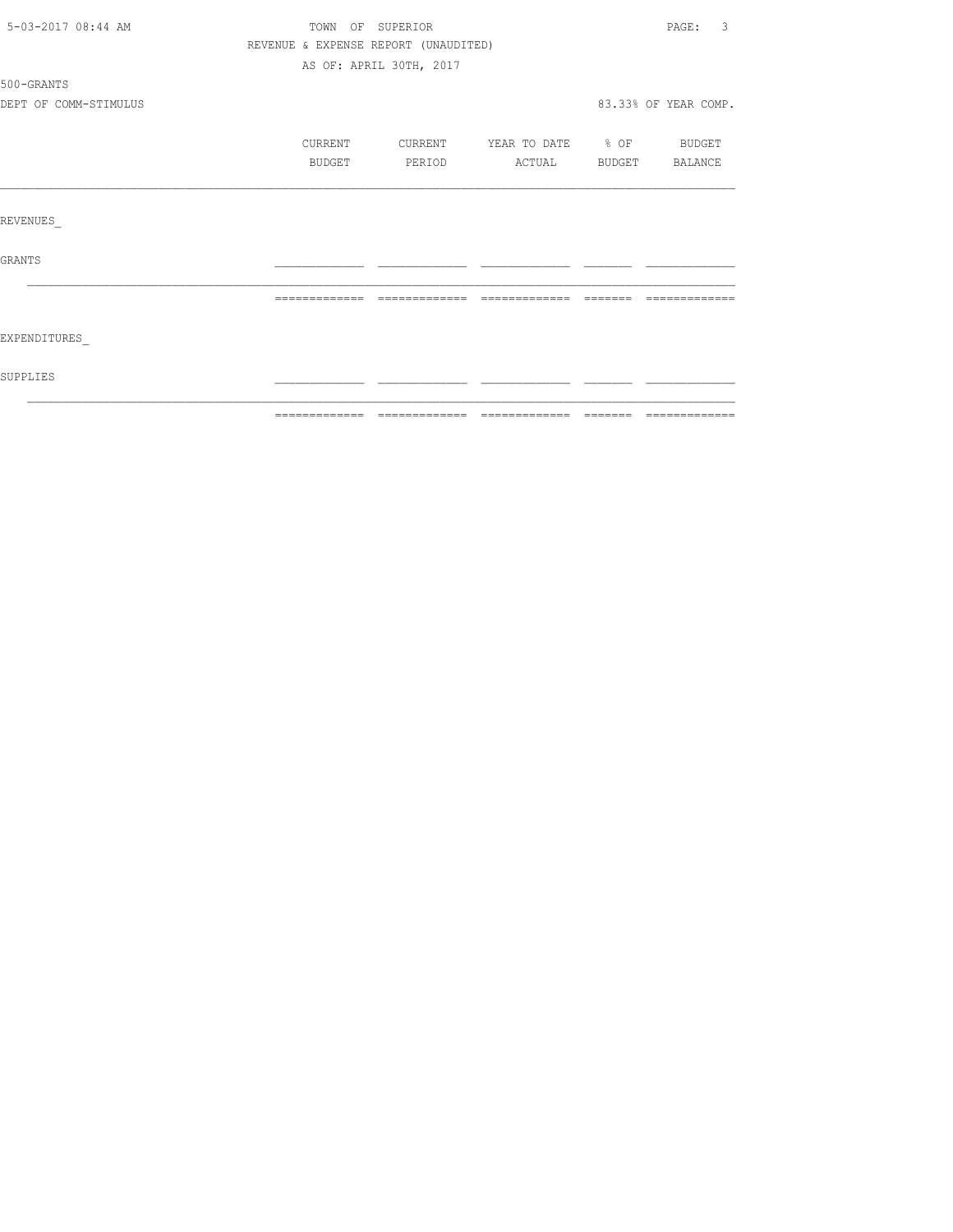| 5-03-2017 08:44 AM    |                                      | TOWN OF SUPERIOR        |                          |               | $\overline{3}$<br>PAGE: |
|-----------------------|--------------------------------------|-------------------------|--------------------------|---------------|-------------------------|
|                       | REVENUE & EXPENSE REPORT (UNAUDITED) |                         |                          |               |                         |
|                       |                                      | AS OF: APRIL 30TH, 2017 |                          |               |                         |
| 500-GRANTS            |                                      |                         |                          |               |                         |
| DEPT OF COMM-STIMULUS |                                      |                         |                          |               | 83.33% OF YEAR COMP.    |
|                       | CURRENT                              | CURRENT                 | YEAR TO DATE % OF BUDGET |               |                         |
|                       | BUDGET                               | PERIOD                  | ACTUAL                   | <b>BUDGET</b> | BALANCE                 |
|                       |                                      |                         |                          |               |                         |
| REVENUES              |                                      |                         |                          |               |                         |
| <b>GRANTS</b>         |                                      |                         |                          |               |                         |
|                       |                                      |                         |                          |               |                         |
| EXPENDITURES          |                                      |                         |                          |               |                         |
| <b>SUPPLIES</b>       |                                      |                         |                          |               |                         |
|                       |                                      |                         |                          |               |                         |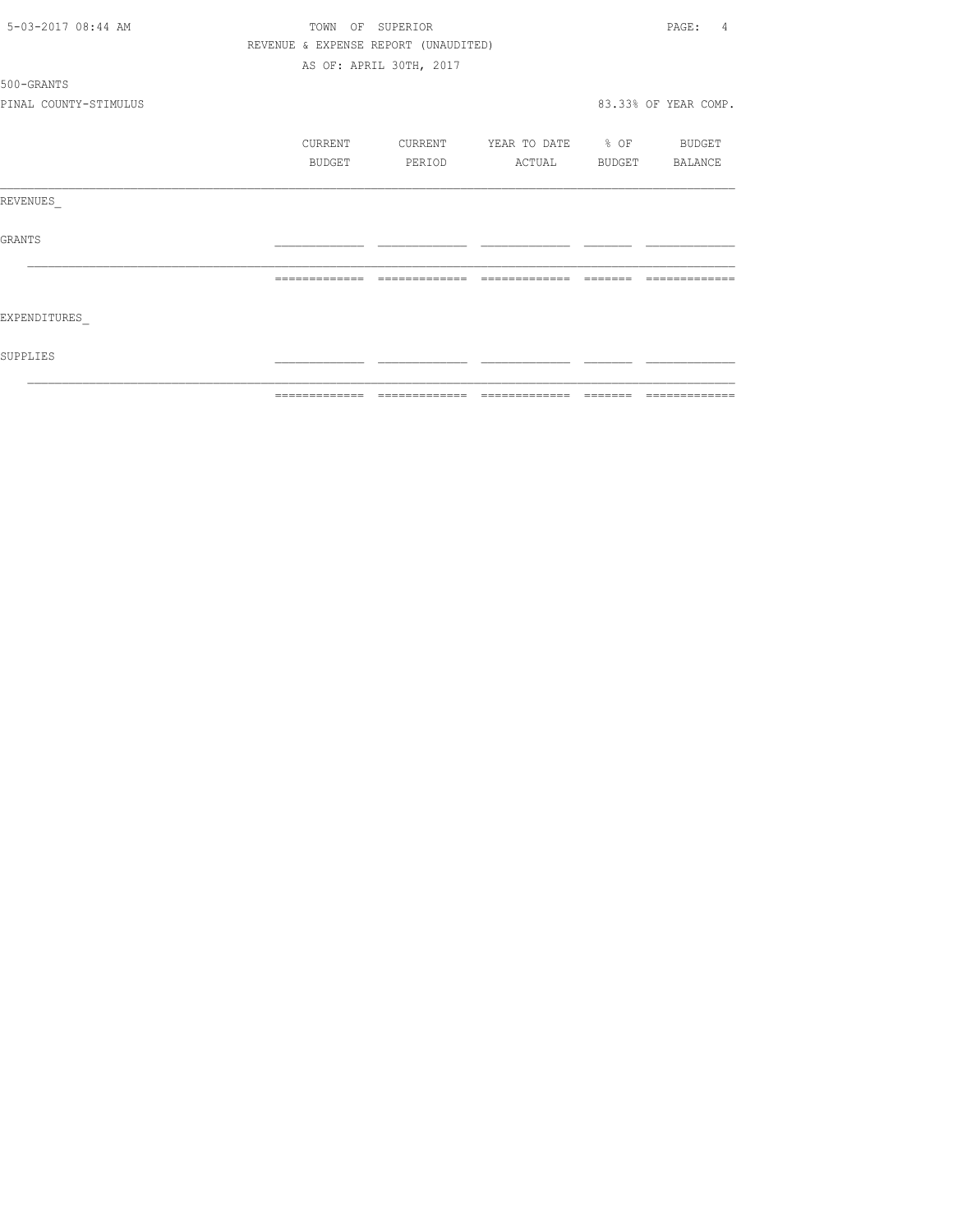| 5-03-2017 08:44 AM    | TOWN<br>OF    | SUPERIOR                                                                                                                                                                                                                                                                                                                                                                                                                                                                               |                                                                                                                                                                                                                                                                                                                                                                                                                                                                                        |         | PAGE:<br>4           |
|-----------------------|---------------|----------------------------------------------------------------------------------------------------------------------------------------------------------------------------------------------------------------------------------------------------------------------------------------------------------------------------------------------------------------------------------------------------------------------------------------------------------------------------------------|----------------------------------------------------------------------------------------------------------------------------------------------------------------------------------------------------------------------------------------------------------------------------------------------------------------------------------------------------------------------------------------------------------------------------------------------------------------------------------------|---------|----------------------|
|                       |               | REVENUE & EXPENSE REPORT (UNAUDITED)                                                                                                                                                                                                                                                                                                                                                                                                                                                   |                                                                                                                                                                                                                                                                                                                                                                                                                                                                                        |         |                      |
|                       |               | AS OF: APRIL 30TH, 2017                                                                                                                                                                                                                                                                                                                                                                                                                                                                |                                                                                                                                                                                                                                                                                                                                                                                                                                                                                        |         |                      |
| 500-GRANTS            |               |                                                                                                                                                                                                                                                                                                                                                                                                                                                                                        |                                                                                                                                                                                                                                                                                                                                                                                                                                                                                        |         |                      |
| PINAL COUNTY-STIMULUS |               |                                                                                                                                                                                                                                                                                                                                                                                                                                                                                        |                                                                                                                                                                                                                                                                                                                                                                                                                                                                                        |         | 83.33% OF YEAR COMP. |
|                       | CURRENT       | CURRENT                                                                                                                                                                                                                                                                                                                                                                                                                                                                                | YEAR TO DATE % OF                                                                                                                                                                                                                                                                                                                                                                                                                                                                      |         | BUDGET               |
|                       | BUDGET        | PERIOD                                                                                                                                                                                                                                                                                                                                                                                                                                                                                 | ACTUAL                                                                                                                                                                                                                                                                                                                                                                                                                                                                                 | BUDGET  | BALANCE              |
| REVENUES              |               |                                                                                                                                                                                                                                                                                                                                                                                                                                                                                        |                                                                                                                                                                                                                                                                                                                                                                                                                                                                                        |         |                      |
| GRANTS                |               |                                                                                                                                                                                                                                                                                                                                                                                                                                                                                        |                                                                                                                                                                                                                                                                                                                                                                                                                                                                                        |         |                      |
|                       |               |                                                                                                                                                                                                                                                                                                                                                                                                                                                                                        |                                                                                                                                                                                                                                                                                                                                                                                                                                                                                        |         |                      |
| EXPENDITURES          |               |                                                                                                                                                                                                                                                                                                                                                                                                                                                                                        |                                                                                                                                                                                                                                                                                                                                                                                                                                                                                        |         |                      |
| SUPPLIES              |               |                                                                                                                                                                                                                                                                                                                                                                                                                                                                                        |                                                                                                                                                                                                                                                                                                                                                                                                                                                                                        |         |                      |
|                       | ============= | $\begin{array}{cccccccccc} \multicolumn{2}{c}{} & \multicolumn{2}{c}{} & \multicolumn{2}{c}{} & \multicolumn{2}{c}{} & \multicolumn{2}{c}{} & \multicolumn{2}{c}{} & \multicolumn{2}{c}{} & \multicolumn{2}{c}{} & \multicolumn{2}{c}{} & \multicolumn{2}{c}{} & \multicolumn{2}{c}{} & \multicolumn{2}{c}{} & \multicolumn{2}{c}{} & \multicolumn{2}{c}{} & \multicolumn{2}{c}{} & \multicolumn{2}{c}{} & \multicolumn{2}{c}{} & \multicolumn{2}{c}{} & \multicolumn{2}{c}{} & \mult$ | $\begin{array}{cccccccccc} \multicolumn{2}{c}{} & \multicolumn{2}{c}{} & \multicolumn{2}{c}{} & \multicolumn{2}{c}{} & \multicolumn{2}{c}{} & \multicolumn{2}{c}{} & \multicolumn{2}{c}{} & \multicolumn{2}{c}{} & \multicolumn{2}{c}{} & \multicolumn{2}{c}{} & \multicolumn{2}{c}{} & \multicolumn{2}{c}{} & \multicolumn{2}{c}{} & \multicolumn{2}{c}{} & \multicolumn{2}{c}{} & \multicolumn{2}{c}{} & \multicolumn{2}{c}{} & \multicolumn{2}{c}{} & \multicolumn{2}{c}{} & \mult$ | ======= | =============        |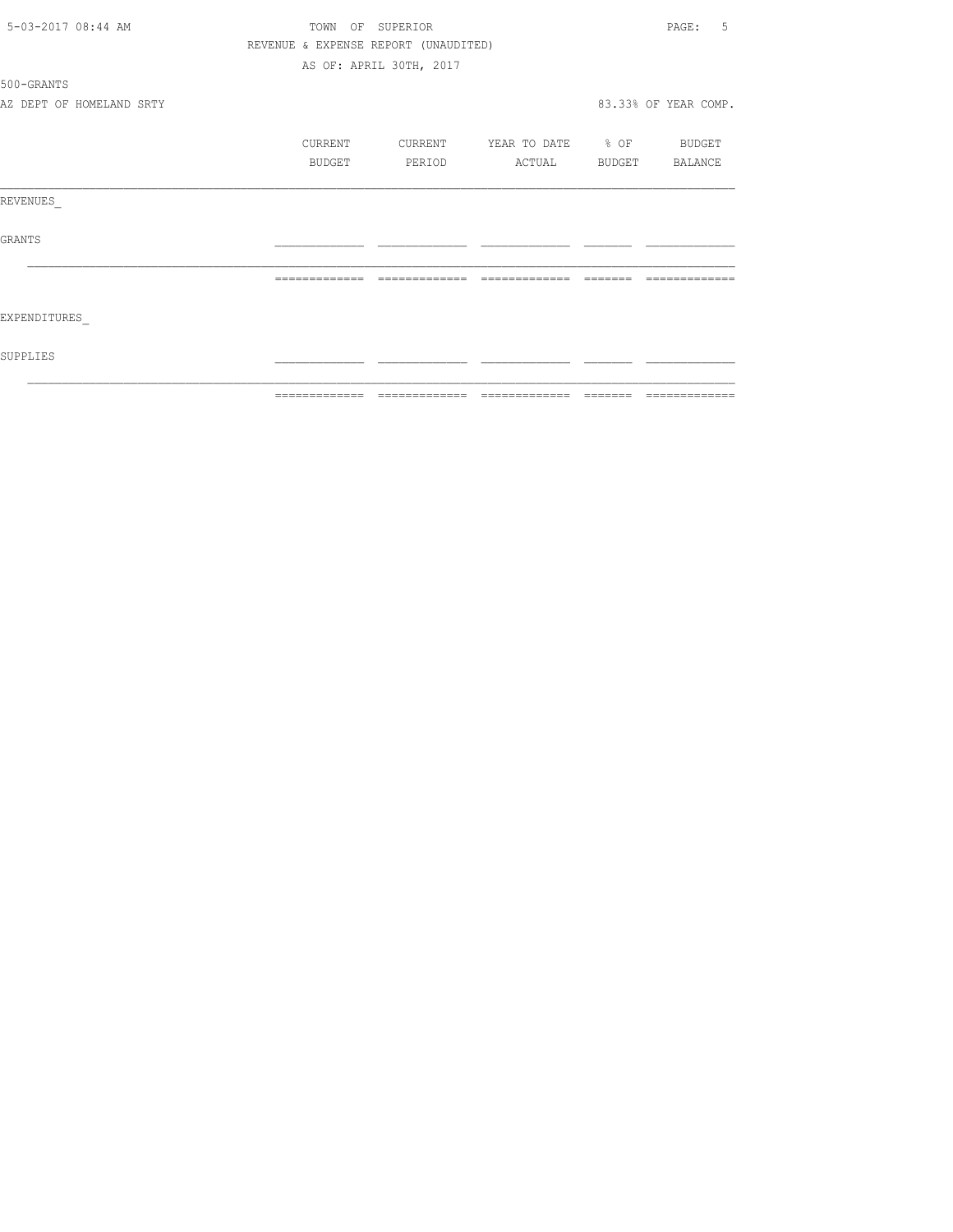| 5-03-2017 08:44 AM       |         | TOWN OF SUPERIOR                     |                   |         | 5<br>PAGE:           |
|--------------------------|---------|--------------------------------------|-------------------|---------|----------------------|
|                          |         | REVENUE & EXPENSE REPORT (UNAUDITED) |                   |         |                      |
|                          |         | AS OF: APRIL 30TH, 2017              |                   |         |                      |
| 500-GRANTS               |         |                                      |                   |         |                      |
| AZ DEPT OF HOMELAND SRTY |         |                                      |                   |         | 83.33% OF YEAR COMP. |
|                          | CURRENT | CURRENT                              | YEAR TO DATE % OF |         | <b>BUDGET</b>        |
|                          | BUDGET  | PERIOD                               | ACTUAL            |         | BUDGET BALANCE       |
| REVENUES                 |         |                                      |                   |         |                      |
| <b>GRANTS</b>            |         |                                      |                   |         |                      |
|                          |         |                                      |                   |         |                      |
| EXPENDITURES             |         |                                      |                   |         |                      |
| SUPPLIES                 |         |                                      |                   |         |                      |
|                          |         | =============================        | --------------    | ======= | =============        |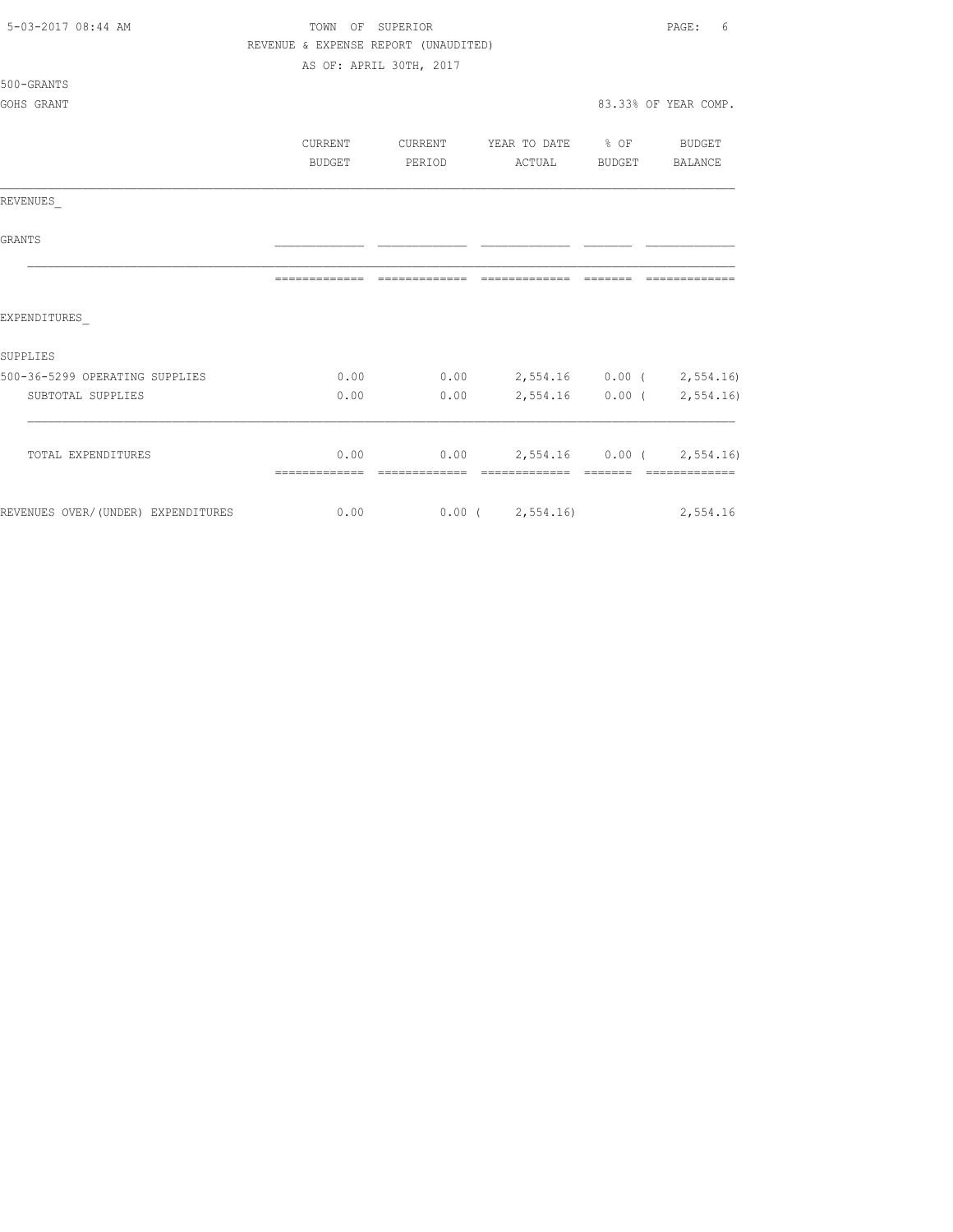| 5-03-2017 08:44 AM                 | TOWN OF SUPERIOR                     |                                  |                                    | PAGE:<br>6           |
|------------------------------------|--------------------------------------|----------------------------------|------------------------------------|----------------------|
|                                    | REVENUE & EXPENSE REPORT (UNAUDITED) |                                  |                                    |                      |
|                                    |                                      | AS OF: APRIL 30TH, 2017          |                                    |                      |
| 500-GRANTS                         |                                      |                                  |                                    |                      |
| GOHS GRANT                         |                                      |                                  |                                    | 83.33% OF YEAR COMP. |
|                                    | CURRENT                              | CURRENT                          | YEAR TO DATE % OF BUDGET           |                      |
|                                    | BUDGET                               | PERIOD                           | ACTUAL BUDGET BALANCE              |                      |
|                                    |                                      |                                  |                                    |                      |
| REVENUES                           |                                      |                                  |                                    |                      |
| GRANTS                             |                                      |                                  |                                    |                      |
|                                    |                                      |                                  |                                    | --------------       |
| EXPENDITURES                       |                                      |                                  |                                    |                      |
| SUPPLIES                           |                                      |                                  |                                    |                      |
| 500-36-5299 OPERATING SUPPLIES     | 0.00                                 | $0.00$ 2,554.16 0.00 ( 2,554.16) |                                    |                      |
| SUBTOTAL SUPPLIES                  | 0.00                                 | 0.00                             | 2,554.16 0.00 ( 2,554.16)          |                      |
|                                    |                                      |                                  |                                    |                      |
| TOTAL EXPENDITURES                 |                                      | 0.00                             | $0.00$ 2,554.16 $0.00$ ( 2,554.16) |                      |
| REVENUES OVER/(UNDER) EXPENDITURES | $\sim$ 0.00                          | $0.00$ ( $2,554.16$ ) 2,554.16   |                                    |                      |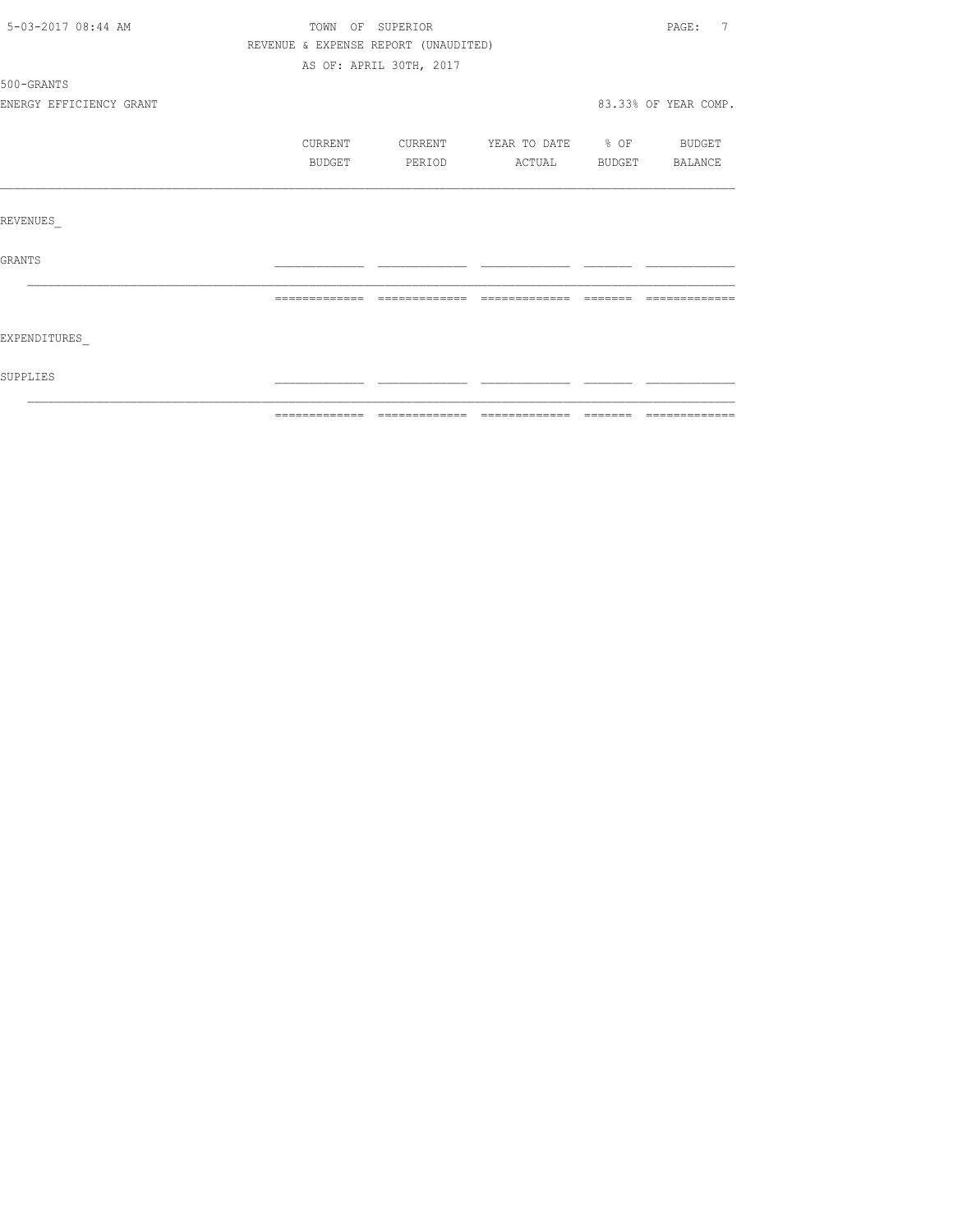| 5-03-2017 08:44 AM      |                                      | TOWN OF SUPERIOR        |                          |             | 7<br>PAGE:           |
|-------------------------|--------------------------------------|-------------------------|--------------------------|-------------|----------------------|
|                         | REVENUE & EXPENSE REPORT (UNAUDITED) |                         |                          |             |                      |
|                         |                                      | AS OF: APRIL 30TH, 2017 |                          |             |                      |
| 500-GRANTS              |                                      |                         |                          |             |                      |
| ENERGY EFFICIENCY GRANT |                                      |                         |                          |             | 83.33% OF YEAR COMP. |
|                         | CURRENT                              | CURRENT                 | YEAR TO DATE % OF BUDGET |             |                      |
|                         | BUDGET                               | PERIOD                  | ACTUAL BUDGET BALANCE    |             |                      |
|                         |                                      |                         |                          |             |                      |
| <b>REVENUES</b>         |                                      |                         |                          |             |                      |
| <b>GRANTS</b>           |                                      |                         |                          |             |                      |
|                         | --------------                       |                         | $---$<br>______          | $- - - - -$ |                      |
| EXPENDITURES            |                                      |                         |                          |             |                      |
| <b>SUPPLIES</b>         |                                      |                         |                          |             |                      |
|                         |                                      |                         |                          |             |                      |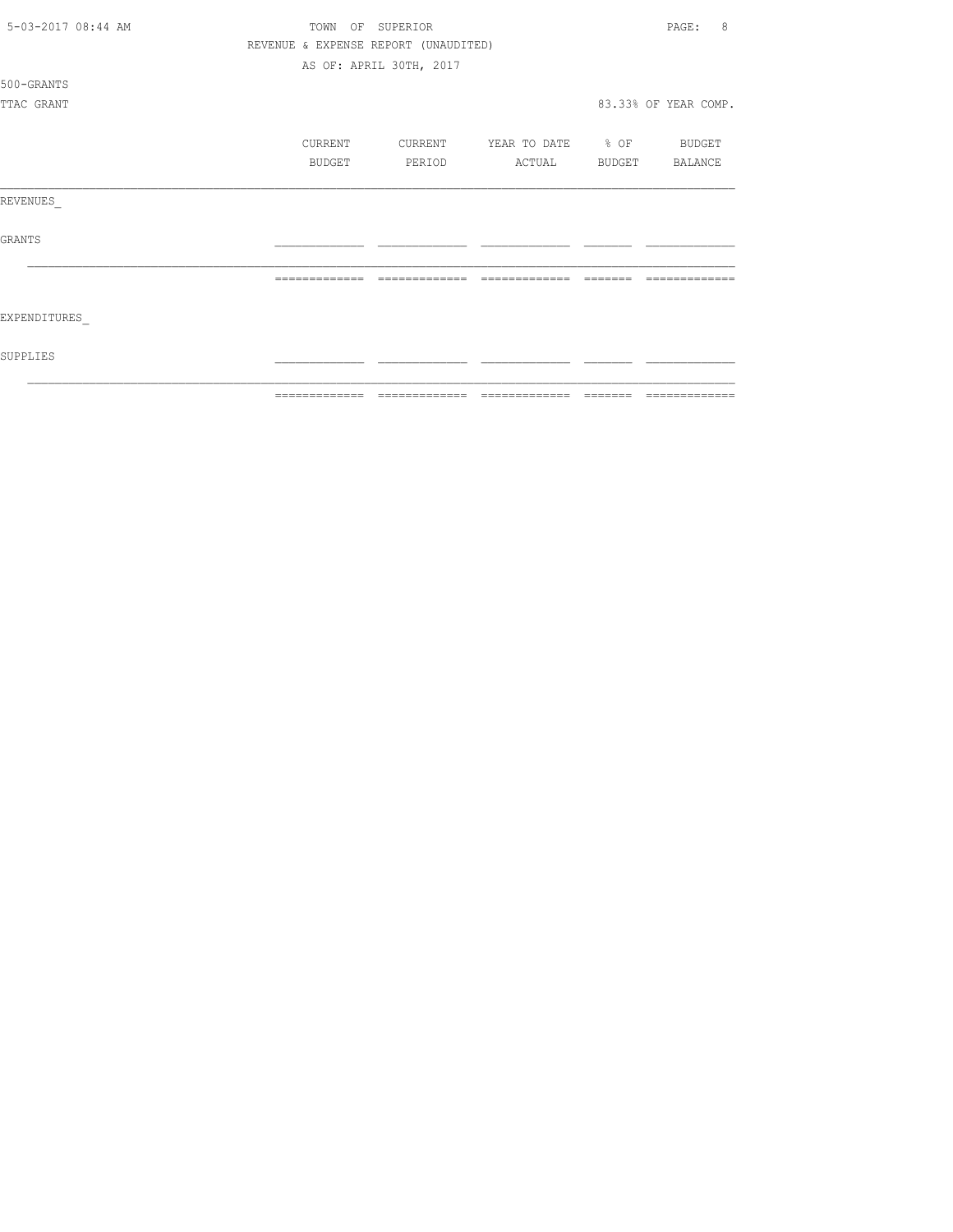| 5-03-2017 08:44 AM | TOWN          | OF SUPERIOR                          |                                 |               | 8<br>PAGE:           |
|--------------------|---------------|--------------------------------------|---------------------------------|---------------|----------------------|
|                    |               | REVENUE & EXPENSE REPORT (UNAUDITED) |                                 |               |                      |
|                    |               | AS OF: APRIL 30TH, 2017              |                                 |               |                      |
| 500-GRANTS         |               |                                      |                                 |               |                      |
| TTAC GRANT         |               |                                      |                                 |               | 83.33% OF YEAR COMP. |
|                    | CURRENT       | CURRENT                              | YEAR TO DATE % OF BUDGET        |               |                      |
|                    | <b>BUDGET</b> | PERIOD                               | ACTUAL                          | <b>BUDGET</b> | BALANCE              |
|                    |               |                                      |                                 |               |                      |
| REVENUES           |               |                                      |                                 |               |                      |
| <b>GRANTS</b>      |               |                                      |                                 |               |                      |
|                    |               |                                      | -------------                   |               |                      |
| EXPENDITURES       |               |                                      |                                 |               |                      |
| SUPPLIES           |               |                                      |                                 |               |                      |
|                    | ============= |                                      | =============================== | =======       |                      |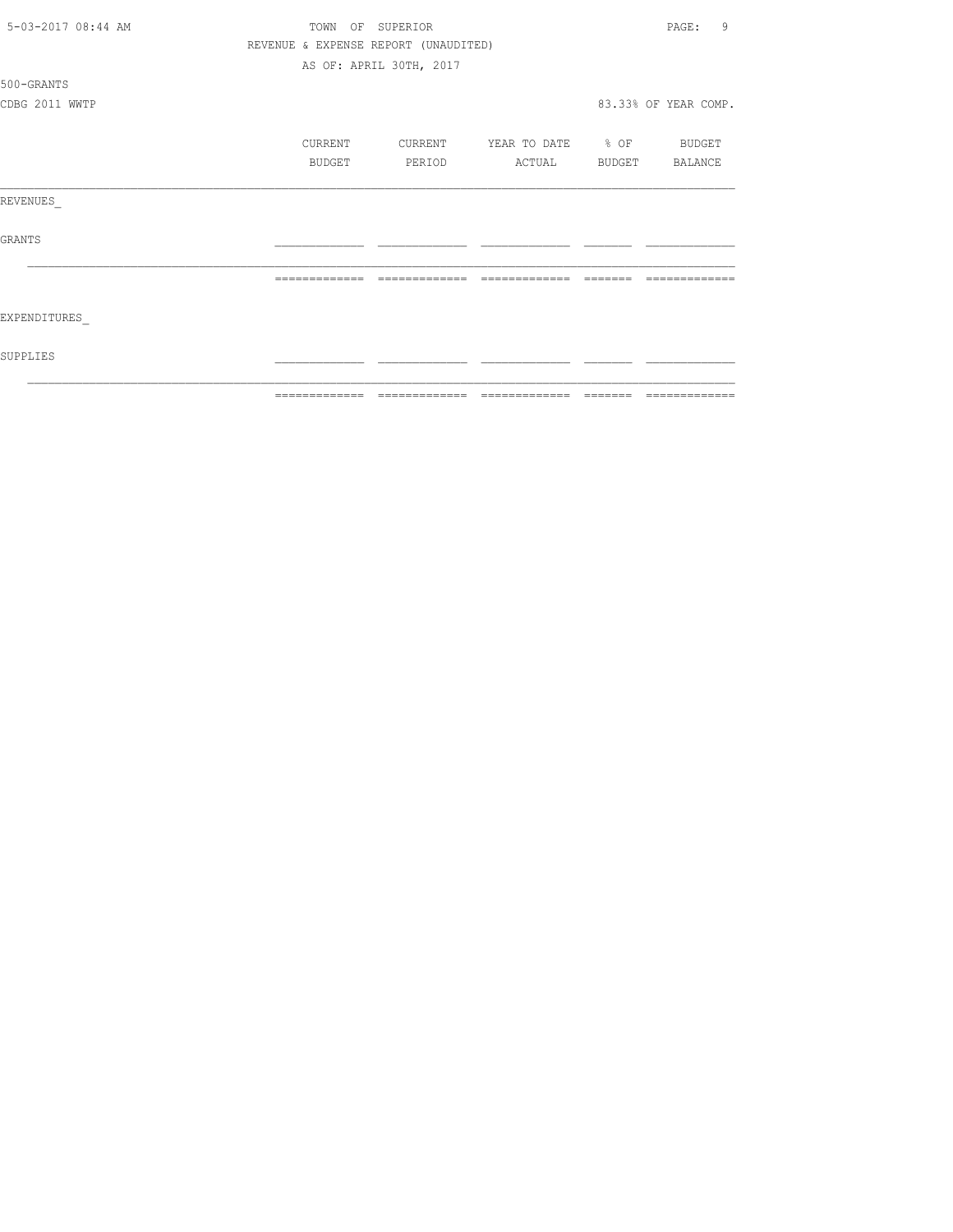| 5-03-2017 08:44 AM |                | TOWN OF SUPERIOR                     |                   | 9<br>PAGE:           |
|--------------------|----------------|--------------------------------------|-------------------|----------------------|
|                    |                | REVENUE & EXPENSE REPORT (UNAUDITED) |                   |                      |
|                    |                | AS OF: APRIL 30TH, 2017              |                   |                      |
| 500-GRANTS         |                |                                      |                   |                      |
| CDBG 2011 WWTP     |                |                                      |                   | 83.33% OF YEAR COMP. |
|                    |                |                                      |                   |                      |
|                    | CURRENT        | CURRENT                              | YEAR TO DATE % OF | BUDGET               |
|                    | BUDGET         | PERIOD                               | ACTUAL            | BUDGET BALANCE       |
|                    |                |                                      |                   |                      |
| REVENUES           |                |                                      |                   |                      |
|                    |                |                                      |                   |                      |
| GRANTS             |                |                                      |                   |                      |
|                    |                |                                      |                   |                      |
|                    | -------------- | --------------                       | --------------    |                      |
|                    |                |                                      |                   |                      |
| EXPENDITURES       |                |                                      |                   |                      |
|                    |                |                                      |                   |                      |
| SUPPLIES           |                |                                      |                   |                      |
|                    |                |                                      |                   |                      |
|                    |                |                                      |                   |                      |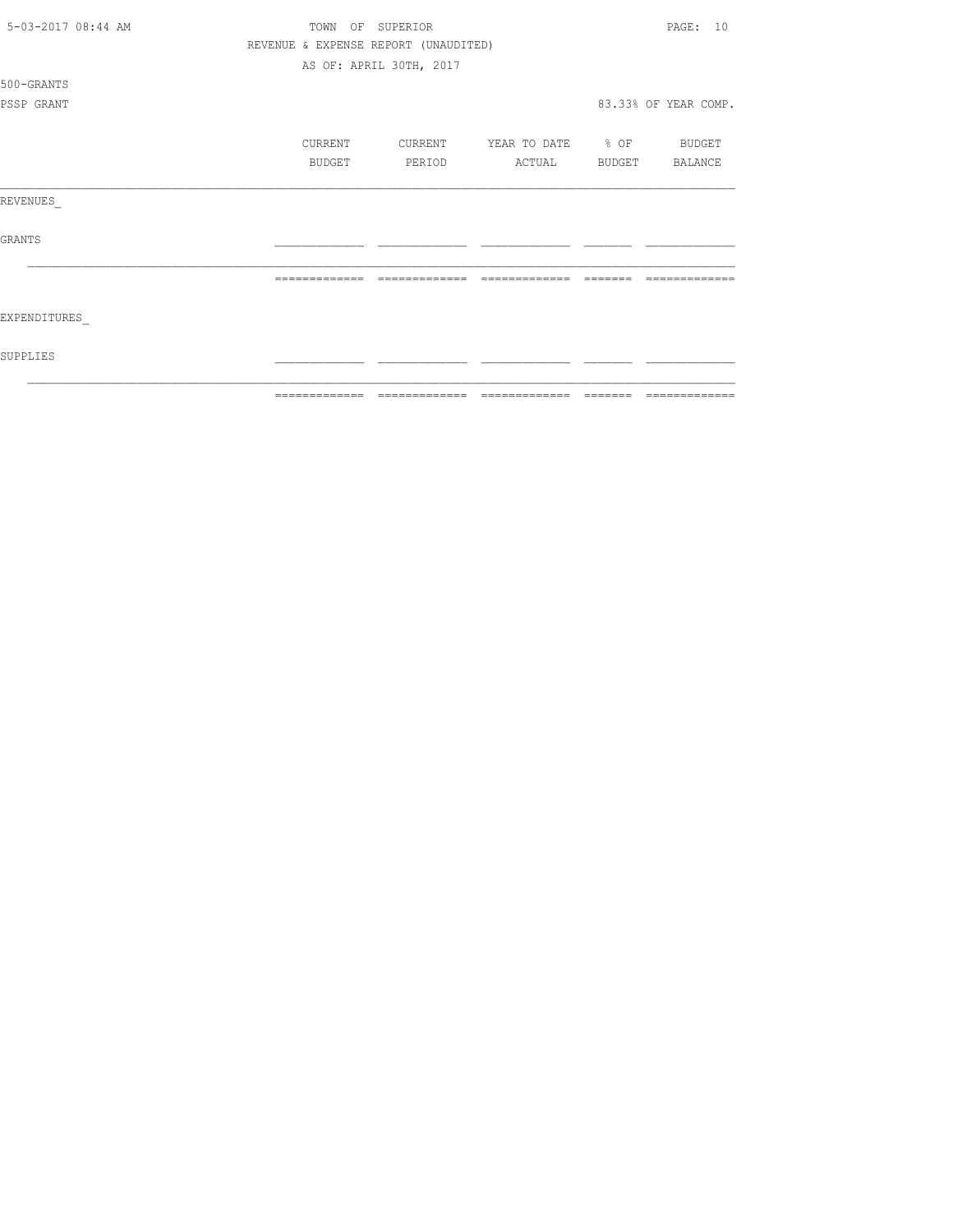| 5-03-2017 08:44 AM | TOWN    | OF SUPERIOR                          |                   |        | PAGF: 10             |
|--------------------|---------|--------------------------------------|-------------------|--------|----------------------|
|                    |         | REVENUE & EXPENSE REPORT (UNAUDITED) |                   |        |                      |
|                    |         | AS OF: APRIL 30TH, 2017              |                   |        |                      |
| 500-GRANTS         |         |                                      |                   |        |                      |
| PSSP GRANT         |         |                                      |                   |        | 83.33% OF YEAR COMP. |
|                    | CURRENT | CURRENT                              | YEAR TO DATE % OF |        | BUDGET               |
|                    | BUDGET  | PERIOD                               | ACTUAL            | BUDGET | BALANCE              |
| REVENUES           |         |                                      |                   |        |                      |
| <b>GRANTS</b>      |         |                                      |                   |        |                      |
|                    |         |                                      |                   |        |                      |
| EXPENDITURES       |         |                                      |                   |        |                      |
| SUPPLIES           |         |                                      |                   |        |                      |
|                    |         |                                      |                   |        |                      |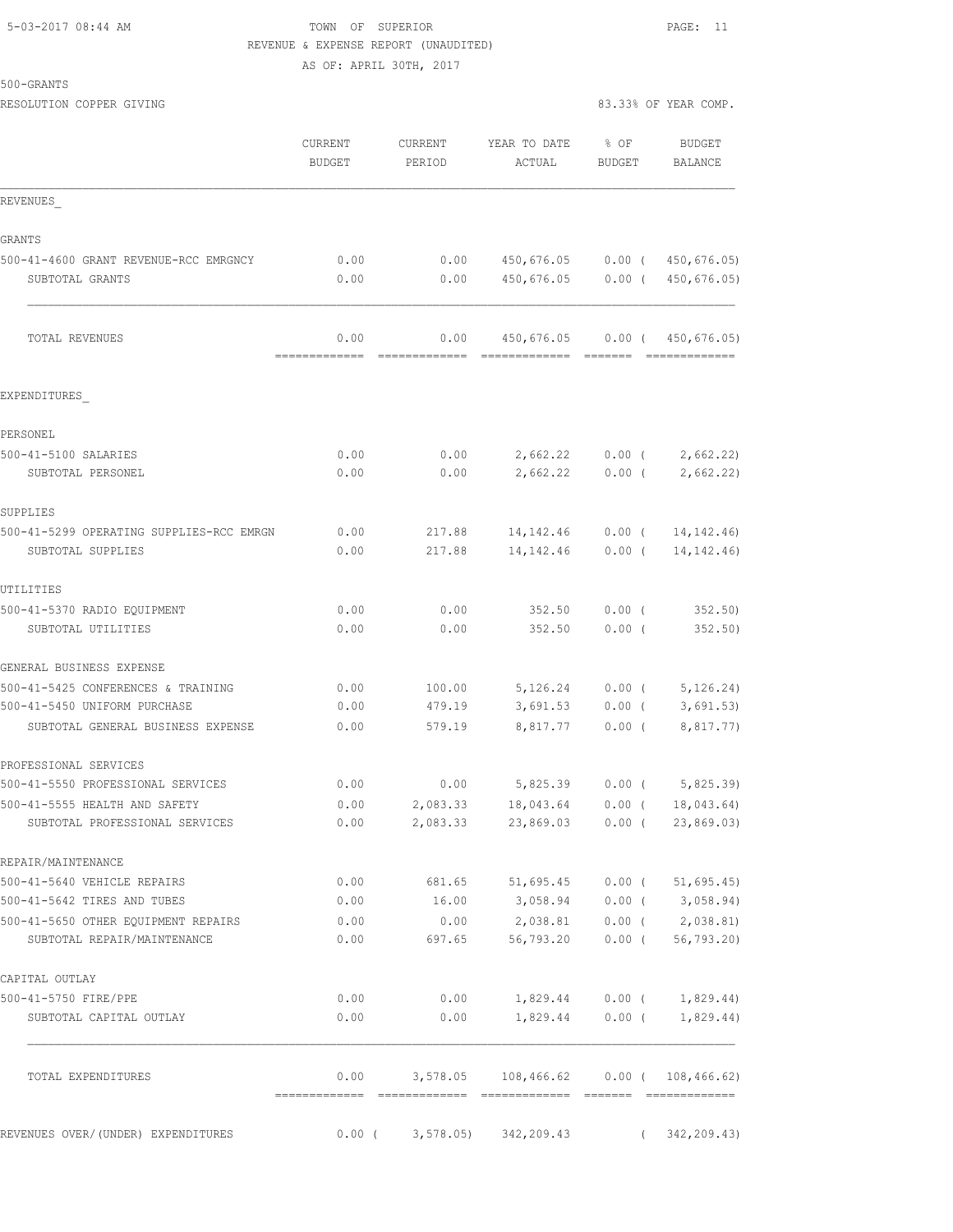### 5-03-2017 08:44 AM TOWN OF SUPERIOR PAGE: 11 REVENUE & EXPENSE REPORT (UNAUDITED) AS OF: APRIL 30TH, 2017

500-GRANTS

|                                                                 | CURRENT<br><b>BUDGET</b> | CURRENT<br>PERIOD | YEAR TO DATE<br>ACTUAL                                              | $8$ OF<br>BUDGET | BUDGET<br>BALANCE     |
|-----------------------------------------------------------------|--------------------------|-------------------|---------------------------------------------------------------------|------------------|-----------------------|
| REVENUES                                                        |                          |                   |                                                                     |                  |                       |
| <b>GRANTS</b>                                                   |                          |                   |                                                                     |                  |                       |
| 500-41-4600 GRANT REVENUE-RCC EMRGNCY                           | 0.00                     | 0.00              | 450,676.05                                                          | $0.00$ (         | 450,676.05)           |
| SUBTOTAL GRANTS                                                 | 0.00                     | 0.00              | 450,676.05                                                          | $0.00$ (         | 450,676.05)           |
| TOTAL REVENUES                                                  | 0.00<br>---------        | 0.00              | 450,676.05<br>======================                                |                  | 0.00(450,676.05)      |
| EXPENDITURES                                                    |                          |                   |                                                                     |                  |                       |
| PERSONEL                                                        |                          |                   |                                                                     |                  |                       |
| 500-41-5100 SALARIES                                            | 0.00                     | 0.00              | 2,662.22                                                            | $0.00$ (         | 2,662.22              |
| SUBTOTAL PERSONEL                                               | 0.00                     | 0.00              | 2,662.22                                                            | $0.00$ (         | 2,662.22)             |
| SUPPLIES                                                        |                          |                   |                                                                     |                  |                       |
| 500-41-5299 OPERATING SUPPLIES-RCC EMRGN                        | 0.00                     | 217.88            | 14, 142. 46                                                         | $0.00$ (         | 14, 142. 46)          |
| SUBTOTAL SUPPLIES                                               | 0.00                     | 217.88            | 14, 142. 46                                                         | $0.00$ (         | 14, 142. 46)          |
| UTILITIES                                                       |                          |                   |                                                                     |                  |                       |
| 500-41-5370 RADIO EQUIPMENT                                     | 0.00                     | 0.00              | 352.50                                                              | $0.00$ (         | 352.50                |
| SUBTOTAL UTILITIES                                              | 0.00                     | 0.00              | 352.50                                                              | $0.00$ (         | 352.50)               |
| GENERAL BUSINESS EXPENSE                                        |                          |                   |                                                                     |                  |                       |
| 500-41-5425 CONFERENCES & TRAINING                              | 0.00                     | 100.00            | 5,126.24                                                            | $0.00$ (         | 5, 126.24)            |
| 500-41-5450 UNIFORM PURCHASE                                    | 0.00                     | 479.19            | 3,691.53                                                            | $0.00$ (         | 3,691.53              |
| SUBTOTAL GENERAL BUSINESS EXPENSE                               | 0.00                     | 579.19            | 8,817.77                                                            | $0.00$ (         | 8,817.77)             |
| PROFESSIONAL SERVICES                                           |                          |                   |                                                                     |                  |                       |
| 500-41-5550 PROFESSIONAL SERVICES                               | 0.00                     | 0.00              | 5,825.39                                                            | $0.00$ (         | 5,825.39)             |
| 500-41-5555 HEALTH AND SAFETY<br>SUBTOTAL PROFESSIONAL SERVICES | 0.00<br>0.00             | 2,083.33          | 18,043.64<br>2,083.33 23,869.03 0.00 (23,869.03)                    | $0.00$ (         | 18,043.64)            |
|                                                                 |                          |                   |                                                                     |                  |                       |
| REPAIR/MAINTENANCE                                              |                          |                   |                                                                     |                  |                       |
| 500-41-5640 VEHICLE REPAIRS<br>500-41-5642 TIRES AND TUBES      | 0.00<br>0.00             |                   | 681.65 51,695.45 0.00 (51,695.45)<br>16.00 3,058.94 0.00 (3,058.94) |                  |                       |
| 500-41-5650 OTHER EQUIPMENT REPAIRS                             | 0.00                     |                   | $0.00$ $2,038.81$                                                   |                  | $0.00$ ( $2,038.81$ ) |
| SUBTOTAL REPAIR/MAINTENANCE                                     | 0.00                     |                   | 697.65 56,793.20                                                    | $0.00$ (         | 56, 793.20            |
| CAPITAL OUTLAY                                                  |                          |                   |                                                                     |                  |                       |
| 500-41-5750 FIRE/PPE                                            | 0.00                     | 0.00              | 1,829.44 0.00 ( 1,829.44)                                           |                  |                       |
| SUBTOTAL CAPITAL OUTLAY                                         | 0.00                     | 0.00              | 1,829.44                                                            |                  | $0.00$ ( $1,829.44$ ) |
| TOTAL EXPENDITURES                                              |                          |                   | $0.00$ 3,578.05 108,466.62 0.00 (108,466.62)                        |                  |                       |
| REVENUES OVER/(UNDER) EXPENDITURES                              | $0.00$ (                 |                   | $3,578.05$ $342,209.43$                                             | $\sqrt{2}$       | 342, 209.43)          |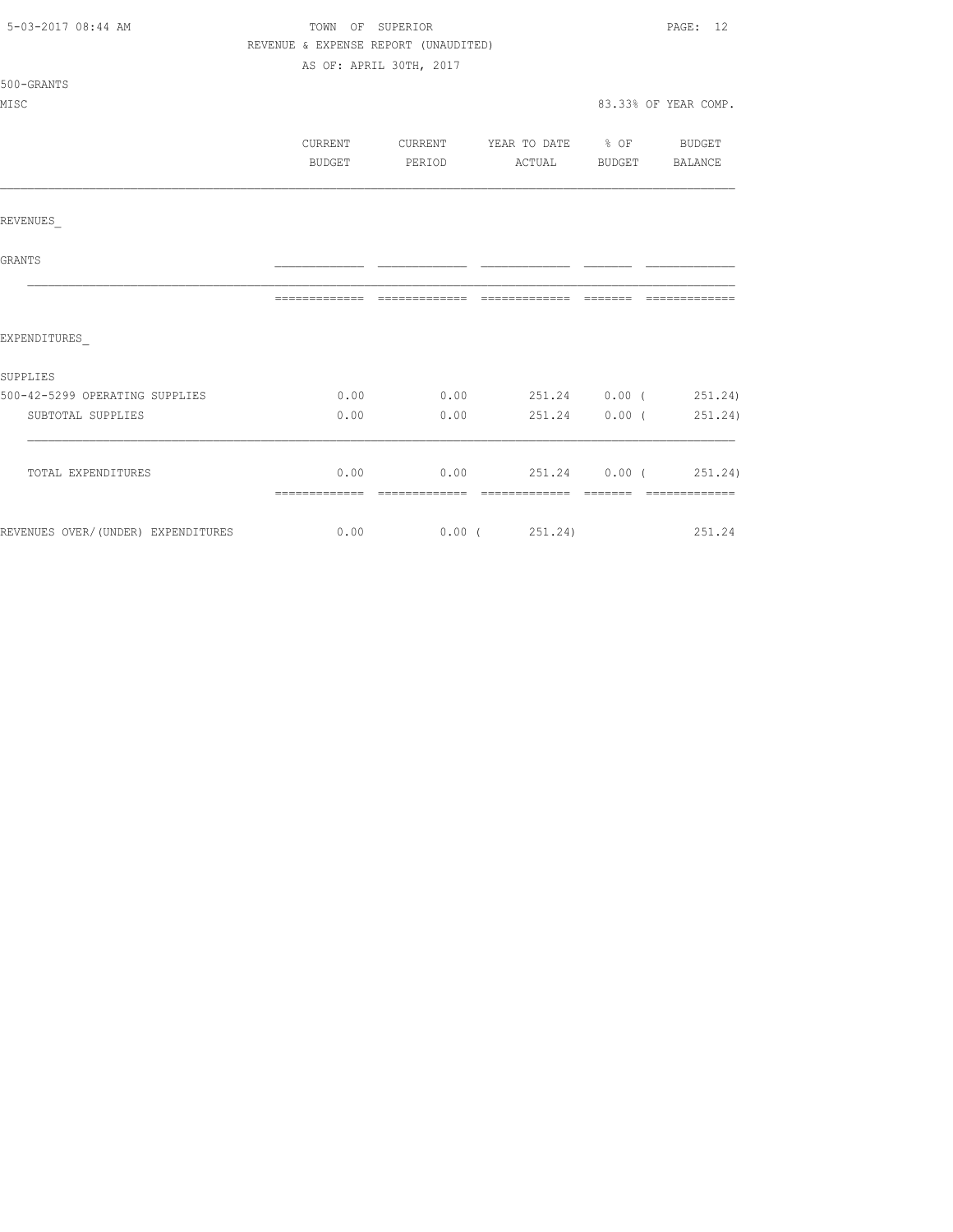| 5-03-2017 08:44 AM                                                | TOWN OF SUPERIOR                     | PAGE: 12                                |                                |                      |
|-------------------------------------------------------------------|--------------------------------------|-----------------------------------------|--------------------------------|----------------------|
|                                                                   | REVENUE & EXPENSE REPORT (UNAUDITED) |                                         |                                |                      |
|                                                                   |                                      | AS OF: APRIL 30TH, 2017                 |                                |                      |
| $500 - GRANTS$                                                    |                                      |                                         |                                |                      |
| MISC                                                              |                                      |                                         |                                | 83.33% OF YEAR COMP. |
|                                                                   |                                      |                                         |                                |                      |
|                                                                   | CURRENT                              | CURRENT YEAR TO DATE % OF BUDGET        |                                |                      |
|                                                                   | BUDGET                               | PERIOD                                  | ACTUAL BUDGET BALANCE          |                      |
|                                                                   |                                      |                                         |                                |                      |
| REVENUES                                                          |                                      |                                         |                                |                      |
| <b>GRANTS</b>                                                     |                                      |                                         |                                |                      |
|                                                                   |                                      |                                         |                                | -------------        |
| EXPENDITURES                                                      |                                      |                                         |                                |                      |
| SUPPLIES                                                          |                                      |                                         |                                |                      |
| 500-42-5299 OPERATING SUPPLIES                                    |                                      | $0.00$ $0.00$ $251.24$ $0.00$ $251.24)$ |                                |                      |
| SUBTOTAL SUPPLIES                                                 | 0.00                                 |                                         | $0.00$ 251.24 $0.00$ ( 251.24) |                      |
| TOTAL EXPENDITURES                                                |                                      | $0.00$ 0.00 251.24 0.00 (251.24)        |                                |                      |
|                                                                   |                                      |                                         |                                | --------------       |
| REVENUES OVER/(UNDER) EXPENDITURES 6.00 0.00 0.00 (251.24) 251.24 |                                      |                                         |                                |                      |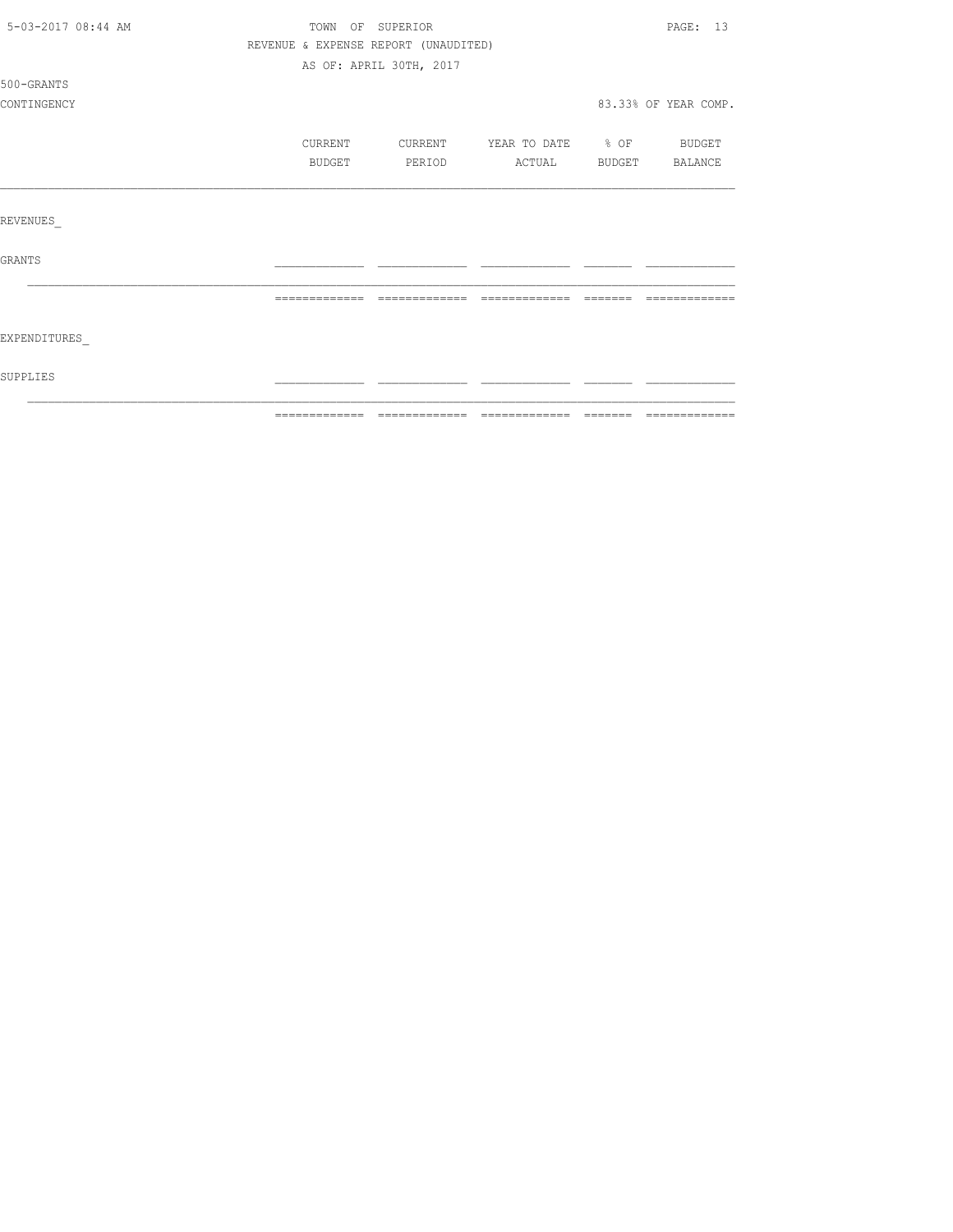| 5-03-2017 08:44 AM |                                      | TOWN OF SUPERIOR        |                          | PAGE: 13             |
|--------------------|--------------------------------------|-------------------------|--------------------------|----------------------|
|                    | REVENUE & EXPENSE REPORT (UNAUDITED) |                         |                          |                      |
|                    |                                      | AS OF: APRIL 30TH, 2017 |                          |                      |
| 500-GRANTS         |                                      |                         |                          |                      |
| CONTINGENCY        |                                      |                         |                          | 83.33% OF YEAR COMP. |
|                    | CURRENT                              | CURRENT                 | YEAR TO DATE % OF BUDGET |                      |
|                    | BUDGET                               | PERIOD                  | ACTUAL                   | BUDGET BALANCE       |
|                    |                                      |                         |                          |                      |
| <b>REVENUES</b>    |                                      |                         |                          |                      |
| <b>GRANTS</b>      |                                      |                         |                          |                      |
|                    |                                      |                         |                          |                      |
| EXPENDITURES       |                                      |                         |                          |                      |
| SUPPLIES           |                                      |                         |                          |                      |
|                    |                                      |                         |                          |                      |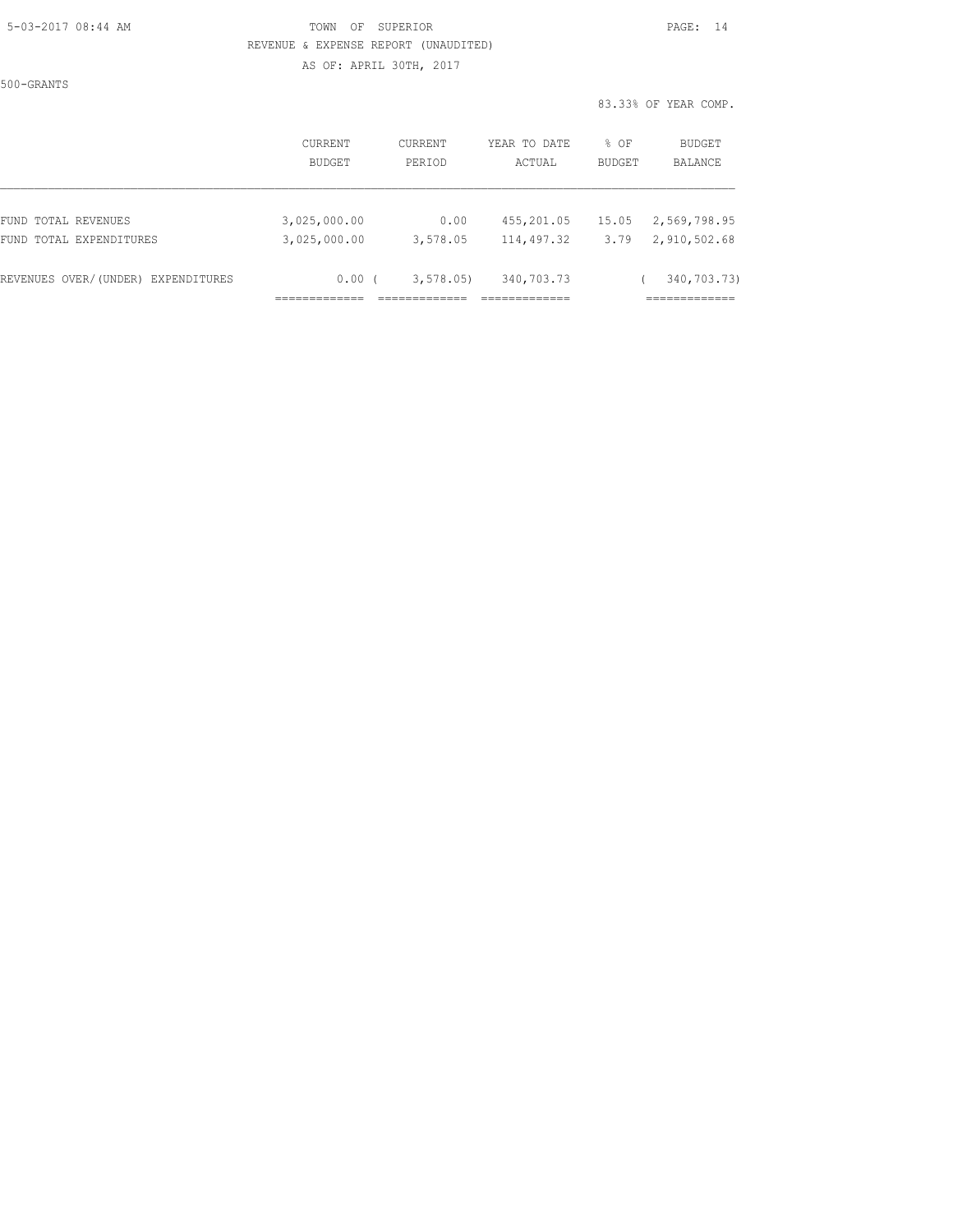### 5-03-2017 08:44 AM TOWN OF SUPERIOR PAGE: 14 REVENUE & EXPENSE REPORT (UNAUDITED) AS OF: APRIL 30TH, 2017

500-GRANTS

|                                    | CURRENT       | CURRENT     | YEAR TO DATE | % OF          | <b>BUDGET</b> |
|------------------------------------|---------------|-------------|--------------|---------------|---------------|
|                                    | <b>BUDGET</b> | PERIOD      | ACTUAL       | <b>BUDGET</b> | BALANCE       |
| FUND TOTAL REVENUES                | 3,025,000.00  | 0.00        | 455,201.05   | 15.05         | 2,569,798.95  |
| FUND TOTAL EXPENDITURES            | 3,025,000.00  | 3,578.05    | 114,497.32   | 3.79          | 2,910,502.68  |
| REVENUES OVER/(UNDER) EXPENDITURES | 0.00(         | 3, 578, 05) | 340,703.73   |               | 340,703.73)   |
|                                    |               |             |              |               |               |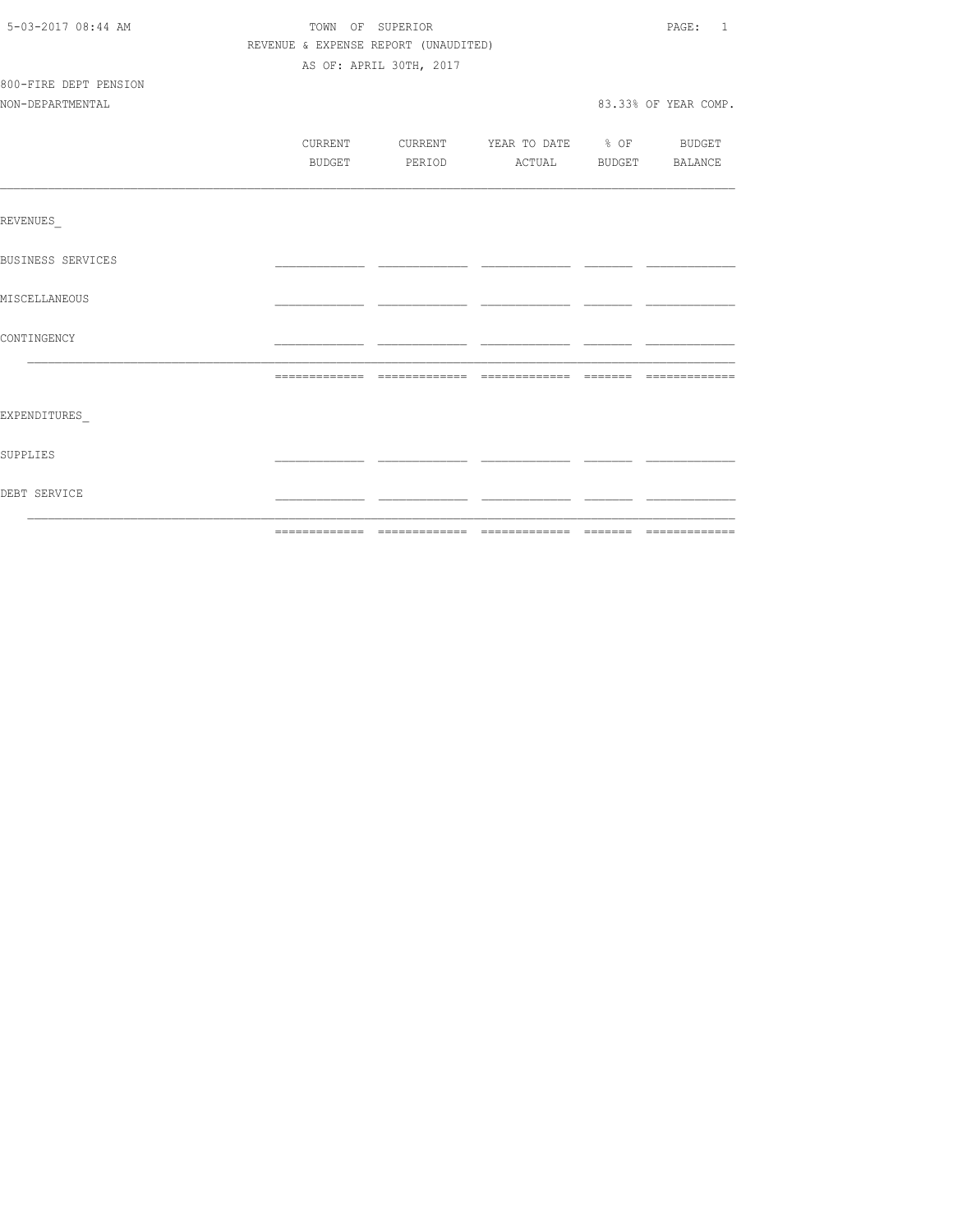| 5-03-2017 08:44 AM    | TOWN OF SUPERIOR                     |                                          |  |  |                      |
|-----------------------|--------------------------------------|------------------------------------------|--|--|----------------------|
|                       | REVENUE & EXPENSE REPORT (UNAUDITED) |                                          |  |  |                      |
|                       |                                      | AS OF: APRIL 30TH, 2017                  |  |  |                      |
| 800-FIRE DEPT PENSION |                                      |                                          |  |  |                      |
| NON-DEPARTMENTAL      |                                      |                                          |  |  | 83.33% OF YEAR COMP. |
|                       |                                      |                                          |  |  |                      |
|                       |                                      | CURRENT CURRENT YEAR TO DATE % OF BUDGET |  |  |                      |
|                       | BUDGET                               | PERIOD ACTUAL BUDGET BALANCE             |  |  |                      |
|                       |                                      |                                          |  |  |                      |
| REVENUES              |                                      |                                          |  |  |                      |
| BUSINESS SERVICES     |                                      |                                          |  |  |                      |
| MISCELLANEOUS         |                                      |                                          |  |  |                      |
| CONTINGENCY           |                                      |                                          |  |  |                      |
|                       |                                      |                                          |  |  |                      |
|                       |                                      |                                          |  |  |                      |
| EXPENDITURES          |                                      |                                          |  |  |                      |
| SUPPLIES              |                                      |                                          |  |  |                      |
| DEBT SERVICE          |                                      |                                          |  |  |                      |
|                       |                                      |                                          |  |  |                      |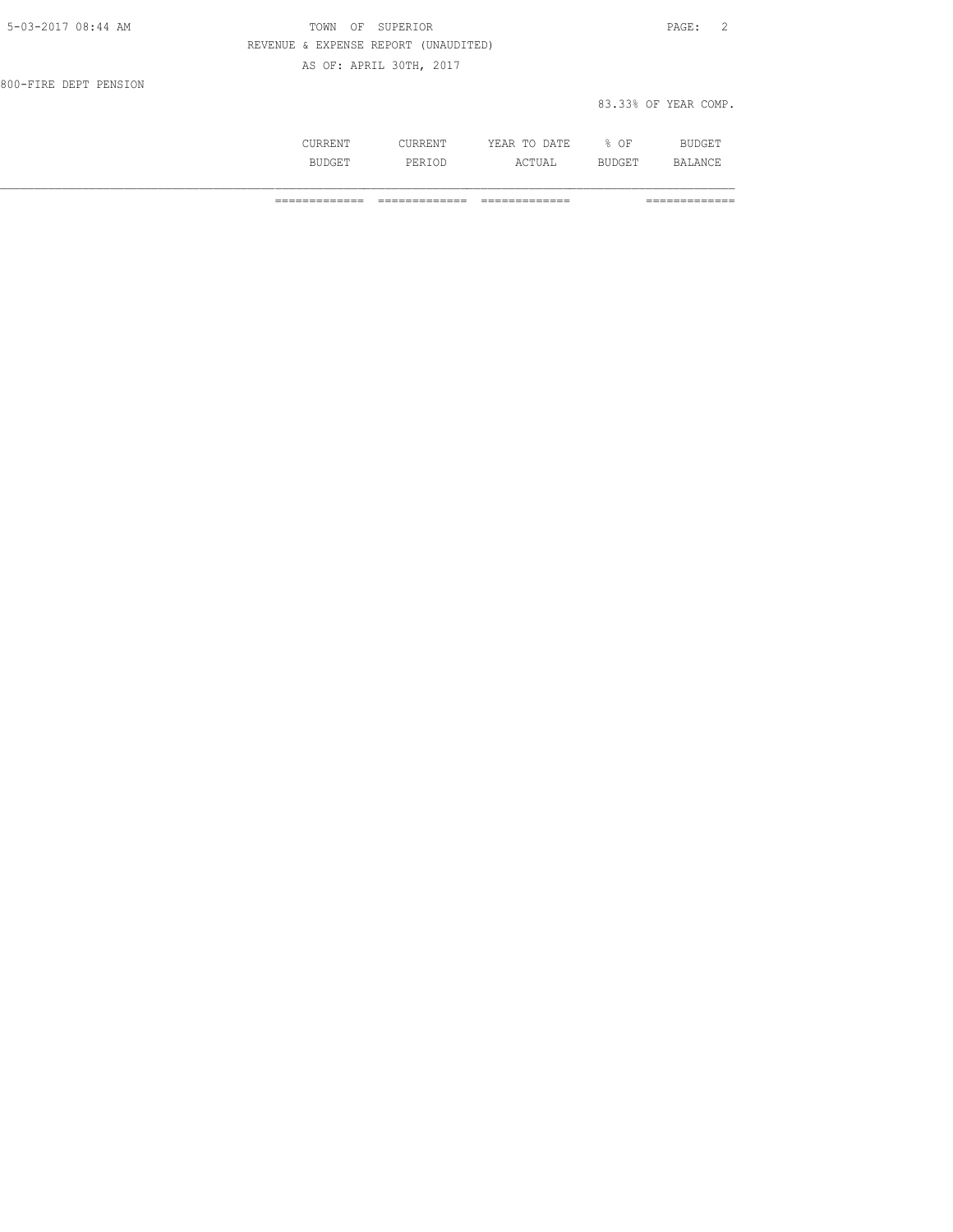| 5-03-2017 08:44 AM    | TOWN OF SUPERIOR                     | PAGE: 2              |
|-----------------------|--------------------------------------|----------------------|
|                       | REVENUE & EXPENSE REPORT (UNAUDITED) |                      |
|                       | AS OF: APRIL 30TH, 2017              |                      |
| 800-FIRE DEPT PENSION |                                      |                      |
|                       |                                      | 83.33% OF YEAR COMP. |

| --- | .<br>المالا فاستخدمت | 17<br>. .<br>----<br>----- | OF<br>ັ   | --  |
|-----|----------------------|----------------------------|-----------|-----|
|     | باد<br>.<br>------   | л<br>1 U 1 1 1 1<br>---    | ∸ ∟∪<br>- | ΔNΙ |

============= ============= ============= =============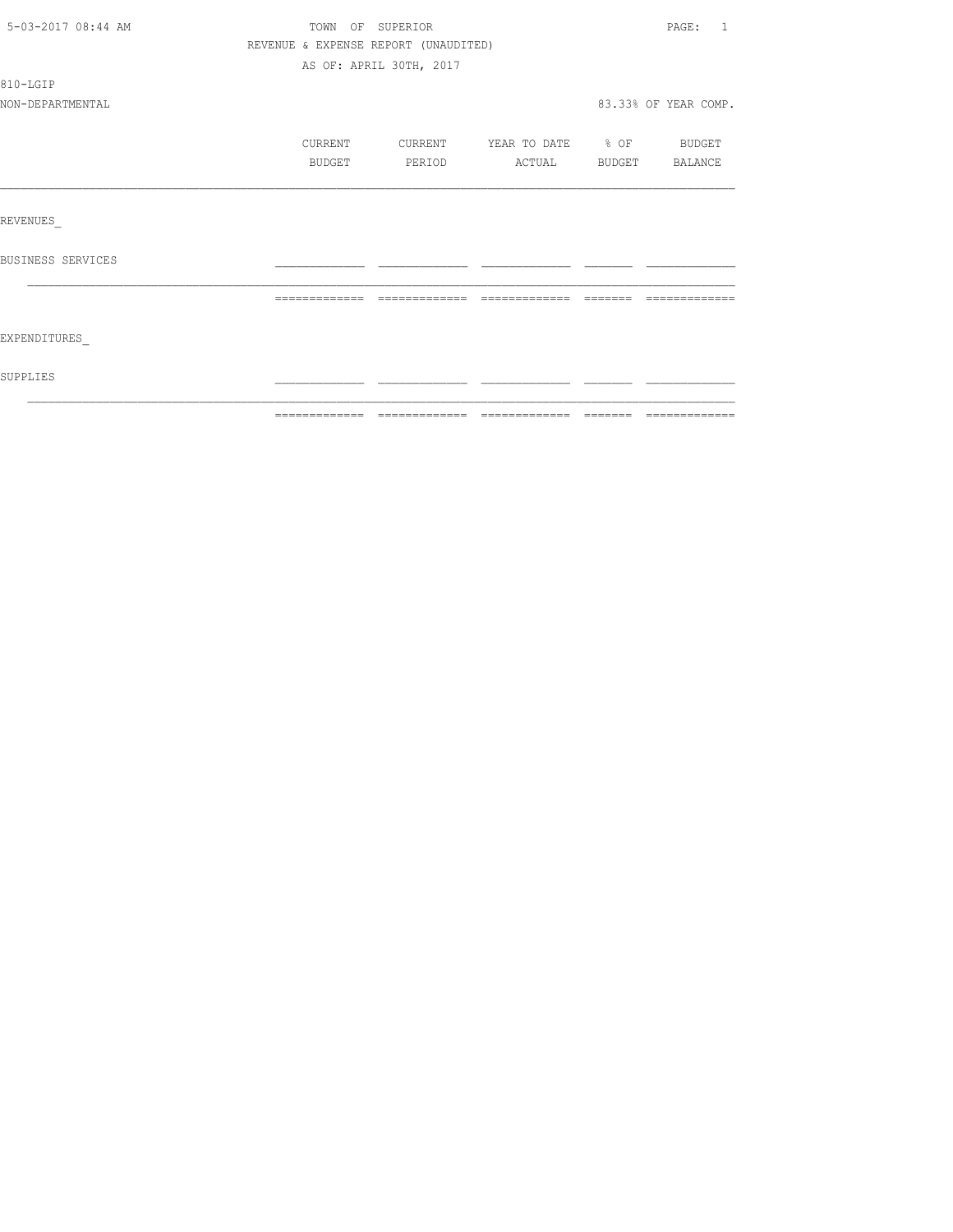| 5-03-2017 08:44 AM |                                      | TOWN OF SUPERIOR        |                          |        | PAGE: 1              |
|--------------------|--------------------------------------|-------------------------|--------------------------|--------|----------------------|
|                    | REVENUE & EXPENSE REPORT (UNAUDITED) |                         |                          |        |                      |
|                    |                                      | AS OF: APRIL 30TH, 2017 |                          |        |                      |
| 810-LGIP           |                                      |                         |                          |        |                      |
| NON-DEPARTMENTAL   |                                      |                         |                          |        | 83.33% OF YEAR COMP. |
|                    | CURRENT                              | CURRENT                 | YEAR TO DATE % OF BUDGET |        |                      |
|                    | BUDGET                               | PERIOD                  | ACTUAL BUDGET BALANCE    |        |                      |
|                    |                                      |                         |                          |        |                      |
| REVENUES           |                                      |                         |                          |        |                      |
| BUSINESS SERVICES  |                                      |                         |                          |        |                      |
|                    | =============                        | -------------           |                          | ------ |                      |
| EXPENDITURES       |                                      |                         |                          |        |                      |
| SUPPLIES           |                                      |                         |                          |        |                      |
|                    |                                      |                         |                          |        |                      |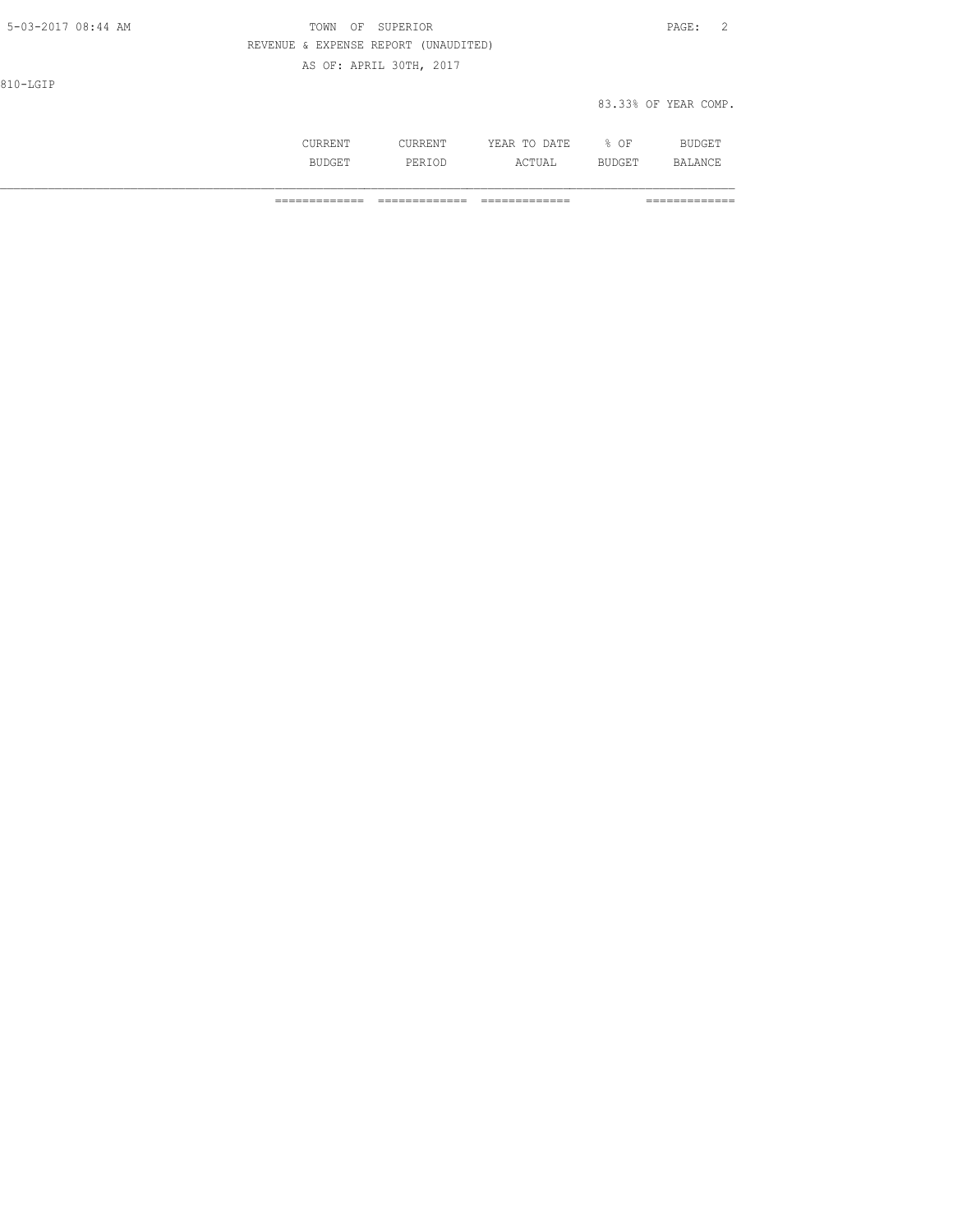| 5-03-2017 08:44 AM | TOWN                                 | SUPERIOR<br>OF          |         |              |        | $\overline{2}$<br>PAGE: |
|--------------------|--------------------------------------|-------------------------|---------|--------------|--------|-------------------------|
|                    | REVENUE & EXPENSE REPORT (UNAUDITED) |                         |         |              |        |                         |
|                    |                                      | AS OF: APRIL 30TH, 2017 |         |              |        |                         |
| 810-LGIP           |                                      |                         |         |              |        |                         |
|                    |                                      |                         |         |              |        | 83.33% OF YEAR COMP.    |
|                    |                                      |                         |         |              |        |                         |
|                    | CURRENT                              |                         | CURRENT | YEAR TO DATE | $8$ OF | <b>BUDGET</b>           |

BUDGET PERIOD ACTUAL BUDGET BALANCE

============= ============= ============= =============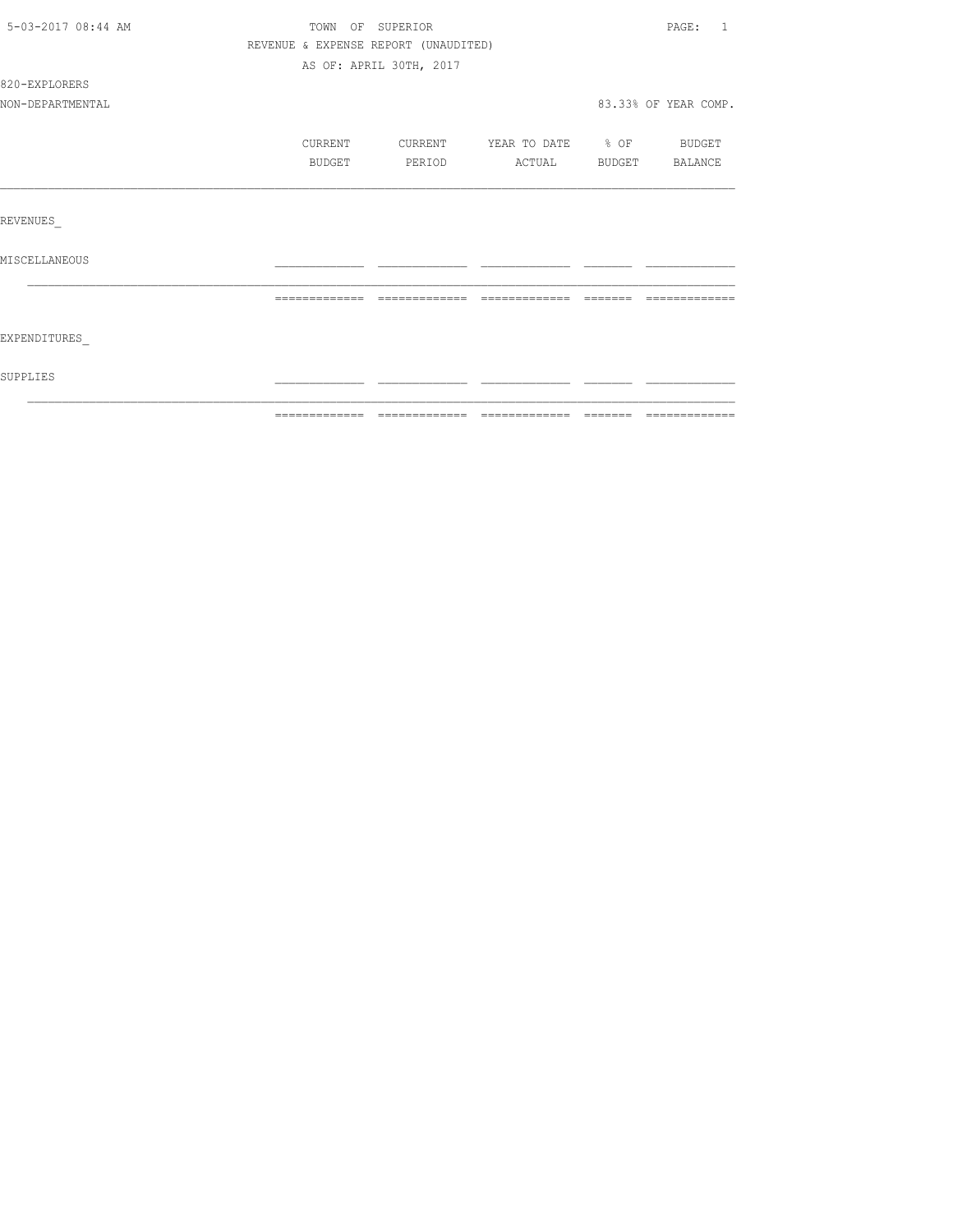| 5-03-2017 08:44 AM | TOWN OF SUPERIOR                     |                         |                          |                                     | PAGE: 1              |
|--------------------|--------------------------------------|-------------------------|--------------------------|-------------------------------------|----------------------|
|                    | REVENUE & EXPENSE REPORT (UNAUDITED) |                         |                          |                                     |                      |
|                    |                                      | AS OF: APRIL 30TH, 2017 |                          |                                     |                      |
| 820-EXPLORERS      |                                      |                         |                          |                                     |                      |
| NON-DEPARTMENTAL   |                                      |                         |                          |                                     | 83.33% OF YEAR COMP. |
|                    | CURRENT                              | CURRENT                 | YEAR TO DATE % OF BUDGET |                                     |                      |
|                    | BUDGET                               | PERIOD                  | ACTUAL BUDGET BALANCE    |                                     |                      |
|                    |                                      |                         |                          |                                     |                      |
| REVENUES           |                                      |                         |                          |                                     |                      |
| MISCELLANEOUS      |                                      |                         |                          |                                     |                      |
|                    | =============                        | =============           | =============            | $\qquad \qquad = \qquad = \qquad =$ |                      |
| EXPENDITURES       |                                      |                         |                          |                                     |                      |
| SUPPLIES           |                                      |                         |                          |                                     |                      |
|                    |                                      |                         |                          |                                     |                      |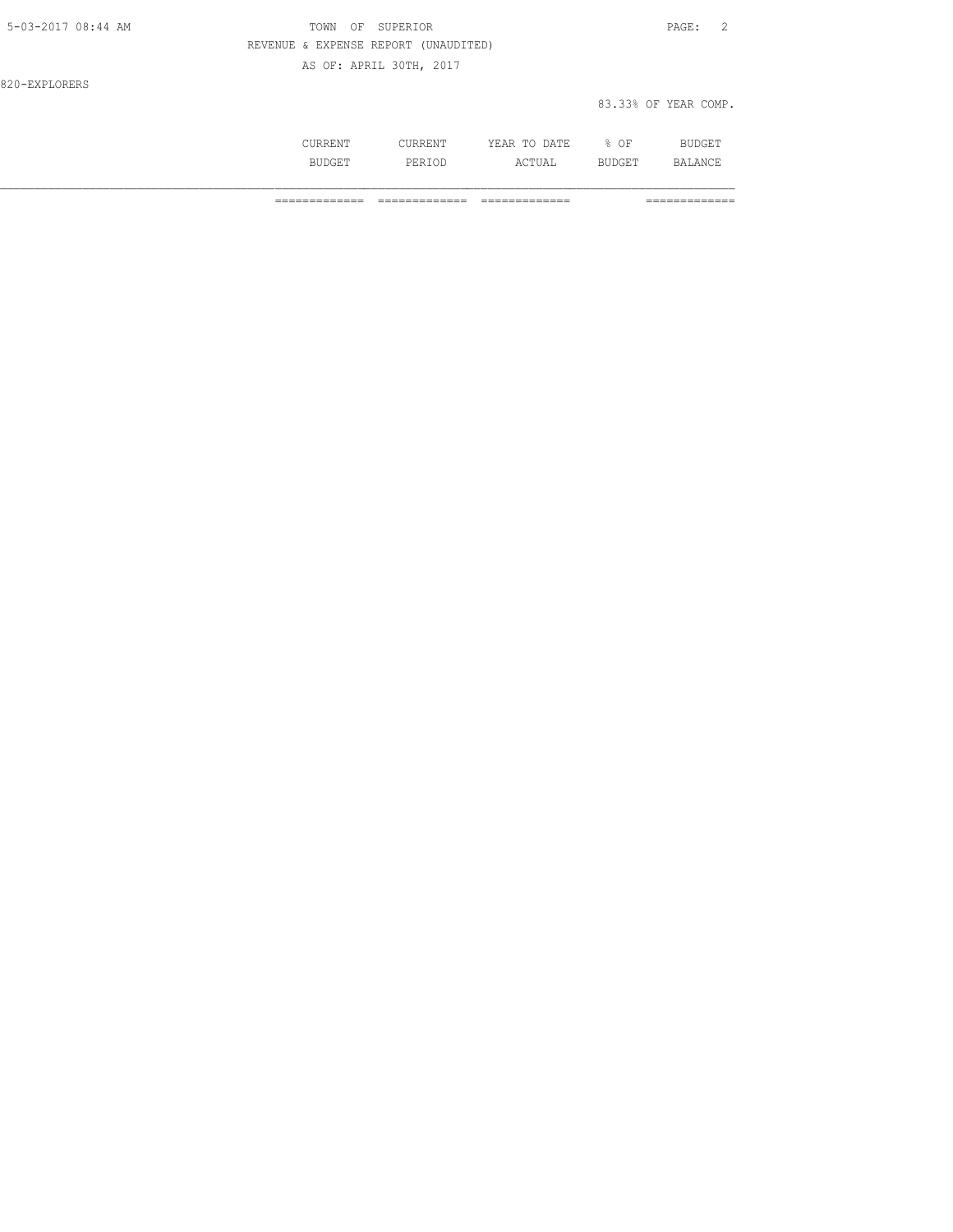| 5-03-2017 08:44 AM | OF SUPERIOR<br>TOWN                  | PAGE: 2              |
|--------------------|--------------------------------------|----------------------|
|                    | REVENUE & EXPENSE REPORT (UNAUDITED) |                      |
|                    | AS OF: APRIL 30TH, 2017              |                      |
| 820-EXPLORERS      |                                      |                      |
|                    |                                      | 83.33% OF YEAR COMP. |

| ៶៱៶៲៲៱៱ |              | ∕ ∣.<br>۱Δ<br>----<br>----- | ΟF | الدساك والمنافذة |
|---------|--------------|-----------------------------|----|------------------|
|         | برا د .<br>. | ے دے                        |    | ΔNΙ              |

============= ============= ============= =============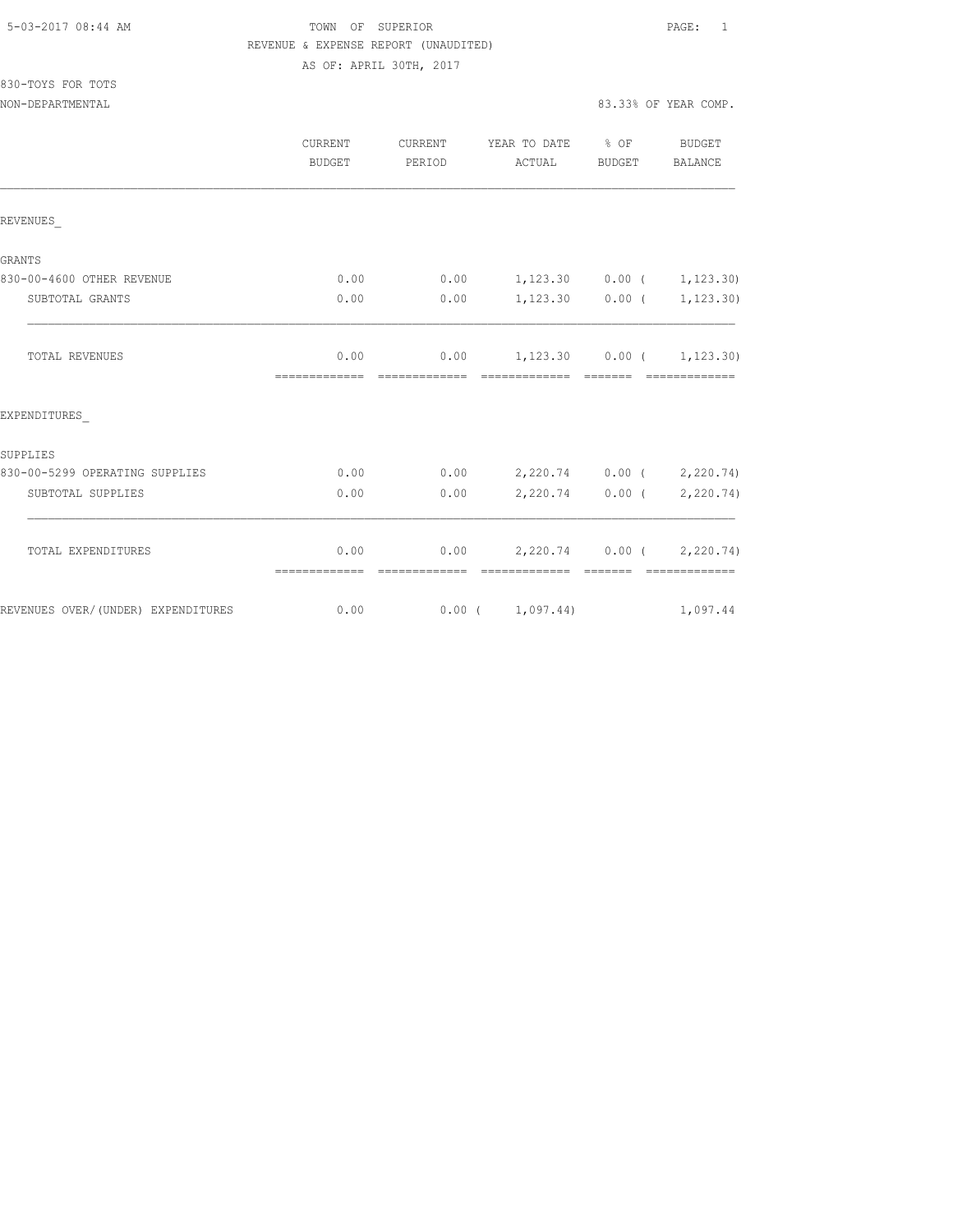| 5-03-2017 08:44 AM |  |
|--------------------|--|
|                    |  |

830-TOYS FOR TOTS

## TOWN OF SUPERIOR **Example 2017** PAGE: 1 REVENUE & EXPENSE REPORT (UNAUDITED) AS OF: APRIL 30TH, 2017

| NON-DEPARTMENTAL                   |               |                                                                          | 83.33% OF YEAR COMP. |
|------------------------------------|---------------|--------------------------------------------------------------------------|----------------------|
|                                    | <b>BUDGET</b> | CURRENT CURRENT YEAR TO DATE % OF BUDGET<br>PERIOD ACTUAL BUDGET BALANCE |                      |
| REVENUES                           |               |                                                                          |                      |
| GRANTS                             |               |                                                                          |                      |
| 830-00-4600 OTHER REVENUE          |               | $0.00$ 0.00 1,123.30 0.00 ( 1,123.30)                                    |                      |
| SUBTOTAL GRANTS                    | 0.00          | $0.00$ 1,123.30 0.00 ( 1,123.30)                                         |                      |
| <b>TOTAL REVENUES</b>              |               | $0.00$ $0.00$ $1,123.30$ $0.00$ $1,123.30)$                              |                      |
| EXPENDITURES                       |               |                                                                          |                      |
| SUPPLIES                           |               |                                                                          |                      |
| 830-00-5299 OPERATING SUPPLIES     |               | $0.00$ $0.00$ $2,220.74$ $0.00$ $(2,220.74)$                             |                      |
| SUBTOTAL SUPPLIES                  | 0.00          | $0.00$ 2,220.74 0.00 ( 2,220.74)                                         |                      |
| TOTAL EXPENDITURES                 |               | $0.00$ $0.00$ $2,220.74$ $0.00$ $(2,220.74)$                             |                      |
| REVENUES OVER/(UNDER) EXPENDITURES |               | $0.00$ $0.00$ $(1,097.44)$ $1,097.44$                                    |                      |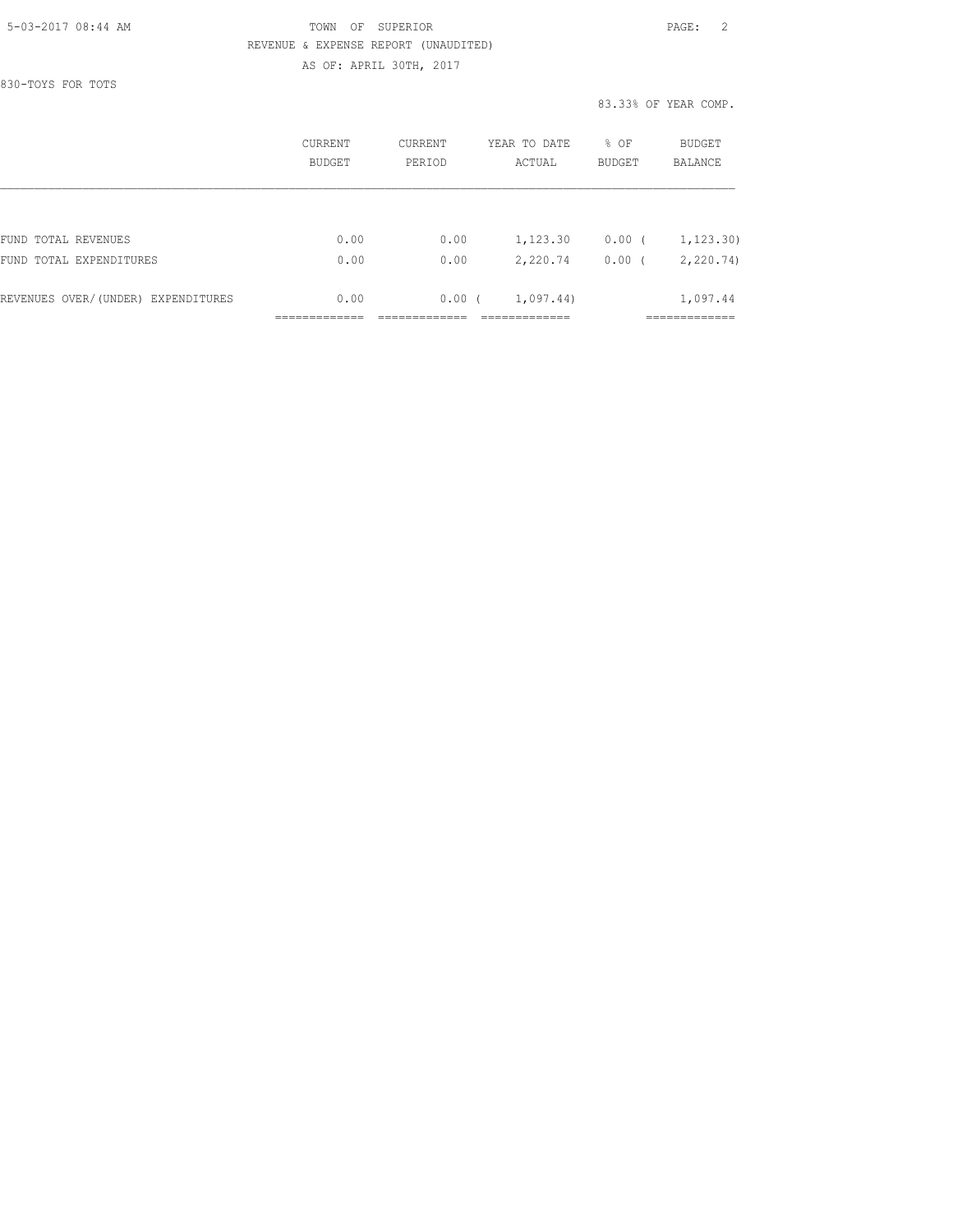## 5-03-2017 08:44 AM TOWN OF SUPERIOR PAGE: 2 REVENUE & EXPENSE REPORT (UNAUDITED) AS OF: APRIL 30TH, 2017

830-TOYS FOR TOTS

83.33% OF YEAR COMP.

|                                    | CURRENT<br><b>BUDGET</b> | CURRENT<br>PERIOD | YEAR TO DATE<br>ACTUAL | $8$ OF<br><b>BUDGET</b> | BUDGET<br><b>BALANCE</b> |
|------------------------------------|--------------------------|-------------------|------------------------|-------------------------|--------------------------|
|                                    |                          |                   |                        |                         |                          |
| FUND TOTAL REVENUES                | 0.00                     | 0.00              | 1,123.30               | $0.00$ (                | 1, 123.30)               |
| FUND TOTAL EXPENDITURES            | 0.00                     | 0.00              | 2,220.74               | 0.00                    | 2, 220.74                |
| REVENUES OVER/(UNDER) EXPENDITURES | 0.00                     | 0.00(             | 1,097.44)              |                         | 1,097.44                 |
|                                    |                          |                   |                        |                         |                          |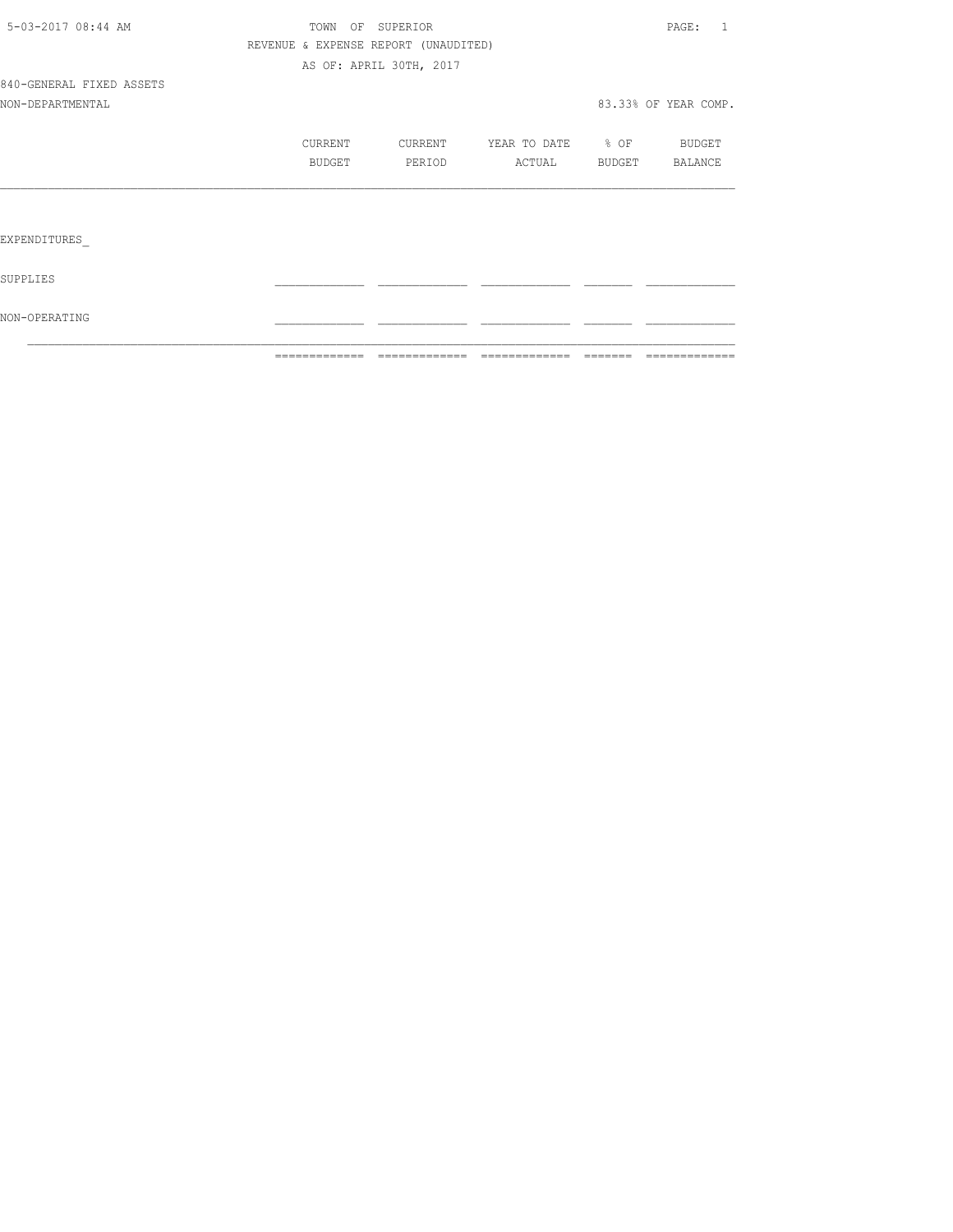|                          | =============                        | ------------------------------- |                       | <b>BEEFEE</b> | =============        |
|--------------------------|--------------------------------------|---------------------------------|-----------------------|---------------|----------------------|
| NON-OPERATING            |                                      |                                 |                       |               |                      |
| SUPPLIES                 |                                      |                                 |                       |               |                      |
| EXPENDITURES             |                                      |                                 |                       |               |                      |
|                          |                                      |                                 |                       |               |                      |
|                          | BUDGET                               | PERIOD                          | ACTUAL BUDGET BALANCE |               |                      |
|                          | <b>CURRENT</b>                       | CURRENT                         | YEAR TO DATE % OF     |               | <b>BUDGET</b>        |
| NON-DEPARTMENTAL         |                                      |                                 |                       |               | 83.33% OF YEAR COMP. |
| 840-GENERAL FIXED ASSETS |                                      |                                 |                       |               |                      |
|                          |                                      | AS OF: APRIL 30TH, 2017         |                       |               |                      |
|                          | REVENUE & EXPENSE REPORT (UNAUDITED) |                                 |                       |               |                      |
| 5-03-2017 08:44 AM       |                                      | TOWN OF SUPERIOR                |                       |               | PAGE: 1              |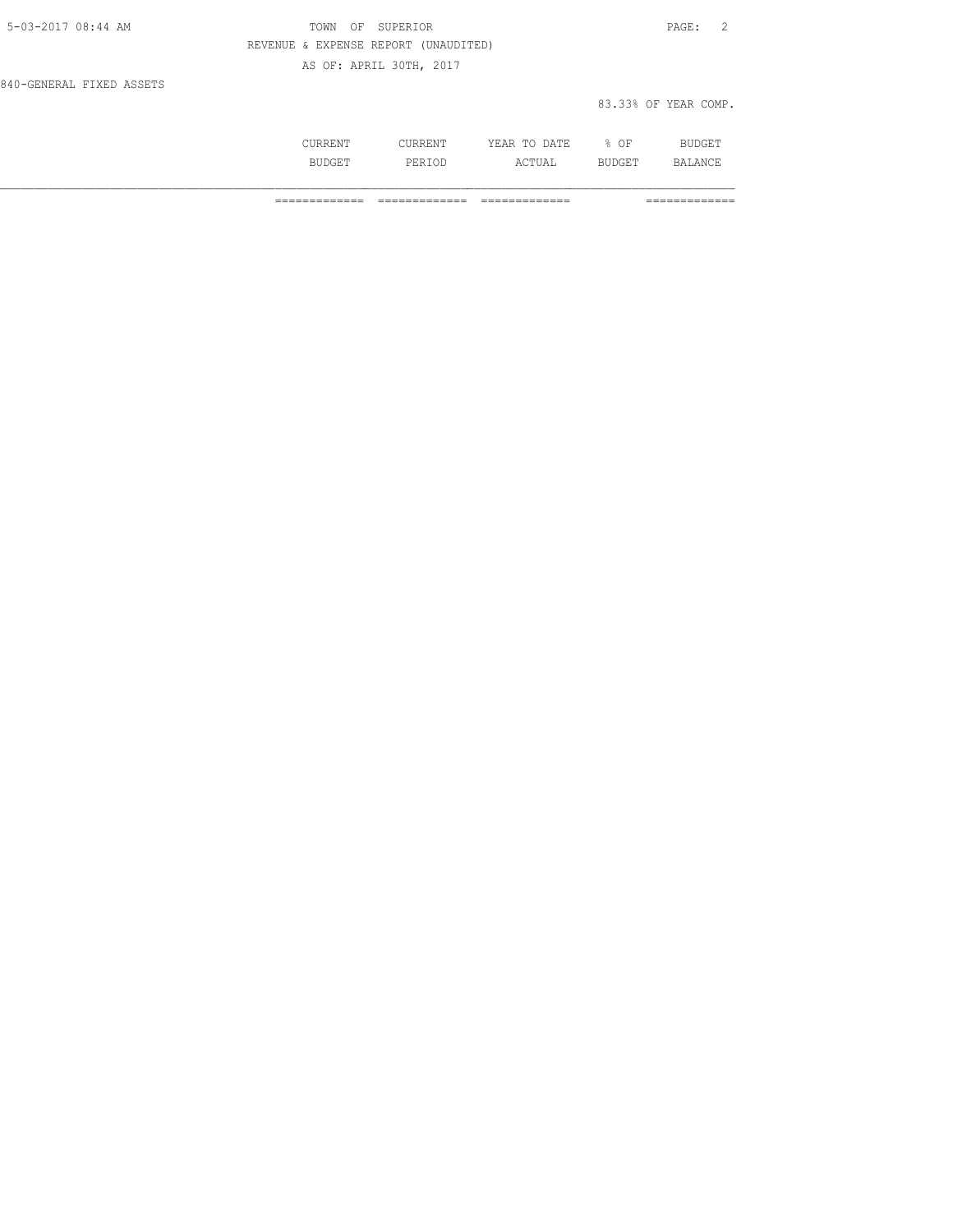| 5-03-2017 08:44 AM       | TOWN OF SUPERIOR                     | PAGE: 2              |
|--------------------------|--------------------------------------|----------------------|
|                          | REVENUE & EXPENSE REPORT (UNAUDITED) |                      |
|                          | AS OF: APRIL 30TH, 2017              |                      |
| 840-GENERAL FIXED ASSETS |                                      |                      |
|                          |                                      | 83.33% OF YEAR COMP. |

| .       | <b>Imre</b><br>----<br>----- | ΟF<br>- | --- |
|---------|------------------------------|---------|-----|
| التاقيا | .                            |         |     |

============= ============= ============= =============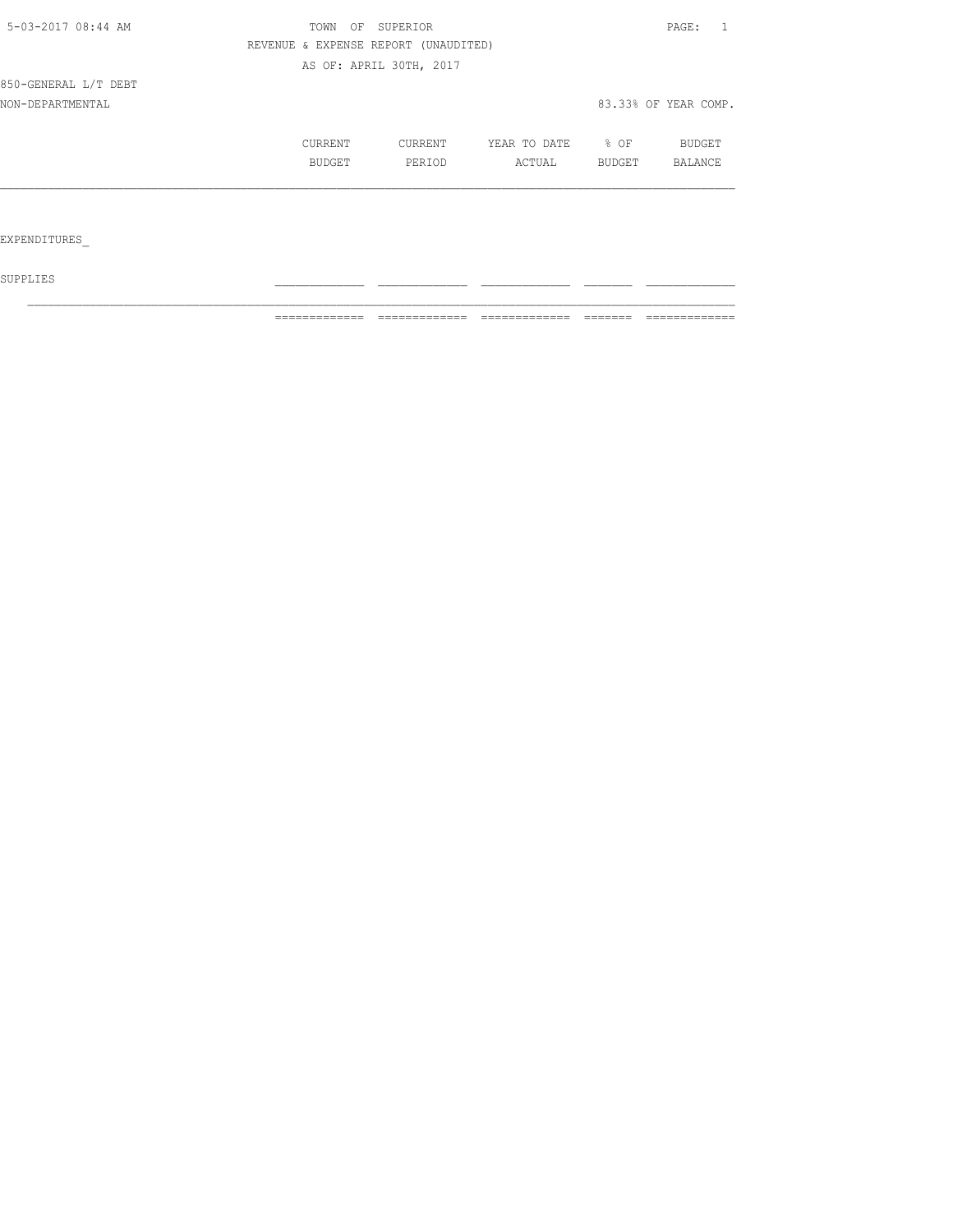| 5-03-2017 08:44 AM   | OF<br>SUPERIOR<br>TOWN | PAGE:                                |              |        |                      |
|----------------------|------------------------|--------------------------------------|--------------|--------|----------------------|
|                      |                        | REVENUE & EXPENSE REPORT (UNAUDITED) |              |        |                      |
|                      |                        | AS OF: APRIL 30TH, 2017              |              |        |                      |
| 850-GENERAL L/T DEBT |                        |                                      |              |        |                      |
| NON-DEPARTMENTAL     |                        |                                      |              |        | 83.33% OF YEAR COMP. |
|                      | CURRENT                | CURRENT                              | YEAR TO DATE | $8$ OF | BUDGET               |
|                      | <b>BUDGET</b>          | PERIOD                               | ACTUAL       | BUDGET | BALANCE              |
|                      |                        |                                      |              |        |                      |
|                      |                        |                                      |              |        |                      |
| EXPENDITURES         |                        |                                      |              |        |                      |

 ${\tt SUPPLIES}$ 

============= ============= ============= ======= =============